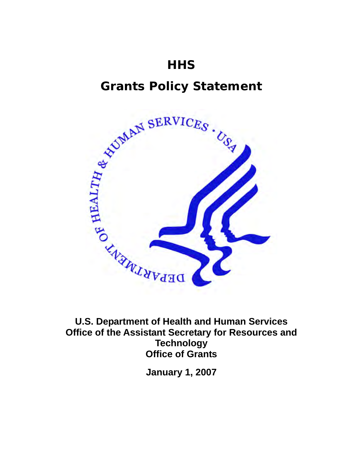# **Grants Policy Statement**



**U.S. Department of Health and Human Services Office of the Assistant Secretary for Resources and Technology Office of Grants** 

**January 1, 2007**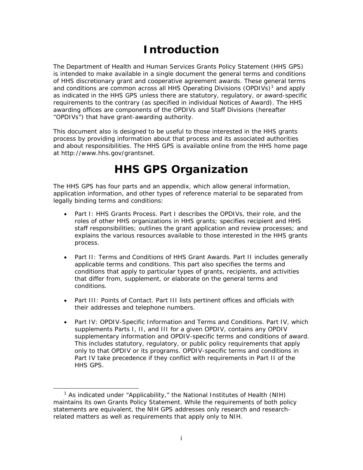# **Introduction**

The Department of Health and Human Services Grants Policy Statement (HHS GPS) is intended to make available in a single document the general terms and conditions of HHS discretionary grant and cooperative agreement awards. These general terms and conditions are common across all HHS Operating Divisions (OPDIVs)<sup>[1](#page-1-0)</sup> and apply as indicated in the HHS GPS unless there are statutory, regulatory, or award-specific requirements to the contrary (as specified in individual Notices of Award). The HHS awarding offices are components of the OPDIVs and Staff Divisions (hereafter "OPDIVs") that have grant-awarding authority.

This document also is designed to be useful to those interested in the HHS grants process by providing information about that process and its associated authorities and about responsibilities. The HHS GPS is available online from the HHS home page at<http://www.hhs.gov/grantsnet>.

# **HHS GPS Organization**

The HHS GPS has four parts and an appendix, which allow general information, application information, and other types of reference material to be separated from legally binding terms and conditions:

- *Part I: HHS Grants Process.* Part I describes the OPDIVs, their role, and the roles of other HHS organizations in HHS grants; specifies recipient and HHS staff responsibilities; outlines the grant application and review processes; and explains the various resources available to those interested in the HHS grants process.
- *Part II: Terms and Conditions of HHS Grant Awards*. Part II includes generally applicable terms and conditions. This part also specifies the terms and conditions that apply to particular types of grants, recipients, and activities that differ from, supplement, or elaborate on the general terms and conditions.
- *Part III: Points of Contact*. Part III lists pertinent offices and officials with their addresses and telephone numbers.
- *Part IV: OPDIV-Specific Information and Terms and Conditions.* Part IV, which supplements Parts I, II, and III for a given OPDIV, contains any OPDIV supplementary information and OPDIV-specific terms and conditions of award. This includes statutory, regulatory, or public policy requirements that apply only to that OPDIV or its programs. OPDIV-specific terms and conditions in Part IV take precedence if they conflict with requirements in Part II of the HHS GPS.

<span id="page-1-0"></span> $\overline{\phantom{0}}$ <sub>1</sub> <sup>1</sup> As indicated under "Applicability," the National Institutes of Health (NIH) maintains its own Grants Policy Statement. While the requirements of both policy statements are equivalent, the NIH GPS addresses only research and researchrelated matters as well as requirements that apply only to NIH.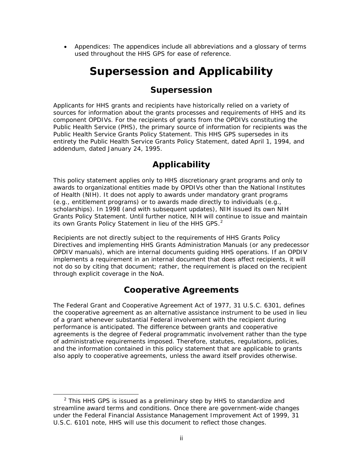• *Appendices:* The appendices include all abbreviations and a glossary of terms used throughout the HHS GPS for ease of reference.

# **Supersession and Applicability**

# **Supersession**

Applicants for HHS grants and recipients have historically relied on a variety of sources for information about the grants processes and requirements of HHS and its component OPDIVs. For the recipients of grants from the OPDIVs constituting the Public Health Service (PHS), the primary source of information for recipients was the *Public Health Service Grants Policy Statement*. This HHS GPS supersedes in its entirety the *Public Health Service Grants Policy Statement*, dated April 1, 1994, and addendum, dated January 24, 1995.

# **Applicability**

This policy statement applies only to HHS discretionary grant programs and only to awards to organizational entities made by OPDIVs other than the National Institutes of Health (NIH). It does not apply to awards under mandatory grant programs (e.g., entitlement programs) or to awards made directly to individuals (e.g., scholarships). In 1998 (and with subsequent updates), NIH issued its own NIH Grants Policy Statement. Until further notice, NIH will continue to issue and maintain its own Grants Policy Statement in lieu of the HHS GPS. $<sup>2</sup>$  $<sup>2</sup>$  $<sup>2</sup>$ </sup>

Recipients are not directly subject to the requirements of HHS Grants Policy Directives and implementing HHS Grants Administration Manuals (or any predecessor OPDIV manuals), which are internal documents guiding HHS operations. If an OPDIV implements a requirement in an internal document that does affect recipients, it will not do so by citing that document; rather, the requirement is placed on the recipient through explicit coverage in the NoA.

# **Cooperative Agreements**

The Federal Grant and Cooperative Agreement Act of 1977, 31 U.S.C. 6301, defines the cooperative agreement as an alternative assistance instrument to be used in lieu of a grant whenever substantial Federal involvement with the recipient during performance is anticipated. The difference between grants and cooperative agreements is the degree of Federal programmatic involvement rather than the type of administrative requirements imposed. Therefore, statutes, regulations, policies, and the information contained in this policy statement that are applicable to grants also apply to cooperative agreements, unless the award itself provides otherwise.

<span id="page-2-0"></span> <sup>2</sup>  $2$  This HHS GPS is issued as a preliminary step by HHS to standardize and streamline award terms and conditions. Once there are government-wide changes under the Federal Financial Assistance Management Improvement Act of 1999, 31 U.S.C. 6101 note, HHS will use this document to reflect those changes.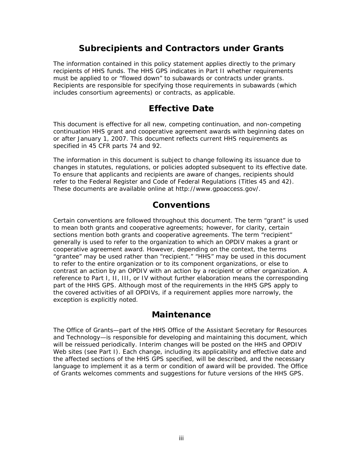# **Subrecipients and Contractors under Grants**

The information contained in this policy statement applies directly to the primary recipients of HHS funds. The HHS GPS indicates in Part II whether requirements must be applied to or "flowed down" to subawards or contracts under grants. Recipients are responsible for specifying those requirements in subawards (which includes consortium agreements) or contracts, as applicable.

# **Effective Date**

This document is effective for all new, competing continuation, and non-competing continuation HHS grant and cooperative agreement awards with beginning dates on or after January 1, 2007. This document reflects current HHS requirements as specified in 45 CFR parts 74 and 92.

The information in this document is subject to change following its issuance due to changes in statutes, regulations, or policies adopted subsequent to its effective date. To ensure that applicants and recipients are aware of changes, recipients should refer to the *Federal Register* and Code of Federal Regulations (Titles 45 and 42). These documents are available online at<http://www.gpoaccess.gov/>.

# **Conventions**

Certain conventions are followed throughout this document. The term "grant" is used to mean both grants and cooperative agreements; however, for clarity, certain sections mention both grants and cooperative agreements. The term "recipient" generally is used to refer to the organization to which an OPDIV makes a grant or cooperative agreement award. However, depending on the context, the terms "grantee" may be used rather than "recipient." "HHS" may be used in this document to refer to the entire organization or to its component organizations, or else to contrast an action by an OPDIV with an action by a recipient or other organization. A reference to Part I, II, III, or IV without further elaboration means the corresponding part of the HHS GPS. Although most of the requirements in the HHS GPS apply to the covered activities of all OPDIVs, if a requirement applies more narrowly, the exception is explicitly noted.

### **Maintenance**

The Office of Grants—part of the HHS Office of the Assistant Secretary for Resources and Technology—is responsible for developing and maintaining this document, which will be reissued periodically. Interim changes will be posted on the HHS and OPDIV Web sites (see Part I). Each change, including its applicability and effective date and the affected sections of the HHS GPS specified, will be described, and the necessary language to implement it as a term or condition of award will be provided. The Office of Grants welcomes comments and suggestions for future versions of the HHS GPS.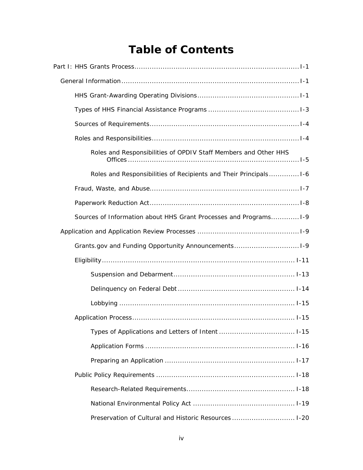# **Table of Contents**

| Roles and Responsibilities of OPDIV Staff Members and Other HHS   |
|-------------------------------------------------------------------|
| Roles and Responsibilities of Recipients and Their Principals1-6  |
|                                                                   |
|                                                                   |
| Sources of Information about HHS Grant Processes and Programs 1-9 |
|                                                                   |
| Grants.gov and Funding Opportunity Announcements1-9               |
|                                                                   |
|                                                                   |
|                                                                   |
|                                                                   |
|                                                                   |
|                                                                   |
|                                                                   |
|                                                                   |
|                                                                   |
|                                                                   |
|                                                                   |
| Preservation of Cultural and Historic Resources  1-20             |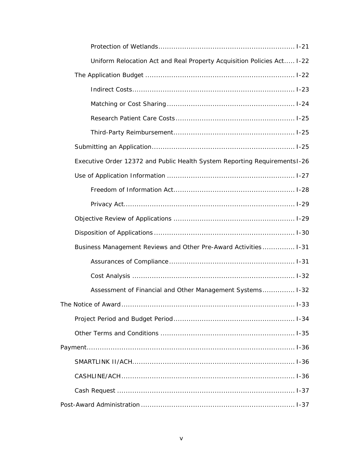| Uniform Relocation Act and Real Property Acquisition Policies Act I-22    |  |
|---------------------------------------------------------------------------|--|
|                                                                           |  |
|                                                                           |  |
|                                                                           |  |
|                                                                           |  |
|                                                                           |  |
|                                                                           |  |
| Executive Order 12372 and Public Health System Reporting Requirements1-26 |  |
|                                                                           |  |
|                                                                           |  |
|                                                                           |  |
|                                                                           |  |
|                                                                           |  |
| Business Management Reviews and Other Pre-Award Activities 1-31           |  |
|                                                                           |  |
|                                                                           |  |
| Assessment of Financial and Other Management Systems 1-32                 |  |
|                                                                           |  |
|                                                                           |  |
|                                                                           |  |
|                                                                           |  |
|                                                                           |  |
|                                                                           |  |
|                                                                           |  |
|                                                                           |  |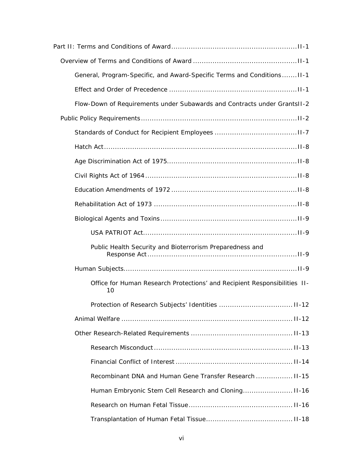| General, Program-Specific, and Award-Specific Terms and Conditions II-1         |
|---------------------------------------------------------------------------------|
|                                                                                 |
| Flow-Down of Requirements under Subawards and Contracts under GrantsII-2        |
|                                                                                 |
|                                                                                 |
|                                                                                 |
|                                                                                 |
|                                                                                 |
|                                                                                 |
|                                                                                 |
|                                                                                 |
|                                                                                 |
| Public Health Security and Bioterrorism Preparedness and                        |
|                                                                                 |
| Office for Human Research Protections' and Recipient Responsibilities II-<br>10 |
|                                                                                 |
|                                                                                 |
|                                                                                 |
|                                                                                 |
|                                                                                 |
| Recombinant DNA and Human Gene Transfer Research  11-15                         |
| Human Embryonic Stem Cell Research and Cloning II-16                            |
|                                                                                 |
|                                                                                 |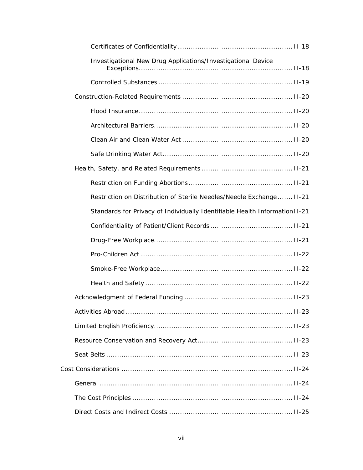| Investigational New Drug Applications/Investigational Device                |
|-----------------------------------------------------------------------------|
|                                                                             |
|                                                                             |
|                                                                             |
|                                                                             |
|                                                                             |
|                                                                             |
|                                                                             |
|                                                                             |
| Restriction on Distribution of Sterile Needles/Needle Exchange II-21        |
| Standards for Privacy of Individually Identifiable Health Information II-21 |
|                                                                             |
|                                                                             |
|                                                                             |
|                                                                             |
|                                                                             |
|                                                                             |
|                                                                             |
|                                                                             |
|                                                                             |
|                                                                             |
|                                                                             |
|                                                                             |
|                                                                             |
|                                                                             |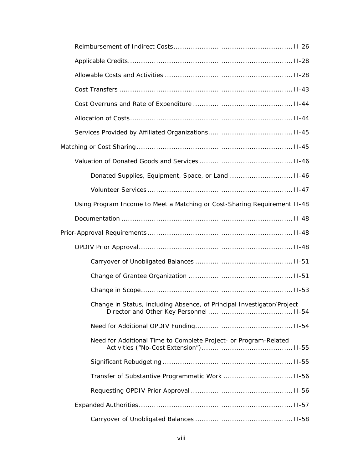| Using Program Income to Meet a Matching or Cost-Sharing Requirement II-48 |  |
|---------------------------------------------------------------------------|--|
|                                                                           |  |
|                                                                           |  |
|                                                                           |  |
|                                                                           |  |
|                                                                           |  |
|                                                                           |  |
| Change in Status, including Absence, of Principal Investigator/Project    |  |
|                                                                           |  |
| Need for Additional Time to Complete Project- or Program-Related          |  |
|                                                                           |  |
|                                                                           |  |
|                                                                           |  |
|                                                                           |  |
|                                                                           |  |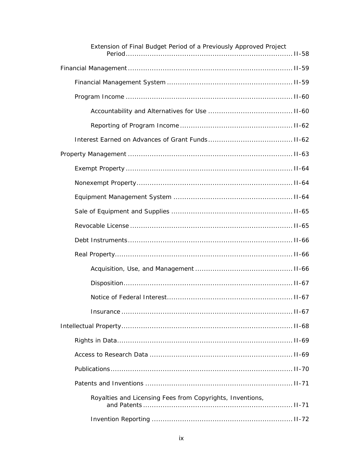| Extension of Final Budget Period of a Previously Approved Project |
|-------------------------------------------------------------------|
|                                                                   |
|                                                                   |
|                                                                   |
|                                                                   |
|                                                                   |
|                                                                   |
|                                                                   |
|                                                                   |
|                                                                   |
|                                                                   |
|                                                                   |
|                                                                   |
|                                                                   |
|                                                                   |
|                                                                   |
|                                                                   |
|                                                                   |
|                                                                   |
|                                                                   |
|                                                                   |
|                                                                   |
|                                                                   |
|                                                                   |
| Royalties and Licensing Fees from Copyrights, Inventions,         |
|                                                                   |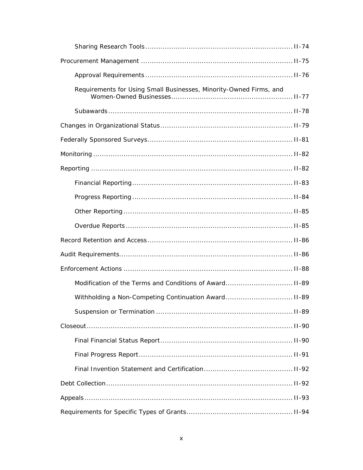| Requirements for Using Small Businesses, Minority-Owned Firms, and |  |  |
|--------------------------------------------------------------------|--|--|
|                                                                    |  |  |
|                                                                    |  |  |
|                                                                    |  |  |
|                                                                    |  |  |
|                                                                    |  |  |
|                                                                    |  |  |
|                                                                    |  |  |
|                                                                    |  |  |
|                                                                    |  |  |
|                                                                    |  |  |
|                                                                    |  |  |
|                                                                    |  |  |
|                                                                    |  |  |
| Withholding a Non-Competing Continuation Award II-89               |  |  |
|                                                                    |  |  |
|                                                                    |  |  |
|                                                                    |  |  |
|                                                                    |  |  |
|                                                                    |  |  |
|                                                                    |  |  |
|                                                                    |  |  |
|                                                                    |  |  |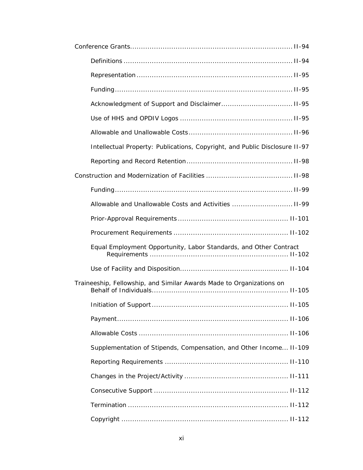| Intellectual Property: Publications, Copyright, and Public Disclosure II-97 |
|-----------------------------------------------------------------------------|
|                                                                             |
|                                                                             |
|                                                                             |
| Allowable and Unallowable Costs and Activities  II-99                       |
|                                                                             |
|                                                                             |
| Equal Employment Opportunity, Labor Standards, and Other Contract           |
|                                                                             |
| Traineeship, Fellowship, and Similar Awards Made to Organizations on        |
|                                                                             |
|                                                                             |
|                                                                             |
| Supplementation of Stipends, Compensation, and Other Income II-109          |
|                                                                             |
|                                                                             |
|                                                                             |
|                                                                             |
|                                                                             |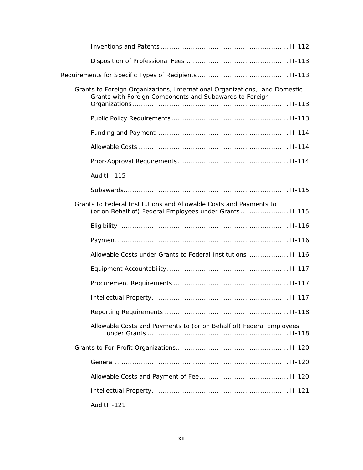| Grants to Foreign Organizations, International Organizations, and Domestic<br>Grants with Foreign Components and Subawards to Foreign |
|---------------------------------------------------------------------------------------------------------------------------------------|
|                                                                                                                                       |
|                                                                                                                                       |
|                                                                                                                                       |
|                                                                                                                                       |
| Audit II-115                                                                                                                          |
|                                                                                                                                       |
| Grants to Federal Institutions and Allowable Costs and Payments to<br>(or on Behalf of) Federal Employees under Grants  II-115        |
|                                                                                                                                       |
|                                                                                                                                       |
| Allowable Costs under Grants to Federal Institutions II-116                                                                           |
|                                                                                                                                       |
|                                                                                                                                       |
|                                                                                                                                       |
|                                                                                                                                       |
| Allowable Costs and Payments to (or on Behalf of) Federal Employees                                                                   |
|                                                                                                                                       |
|                                                                                                                                       |
|                                                                                                                                       |
|                                                                                                                                       |
| Audit II-121                                                                                                                          |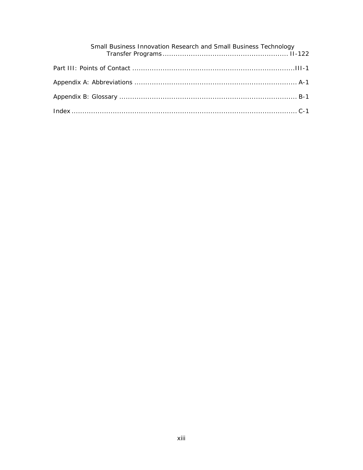| Small Business Innovation Research and Small Business Technology |
|------------------------------------------------------------------|
|                                                                  |
|                                                                  |
|                                                                  |
|                                                                  |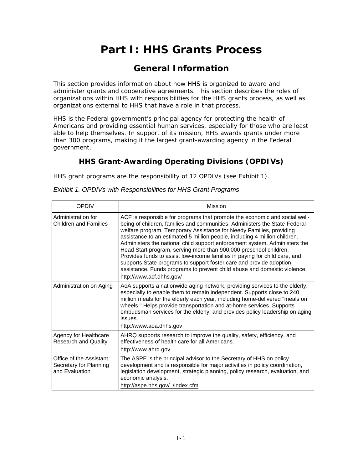# **Part I: HHS Grants Process**

# **General Information**

<span id="page-14-0"></span>This section provides information about how HHS is organized to award and administer grants and cooperative agreements. This section describes the roles of organizations within HHS with responsibilities for the HHS grants process, as well as organizations external to HHS that have a role in that process.

HHS is the Federal government's principal agency for protecting the health of Americans and providing essential human services, especially for those who are least able to help themselves. In support of its mission, HHS awards grants under more than 300 programs, making it the largest grant-awarding agency in the Federal government.

# **HHS Grant-Awarding Operating Divisions (OPDIVs)**

HHS grant programs are the responsibility of 12 OPDIVs (see Exhibit 1).

| <b>OPDIV</b>                                                        | Mission                                                                                                                                                                                                                                                                                                                                                                                                                                                                                                                                                                                                                                                                                                                       |
|---------------------------------------------------------------------|-------------------------------------------------------------------------------------------------------------------------------------------------------------------------------------------------------------------------------------------------------------------------------------------------------------------------------------------------------------------------------------------------------------------------------------------------------------------------------------------------------------------------------------------------------------------------------------------------------------------------------------------------------------------------------------------------------------------------------|
| Administration for<br>Children and Families                         | ACF is responsible for programs that promote the economic and social well-<br>being of children, families and communities. Administers the State-Federal<br>welfare program, Temporary Assistance for Needy Families, providing<br>assistance to an estimated 5 million people, including 4 million children.<br>Administers the national child support enforcement system. Administers the<br>Head Start program, serving more than 900,000 preschool children.<br>Provides funds to assist low-income families in paying for child care, and<br>supports State programs to support foster care and provide adoption<br>assistance. Funds programs to prevent child abuse and domestic violence.<br>http://www.acf.dhhs.gov/ |
| Administration on Aging                                             | AoA supports a nationwide aging network, providing services to the elderly,<br>especially to enable them to remain independent. Supports close to 240<br>million meals for the elderly each year, including home-delivered "meals on<br>wheels." Helps provide transportation and at-home services. Supports<br>ombudsman services for the elderly, and provides policy leadership on aging<br>issues.<br>http://www.aoa.dhhs.gov                                                                                                                                                                                                                                                                                             |
| Agency for Healthcare<br><b>Research and Quality</b>                | AHRQ supports research to improve the quality, safety, efficiency, and<br>effectiveness of health care for all Americans.<br>http://www.ahrq.gov                                                                                                                                                                                                                                                                                                                                                                                                                                                                                                                                                                              |
| Office of the Assistant<br>Secretary for Planning<br>and Evaluation | The ASPE is the principal advisor to the Secretary of HHS on policy<br>development and is responsible for major activities in policy coordination,<br>legislation development, strategic planning, policy research, evaluation, and<br>economic analysis.<br>http://aspe.hhs.gov/ /index.cfm                                                                                                                                                                                                                                                                                                                                                                                                                                  |

*Exhibit 1. OPDIVs with Responsibilities for HHS Grant Programs*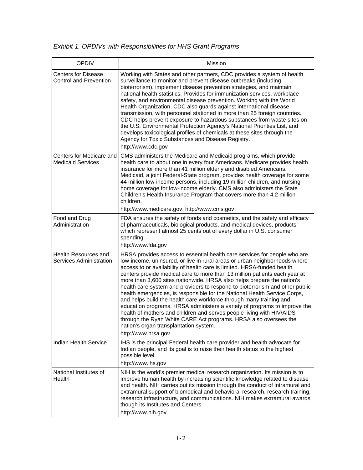## *Exhibit 1. OPDIVs with Responsibilities for HHS Grant Programs*

| <b>OPDIV</b>                                                | Mission                                                                                                                                                                                                                                                                                                                                                                                                                                                                                                                                                                                                                                                                                                                                                                                                                                                                                                                   |
|-------------------------------------------------------------|---------------------------------------------------------------------------------------------------------------------------------------------------------------------------------------------------------------------------------------------------------------------------------------------------------------------------------------------------------------------------------------------------------------------------------------------------------------------------------------------------------------------------------------------------------------------------------------------------------------------------------------------------------------------------------------------------------------------------------------------------------------------------------------------------------------------------------------------------------------------------------------------------------------------------|
| <b>Centers for Disease</b><br><b>Control and Prevention</b> | Working with States and other partners, CDC provides a system of health<br>surveillance to monitor and prevent disease outbreaks (including<br>bioterrorism), implement disease prevention strategies, and maintain<br>national health statistics. Provides for immunization services, workplace<br>safety, and environmental disease prevention. Working with the World<br>Health Organization, CDC also guards against international disease<br>transmission, with personnel stationed in more than 25 foreign countries.<br>CDC helps prevent exposure to hazardous substances from waste sites on<br>the U.S. Environmental Protection Agency's National Priorities List, and<br>develops toxicological profiles of chemicals at these sites through the<br>Agency for Toxic Substances and Disease Registry.<br>http://www.cdc.gov                                                                                   |
| Centers for Medicare and<br><b>Medicaid Services</b>        | CMS administers the Medicare and Medicaid programs, which provide<br>health care to about one in every four Americans. Medicare provides health<br>insurance for more than 41 million elderly and disabled Americans.<br>Medicaid, a joint Federal-State program, provides health coverage for some<br>44 million low-income persons, including 19 million children, and nursing<br>home coverage for low-income elderly. CMS also administers the State<br>Children's Health Insurance Program that covers more than 4.2 million<br>children.<br>http://www.medicare.gov, http://www.cms.gov                                                                                                                                                                                                                                                                                                                             |
| Food and Drug<br>Administration                             | FDA ensures the safety of foods and cosmetics, and the safety and efficacy<br>of pharmaceuticals, biological products, and medical devices, products<br>which represent almost 25 cents out of every dollar in U.S. consumer<br>spending.<br>http://www.fda.gov                                                                                                                                                                                                                                                                                                                                                                                                                                                                                                                                                                                                                                                           |
| <b>Health Resources and</b><br>Services Administration      | HRSA provides access to essential health care services for people who are<br>low-income, uninsured, or live in rural areas or urban neighborhoods where<br>access to or availability of health care is limited. HRSA-funded health<br>centers provide medical care to more than 13 million patients each year at<br>more than 3,600 sites nationwide. HRSA also helps prepare the nation's<br>health care system and providers to respond to bioterrorism and other public<br>health emergencies, is responsible for the National Health Service Corps,<br>and helps build the health care workforce through many training and<br>education programs. HRSA administers a variety of programs to improve the<br>health of mothers and children and serves people living with HIV/AIDS<br>through the Ryan White CARE Act programs. HRSA also oversees the<br>nation's organ transplantation system.<br>http://www.hrsa.gov |
| Indian Health Service                                       | IHS is the principal Federal health care provider and health advocate for<br>Indian people, and its goal is to raise their health status to the highest<br>possible level.<br>http://www.ihs.gov                                                                                                                                                                                                                                                                                                                                                                                                                                                                                                                                                                                                                                                                                                                          |
| National Institutes of<br>Health                            | NIH is the world's premier medical research organization. Its mission is to<br>improve human health by increasing scientific knowledge related to disease<br>and health. NIH carries out its mission through the conduct of intramural and<br>extramural support of biomedical and behavioral research, research training,<br>research infrastructure, and communications. NIH makes extramural awards<br>though its Institutes and Centers.<br>http://www.nih.gov                                                                                                                                                                                                                                                                                                                                                                                                                                                        |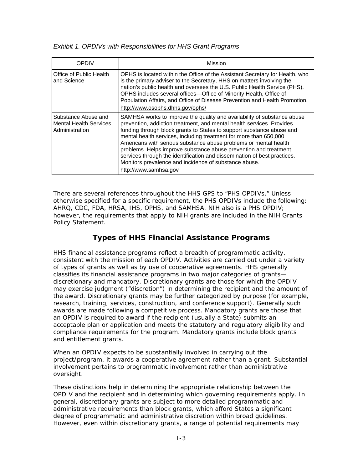#### <span id="page-16-0"></span>*Exhibit 1. OPDIVs with Responsibilities for HHS Grant Programs*

| OPDIV                                                                  | Mission                                                                                                                                                                                                                                                                                                                                                                                                                                                                                                                                                                                              |
|------------------------------------------------------------------------|------------------------------------------------------------------------------------------------------------------------------------------------------------------------------------------------------------------------------------------------------------------------------------------------------------------------------------------------------------------------------------------------------------------------------------------------------------------------------------------------------------------------------------------------------------------------------------------------------|
| Office of Public Health<br>and Science                                 | OPHS is located within the Office of the Assistant Secretary for Health, who<br>is the primary adviser to the Secretary, HHS on matters involving the<br>nation's public health and oversees the U.S. Public Health Service (PHS).<br>OPHS includes several offices-Office of Minority Health, Office of<br>Population Affairs, and Office of Disease Prevention and Health Promotion.<br>http://www.osophs.dhhs.gov/ophs/                                                                                                                                                                           |
| Substance Abuse and<br><b>Mental Health Services</b><br>Administration | SAMHSA works to improve the quality and availability of substance abuse<br>prevention, addiction treatment, and mental health services. Provides<br>funding through block grants to States to support substance abuse and<br>mental health services, including treatment for more than 650,000<br>Americans with serious substance abuse problems or mental health<br>problems. Helps improve substance abuse prevention and treatment<br>services through the identification and dissemination of best practices.<br>Monitors prevalence and incidence of substance abuse.<br>http://www.samhsa.gov |

There are several references throughout the HHS GPS to "PHS OPDIVs." Unless otherwise specified for a specific requirement, the PHS OPDIVs include the following: AHRQ, CDC, FDA, HRSA, IHS, OPHS, and SAMHSA. NIH also is a PHS OPDIV; however, the requirements that apply to NIH grants are included in the NIH Grants Policy Statement.

### **Types of HHS Financial Assistance Programs**

HHS financial assistance programs reflect a breadth of programmatic activity, consistent with the mission of each OPDIV. Activities are carried out under a variety of types of grants as well as by use of cooperative agreements. HHS generally classifies its financial assistance programs in two major categories of grants discretionary and mandatory. Discretionary grants are those for which the OPDIV may exercise judgment ("discretion") in determining the recipient and the amount of the award. Discretionary grants may be further categorized by purpose (for example, research, training, services, construction, and conference support). Generally such awards are made following a competitive process. Mandatory grants are those that an OPDIV is required to award if the recipient (usually a State) submits an acceptable plan or application and meets the statutory and regulatory eligibility and compliance requirements for the program. Mandatory grants include block grants and entitlement grants.

When an OPDIV expects to be substantially involved in carrying out the project/program, it awards a cooperative agreement rather than a grant. Substantial involvement pertains to programmatic involvement rather than administrative oversight.

These distinctions help in determining the appropriate relationship between the OPDIV and the recipient and in determining which governing requirements apply. In general, discretionary grants are subject to more detailed programmatic and administrative requirements than block grants, which afford States a significant degree of programmatic and administrative discretion within broad guidelines. However, even within discretionary grants, a range of potential requirements may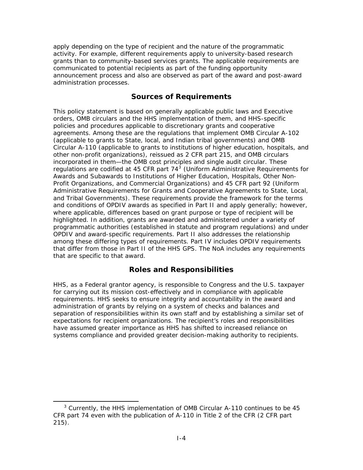<span id="page-17-0"></span>apply depending on the type of recipient and the nature of the programmatic activity. For example, different requirements apply to university-based research grants than to community-based services grants. The applicable requirements are communicated to potential recipients as part of the funding opportunity announcement process and also are observed as part of the award and post-award administration processes.

#### **Sources of Requirements**

This policy statement is based on generally applicable public laws and Executive orders, OMB circulars and the HHS implementation of them, and HHS-specific policies and procedures applicable to discretionary grants and cooperative agreements. Among these are the regulations that implement OMB Circular A-102 (applicable to grants to State, local, and Indian tribal governments) and OMB Circular A-110 (applicable to grants to institutions of higher education, hospitals, and other non-profit organizations), reissued as 2 CFR part 215, and OMB circulars incorporated in them—the OMB cost principles and single audit circular. These regulations are codified at 45 CFR part 74 $3$  (Uniform Administrative Requirements for Awards and Subawards to Institutions of Higher Education, Hospitals, Other Non-Profit Organizations, and Commercial Organizations) and 45 CFR part 92 (Uniform Administrative Requirements for Grants and Cooperative Agreements to State, Local, and Tribal Governments). These requirements provide the framework for the terms and conditions of OPDIV awards as specified in Part II and apply generally; however, where applicable, differences based on grant purpose or type of recipient will be highlighted. In addition, grants are awarded and administered under a variety of programmatic authorities (established in statute and program regulations) and under OPDIV and award-specific requirements. Part II also addresses the relationship among these differing types of requirements. Part IV includes OPDIV requirements that differ from those in Part II of the HHS GPS. The NoA includes any requirements that are specific to that award.

#### **Roles and Responsibilities**

HHS, as a Federal grantor agency, is responsible to Congress and the U.S. taxpayer for carrying out its mission cost-effectively and in compliance with applicable requirements. HHS seeks to ensure integrity and accountability in the award and administration of grants by relying on a system of checks and balances and separation of responsibilities within its own staff and by establishing a similar set of expectations for recipient organizations. The recipient's roles and responsibilities have assumed greater importance as HHS has shifted to increased reliance on systems compliance and provided greater decision-making authority to recipients.

<span id="page-17-1"></span>**Example 20**<br><sup>3</sup> Currently, the HHS implementation of OMB Circular A-110 continues to be 45 CFR part 74 even with the publication of A-110 in Title 2 of the CFR (2 CFR part 215).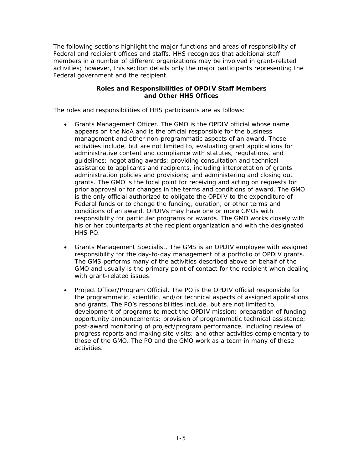<span id="page-18-0"></span>The following sections highlight the major functions and areas of responsibility of Federal and recipient offices and staffs. HHS recognizes that additional staff members in a number of different organizations may be involved in grant-related activities; however, this section details only the major participants representing the Federal government and the recipient.

#### **Roles and Responsibilities of OPDIV Staff Members and Other HHS Offices**

The roles and responsibilities of HHS participants are as follows:

- *Grants Management Officer.* The GMO is the OPDIV official whose name appears on the NoA and is the official responsible for the business management and other non-programmatic aspects of an award. These activities include, but are not limited to, evaluating grant applications for administrative content and compliance with statutes, regulations, and guidelines; negotiating awards; providing consultation and technical assistance to applicants and recipients, including interpretation of grants administration policies and provisions; and administering and closing out grants. The GMO is the focal point for receiving and acting on requests for prior approval or for changes in the terms and conditions of award. The GMO is the only official authorized to obligate the OPDIV to the expenditure of Federal funds or to change the funding, duration, or other terms and conditions of an award. OPDIVs may have one or more GMOs with responsibility for particular programs or awards. The GMO works closely with his or her counterparts at the recipient organization and with the designated HHS PO.
- *Grants Management Specialist.* The GMS is an OPDIV employee with assigned responsibility for the day-to-day management of a portfolio of OPDIV grants. The GMS performs many of the activities described above on behalf of the GMO and usually is the primary point of contact for the recipient when dealing with grant-related issues.
- *Project Officer/Program Official.* The PO is the OPDIV official responsible for the programmatic, scientific, and/or technical aspects of assigned applications and grants. The PO's responsibilities include, but are not limited to, development of programs to meet the OPDIV mission; preparation of funding opportunity announcements; provision of programmatic technical assistance; post-award monitoring of project/program performance, including review of progress reports and making site visits; and other activities complementary to those of the GMO. The PO and the GMO work as a team in many of these activities.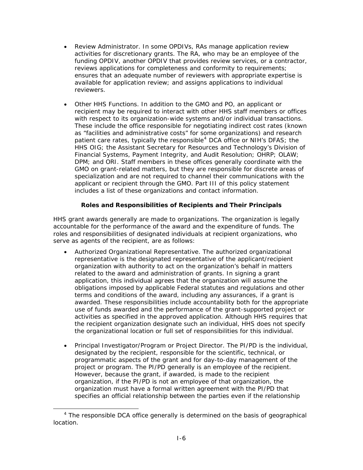- <span id="page-19-0"></span>• *Review Administrator.* In some OPDIVs, RAs manage application review activities for discretionary grants. The RA, who may be an employee of the funding OPDIV, another OPDIV that provides review services, or a contractor, reviews applications for completeness and conformity to requirements; ensures that an adequate number of reviewers with appropriate expertise is available for application review; and assigns applications to individual reviewers.
- *Other HHS Functions.* In addition to the GMO and PO, an applicant or recipient may be required to interact with other HHS staff members or offices with respect to its organization-wide systems and/or individual transactions. These include the office responsible for negotiating indirect cost rates (known as "facilities and administrative costs" for some organizations) and research patient care rates, typically the responsible<sup>[4](#page-19-1)</sup> DCA office or NIH's DFAS; the HHS OIG; the Assistant Secretary for Resources and Technology's Division of Financial Systems, Payment Integrity, and Audit Resolution; OHRP; OLAW; DPM; and ORI. Staff members in these offices generally coordinate with the GMO on grant-related matters, but they are responsible for discrete areas of specialization and are not required to channel their communications with the applicant or recipient through the GMO. Part III of this policy statement includes a list of these organizations and contact information.

#### **Roles and Responsibilities of Recipients and Their Principals**

HHS grant awards generally are made to organizations. The organization is legally accountable for the performance of the award and the expenditure of funds. The roles and responsibilities of designated individuals at recipient organizations, who serve as agents of the recipient, are as follows:

- *Authorized Organizational Representative.* The authorized organizational representative is the designated representative of the applicant/recipient organization with authority to act on the organization's behalf in matters related to the award and administration of grants. In signing a grant application, this individual agrees that the organization will assume the obligations imposed by applicable Federal statutes and regulations and other terms and conditions of the award, including any assurances, if a grant is awarded. These responsibilities include accountability both for the appropriate use of funds awarded and the performance of the grant-supported project or activities as specified in the approved application. Although HHS requires that the recipient organization designate such an individual, HHS does not specify the organizational location or full set of responsibilities for this individual.
- *Principal Investigator/Program or Project Director.* The PI/PD is the individual, designated by the recipient, responsible for the scientific, technical, or programmatic aspects of the grant and for day-to-day management of the project or program. The PI/PD generally is an employee of the recipient. However, because the grant, if awarded, is made to the recipient organization, if the PI/PD is not an employee of that organization, the organization must have a formal written agreement with the PI/PD that specifies an official relationship between the parties even if the relationship

<span id="page-19-1"></span> $\frac{1}{4}$ <sup>4</sup> The responsible DCA office generally is determined on the basis of geographical location.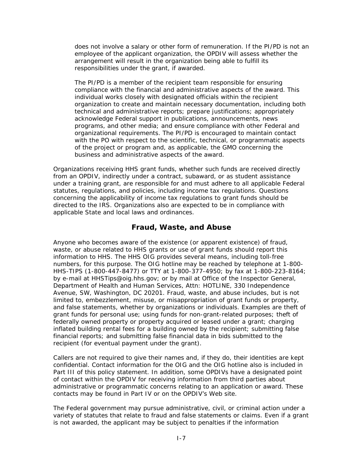<span id="page-20-0"></span>does not involve a salary or other form of remuneration. If the PI/PD is not an employee of the applicant organization, the OPDIV will assess whether the arrangement will result in the organization being able to fulfill its responsibilities under the grant, if awarded.

The PI/PD is a member of the recipient team responsible for ensuring compliance with the financial and administrative aspects of the award. This individual works closely with designated officials within the recipient organization to create and maintain necessary documentation, including both technical and administrative reports; prepare justifications; appropriately acknowledge Federal support in publications, announcements, news programs, and other media; and ensure compliance with other Federal and organizational requirements. The PI/PD is encouraged to maintain contact with the PO with respect to the scientific, technical, or programmatic aspects of the project or program and, as applicable, the GMO concerning the business and administrative aspects of the award.

Organizations receiving HHS grant funds, whether such funds are received directly from an OPDIV, indirectly under a contract, subaward, or as student assistance under a training grant, are responsible for and must adhere to all applicable Federal statutes, regulations, and policies, including income tax regulations. Questions concerning the applicability of income tax regulations to grant funds should be directed to the IRS. Organizations also are expected to be in compliance with applicable State and local laws and ordinances.

#### **Fraud, Waste, and Abuse**

Anyone who becomes aware of the existence (or apparent existence) of fraud, waste, or abuse related to HHS grants or use of grant funds should report this information to HHS. The HHS OIG provides several means, including toll-free numbers, for this purpose. The OIG hotline may be reached by telephone at 1-800- HHS-TIPS (1-800-447-8477) or TTY at 1-800-377-4950; by fax at 1-800-223-8164; by e-mail at [HHSTips@oig.hhs.gov;](mailto:HHSTips@oig.hhs.gov) or by mail at Office of the Inspector General, Department of Health and Human Services, Attn: HOTLINE, 330 Independence Avenue, SW, Washington, DC 20201. Fraud, waste, and abuse includes, but is not limited to, embezzlement, misuse, or misappropriation of grant funds or property, and false statements, whether by organizations or individuals. Examples are theft of grant funds for personal use; using funds for non-grant-related purposes; theft of federally owned property or property acquired or leased under a grant; charging inflated building rental fees for a building owned by the recipient; submitting false financial reports; and submitting false financial data in bids submitted to the recipient (for eventual payment under the grant).

Callers are not required to give their names and, if they do, their identities are kept confidential. Contact information for the OIG and the OIG hotline also is included in Part III of this policy statement. In addition, some OPDIVs have a designated point of contact within the OPDIV for receiving information from third parties about administrative or programmatic concerns relating to an application or award. These contacts may be found in Part IV or on the OPDIV's Web site.

The Federal government may pursue administrative, civil, or criminal action under a variety of statutes that relate to fraud and false statements or claims. Even if a grant is not awarded, the applicant may be subject to penalties if the information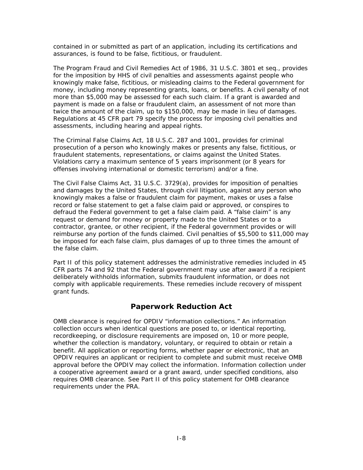<span id="page-21-0"></span>contained in or submitted as part of an application, including its certifications and assurances, is found to be false, fictitious, or fraudulent.

The Program Fraud and Civil Remedies Act of 1986, 31 U.S.C. 3801 *et seq*., provides for the imposition by HHS of civil penalties and assessments against people who knowingly make false, fictitious, or misleading claims to the Federal government for money, including money representing grants, loans, or benefits. A civil penalty of not more than \$5,000 may be assessed for each such claim. If a grant is awarded and payment is made on a false or fraudulent claim, an assessment of not more than twice the amount of the claim, up to \$150,000, may be made in lieu of damages. Regulations at 45 CFR part 79 specify the process for imposing civil penalties and assessments, including hearing and appeal rights.

The Criminal False Claims Act, 18 U.S.C. 287 and 1001, provides for criminal prosecution of a person who knowingly makes or presents any false, fictitious, or fraudulent statements, representations, or claims against the United States. Violations carry a maximum sentence of 5 years imprisonment (or 8 years for offenses involving international or domestic terrorism) and/or a fine.

The Civil False Claims Act, 31 U.S.C. 3729(a), provides for imposition of penalties and damages by the United States, through civil litigation, against any person who knowingly makes a false or fraudulent claim for payment, makes or uses a false record or false statement to get a false claim paid or approved, or conspires to defraud the Federal government to get a false claim paid. A "false claim" is any request or demand for money or property made to the United States or to a contractor, grantee, or other recipient, if the Federal government provides or will reimburse any portion of the funds claimed. Civil penalties of \$5,500 to \$11,000 may be imposed for each false claim, plus damages of up to three times the amount of the false claim.

Part II of this policy statement addresses the administrative remedies included in 45 CFR parts 74 and 92 that the Federal government may use after award if a recipient deliberately withholds information, submits fraudulent information, or does not comply with applicable requirements. These remedies include recovery of misspent grant funds.

#### **Paperwork Reduction Act**

OMB clearance is required for OPDIV "information collections." An information collection occurs when identical questions are posed to, or identical reporting, recordkeeping, or disclosure requirements are imposed on, 10 or more people, whether the collection is mandatory, voluntary, or required to obtain or retain a benefit. All application or reporting forms, whether paper or electronic, that an OPDIV requires an applicant or recipient to complete and submit must receive OMB approval before the OPDIV may collect the information. Information collection under a cooperative agreement award or a grant award, under specified conditions, also requires OMB clearance. See Part II of this policy statement for OMB clearance requirements under the PRA.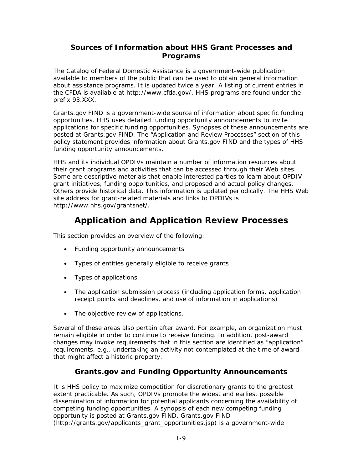### <span id="page-22-0"></span>**Sources of Information about HHS Grant Processes and Programs**

The *Catalog of Federal Domestic Assistance* is a government-wide publication available to members of the public that can be used to obtain general information about assistance programs. It is updated twice a year. A listing of current entries in the CFDA is available at [http://www.cfda.gov/.](http://www.cfda.gov/) HHS programs are found under the prefix 93.XXX.

Grants.gov FIND is a government-wide source of information about specific funding opportunities. HHS uses detailed funding opportunity announcements to invite applications for specific funding opportunities. Synopses of these announcements are posted at Grants.gov FIND. The "Application and Review Processes" section of this policy statement provides information about Grants.gov FIND and the types of HHS funding opportunity announcements.

HHS and its individual OPDIVs maintain a number of information resources about their grant programs and activities that can be accessed through their Web sites. Some are descriptive materials that enable interested parties to learn about OPDIV grant initiatives, funding opportunities, and proposed and actual policy changes. Others provide historical data. This information is updated periodically. The HHS Web site address for grant-related materials and links to OPDIVs is <http://www.hhs.gov/grantsnet/>.

# **Application and Application Review Processes**

This section provides an overview of the following:

- Funding opportunity announcements
- Types of entities generally eligible to receive grants
- Types of applications
- The application submission process (including application forms, application receipt points and deadlines, and use of information in applications)
- The objective review of applications.

Several of these areas also pertain after award. For example, an organization must remain eligible in order to continue to receive funding. In addition, post-award changes may invoke requirements that in this section are identified as "application" requirements, e.g., undertaking an activity not contemplated at the time of award that might affect a historic property.

### **Grants.gov and Funding Opportunity Announcements**

It is HHS policy to maximize competition for discretionary grants to the greatest extent practicable. As such, OPDIVs promote the widest and earliest possible dissemination of information for potential applicants concerning the availability of competing funding opportunities. A synopsis of each new competing funding opportunity is posted at Grants.gov FIND. Grants.gov FIND (http://grants.gov/applicants\_grant\_opportunities.jsp) is a government-wide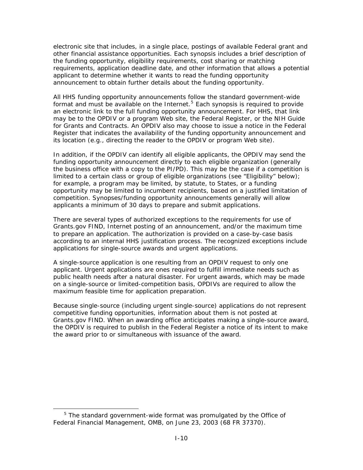electronic site that includes, in a single place, postings of available Federal grant and other financial assistance opportunities. Each synopsis includes a brief description of the funding opportunity, eligibility requirements, cost sharing or matching requirements, application deadline date, and other information that allows a potential applicant to determine whether it wants to read the funding opportunity announcement to obtain further details about the funding opportunity.

All HHS funding opportunity announcements follow the standard government-wide format and must be available on the Internet.<sup>[5](#page-23-0)</sup> Each synopsis is required to provide an electronic link to the full funding opportunity announcement. For HHS, that link may be to the OPDIV or a program Web site, the *Federal Register*, or the *NIH Guide for Grants and Contracts*. An OPDIV also may choose to issue a notice in the *Federal Register* that indicates the availability of the funding opportunity announcement and its location (e.g., directing the reader to the OPDIV or program Web site).

In addition, if the OPDIV can identify all eligible applicants, the OPDIV may send the funding opportunity announcement directly to each eligible organization (generally the business office with a copy to the PI/PD). This may be the case if a competition is limited to a certain class or group of eligible organizations (see "Eligibility" below); for example, a program may be limited, by statute, to States, or a funding opportunity may be limited to incumbent recipients, based on a justified limitation of competition. Synopses/funding opportunity announcements generally will allow applicants a minimum of 30 days to prepare and submit applications.

There are several types of authorized exceptions to the requirements for use of Grants.gov FIND, Internet posting of an announcement, and/or the maximum time to prepare an application. The authorization is provided on a case-by-case basis according to an internal HHS justification process. The recognized exceptions include applications for single-source awards and urgent applications.

A single-source application is one resulting from an OPDIV request to only one applicant. Urgent applications are ones required to fulfill immediate needs such as public health needs after a natural disaster. For urgent awards, which may be made on a single-source or limited-competition basis, OPDIVs are required to allow the maximum feasible time for application preparation.

Because single-source (including urgent single-source) applications do not represent competitive funding opportunities, information about them is not posted at Grants.gov FIND. When an awarding office anticipates making a single-source award, the OPDIV is required to publish in the *Federal Register* a notice of its intent to make the award prior to or simultaneous with issuance of the award.

<span id="page-23-0"></span>**EXECUTE:**<br><sup>5</sup> The standard government-wide format was promulgated by the Office of Federal Financial Management, OMB, on June 23, 2003 (68 FR 37370).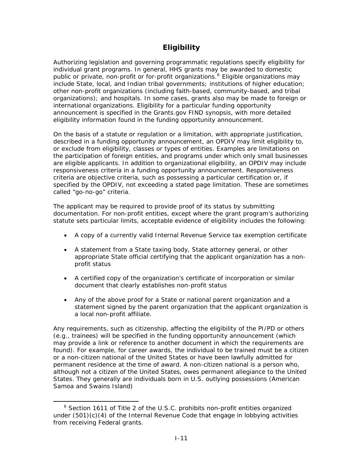## **Eligibility**

<span id="page-24-0"></span>Authorizing legislation and governing programmatic regulations specify eligibility for individual grant programs. In general, HHS grants may be awarded to domestic public or private, non-profit or for-profit organizations.<sup>[6](#page-24-1)</sup> Eligible organizations may include State, local, and Indian tribal governments; institutions of higher education; other non-profit organizations (including faith-based, community-based, and tribal organizations); and hospitals. In some cases, grants also may be made to foreign or international organizations. Eligibility for a particular funding opportunity announcement is specified in the Grants.gov FIND synopsis, with more detailed eligibility information found in the funding opportunity announcement.

On the basis of a statute or regulation or a limitation, with appropriate justification, described in a funding opportunity announcement, an OPDIV may limit eligibility to, or exclude from eligibility, classes or types of entities. Examples are limitations on the participation of foreign entities, and programs under which only small businesses are eligible applicants. In addition to organizational eligibility, an OPDIV may include responsiveness criteria in a funding opportunity announcement. Responsiveness criteria are objective criteria, such as possessing a particular certification or, if specified by the OPDIV, not exceeding a stated page limitation. These are sometimes called "go-no-go" criteria.

The applicant may be required to provide proof of its status by submitting documentation. For non-profit entities, except where the grant program's authorizing statute sets particular limits, acceptable evidence of eligibility includes the following:

- A copy of a currently valid Internal Revenue Service tax exemption certificate
- A statement from a State taxing body, State attorney general, or other appropriate State official certifying that the applicant organization has a nonprofit status
- A certified copy of the organization's certificate of incorporation or similar document that clearly establishes non-profit status
- Any of the above proof for a State or national parent organization and a statement signed by the parent organization that the applicant organization is a local non-profit affiliate.

Any requirements, such as citizenship, affecting the eligibility of the PI/PD or others (e.g., trainees) will be specified in the funding opportunity announcement (which may provide a link or reference to another document in which the requirements are found). For example, for career awards, the individual to be trained must be a citizen or a non-citizen national of the United States or have been lawfully admitted for permanent residence at the time of award. A non-citizen national is a person who, although not a citizen of the United States, owes permanent allegiance to the United States. They generally are individuals born in U.S. outlying possessions (American Samoa and Swains Island)

<span id="page-24-1"></span> $\overline{\phantom{0}}$  $6$  Section 1611 of Title 2 of the U.S.C. prohibits non-profit entities organized under (501)(c)(4) of the Internal Revenue Code that engage in lobbying activities from receiving Federal grants.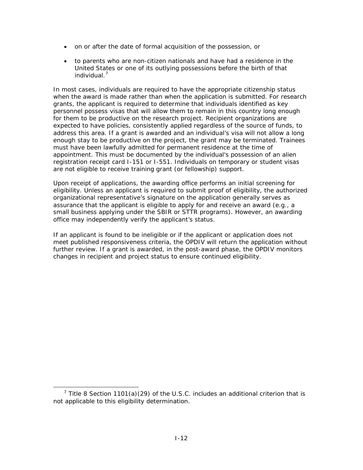- on or after the date of formal acquisition of the possession, or
- to parents who are non-citizen nationals and have had a residence in the United States or one of its outlying possessions before the birth of that individual.<sup>[7](#page-25-0)</sup>

In most cases, individuals are required to have the appropriate citizenship status when the award is made rather than when the application is submitted. For research grants, the applicant is required to determine that individuals identified as key personnel possess visas that will allow them to remain in this country long enough for them to be productive on the research project. Recipient organizations are expected to have policies, consistently applied regardless of the source of funds, to address this area. If a grant is awarded and an individual's visa will not allow a long enough stay to be productive on the project, the grant may be terminated. Trainees must have been lawfully admitted for permanent residence at the time of appointment. This must be documented by the individual's possession of an alien registration receipt card I-151 or I-551. Individuals on temporary or student visas are not eligible to receive training grant (or fellowship) support.

Upon receipt of applications, the awarding office performs an initial screening for eligibility. Unless an applicant is required to submit proof of eligibility, the authorized organizational representative's signature on the application generally serves as assurance that the applicant is eligible to apply for and receive an award (e.g., a small business applying under the SBIR or STTR programs). However, an awarding office may independently verify the applicant's status.

If an applicant is found to be ineligible or if the applicant or application does not meet published responsiveness criteria, the OPDIV will return the application without further review. If a grant is awarded, in the post-award phase, the OPDIV monitors changes in recipient and project status to ensure continued eligibility.

<span id="page-25-0"></span> <sup>7</sup> <sup>7</sup> Title 8 Section 1101(a)(29) of the U.S.C. includes an additional criterion that is not applicable to this eligibility determination.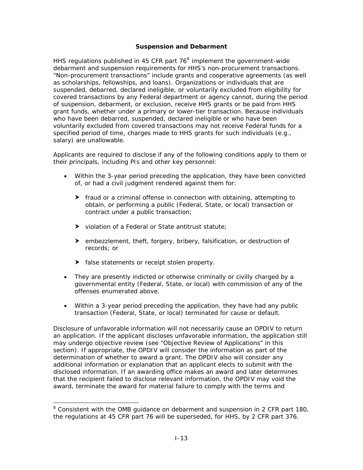#### **Suspension and Debarment**

<span id="page-26-0"></span>HHS regulations published in 45 CFR part  $76<sup>8</sup>$  $76<sup>8</sup>$  $76<sup>8</sup>$  implement the government-wide debarment and suspension requirements for HHS's non-procurement transactions. "Non-procurement transactions" include grants and cooperative agreements (as well as scholarships, fellowships, and loans). Organizations or individuals that are suspended, debarred, declared ineligible, or voluntarily excluded from eligibility for covered transactions by any Federal department or agency cannot, during the period of suspension, debarment, or exclusion, receive HHS grants or be paid from HHS grant funds, whether under a primary or lower-tier transaction. Because individuals who have been debarred, suspended, declared ineligible or who have been voluntarily excluded from covered transactions may not receive Federal funds for a specified period of time, charges made to HHS grants for such individuals (e.g., salary) are unallowable.

Applicants are required to disclose if any of the following conditions apply to them or their principals, including PIs and other key personnel:

- Within the 3-year period preceding the application, they have been convicted of, or had a civil judgment rendered against them for:
	- $\blacktriangleright$  fraud or a criminal offense in connection with obtaining, attempting to obtain, or performing a public (Federal, State, or local) transaction or contract under a public transaction;
	- $\blacktriangleright$  violation of a Federal or State antitrust statute;
	- $\blacktriangleright$  embezzlement, theft, forgery, bribery, falsification, or destruction of records; or
	- $\blacktriangleright$  false statements or receipt stolen property.

-

- They are presently indicted or otherwise criminally or civilly charged by a governmental entity (Federal, State, or local) with commission of any of the offenses enumerated above.
- Within a 3-year period preceding the application, they have had any public transaction (Federal, State, or local) terminated for cause or default.

Disclosure of unfavorable information will not necessarily cause an OPDIV to return an application. If the applicant discloses unfavorable information, the application still may undergo objective review (see "Objective Review of Applications" in this section). If appropriate, the OPDIV will consider the information as part of the determination of whether to award a grant. The OPDIV also will consider any additional information or explanation that an applicant elects to submit with the disclosed information. If an awarding office makes an award and later determines that the recipient failed to disclose relevant information, the OPDIV may void the award, terminate the award for material failure to comply with the terms and

<span id="page-26-1"></span><sup>&</sup>lt;sup>8</sup> Consistent with the OMB guidance on debarment and suspension in 2 CFR part 180, the regulations at 45 CFR part 76 will be superseded, for HHS, by 2 CFR part 376.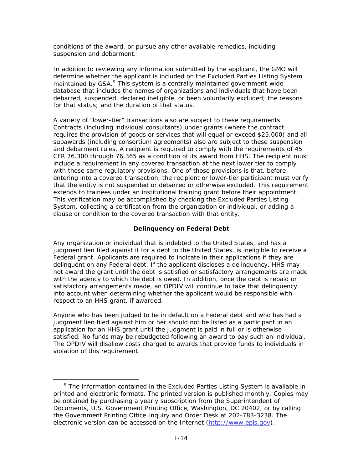<span id="page-27-0"></span>conditions of the award, or pursue any other available remedies, including suspension and debarment.

In addition to reviewing any information submitted by the applicant, the GMO will determine whether the applicant is included on the Excluded Parties Listing System maintained by  $GSA.<sup>9</sup>$  $GSA.<sup>9</sup>$  $GSA.<sup>9</sup>$  This system is a centrally maintained government-wide database that includes the names of organizations and individuals that have been debarred, suspended, declared ineligible, or been voluntarily excluded; the reasons for that status; and the duration of that status.

A variety of "lower-tier" transactions also are subject to these requirements. Contracts (including individual consultants) under grants (where the contract requires the provision of goods or services that will equal or exceed \$25,000) and all subawards (including consortium agreements) also are subject to these suspension and debarment rules. A recipient is required to comply with the requirements of 45 CFR 76.300 through 76.365 as a condition of its award from HHS. The recipient must include a requirement in any covered transaction at the next lower tier to comply with those same regulatory provisions. One of those provisions is that, before entering into a covered transaction, the recipient or lower-tier participant must verify that the entity is not suspended or debarred or otherwise excluded. This requirement extends to trainees under an institutional training grant before their appointment. This verification may be accomplished by checking the Excluded Parties Listing System, collecting a certification from the organization or individual, or adding a clause or condition to the covered transaction with that entity.

#### **Delinquency on Federal Debt**

Any organization or individual that is indebted to the United States, and has a judgment lien filed against it for a debt to the United States, is ineligible to receive a Federal grant. Applicants are required to indicate in their applications if they are delinquent on any Federal debt. If the applicant discloses a delinquency, HHS may not award the grant until the debt is satisfied or satisfactory arrangements are made with the agency to which the debt is owed. In addition, once the debt is repaid or satisfactory arrangements made, an OPDIV will continue to take that delinquency into account when determining whether the applicant would be responsible with respect to an HHS grant, if awarded.

Anyone who has been judged to be in default on a Federal debt and who has had a judgment lien filed against him or her should not be listed as a participant in an application for an HHS grant until the judgment is paid in full or is otherwise satisfied. No funds may be rebudgeted following an award to pay such an individual. The OPDIV will disallow costs charged to awards that provide funds to individuals in violation of this requirement.

<span id="page-27-1"></span>**EXECUTE:**<br><sup>9</sup> The information contained in the Excluded Parties Listing System is available in printed and electronic formats. The printed version is published monthly. Copies may be obtained by purchasing a yearly subscription from the Superintendent of Documents, U.S. Government Printing Office, Washington, DC 20402, or by calling the Government Printing Office Inquiry and Order Desk at 202-783-3238. The electronic version can be accessed on the Internet [\(http://www.epls.gov](http://www.epls.gov/)).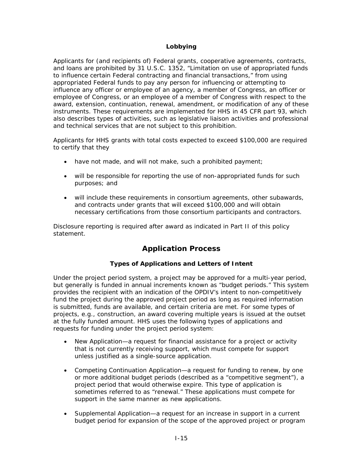#### **Lobbying**

<span id="page-28-0"></span>Applicants for (and recipients of) Federal grants, cooperative agreements, contracts, and loans are prohibited by 31 U.S.C. 1352, "Limitation on use of appropriated funds to influence certain Federal contracting and financial transactions," from using appropriated Federal funds to pay any person for influencing or attempting to influence any officer or employee of an agency, a member of Congress, an officer or employee of Congress, or an employee of a member of Congress with respect to the award, extension, continuation, renewal, amendment, or modification of any of these instruments. These requirements are implemented for HHS in 45 CFR part 93, which also describes types of activities, such as legislative liaison activities and professional and technical services that are not subject to this prohibition.

Applicants for HHS grants with total costs expected to exceed \$100,000 are required to certify that they

- have not made, and will not make, such a prohibited payment;
- will be responsible for reporting the use of non-appropriated funds for such purposes; and
- will include these requirements in consortium agreements, other subawards, and contracts under grants that will exceed \$100,000 and will obtain necessary certifications from those consortium participants and contractors.

Disclosure reporting is required after award as indicated in Part II of this policy statement.

# **Application Process**

#### **Types of Applications and Letters of Intent**

Under the project period system, a project may be approved for a multi-year period, but generally is funded in annual increments known as "budget periods." This system provides the recipient with an indication of the OPDIV's intent to non-competitively fund the project during the approved project period as long as required information is submitted, funds are available, and certain criteria are met. For some types of projects, e.g., construction, an award covering multiple years is issued at the outset at the fully funded amount. HHS uses the following types of applications and requests for funding under the project period system:

- *New Application*—a request for financial assistance for a project or activity that is not currently receiving support, which must compete for support unless justified as a single-source application.
- *Competing Continuation Application*—a request for funding to renew, by one or more additional budget periods (described as a "competitive segment"), a project period that would otherwise expire. This type of application is sometimes referred to as "renewal." These applications must compete for support in the same manner as new applications.
- *Supplemental Application*—a request for an increase in support in a current budget period for expansion of the scope of the approved project or program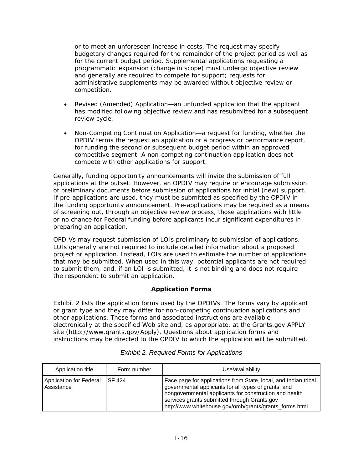<span id="page-29-0"></span>or to meet an unforeseen increase in costs. The request may specify budgetary changes required for the remainder of the project period as well as for the current budget period. Supplemental applications requesting a programmatic expansion (change in scope) must undergo objective review and generally are required to compete for support; requests for administrative supplements may be awarded without objective review or competition.

- *Revised (Amended) Application*—an unfunded application that the applicant has modified following objective review and has resubmitted for a subsequent review cycle.
- *Non-Competing Continuation Application*—a request for funding, whether the OPDIV terms the request an application or a progress or performance report, for funding the second or subsequent budget period within an approved competitive segment. A non-competing continuation application does not compete with other applications for support.

Generally, funding opportunity announcements will invite the submission of full applications at the outset. However, an OPDIV may require or encourage submission of preliminary documents before submission of applications for initial (new) support. If pre-applications are used, they must be submitted as specified by the OPDIV in the funding opportunity announcement. Pre-applications may be required as a means of screening out, through an objective review process, those applications with little or no chance for Federal funding before applicants incur significant expenditures in preparing an application.

OPDIVs may request submission of LOIs preliminary to submission of applications. LOIs generally are not required to include detailed information about a proposed project or application. Instead, LOIs are used to estimate the number of applications that may be submitted. When used in this way, potential applicants are not required to submit them, and, if an LOI is submitted, it is not binding and does not require the respondent to submit an application.

#### **Application Forms**

Exhibit 2 lists the application forms used by the OPDIVs. The forms vary by applicant or grant type and they may differ for non-competing continuation applications and other applications. These forms and associated instructions are available electronically at the specified Web site and, as appropriate, at the Grants.gov APPLY site (<http://www.grants.gov/Apply>). Questions about application forms and instructions may be directed to the OPDIV to which the application will be submitted.

| Application title                     | Form number   | Use/availability                                                                                                                                                                                                                                                                            |
|---------------------------------------|---------------|---------------------------------------------------------------------------------------------------------------------------------------------------------------------------------------------------------------------------------------------------------------------------------------------|
| Application for Federal<br>Assistance | <b>SF 424</b> | Face page for applications from State, local, and Indian tribal<br>governmental applicants for all types of grants, and<br>nongovernmental applicants for construction and health<br>services grants submitted through Grants.gov<br>http://www.whitehouse.gov/omb/grants/grants_forms.html |

#### *Exhibit 2. Required Forms for Applications*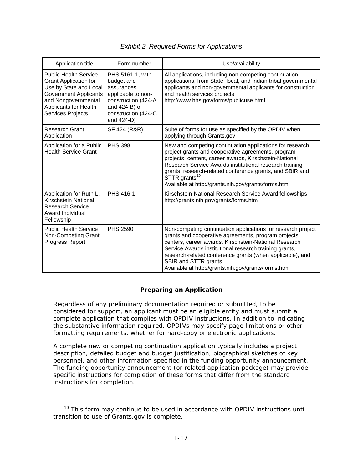<span id="page-30-0"></span>

| Application title                                                                                                                                                                                  | Form number                                                                                                                                     | Use/availability                                                                                                                                                                                                                                                                                                                                                                     |
|----------------------------------------------------------------------------------------------------------------------------------------------------------------------------------------------------|-------------------------------------------------------------------------------------------------------------------------------------------------|--------------------------------------------------------------------------------------------------------------------------------------------------------------------------------------------------------------------------------------------------------------------------------------------------------------------------------------------------------------------------------------|
| <b>Public Health Service</b><br><b>Grant Application for</b><br>Use by State and Local<br><b>Government Applicants</b><br>and Nongovernmental<br>Applicants for Health<br><b>Services Projects</b> | PHS 5161-1, with<br>budget and<br>assurances<br>applicable to non-<br>construction (424-A<br>and 424-B) or<br>construction (424-C<br>and 424-D) | All applications, including non-competing continuation<br>applications, from State, local, and Indian tribal governmental<br>applicants and non-governmental applicants for construction<br>and health services projects<br>http://www.hhs.gov/forms/publicuse.html                                                                                                                  |
| <b>Research Grant</b><br>Application                                                                                                                                                               | SF 424 (R&R)                                                                                                                                    | Suite of forms for use as specified by the OPDIV when<br>applying through Grants.gov                                                                                                                                                                                                                                                                                                 |
| Application for a Public<br><b>Health Service Grant</b>                                                                                                                                            | <b>PHS 398</b>                                                                                                                                  | New and competing continuation applications for research<br>project grants and cooperative agreements, program<br>projects, centers, career awards, Kirschstein-National<br>Research Service Awards institutional research training<br>grants, research-related conference grants, and SBIR and<br>STTR grants <sup>10</sup><br>Available at http://grants.nih.gov/grants/forms.htm  |
| Application for Ruth L.<br>Kirschstein National<br><b>Research Service</b><br>Award Individual<br>Fellowship                                                                                       | PHS 416-1                                                                                                                                       | Kirschstein-National Research Service Award fellowships<br>http://grants.nih.gov/grants/forms.htm                                                                                                                                                                                                                                                                                    |
| <b>Public Health Service</b><br>Non-Competing Grant<br>Progress Report                                                                                                                             | <b>PHS 2590</b>                                                                                                                                 | Non-competing continuation applications for research project<br>grants and cooperative agreements, program projects,<br>centers, career awards, Kirschstein-National Research<br>Service Awards institutional research training grants,<br>research-related conference grants (when applicable), and<br>SBIR and STTR grants.<br>Available at http://grants.nih.gov/grants/forms.htm |

#### **Preparing an Application**

Regardless of any preliminary documentation required or submitted, to be considered for support, an applicant must be an eligible entity and must submit a complete application that complies with OPDIV instructions. In addition to indicating the substantive information required, OPDIVs may specify page limitations or other formatting requirements, whether for hard-copy or electronic applications.

A complete new or competing continuation application typically includes a project description, detailed budget and budget justification, biographical sketches of key personnel, and other information specified in the funding opportunity announcement. The funding opportunity announcement (or related application package) may provide specific instructions for completion of these forms that differ from the standard instructions for completion.

<span id="page-30-1"></span> $10$  This form may continue to be used in accordance with OPDIV instructions until transition to use of Grants.gov is complete.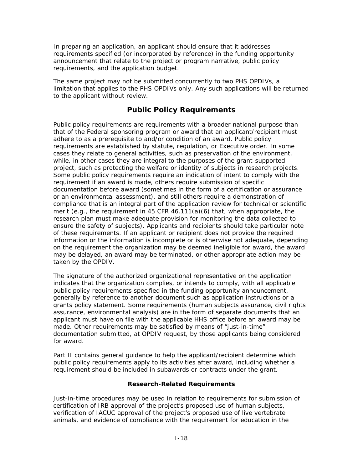<span id="page-31-0"></span>In preparing an application, an applicant should ensure that it addresses requirements specified (or incorporated by reference) in the funding opportunity announcement that relate to the project or program narrative, public policy requirements, and the application budget.

The same project may not be submitted concurrently to two PHS OPDIVs, a limitation that applies to the PHS OPDIVs only. Any such applications will be returned to the applicant without review.

### **Public Policy Requirements**

Public policy requirements are requirements with a broader national purpose than that of the Federal sponsoring program or award that an applicant/recipient must adhere to as a prerequisite to and/or condition of an award. Public policy requirements are established by statute, regulation, or Executive order. In some cases they relate to general activities, such as preservation of the environment, while, in other cases they are integral to the purposes of the grant-supported project, such as protecting the welfare or identity of subjects in research projects. Some public policy requirements require an indication of intent to comply with the requirement if an award is made, others require submission of specific documentation before award (sometimes in the form of a certification or assurance or an environmental assessment), and still others require a demonstration of compliance that is an integral part of the application review for technical or scientific merit (e.g., the requirement in 45 CFR  $46.111(a)(6)$  that, when appropriate, the research plan must make adequate provision for monitoring the data collected to ensure the safety of subjects). Applicants and recipients should take particular note of these requirements. If an applicant or recipient does not provide the required information or the information is incomplete or is otherwise not adequate, depending on the requirement the organization may be deemed ineligible for award, the award may be delayed, an award may be terminated, or other appropriate action may be taken by the OPDIV.

The signature of the authorized organizational representative on the application indicates that the organization complies, or intends to comply, with all applicable public policy requirements specified in the funding opportunity announcement, generally by reference to another document such as application instructions or a grants policy statement. Some requirements (human subjects assurance, civil rights assurance, environmental analysis) are in the form of separate documents that an applicant must have on file with the applicable HHS office before an award may be made. Other requirements may be satisfied by means of "just-in-time" documentation submitted, at OPDIV request, by those applicants being considered for award.

Part II contains general guidance to help the applicant/recipient determine which public policy requirements apply to its activities after award, including whether a requirement should be included in subawards or contracts under the grant.

#### **Research-Related Requirements**

Just-in-time procedures may be used in relation to requirements for submission of certification of IRB approval of the project's proposed use of human subjects, verification of IACUC approval of the project's proposed use of live vertebrate animals, and evidence of compliance with the requirement for education in the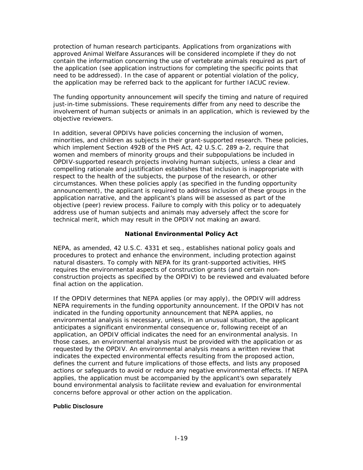<span id="page-32-0"></span>protection of human research participants. Applications from organizations with approved Animal Welfare Assurances will be considered incomplete if they do not contain the information concerning the use of vertebrate animals required as part of the application (see application instructions for completing the specific points that need to be addressed). In the case of apparent or potential violation of the policy, the application may be referred back to the applicant for further IACUC review.

The funding opportunity announcement will specify the timing and nature of required just-in-time submissions. These requirements differ from any need to describe the involvement of human subjects or animals in an application, which is reviewed by the objective reviewers.

In addition, several OPDIVs have policies concerning the inclusion of women, minorities, and children as subjects in their grant-supported research. These policies, which implement Section 492B of the PHS Act, 42 U.S.C. 289 a-2, require that women and members of minority groups and their subpopulations be included in OPDIV-supported research projects involving human subjects, unless a clear and compelling rationale and justification establishes that inclusion is inappropriate with respect to the health of the subjects, the purpose of the research, or other circumstances. When these policies apply (as specified in the funding opportunity announcement), the applicant is required to address inclusion of these groups in the application narrative, and the applicant's plans will be assessed as part of the objective (peer) review process. Failure to comply with this policy or to adequately address use of human subjects and animals may adversely affect the score for technical merit, which may result in the OPDIV not making an award.

#### **National Environmental Policy Act**

NEPA, as amended, 42 U.S.C. 4331 *et seq*., establishes national policy goals and procedures to protect and enhance the environment, including protection against natural disasters. To comply with NEPA for its grant-supported activities, HHS requires the environmental aspects of construction grants (and certain nonconstruction projects as specified by the OPDIV) to be reviewed and evaluated before final action on the application.

If the OPDIV determines that NEPA applies (or may apply), the OPDIV will address NEPA requirements in the funding opportunity announcement. If the OPDIV has not indicated in the funding opportunity announcement that NEPA applies, no environmental analysis is necessary, unless, in an unusual situation, the applicant anticipates a significant environmental consequence or, following receipt of an application, an OPDIV official indicates the need for an environmental analysis. In those cases, an environmental analysis must be provided with the application or as requested by the OPDIV. An environmental analysis means a written review that indicates the expected environmental effects resulting from the proposed action, defines the current and future implications of those effects, and lists any proposed actions or safeguards to avoid or reduce any negative environmental effects. If NEPA applies, the application must be accompanied by the applicant's own separately bound environmental analysis to facilitate review and evaluation for environmental concerns before approval or other action on the application.

#### **Public Disclosure**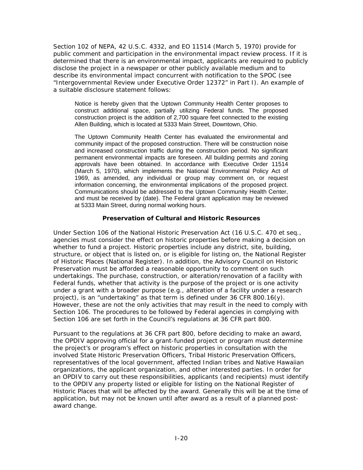<span id="page-33-0"></span>Section 102 of NEPA, 42 U.S.C. 4332, and EO 11514 (March 5, 1970) provide for public comment and participation in the environmental impact review process. If it is determined that there is an environmental impact, applicants are required to publicly disclose the project in a newspaper or other publicly available medium and to describe its environmental impact concurrent with notification to the SPOC (see "[Intergovernmental Review under Executive Order 12372"](http://grants1.nih.gov/grants/policy/nihgps_2003/NIHGPS_Part9.htm#_Intergovernmental_Review_Under#_Intergovernmental_Review_Under) in Part I). An example of a suitable disclosure statement follows:

Notice is hereby given that the Uptown Community Health Center proposes to construct additional space, partially utilizing Federal funds. The proposed construction project is the addition of 2,700 square feet connected to the existing Allen Building, which is located at 5333 Main Street, Downtown, Ohio.

The Uptown Community Health Center has evaluated the environmental and community impact of the proposed construction. There will be construction noise and increased construction traffic during the construction period. No significant permanent environmental impacts are foreseen. All building permits and zoning approvals have been obtained. In accordance with Executive Order 11514 (March 5, 1970), which implements the National Environmental Policy Act of 1969, as amended, any individual or group may comment on, or request information concerning, the environmental implications of the proposed project. Communications should be addressed to the Uptown Community Health Center, and must be received by (date). The Federal grant application may be reviewed at 5333 Main Street, during normal working hours.

#### **Preservation of Cultural and Historic Resources**

Under Section 106 of the National Historic Preservation Act (16 U.S.C. 470 *et seq*., agencies must consider the effect on historic properties before making a decision on whether to fund a project. Historic properties include any district, site, building, structure, or object that is listed on, or is eligible for listing on, the National Register of Historic Places (National Register). In addition, the Advisory Council on Historic Preservation must be afforded a reasonable opportunity to comment on such undertakings. The purchase, construction, or alteration/renovation of a facility with Federal funds, whether that activity is the purpose of the project or is one activity under a grant with a broader purpose (e.g., alteration of a facility under a research project), is an "undertaking" as that term is defined under 36 CFR 800.16(y). However, these are not the only activities that may result in the need to comply with Section 106. The procedures to be followed by Federal agencies in complying with Section 106 are set forth in the Council's regulations at 36 CFR part 800.

Pursuant to the regulations at 36 CFR part 800, before deciding to make an award, the OPDIV approving official for a grant-funded project or program must determine the project's or program's effect on historic properties in consultation with the involved State Historic Preservation Officers, Tribal Historic Preservation Officers, representatives of the local government, affected Indian tribes and Native Hawaiian organizations, the applicant organization, and other interested parties. In order for an OPDIV to carry out these responsibilities, applicants (and recipients) must identify to the OPDIV any property listed or eligible for listing on the National Register of Historic Places that will be affected by the award. Generally this will be at the time of application, but may not be known until after award as a result of a planned postaward change.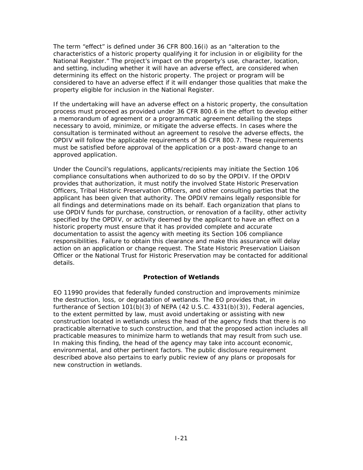<span id="page-34-0"></span>The term "effect" is defined under 36 CFR 800.16(i) as an "alteration to the characteristics of a historic property qualifying it for inclusion in or eligibility for the National Register." The project's impact on the property's use, character, location, and setting, including whether it will have an adverse effect, are considered when determining its effect on the historic property. The project or program will be considered to have an adverse effect if it will endanger those qualities that make the property eligible for inclusion in the National Register.

If the undertaking will have an adverse effect on a historic property, the consultation process must proceed as provided under 36 CFR 800.6 in the effort to develop either a memorandum of agreement or a programmatic agreement detailing the steps necessary to avoid, minimize, or mitigate the adverse effects. In cases where the consultation is terminated without an agreement to resolve the adverse effects, the OPDIV will follow the applicable requirements of 36 CFR 800.7. These requirements must be satisfied before approval of the application or a post-award change to an approved application.

Under the Council's regulations, applicants/recipients may initiate the Section 106 compliance consultations when authorized to do so by the OPDIV. If the OPDIV provides that authorization, it must notify the involved State Historic Preservation Officers, Tribal Historic Preservation Officers, and other consulting parties that the applicant has been given that authority. The OPDIV remains legally responsible for all findings and determinations made on its behalf. Each organization that plans to use OPDIV funds for purchase, construction, or renovation of a facility, other activity specified by the OPDIV, or activity deemed by the applicant to have an effect on a historic property must ensure that it has provided complete and accurate documentation to assist the agency with meeting its Section 106 compliance responsibilities. Failure to obtain this clearance and make this assurance will delay action on an application or change request. The State Historic Preservation Liaison Officer or the National Trust for Historic Preservation may be contacted for additional details.

#### **Protection of Wetlands**

EO 11990 provides that federally funded construction and improvements minimize the destruction, loss, or degradation of wetlands. The EO provides that, in furtherance of Section  $101(b)(3)$  of NEPA  $(42 U.S.C. 4331(b)(3))$ , Federal agencies, to the extent permitted by law, must avoid undertaking or assisting with new construction located in wetlands unless the head of the agency finds that there is no practicable alternative to such construction, and that the proposed action includes all practicable measures to minimize harm to wetlands that may result from such use. In making this finding, the head of the agency may take into account economic, environmental, and other pertinent factors. The public disclosure requirement described above also pertains to early public review of any plans or proposals for new construction in wetlands.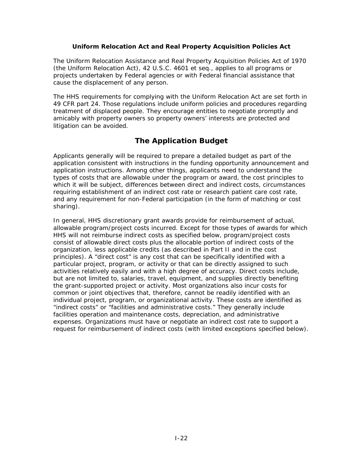#### **Uniform Relocation Act and Real Property Acquisition Policies Act**

<span id="page-35-0"></span>The Uniform Relocation Assistance and Real Property Acquisition Policies Act of 1970 (the Uniform Relocation Act), 42 U.S.C. 4601 *et seq*., applies to all programs or projects undertaken by Federal agencies or with Federal financial assistance that cause the displacement of any person.

The HHS requirements for complying with the Uniform Relocation Act are set forth in 49 CFR part 24. Those regulations include uniform policies and procedures regarding treatment of displaced people. They encourage entities to negotiate promptly and amicably with property owners so property owners' interests are protected and litigation can be avoided.

#### **The Application Budget**

Applicants generally will be required to prepare a detailed budget as part of the application consistent with instructions in the funding opportunity announcement and application instructions. Among other things, applicants need to understand the types of costs that are allowable under the program or award, the cost principles to which it will be subject, differences between direct and indirect costs, circumstances requiring establishment of an indirect cost rate or research patient care cost rate, and any requirement for non-Federal participation (in the form of matching or cost sharing).

In general, HHS discretionary grant awards provide for reimbursement of actual, allowable program/project costs incurred. Except for those types of awards for which HHS will not reimburse indirect costs as specified below, program/project costs consist of allowable direct costs plus the allocable portion of indirect costs of the organization, less applicable credits (as described in Part II and in the cost principles). A "direct cost" is any cost that can be specifically identified with a particular project, program, or activity or that can be directly assigned to such activities relatively easily and with a high degree of accuracy. Direct costs include, but are not limited to, salaries, travel, equipment, and supplies directly benefiting the grant-supported project or activity. Most organizations also incur costs for common or joint objectives that, therefore, cannot be readily identified with an individual project, program, or organizational activity. These costs are identified as "indirect costs" or "facilities and administrative costs." They generally include facilities operation and maintenance costs, depreciation, and administrative expenses. Organizations must have or negotiate an indirect cost rate to support a request for reimbursement of indirect costs (with limited exceptions specified below).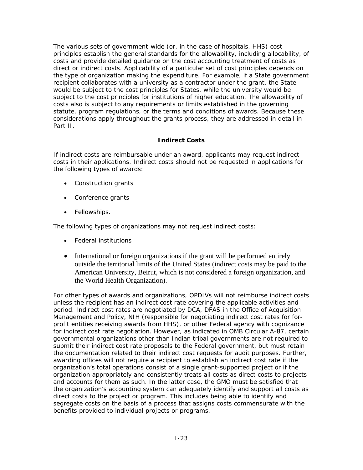The various sets of government-wide (or, in the case of hospitals, HHS) cost principles establish the general standards for the allowability, including allocability, of costs and provide detailed guidance on the cost accounting treatment of costs as direct or indirect costs. Applicability of a particular set of cost principles depends on the type of organization making the expenditure. For example, if a State government recipient collaborates with a university as a contractor under the grant, the State would be subject to the cost principles for States, while the university would be subject to the cost principles for institutions of higher education. The allowability of costs also is subject to any requirements or limits established in the governing statute, program regulations, or the terms and conditions of awards. Because these considerations apply throughout the grants process, they are addressed in detail in Part II.

### **Indirect Costs**

If indirect costs are reimbursable under an award, applicants may request indirect costs in their applications. Indirect costs should not be requested in applications for the following types of awards:

- Construction grants
- Conference grants
- Fellowships.

The following types of organizations may not request indirect costs:

- Federal institutions
- International or foreign organizations if the grant will be performed entirely outside the territorial limits of the United States (indirect costs may be paid to the American University, Beirut, which is not considered a foreign organization, and the World Health Organization).

For other types of awards and organizations, OPDIVs will not reimburse indirect costs unless the recipient has an indirect cost rate covering the applicable activities and period. Indirect cost rates are negotiated by DCA, DFAS in the Office of Acquisition Management and Policy, NIH (responsible for negotiating indirect cost rates for forprofit entities receiving awards from HHS), or other Federal agency with cognizance for indirect cost rate negotiation. However, as indicated in OMB Circular A-87, certain governmental organizations other than Indian tribal governments are not required to submit their indirect cost rate proposals to the Federal government, but must retain the documentation related to their indirect cost requests for audit purposes. Further, awarding offices will not require a recipient to establish an indirect cost rate if the organization's total operations consist of a single grant-supported project or if the organization appropriately and consistently treats all costs as direct costs to projects and accounts for them as such. In the latter case, the GMO must be satisfied that the organization's accounting system can adequately identify and support all costs as direct costs to the project or program. This includes being able to identify and segregate costs on the basis of a process that assigns costs commensurate with the benefits provided to individual projects or programs.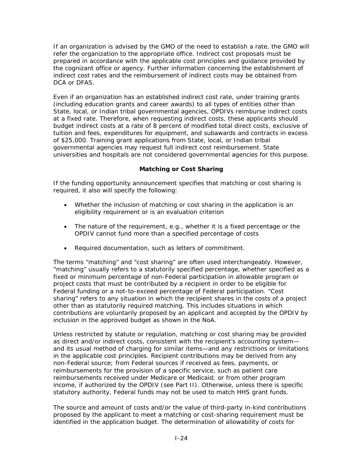If an organization is advised by the GMO of the need to establish a rate, the GMO will refer the organization to the appropriate office. Indirect cost proposals must be prepared in accordance with the applicable cost principles and guidance provided by the cognizant office or agency. Further information concerning the establishment of indirect cost rates and the reimbursement of indirect costs may be obtained from DCA or DFAS.

Even if an organization has an established indirect cost rate, under training grants (including education grants and career awards) to all types of entities other than State, local, or Indian tribal governmental agencies, OPDIVs reimburse indirect costs at a fixed rate. Therefore, when requesting indirect costs, these applicants should budget indirect costs at a rate of 8 percent of modified total direct costs, exclusive of tuition and fees, expenditures for equipment, and subawards and contracts in excess of \$25,000. Training grant applications from State, local, or Indian tribal governmental agencies may request full indirect cost reimbursement. State universities and hospitals are not considered governmental agencies for this purpose.

### **Matching or Cost Sharing**

If the funding opportunity announcement specifies that matching or cost sharing is required, it also will specify the following:

- Whether the inclusion of matching or cost sharing in the application is an eligibility requirement or is an evaluation criterion
- The nature of the requirement, e.g., whether it is a fixed percentage or the OPDIV cannot fund more than a specified percentage of costs
- Required documentation, such as letters of commitment.

The terms "matching" and "cost sharing" are often used interchangeably. However, "matching" usually refers to a statutorily specified percentage, whether specified as a fixed or minimum percentage of non-Federal participation in allowable program or project costs that must be contributed by a recipient in order to be eligible for Federal funding or a not-to-exceed percentage of Federal participation. "Cost sharing" refers to any situation in which the recipient shares in the costs of a project other than as statutorily required matching. This includes situations in which contributions are voluntarily proposed by an applicant and accepted by the OPDIV by inclusion in the approved budget as shown in the NoA.

Unless restricted by statute or regulation, matching or cost sharing may be provided as direct and/or indirect costs, consistent with the recipient's accounting system and its usual method of charging for similar items—and any restrictions or limitations in the applicable cost principles. Recipient contributions may be derived from any non-Federal source; from Federal sources if received as fees, payments, or reimbursements for the provision of a specific service, such as patient care reimbursements received under Medicare or Medicaid; or from other program income, if authorized by the OPDIV (see Part II). Otherwise, unless there is specific statutory authority, Federal funds may not be used to match HHS grant funds.

The source and amount of costs and/or the value of third-party in-kind contributions proposed by the applicant to meet a matching or cost-sharing requirement must be identified in the application budget. The determination of allowability of costs for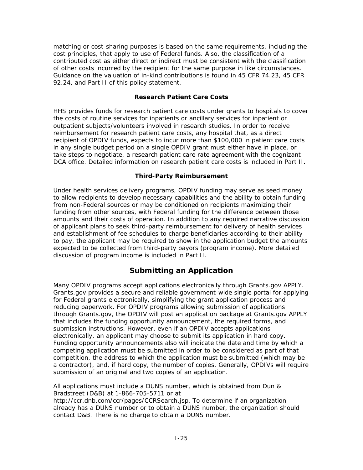matching or cost-sharing purposes is based on the same requirements, including the cost principles, that apply to use of Federal funds. Also, the classification of a contributed cost as either direct or indirect must be consistent with the classification of other costs incurred by the recipient for the same purpose in like circumstances. Guidance on the valuation of in-kind contributions is found in 45 CFR 74.23, 45 CFR 92.24, and Part II of this policy statement.

### **Research Patient Care Costs**

HHS provides funds for research patient care costs under grants to hospitals to cover the costs of routine services for inpatients or ancillary services for inpatient or outpatient subjects/volunteers involved in research studies. In order to receive reimbursement for research patient care costs, any hospital that, as a direct recipient of OPDIV funds, expects to incur more than \$100,000 in patient care costs in any single budget period on a single OPDIV grant must either have in place, or take steps to negotiate, a research patient care rate agreement with the cognizant DCA office. Detailed information on research patient care costs is included in Part II.

### **Third-Party Reimbursement**

Under health services delivery programs, OPDIV funding may serve as seed money to allow recipients to develop necessary capabilities and the ability to obtain funding from non-Federal sources or may be conditioned on recipients maximizing their funding from other sources, with Federal funding for the difference between those amounts and their costs of operation. In addition to any required narrative discussion of applicant plans to seek third-party reimbursement for delivery of health services and establishment of fee schedules to charge beneficiaries according to their ability to pay, the applicant may be required to show in the application budget the amounts expected to be collected from third-party payors (program income). More detailed discussion of program income is included in Part II.

# **Submitting an Application**

Many OPDIV programs accept applications electronically through Grants.gov APPLY. Grants.gov provides a secure and reliable government-wide single portal for applying for Federal grants electronically, simplifying the grant application process and reducing paperwork. For OPDIV programs allowing submission of applications through Grants.gov, the OPDIV will post an application package at Grants.gov APPLY that includes the funding opportunity announcement, the required forms, and submission instructions. However, even if an OPDIV accepts applications electronically, an applicant may choose to submit its application in hard copy. Funding opportunity announcements also will indicate the date and time by which a competing application must be submitted in order to be considered as part of that competition, the address to which the application must be submitted (which may be a contractor), and, if hard copy, the number of copies. Generally, OPDIVs will require submission of an original and two copies of an application.

All applications must include a DUNS number, which is obtained from Dun & Bradstreet (D&B) at 1-866-705-5711 or at

[http://ccr.dnb.com/ccr/pages/CCRSearch.jsp.](http://ccr.dnb.com/ccr/pages/CCRSearch.jsp) To determine if an organization already has a DUNS number or [to obtain a DUNS number,](http://www.grants.gov/RequestaDUNS) the organization should contact D&B. There is no charge to obtain a DUNS number.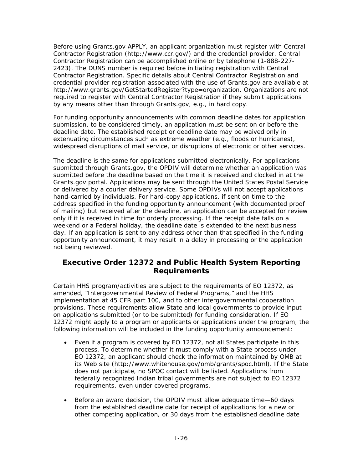Before using Grants.gov APPLY, an applicant organization must register with Central Contractor Registration [\(http://www.ccr.gov/](http://www.ccr.gov/)) and the credential provider. Central Contractor Registration can be accomplished online or by telephone (1-888-227- 2423). The DUNS number is required before initiating registration with Central Contractor Registration. Specific details about Central Contractor Registration and credential provider registration associated with the use of Grants.gov are available at <http://www.grants.gov/GetStartedRegister?type=organization>. Organizations are not required to register with Central Contractor Registration if they submit applications by any means other than through Grants.gov, e.g., in hard copy.

For funding opportunity announcements with common deadline dates for application submission, to be considered timely, an application must be sent on or before the deadline date. The established receipt or deadline date may be waived only in extenuating circumstances such as extreme weather (e.g., floods or hurricanes), widespread disruptions of mail service, or disruptions of electronic or other services.

The deadline is the same for applications submitted electronically. For applications submitted through Grants.gov, the OPDIV will determine whether an application was submitted before the deadline based on the time it is received and clocked in at the Grants.gov portal. Applications may be sent through the United States Postal Service or delivered by a courier delivery service. Some OPDIVs will not accept applications hand-carried by individuals. For hard-copy applications, if sent on time to the address specified in the funding opportunity announcement (with documented proof of mailing) but received after the deadline, an application can be accepted for review only if it is received in time for orderly processing. If the receipt date falls on a weekend or a Federal holiday, the deadline date is extended to the next business day. If an application is sent to any address other than that specified in the funding opportunity announcement, it may result in a delay in processing or the application not being reviewed.

# **Executive Order 12372 and Public Health System Reporting Requirements**

Certain HHS program/activities are subject to the requirements of EO 12372, as amended, "Intergovernmental Review of Federal Programs," and the HHS implementation at 45 CFR part 100, and to other intergovernmental cooperation provisions. These requirements allow State and local governments to provide input on applications submitted (or to be submitted) for funding consideration. If EO 12372 might apply to a program or applicants or applications under the program, the following information will be included in the funding opportunity announcement:

- Even if a program is covered by EO 12372, not all States participate in this process. To determine whether it must comply with a State process under EO 12372, an applicant should check the information maintained by OMB at its Web site [\(http://www.whitehouse.gov/omb/grants/spoc.html\)](http://www.whitehouse.gov/omb/grants/spoc.html). If the State does not participate, no SPOC contact will be listed. Applications from federally recognized Indian tribal governments are not subject to EO 12372 requirements, even under covered programs.
- Before an award decision, the OPDIV must allow adequate time—60 days from the established deadline date for receipt of applications for a new or other competing application, or 30 days from the established deadline date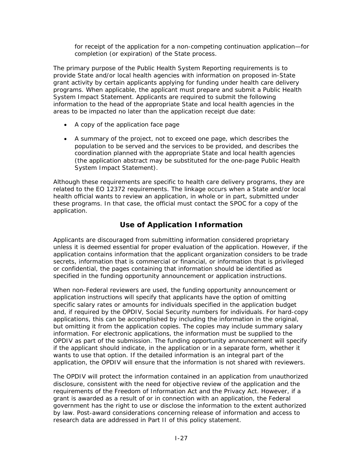for receipt of the application for a non-competing continuation application—for completion (or expiration) of the State process.

The primary purpose of the Public Health System Reporting requirements is to provide State and/or local health agencies with information on proposed in-State grant activity by certain applicants applying for funding under health care delivery programs. When applicable, the applicant must prepare and submit a Public Health System Impact Statement. Applicants are required to submit the following information to the head of the appropriate State and local health agencies in the areas to be impacted no later than the application receipt due date:

- A copy of the application face page
- A summary of the project, not to exceed one page, which describes the population to be served and the services to be provided, and describes the coordination planned with the appropriate State and local health agencies (the application abstract may be substituted for the one-page Public Health System Impact Statement).

Although these requirements are specific to health care delivery programs, they are related to the EO 12372 requirements. The linkage occurs when a State and/or local health official wants to review an application, in whole or in part, submitted under these programs. In that case, the official must contact the SPOC for a copy of the application.

# **Use of Application Information**

Applicants are discouraged from submitting information considered proprietary unless it is deemed essential for proper evaluation of the application. However, if the application contains information that the applicant organization considers to be trade secrets, information that is commercial or financial, or information that is privileged or confidential, the pages containing that information should be identified as specified in the funding opportunity announcement or application instructions.

When non-Federal reviewers are used, the funding opportunity announcement or application instructions will specify that applicants have the option of omitting specific salary rates or amounts for individuals specified in the application budget and, if required by the OPDIV, Social Security numbers for individuals. For hard-copy applications, this can be accomplished by including the information in the original, but omitting it from the application copies. The copies may include summary salary information. For electronic applications, the information must be supplied to the OPDIV as part of the submission. The funding opportunity announcement will specify if the applicant should indicate, in the application or in a separate form, whether it wants to use that option. If the detailed information is an integral part of the application, the OPDIV will ensure that the information is not shared with reviewers.

The OPDIV will protect the information contained in an application from unauthorized disclosure, consistent with the need for objective review of the application and the requirements of the Freedom of Information Act and the Privacy Act. However, if a grant is awarded as a result of or in connection with an application, the Federal government has the right to use or disclose the information to the extent authorized by law. Post-award considerations concerning release of information and access to research data are addressed in Part II of this policy statement.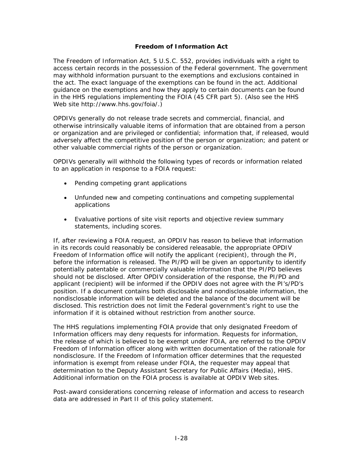### **Freedom of Information Act**

The Freedom of Information Act, 5 U.S.C. 552, provides individuals with a right to access certain records in the possession of the Federal government. The government may withhold information pursuant to the exemptions and exclusions contained in the act. The exact language of the exemptions can be found in the act. Additional guidance on the exemptions and how they apply to certain documents can be found in the HHS regulations implementing the FOIA (45 CFR part 5). (Also see the HHS Web site <http://www.hhs.gov/foia/>.)

OPDIVs generally do not release trade secrets and commercial, financial, and otherwise intrinsically valuable items of information that are obtained from a person or organization and are privileged or confidential; information that, if released, would adversely affect the competitive position of the person or organization; and patent or other valuable commercial rights of the person or organization.

OPDIVs generally will withhold the following types of records or information related to an application in response to a FOIA request:

- Pending competing grant applications
- Unfunded new and competing continuations and competing supplemental applications
- Evaluative portions of site visit reports and objective review summary statements, including scores.

If, after reviewing a FOIA request, an OPDIV has reason to believe that information in its records could reasonably be considered releasable, the appropriate OPDIV Freedom of Information office will notify the applicant (recipient), through the PI, before the information is released. The PI/PD will be given an opportunity to identify potentially patentable or commercially valuable information that the PI/PD believes should not be disclosed. After OPDIV consideration of the response, the PI/PD and applicant (recipient) will be informed if the OPDIV does not agree with the PI's/PD's position. If a document contains both disclosable and nondisclosable information, the nondisclosable information will be deleted and the balance of the document will be disclosed. This restriction does not limit the Federal government's right to use the information if it is obtained without restriction from another source.

The HHS regulations implementing FOIA provide that only designated Freedom of Information officers may deny requests for information. Requests for information, the release of which is believed to be exempt under FOIA, are referred to the OPDIV Freedom of Information officer along with written documentation of the rationale for nondisclosure. If the Freedom of Information officer determines that the requested information is exempt from release under FOIA, the requester may appeal that determination to the Deputy Assistant Secretary for Public Affairs (Media), HHS. Additional information on the FOIA process is available at OPDIV Web sites.

Post-award considerations concerning release of information and access to research data are addressed in Part II of this policy statement.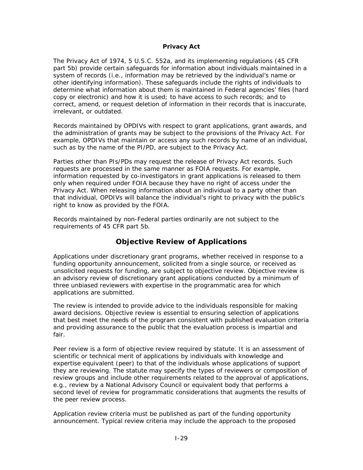#### **Privacy Act**

The Privacy Act of 1974, 5 U.S.C. 552a, and its implementing regulations (45 CFR part 5b) provide certain safeguards for information about individuals maintained in a system of records (i.e., information may be retrieved by the individual's name or other identifying information). These safeguards include the rights of individuals to determine what information about them is maintained in Federal agencies' files (hard copy or electronic) and how it is used; to have access to such records; and to correct, amend, or request deletion of information in their records that is inaccurate, irrelevant, or outdated.

Records maintained by OPDIVs with respect to grant applications, grant awards, and the administration of grants may be subject to the provisions of the Privacy Act. For example, OPDIVs that maintain or access any such records by name of an individual, such as by the name of the PI/PD, are subject to the Privacy Act.

Parties other than PIs/PDs may request the release of Privacy Act records. Such requests are processed in the same manner as FOIA requests. For example, information requested by co-investigators in grant applications is released to them only when required under FOIA because they have no right of access under the Privacy Act. When releasing information about an individual to a party other than that individual, OPDIVs will balance the individual's right to privacy with the public's right to know as provided by the FOIA.

Records maintained by non-Federal parties ordinarily are not subject to the requirements of 45 CFR part 5b.

# **Objective Review of Applications**

Applications under discretionary grant programs, whether received in response to a funding opportunity announcement, solicited from a single source, or received as unsolicited requests for funding, are subject to objective review. Objective review is an advisory review of discretionary grant applications conducted by a minimum of three unbiased reviewers with expertise in the programmatic area for which applications are submitted.

The review is intended to provide advice to the individuals responsible for making award decisions. Objective review is essential to ensuring selection of applications that best meet the needs of the program consistent with published evaluation criteria and providing assurance to the public that the evaluation process is impartial and fair.

Peer review is a form of objective review required by statute. It is an assessment of scientific or technical merit of applications by individuals with knowledge and expertise equivalent (peer) to that of the individuals whose applications of support they are reviewing. The statute may specify the types of reviewers or composition of review groups and include other requirements related to the approval of applications, e.g., review by a National Advisory Council or equivalent body that performs a second level of review for programmatic considerations that augments the results of the peer review process.

Application review criteria must be published as part of the funding opportunity announcement. Typical review criteria may include the approach to the proposed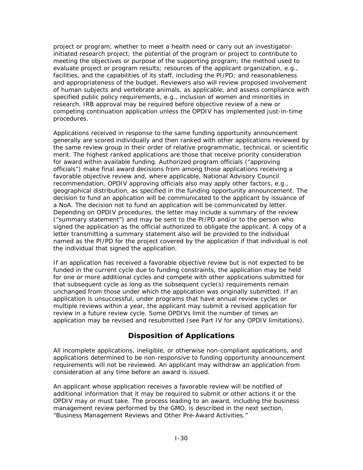project or program, whether to meet a health need or carry out an investigatorinitiated research project; the potential of the program or project to contribute to meeting the objectives or purpose of the supporting program; the method used to evaluate project or program results; resources of the applicant organization, e.g., facilities, and the capabilities of its staff, including the PI/PD; and reasonableness and appropriateness of the budget. Reviewers also will review proposed involvement of human subjects and vertebrate animals, as applicable, and assess compliance with specified public policy requirements, e.g., inclusion of women and minorities in research. IRB approval may be required before objective review of a new or competing continuation application unless the OPDIV has implemented just-in-time procedures.

Applications received in response to the same funding opportunity announcement generally are scored individually and then ranked with other applications reviewed by the same review group in their order of relative programmatic, technical, or scientific merit. The highest ranked applications are those that receive priority consideration for award within available funding. Authorized program officials ("approving officials") make final award decisions from among those applications receiving a favorable objective review and, where applicable, National Advisory Council recommendation. OPDIV approving officials also may apply other factors, e.g., geographical distribution, as specified in the funding opportunity announcement. The decision to fund an application will be communicated to the applicant by issuance of a NoA. The decision not to fund an application will be communicated by letter. Depending on OPDIV procedures, the letter may include a summary of the review ("summary statement") and may be sent to the PI/PD and/or to the person who signed the application as the official authorized to obligate the applicant. A copy of a letter transmitting a summary statement also will be provided to the individual named as the PI/PD for the project covered by the application if that individual is not the individual that signed the application.

If an application has received a favorable objective review but is not expected to be funded in the current cycle due to funding constraints, the application may be held for one or more additional cycles and compete with other applications submitted for that subsequent cycle as long as the subsequent cycle(s) requirements remain unchanged from those under which the application was originally submitted. If an application is unsuccessful, under programs that have annual review cycles or multiple reviews within a year, the applicant may submit a revised application for review in a future review cycle. Some OPDIVs limit the number of times an application may be revised and resubmitted (see Part IV for any OPDIV limitations).

# **Disposition of Applications**

All incomplete applications, ineligible, or otherwise non-compliant applications, and applications determined to be non-responsive to funding opportunity announcement requirements will not be reviewed. An applicant may withdraw an application from consideration at any time before an award is issued.

An applicant whose application receives a favorable review will be notified of additional information that it may be required to submit or other actions it or the OPDIV may or must take. The process leading to an award, including the business management review performed by the GMO, is described in the next section, "Business Management Reviews and Other Pre-Award Activities."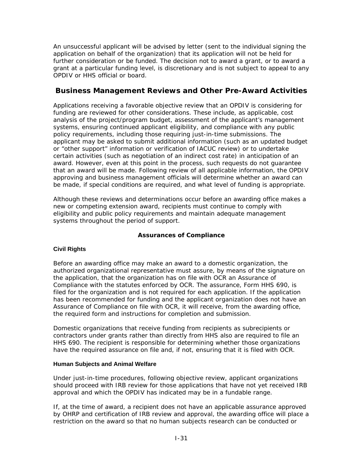An unsuccessful applicant will be advised by letter (sent to the individual signing the application on behalf of the organization) that its application will not be held for further consideration or be funded. The decision not to award a grant, or to award a grant at a particular funding level, is discretionary and is not subject to appeal to any OPDIV or HHS official or board.

# **Business Management Reviews and Other Pre-Award Activities**

Applications receiving a favorable objective review that an OPDIV is considering for funding are reviewed for other considerations. These include, as applicable, cost analysis of the project/program budget, assessment of the applicant's management systems, ensuring continued applicant eligibility, and compliance with any public policy requirements, including those requiring just-in-time submissions. The applicant may be asked to submit additional information (such as an updated budget or "other support" information or verification of IACUC review) or to undertake certain activities (such as negotiation of an indirect cost rate) in anticipation of an award. However, even at this point in the process, such requests do not guarantee that an award will be made. Following review of all applicable information, the OPDIV approving and business management officials will determine whether an award can be made, if special conditions are required, and what level of funding is appropriate.

Although these reviews and determinations occur before an awarding office makes a new or competing extension award, recipients must continue to comply with eligibility and public policy requirements and maintain adequate management systems throughout the period of support.

### **Assurances of Compliance**

### **Civil Rights**

Before an awarding office may make an award to a domestic organization, the authorized organizational representative must assure, by means of the signature on the application, that the organization has on file with OCR an Assurance of Compliance with the statutes enforced by OCR. The assurance, Form HHS 690, is filed for the organization and is not required for each application. If the application has been recommended for funding and the applicant organization does not have an Assurance of Compliance on file with OCR, it will receive, from the awarding office, the required form and instructions for completion and submission.

Domestic organizations that receive funding from recipients as subrecipients or contractors under grants rather than directly from HHS also are required to file an HHS 690. The recipient is responsible for determining whether those organizations have the required assurance on file and, if not, ensuring that it is filed with OCR.

### **Human Subjects and Animal Welfare**

Under just-in-time procedures, following objective review, applicant organizations should proceed with IRB review for those applications that have not yet received IRB approval and which the OPDIV has indicated may be in a fundable range.

If, at the time of award, a recipient does not have an applicable assurance approved by OHRP and certification of IRB review and approval, the awarding office will place a restriction on the award so that no human subjects research can be conducted or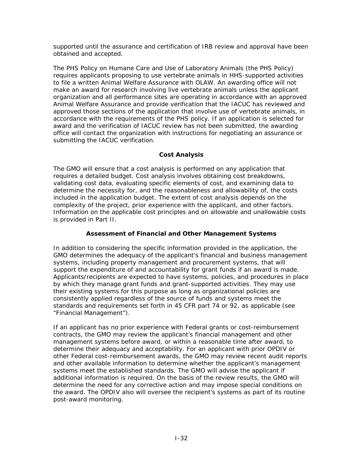supported until the assurance and certification of IRB review and approval have been obtained and accepted.

The *PHS Policy on Humane Care and Use of Laboratory Animals* (the PHS Policy) requires applicants proposing to use vertebrate animals in HHS-supported activities to file a written Animal Welfare Assurance with OLAW. An awarding office will not make an award for research involving live vertebrate animals unless the applicant organization and all performance sites are operating in accordance with an approved Animal Welfare Assurance and provide verification that the IACUC has reviewed and approved those sections of the application that involve use of vertebrate animals, in accordance with the requirements of the PHS policy. If an application is selected for award and the verification of IACUC review has not been submitted, the awarding office will contact the organization with instructions for negotiating an assurance or submitting the IACUC verification.

### **Cost Analysis**

The GMO will ensure that a cost analysis is performed on any application that requires a detailed budget. Cost analysis involves obtaining cost breakdowns, validating cost data, evaluating specific elements of cost, and examining data to determine the necessity for, and the reasonableness and allowability of, the costs included in the application budget. The extent of cost analysis depends on the complexity of the project, prior experience with the applicant, and other factors. Information on the applicable cost principles and on allowable and unallowable costs is provided in Part II.

### **Assessment of Financial and Other Management Systems**

In addition to considering the specific information provided in the application, the GMO determines the adequacy of the applicant's financial and business management systems, including property management and procurement systems, that will support the expenditure of and accountability for grant funds if an award is made. Applicants/recipients are expected to have systems, policies, and procedures in place by which they manage grant funds and grant-supported activities. They may use their existing systems for this purpose as long as organizational policies are consistently applied regardless of the source of funds and systems meet the standards and requirements set forth in 45 CFR part 74 or 92, as applicable (see "Financial Management").

If an applicant has no prior experience with Federal grants or cost-reimbursement contracts, the GMO may review the applicant's financial management and other management systems before award, or within a reasonable time after award, to determine their adequacy and acceptability. For an applicant with prior OPDIV or other Federal cost-reimbursement awards, the GMO may review recent audit reports and other available information to determine whether the applicant's management systems meet the established standards. The GMO will advise the applicant if additional information is required. On the basis of the review results, the GMO will determine the need for any corrective action and may impose special conditions on the award. The OPDIV also will oversee the recipient's systems as part of its routine post-award monitoring.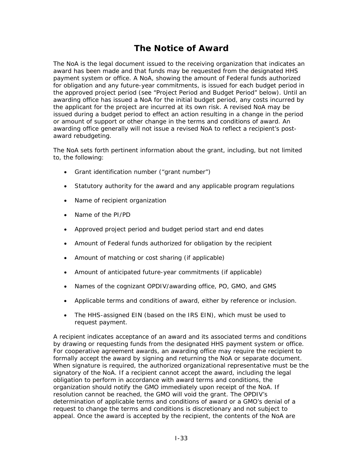# **The Notice of Award**

The NoA is the legal document issued to the receiving organization that indicates an award has been made and that funds may be requested from the designated HHS payment system or office. A NoA, showing the amount of Federal funds authorized for obligation and any future-year commitments, is issued for each budget period in the approved project period (see "Project Period and Budget Period" below). Until an awarding office has issued a NoA for the initial budget period, any costs incurred by the applicant for the project are incurred at its own risk. A revised NoA may be issued during a budget period to effect an action resulting in a change in the period or amount of support or other change in the terms and conditions of award. An awarding office generally will not issue a revised NoA to reflect a recipient's postaward rebudgeting.

The NoA sets forth pertinent information about the grant, including, but not limited to, the following:

- Grant identification number ("grant number")
- Statutory authority for the award and any applicable program regulations
- Name of recipient organization
- Name of the PI/PD
- Approved project period and budget period start and end dates
- Amount of Federal funds authorized for obligation by the recipient
- Amount of matching or cost sharing (if applicable)
- Amount of anticipated future-year commitments (if applicable)
- Names of the cognizant OPDIV/awarding office, PO, GMO, and GMS
- Applicable terms and conditions of award, either by reference or inclusion.
- The HHS-assigned EIN (based on the IRS EIN), which must be used to request payment.

A recipient indicates acceptance of an award and its associated terms and conditions by drawing or requesting funds from the designated HHS payment system or office. For cooperative agreement awards, an awarding office may require the recipient to formally accept the award by signing and returning the NoA or separate document. When signature is required, the authorized organizational representative must be the signatory of the NoA. If a recipient cannot accept the award, including the legal obligation to perform in accordance with award terms and conditions, the organization should notify the GMO immediately upon receipt of the NoA. If resolution cannot be reached, the GMO will void the grant. The OPDIV's determination of applicable terms and conditions of award or a GMO's denial of a request to change the terms and conditions is discretionary and not subject to appeal. Once the award is accepted by the recipient, the contents of the NoA are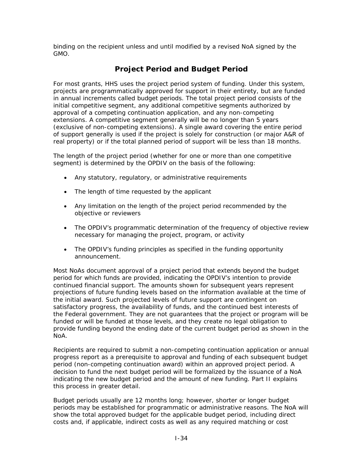binding on the recipient unless and until modified by a revised NoA signed by the GMO.

# **Project Period and Budget Period**

For most grants, HHS uses the project period system of funding. Under this system, projects are programmatically approved for support in their entirety, but are funded in annual increments called budget periods. The total project period consists of the initial competitive segment, any additional competitive segments authorized by approval of a competing continuation application, and any non-competing extensions. A competitive segment generally will be no longer than 5 years (exclusive of non-competing extensions). A single award covering the entire period of support generally is used if the project is solely for construction (or major A&R of real property) or if the total planned period of support will be less than 18 months.

The length of the project period (whether for one or more than one competitive segment) is determined by the OPDIV on the basis of the following:

- Any statutory, regulatory, or administrative requirements
- The length of time requested by the applicant
- Any limitation on the length of the project period recommended by the objective or reviewers
- The OPDIV's programmatic determination of the frequency of objective review necessary for managing the project, program, or activity
- The OPDIV's funding principles as specified in the funding opportunity announcement.

Most NoAs document approval of a project period that extends beyond the budget period for which funds are provided, indicating the OPDIV's intention to provide continued financial support. The amounts shown for subsequent years represent projections of future funding levels based on the information available at the time of the initial award. Such projected levels of future support are contingent on satisfactory progress, the availability of funds, and the continued best interests of the Federal government. They are not guarantees that the project or program will be funded or will be funded at those levels, and they create no legal obligation to provide funding beyond the ending date of the current budget period as shown in the NoA.

Recipients are required to submit a non-competing continuation application or annual progress report as a prerequisite to approval and funding of each subsequent budget period (non-competing continuation award) within an approved project period. A decision to fund the next budget period will be formalized by the issuance of a NoA indicating the new budget period and the amount of new funding. Part II explains this process in greater detail.

Budget periods usually are 12 months long; however, shorter or longer budget periods may be established for programmatic or administrative reasons. The NoA will show the total approved budget for the applicable budget period, including direct costs and, if applicable, indirect costs as well as any required matching or cost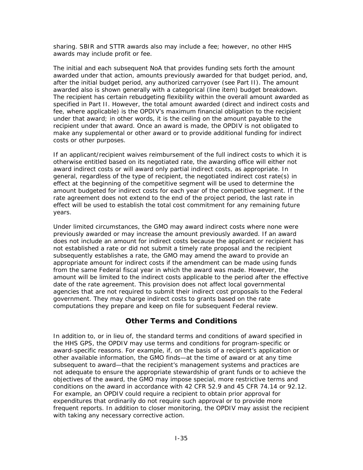sharing. SBIR and STTR awards also may include a fee; however, no other HHS awards may include profit or fee.

The initial and each subsequent NoA that provides funding sets forth the amount awarded under that action, amounts previously awarded for that budget period, and, after the initial budget period, any authorized carryover (see Part II). The amount awarded also is shown generally with a categorical (line item) budget breakdown. The recipient has certain rebudgeting flexibility within the overall amount awarded as specified in Part II. However, the total amount awarded (direct and indirect costs and fee, where applicable) is the OPDIV's maximum financial obligation to the recipient under that award; in other words, it is the ceiling on the amount payable to the recipient under that award. Once an award is made, the OPDIV is not obligated to make any supplemental or other award or to provide additional funding for indirect costs or other purposes.

If an applicant/recipient waives reimbursement of the full indirect costs to which it is otherwise entitled based on its negotiated rate, the awarding office will either not award indirect costs or will award only partial indirect costs, as appropriate. In general, regardless of the type of recipient, the negotiated indirect cost rate(s) in effect at the beginning of the competitive segment will be used to determine the amount budgeted for indirect costs for each year of the competitive segment. If the rate agreement does not extend to the end of the project period, the last rate in effect will be used to establish the total cost commitment for any remaining future years.

Under limited circumstances, the GMO may award indirect costs where none were previously awarded or may increase the amount previously awarded. If an award does not include an amount for indirect costs because the applicant or recipient has not established a rate or did not submit a timely rate proposal and the recipient subsequently establishes a rate, the GMO may amend the award to provide an appropriate amount for indirect costs if the amendment can be made using funds from the same Federal fiscal year in which the award was made. However, the amount will be limited to the indirect costs applicable to the period after the effective date of the rate agreement. This provision does not affect local governmental agencies that are not required to submit their indirect cost proposals to the Federal government. They may charge indirect costs to grants based on the rate computations they prepare and keep on file for subsequent Federal review.

# **Other Terms and Conditions**

In addition to, or in lieu of, the standard terms and conditions of award specified in the HHS GPS, the OPDIV may use terms and conditions for program-specific or award-specific reasons. For example, if, on the basis of a recipient's application or other available information, the GMO finds—at the time of award or at any time subsequent to award—that the recipient's management systems and practices are not adequate to ensure the appropriate stewardship of grant funds or to achieve the objectives of the award, the GMO may impose special, more restrictive terms and conditions on the award in accordance with 42 CFR 52.9 and 45 CFR 74.14 or 92.12. For example, an OPDIV could require a recipient to obtain prior approval for expenditures that ordinarily do not require such approval or to provide more frequent reports. In addition to closer monitoring, the OPDIV may assist the recipient with taking any necessary corrective action.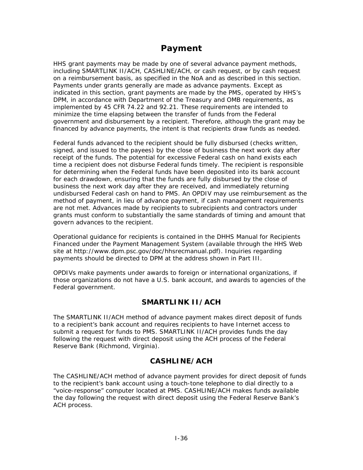# **Payment**

HHS grant payments may be made by one of several advance payment methods, including SMARTLINK II/ACH, CASHLINE/ACH, or cash request, or by cash request on a reimbursement basis, as specified in the NoA and as described in this section. Payments under grants generally are made as advance payments. Except as indicated in this section, grant payments are made by the PMS, operated by HHS's DPM, in accordance with Department of the Treasury and OMB requirements, as implemented by 45 CFR 74.22 and 92.21. These requirements are intended to minimize the time elapsing between the transfer of funds from the Federal government and disbursement by a recipient. Therefore, although the grant may be financed by advance payments, the intent is that recipients draw funds as needed.

Federal funds advanced to the recipient should be fully disbursed (checks written, signed, and issued to the payees) by the close of business the next work day after receipt of the funds. The potential for excessive Federal cash on hand exists each time a recipient does not disburse Federal funds timely. The recipient is responsible for determining when the Federal funds have been deposited into its bank account for each drawdown, ensuring that the funds are fully disbursed by the close of business the next work day after they are received, and immediately returning undisbursed Federal cash on hand to PMS. An OPDIV may use reimbursement as the method of payment, in lieu of advance payment, if cash management requirements are not met. Advances made by recipients to subrecipients and contractors under grants must conform to substantially the same standards of timing and amount that govern advances to the recipient.

Operational guidance for recipients is contained in the *DHHS Manual for Recipients Financed under the Payment Management System* (available through the HHS Web site at <http://www.dpm.psc.gov/doc/hhsrecmanual.pdf>). Inquiries regarding payments should be directed to DPM at the address shown in Part III.

OPDIVs make payments under awards to foreign or international organizations, if those organizations do not have a U.S. bank account, and awards to agencies of the Federal government.

# **SMARTLINK II/ACH**

The SMARTLINK II/ACH method of advance payment makes direct deposit of funds to a recipient's bank account and requires recipients to have Internet access to submit a request for funds to PMS. SMARTLINK II/ACH provides funds the day following the request with direct deposit using the ACH process of the Federal Reserve Bank (Richmond, Virginia).

# **CASHLINE/ACH**

The CASHLINE/ACH method of advance payment provides for direct deposit of funds to the recipient's bank account using a touch-tone telephone to dial directly to a "voice-response" computer located at PMS. CASHLINE/ACH makes funds available the day following the request with direct deposit using the Federal Reserve Bank's ACH process.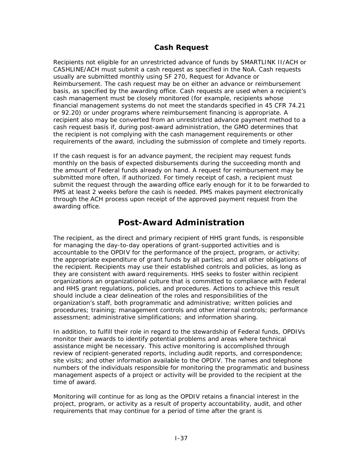# **Cash Request**

Recipients not eligible for an unrestricted advance of funds by SMARTLINK II/ACH or CASHLINE/ACH must submit a cash request as specified in the NoA. Cash requests usually are submitted monthly using SF 270, Request for Advance or Reimbursement. The cash request may be on either an advance or reimbursement basis, as specified by the awarding office. Cash requests are used when a recipient's cash management must be closely monitored (for example, recipients whose financial management systems do not meet the standards specified in 45 CFR 74.21 or 92.20) or under programs where reimbursement financing is appropriate. A recipient also may be converted from an unrestricted advance payment method to a cash request basis if, during post-award administration, the GMO determines that the recipient is not complying with the cash management requirements or other requirements of the award, including the submission of complete and timely reports.

If the cash request is for an advance payment, the recipient may request funds monthly on the basis of expected disbursements during the succeeding month and the amount of Federal funds already on hand. A request for reimbursement may be submitted more often, if authorized. For timely receipt of cash, a recipient must submit the request through the awarding office early enough for it to be forwarded to PMS at least 2 weeks before the cash is needed. PMS makes payment electronically through the ACH process upon receipt of the approved payment request from the awarding office.

# **Post-Award Administration**

The recipient, as the direct and primary recipient of HHS grant funds, is responsible for managing the day-to-day operations of grant-supported activities and is accountable to the OPDIV for the performance of the project, program, or activity; the appropriate expenditure of grant funds by all parties; and all other obligations of the recipient. Recipients may use their established controls and policies, as long as they are consistent with award requirements. HHS seeks to foster within recipient organizations an organizational culture that is committed to compliance with Federal and HHS grant regulations, policies, and procedures. Actions to achieve this result should include a clear delineation of the roles and responsibilities of the organization's staff, both programmatic and administrative; written policies and procedures; training; management controls and other internal controls; performance assessment; administrative simplifications; and information sharing.

In addition, to fulfill their role in regard to the stewardship of Federal funds, OPDIVs monitor their awards to identify potential problems and areas where technical assistance might be necessary. This active monitoring is accomplished through review of recipient-generated reports, including audit reports, and correspondence; site visits; and other information available to the OPDIV. The names and telephone numbers of the individuals responsible for monitoring the programmatic and business management aspects of a project or activity will be provided to the recipient at the time of award.

Monitoring will continue for as long as the OPDIV retains a financial interest in the project, program, or activity as a result of property accountability, audit, and other requirements that may continue for a period of time after the grant is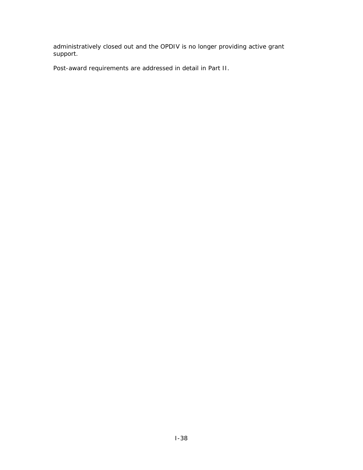administratively closed out and the OPDIV is no longer providing active grant support.

Post-award requirements are addressed in detail in Part II.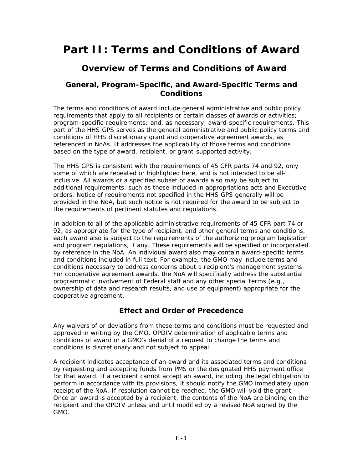# **Part II: Terms and Conditions of Award**

# **Overview of Terms and Conditions of Award**

# **General, Program-Specific, and Award-Specific Terms and Conditions**

The terms and conditions of award include general administrative and public policy requirements that apply to all recipients or certain classes of awards or activities; program-specific-requirements; and, as necessary, award-specific requirements. This part of the HHS GPS serves as the general administrative and public policy terms and conditions of HHS discretionary grant and cooperative agreement awards, as referenced in NoAs. It addresses the applicability of those terms and conditions based on the type of award, recipient, or grant-supported activity.

The HHS GPS is consistent with the requirements of 45 CFR parts 74 and 92, only some of which are repeated or highlighted here, and is not intended to be allinclusive. All awards or a specified subset of awards also may be subject to additional requirements, such as those included in appropriations acts and Executive orders. Notice of requirements not specified in the HHS GPS generally will be provided in the NoA, but such notice is not required for the award to be subject to the requirements of pertinent statutes and regulations.

In addition to all of the applicable administrative requirements of 45 CFR part 74 or 92, as appropriate for the type of recipient, and other general terms and conditions, each award also is subject to the requirements of the authorizing program legislation and program regulations, if any. These requirements will be specified or incorporated by reference in the NoA. An individual award also may contain award-specific terms and conditions included in full text. For example, the GMO may include terms and conditions necessary to address concerns about a recipient's management systems. For cooperative agreement awards, the NoA will specifically address the substantial programmatic involvement of Federal staff and any other special terms (e.g., ownership of data and research results, and use of equipment) appropriate for the cooperative agreement.

# **Effect and Order of Precedence**

Any waivers of or deviations from these terms and conditions must be requested and approved in writing by the GMO. OPDIV determination of applicable terms and conditions of award or a GMO's denial of a request to change the terms and conditions is discretionary and not subject to appeal.

A recipient indicates acceptance of an award and its associated terms and conditions by requesting and accepting funds from PMS or the designated HHS payment office for that award. If a recipient cannot accept an award, including the legal obligation to perform in accordance with its provisions, it should notify the GMO immediately upon receipt of the NoA. If resolution cannot be reached, the GMO will void the grant. Once an award is accepted by a recipient, the contents of the NoA are binding on the recipient and the OPDIV unless and until modified by a revised NoA signed by the GMO.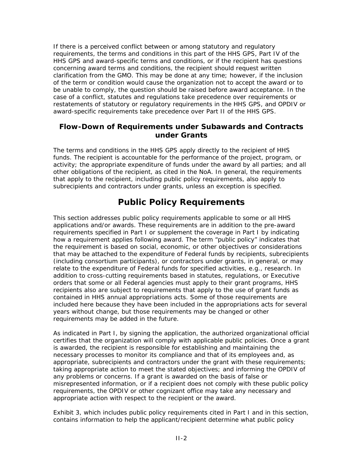If there is a perceived conflict between or among statutory and regulatory requirements, the terms and conditions in this part of the HHS GPS, Part IV of the HHS GPS and award-specific terms and conditions, or if the recipient has questions concerning award terms and conditions, the recipient should request written clarification from the GMO. This may be done at any time; however, if the inclusion of the term or condition would cause the organization not to accept the award or to be unable to comply, the question should be raised before award acceptance. In the case of a conflict, statutes and regulations take precedence over requirements or restatements of statutory or regulatory requirements in the HHS GPS, and OPDIV or award-specific requirements take precedence over Part II of the HHS GPS.

# **Flow-Down of Requirements under Subawards and Contracts under Grants**

The terms and conditions in the HHS GPS apply directly to the recipient of HHS funds. The recipient is accountable for the performance of the project, program, or activity; the appropriate expenditure of funds under the award by all parties; and all other obligations of the recipient, as cited in the NoA. In general, the requirements that apply to the recipient, including public policy requirements, also apply to subrecipients and contractors under grants, unless an exception is specified.

# **Public Policy Requirements**

This section addresses public policy requirements applicable to some or all HHS applications and/or awards. These requirements are in addition to the pre-award requirements specified in Part I or supplement the coverage in Part I by indicating how a requirement applies following award. The term "public policy" indicates that the requirement is based on social, economic, or other objectives or considerations that may be attached to the expenditure of Federal funds by recipients, subrecipients (including consortium participants), or contractors under grants, in general, or may relate to the expenditure of Federal funds for specified activities, e.g., research. In addition to cross-cutting requirements based in statutes, regulations, or Executive orders that some or all Federal agencies must apply to their grant programs, HHS recipients also are subject to requirements that apply to the use of grant funds as contained in HHS annual appropriations acts. Some of those requirements are included here because they have been included in the appropriations acts for several years without change, but those requirements may be changed or other requirements may be added in the future.

As indicated in Part I, by signing the application, the authorized organizational official certifies that the organization will comply with applicable public policies. Once a grant is awarded, the recipient is responsible for establishing and maintaining the necessary processes to monitor its compliance and that of its employees and, as appropriate, subrecipients and contractors under the grant with these requirements; taking appropriate action to meet the stated objectives; and informing the OPDIV of any problems or concerns. If a grant is awarded on the basis of false or misrepresented information, or if a recipient does not comply with these public policy requirements, the OPDIV or other cognizant office may take any necessary and appropriate action with respect to the recipient or the award.

Exhibit 3, which includes public policy requirements cited in Part I and in this section, contains information to help the applicant/recipient determine what public policy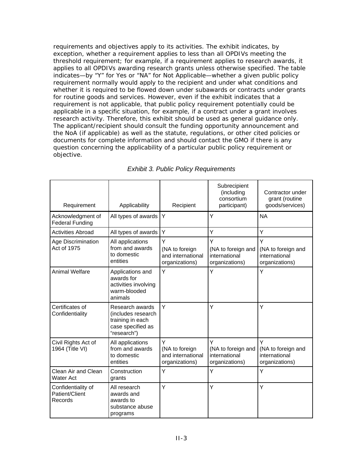requirements and objectives apply to its activities. The exhibit indicates, by exception, whether a requirement applies to less than all OPDIVs meeting the threshold requirement; for example, if a requirement applies to research awards, it applies to all OPDIVs awarding research grants unless otherwise specified. The table indicates—by "Y" for Yes or "NA" for Not Applicable—whether a given public policy requirement normally would apply to the recipient and under what conditions and whether it is required to be flowed down under subawards or contracts under grants for routine goods and services. However, even if the exhibit indicates that a requirement is not applicable, that public policy requirement potentially could be applicable in a specific situation, for example, if a contract under a grant involves research activity. Therefore, this exhibit should be used as general guidance only. The applicant/recipient should consult the funding opportunity announcement and the NoA (if applicable) as well as the statute, regulations, or other cited policies or documents for complete information and should contact the GMO if there is any question concerning the applicability of a particular public policy requirement or objective.

| Requirement                                     | Applicability                                                                                 | Recipient                                                  | Subrecipient<br>(including<br>consortium<br>participant)   | Contractor under<br>grant (routine<br>goods/services)      |
|-------------------------------------------------|-----------------------------------------------------------------------------------------------|------------------------------------------------------------|------------------------------------------------------------|------------------------------------------------------------|
| Acknowledgment of<br><b>Federal Funding</b>     | All types of awards                                                                           | Y                                                          | Y                                                          | <b>NA</b>                                                  |
| <b>Activities Abroad</b>                        | All types of awards                                                                           | Y                                                          | Ÿ                                                          | Υ                                                          |
| Age Discrimination<br>Act of 1975               | All applications<br>from and awards<br>to domestic<br>entities                                | Ý<br>(NA to foreign<br>and international<br>organizations) | Y<br>(NA to foreign and<br>international<br>organizations) | Y<br>(NA to foreign and<br>international<br>organizations) |
| <b>Animal Welfare</b>                           | Applications and<br>awards for<br>activities involving<br>warm-blooded<br>animals             | Y                                                          | Y                                                          | Υ                                                          |
| Certificates of<br>Confidentiality              | Research awards<br>(includes research<br>training in each<br>case specified as<br>"research") | Y                                                          | Y                                                          | Y                                                          |
| Civil Rights Act of<br>1964 (Title VI)          | All applications<br>from and awards<br>to domestic<br>entities                                | Y<br>(NA to foreign<br>and international<br>organizations) | Y<br>(NA to foreign and<br>international<br>organizations) | Y<br>(NA to foreign and<br>international<br>organizations) |
| Clean Air and Clean<br><b>Water Act</b>         | Construction<br>grants                                                                        | Ý                                                          | Y                                                          | Y                                                          |
| Confidentiality of<br>Patient/Client<br>Records | All research<br>awards and<br>awards to<br>substance abuse<br>programs                        | Ý                                                          | Y                                                          | Y                                                          |

### *Exhibit 3. Public Policy Requirements*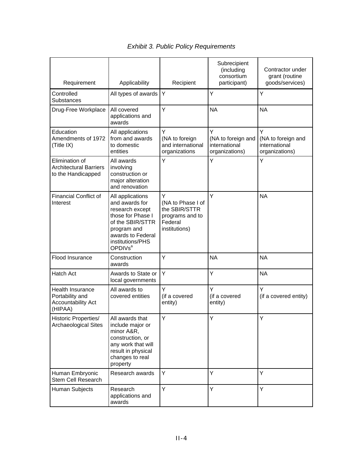|                                                                       |                                                                                                                                                                               |                                                                                        | Subrecipient<br>(including<br>consortium                   | Contractor under<br>grant (routine                         |
|-----------------------------------------------------------------------|-------------------------------------------------------------------------------------------------------------------------------------------------------------------------------|----------------------------------------------------------------------------------------|------------------------------------------------------------|------------------------------------------------------------|
| Requirement                                                           | Applicability                                                                                                                                                                 | Recipient                                                                              | participant)                                               | goods/services)                                            |
| Controlled<br><b>Substances</b>                                       | All types of awards                                                                                                                                                           | Y                                                                                      | Y                                                          | Y                                                          |
| Drug-Free Workplace                                                   | All covered<br>applications and<br>awards                                                                                                                                     | Y                                                                                      | <b>NA</b>                                                  | <b>NA</b>                                                  |
| Education<br>Amendments of 1972<br>(Title IX)                         | All applications<br>from and awards<br>to domestic<br>entities                                                                                                                | Ÿ<br>(NA to foreign<br>and international<br>organizations                              | Ÿ<br>(NA to foreign and<br>international<br>organizations) | Y<br>(NA to foreign and<br>international<br>organizations) |
| Elimination of<br><b>Architectural Barriers</b><br>to the Handicapped | All awards<br>involving<br>construction or<br>major alteration<br>and renovation                                                                                              | Y                                                                                      | Y                                                          | Υ                                                          |
| <b>Financial Conflict of</b><br>Interest                              | All applications<br>and awards for<br>research except<br>those for Phase I<br>of the SBIR/STTR<br>program and<br>awards to Federal<br>institutions/PHS<br>OPDIV <sub>sa</sub> | Y<br>(NA to Phase I of<br>the SBIR/STTR<br>programs and to<br>Federal<br>institutions) | Y                                                          | <b>NA</b>                                                  |
| Flood Insurance                                                       | Construction<br>awards                                                                                                                                                        | Y                                                                                      | <b>NA</b>                                                  | <b>NA</b>                                                  |
| <b>Hatch Act</b>                                                      | Awards to State or<br>local governments                                                                                                                                       | Υ                                                                                      | Y                                                          | <b>NA</b>                                                  |
| Health Insurance<br>Portability and<br>Accountability Act<br>(HIPAA)  | All awards to<br>covered entities                                                                                                                                             | Y<br>(if a covered<br>entity)                                                          | Y<br>(if a covered<br>entity)                              | Y<br>(if a covered entity)                                 |
| <b>Historic Properties/</b><br>Archaeological Sites                   | All awards that<br>include major or<br>minor A&R,<br>construction, or<br>any work that will<br>result in physical<br>changes to real<br>property                              | Y                                                                                      | Y                                                          | Υ                                                          |
| Human Embryonic<br>Stem Cell Research                                 | Research awards                                                                                                                                                               | Y                                                                                      | Y                                                          | Y                                                          |
| Human Subjects                                                        | Research<br>applications and<br>awards                                                                                                                                        | Y                                                                                      | Y                                                          | Y                                                          |

# *Exhibit 3. Public Policy Requirements*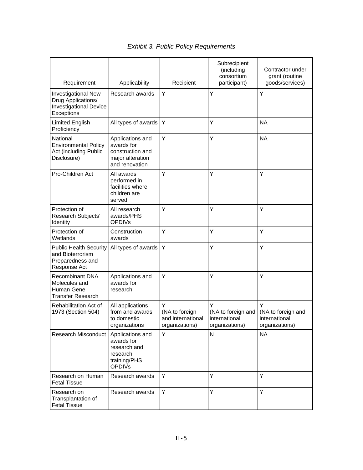|                                                                                       |                                                                                             |                                                            | Subrecipient<br>(including<br>consortium                   | Contractor under<br>grant (routine                         |
|---------------------------------------------------------------------------------------|---------------------------------------------------------------------------------------------|------------------------------------------------------------|------------------------------------------------------------|------------------------------------------------------------|
| Requirement<br>Investigational New<br>Drug Applications/                              | Applicability<br>Research awards                                                            | Recipient<br>Y                                             | participant)<br>Y                                          | goods/services)<br>Υ                                       |
| <b>Investigational Device</b><br>Exceptions                                           |                                                                                             |                                                            |                                                            |                                                            |
| <b>Limited English</b><br>Proficiency                                                 | All types of awards                                                                         | Y                                                          | Y                                                          | <b>NA</b>                                                  |
| National<br><b>Environmental Policy</b><br>Act (including Public<br>Disclosure)       | Applications and<br>awards for<br>construction and<br>major alteration<br>and renovation    | Y                                                          | Υ                                                          | <b>NA</b>                                                  |
| Pro-Children Act                                                                      | All awards<br>performed in<br>facilities where<br>children are<br>served                    | Y                                                          | Y                                                          | Υ                                                          |
| Protection of<br>Research Subjects'<br>Identity                                       | All research<br>awards/PHS<br><b>OPDIVs</b>                                                 | Y                                                          | Y                                                          | Υ                                                          |
| Protection of<br>Wetlands                                                             | Construction<br>awards                                                                      | Y                                                          | Y                                                          | Y                                                          |
| <b>Public Health Security</b><br>and Bioterrorism<br>Preparedness and<br>Response Act | All types of awards                                                                         | Υ                                                          | Y                                                          | Y                                                          |
| <b>Recombinant DNA</b><br>Molecules and<br>Human Gene<br><b>Transfer Research</b>     | Applications and<br>awards for<br>research                                                  | Y                                                          | Y                                                          | Υ                                                          |
| Rehabilitation Act of<br>1973 (Section 504)                                           | All applications<br>from and awards<br>to domestic<br>organizations                         | Υ<br>(NA to foreign<br>and international<br>organizations) | Υ<br>(NA to foreign and<br>international<br>organizations) | Y<br>(NA to foreign and<br>international<br>organizations) |
| <b>Research Misconduct</b>                                                            | Applications and<br>awards for<br>research and<br>research<br>training/PHS<br><b>OPDIVs</b> | Y                                                          | $\mathsf{N}$                                               | <b>NA</b>                                                  |
| Research on Human<br><b>Fetal Tissue</b>                                              | Research awards                                                                             | Y                                                          | Y                                                          | Y                                                          |
| Research on<br>Transplantation of<br><b>Fetal Tissue</b>                              | Research awards                                                                             | Υ                                                          | Y                                                          | Υ                                                          |

# *Exhibit 3. Public Policy Requirements*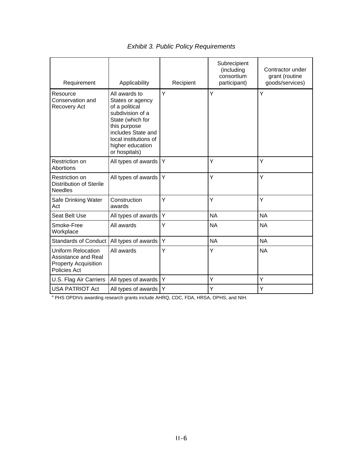| Requirement                                                                              | Applicability                                                                                                                                                                                   | Recipient | Subrecipient<br>(including<br>consortium<br>participant) | Contractor under<br>grant (routine<br>goods/services) |
|------------------------------------------------------------------------------------------|-------------------------------------------------------------------------------------------------------------------------------------------------------------------------------------------------|-----------|----------------------------------------------------------|-------------------------------------------------------|
| Resource<br>Conservation and<br>Recovery Act                                             | All awards to<br>States or agency<br>of a political<br>subdivision of a<br>State (which for<br>this purpose<br>includes State and<br>local institutions of<br>higher education<br>or hospitals) | Y         | Y                                                        | Y                                                     |
| Restriction on<br>Abortions                                                              | All types of awards                                                                                                                                                                             | Y         | Y                                                        | Y                                                     |
| Restriction on<br>Distribution of Sterile<br><b>Needles</b>                              | All types of awards                                                                                                                                                                             | Υ         | Y                                                        | Y                                                     |
| Safe Drinking Water<br>Act                                                               | Construction<br>awards                                                                                                                                                                          | Y         | Y                                                        | Y                                                     |
| Seat Belt Use                                                                            | All types of awards                                                                                                                                                                             | Υ         | <b>NA</b>                                                | <b>NA</b>                                             |
| Smoke-Free<br>Workplace                                                                  | All awards                                                                                                                                                                                      | Y         | <b>NA</b>                                                | <b>NA</b>                                             |
| <b>Standards of Conduct</b>                                                              | All types of awards                                                                                                                                                                             | Υ         | <b>NA</b>                                                | <b>NA</b>                                             |
| Uniform Relocation<br>Assistance and Real<br><b>Property Acquisition</b><br>Policies Act | All awards                                                                                                                                                                                      | Y         | Y                                                        | <b>NA</b>                                             |
| U.S. Flag Air Carriers                                                                   | All types of awards                                                                                                                                                                             | Y         | Y                                                        | Υ                                                     |
| <b>USA PATRIOT Act</b>                                                                   | All types of awards                                                                                                                                                                             | Υ         | Y                                                        | Ÿ                                                     |

# *Exhibit 3. Public Policy Requirements*

<sup>a</sup> PHS OPDIVs awarding research grants include AHRQ, CDC, FDA, HRSA, OPHS, and NIH.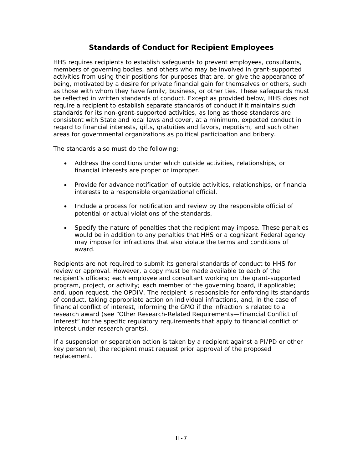# **Standards of Conduct for Recipient Employees**

HHS requires recipients to establish safeguards to prevent employees, consultants, members of governing bodies, and others who may be involved in grant-supported activities from using their positions for purposes that are, or give the appearance of being, motivated by a desire for private financial gain for themselves or others, such as those with whom they have family, business, or other ties. These safeguards must be reflected in written standards of conduct. Except as provided below, HHS does not require a recipient to establish separate standards of conduct if it maintains such standards for its non-grant-supported activities, as long as those standards are consistent with State and local laws and cover, at a minimum, expected conduct in regard to financial interests, gifts, gratuities and favors, nepotism, and such other areas for governmental organizations as political participation and bribery.

The standards also must do the following:

- Address the conditions under which outside activities, relationships, or financial interests are proper or improper.
- Provide for advance notification of outside activities, relationships, or financial interests to a responsible organizational official.
- Include a process for notification and review by the responsible official of potential or actual violations of the standards.
- Specify the nature of penalties that the recipient may impose. These penalties would be in addition to any penalties that HHS or a cognizant Federal agency may impose for infractions that also violate the terms and conditions of award.

Recipients are not required to submit its general standards of conduct to HHS for review or approval. However, a copy must be made available to each of the recipient's officers; each employee and consultant working on the grant-supported program, project, or activity; each member of the governing board, if applicable; and, upon request, the OPDIV. The recipient is responsible for enforcing its standards of conduct, taking appropriate action on individual infractions, and, in the case of financial conflict of interest, informing the GMO if the infraction is related to a research award (see "Other Research-Related Requirements—Financial Conflict of Interest" for the specific regulatory requirements that apply to financial conflict of interest under research grants).

If a suspension or separation action is taken by a recipient against a PI/PD or other key personnel, the recipient must request prior approval of the proposed replacement.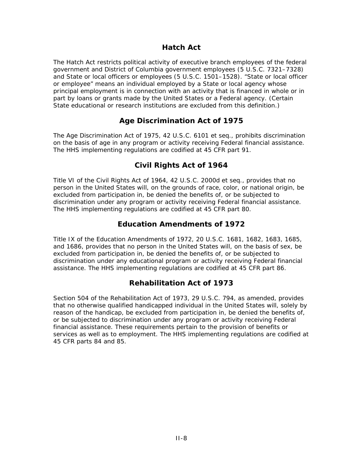# **Hatch Act**

The Hatch Act restricts political activity of executive branch employees of the federal government and District of Columbia government employees (5 U.S.C. 7321–7328) and State or local officers or employees (5 U.S.C. 1501–1528). "State or local officer or employee" means an individual employed by a State or local agency whose principal employment is in connection with an activity that is financed in whole or in part by loans or grants made by the United States or a Federal agency. (Certain State educational or research institutions are excluded from this definition.)

# **Age Discrimination Act of 1975**

The Age Discrimination Act of 1975, 42 U.S.C. 6101 *et seq*., prohibits discrimination on the basis of age in any program or activity receiving Federal financial assistance. The HHS implementing regulations are codified at 45 CFR part 91.

# **Civil Rights Act of 1964**

Title VI of the Civil Rights Act of 1964, 42 U.S.C. 2000d *et seq*., provides that no person in the United States will, on the grounds of race, color, or national origin, be excluded from participation in, be denied the benefits of, or be subjected to discrimination under any program or activity receiving Federal financial assistance. The HHS implementing regulations are codified at 45 CFR part 80.

# **Education Amendments of 1972**

Title IX of the Education Amendments of 1972, 20 U.S.C. 1681, 1682, 1683, 1685, and 1686, provides that no person in the United States will, on the basis of sex, be excluded from participation in, be denied the benefits of, or be subjected to discrimination under any educational program or activity receiving Federal financial assistance. The HHS implementing regulations are codified at 45 CFR part 86.

# **Rehabilitation Act of 1973**

Section 504 of the Rehabilitation Act of 1973, 29 U.S.C. 794, as amended, provides that no otherwise qualified handicapped individual in the United States will, solely by reason of the handicap, be excluded from participation in, be denied the benefits of, or be subjected to discrimination under any program or activity receiving Federal financial assistance. These requirements pertain to the provision of benefits or services as well as to employment. The HHS implementing regulations are codified at 45 CFR parts 84 and 85.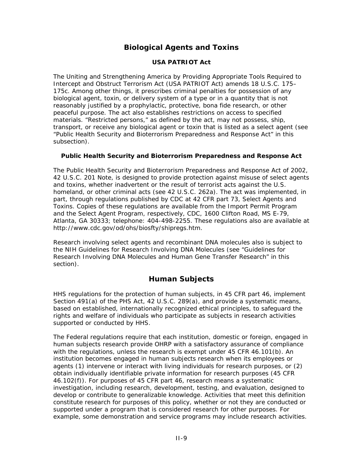# **Biological Agents and Toxins**

### **USA PATRIOT Act**

The Uniting and Strengthening America by Providing Appropriate Tools Required to Intercept and Obstruct Terrorism Act (USA PATRIOT Act) amends 18 U.S.C. 175– 175c. Among other things, it prescribes criminal penalties for possession of any biological agent, toxin, or delivery system of a type or in a quantity that is not reasonably justified by a prophylactic, protective, bona fide research, or other peaceful purpose. The act also establishes restrictions on access to specified materials. "Restricted persons," as defined by the act, may not possess, ship, transport, or receive any biological agent or toxin that is listed as a select agent (see "[Public Health Security and Bioterrorism Preparedness and Response Act"](http://grants1.nih.gov/grants/policy/nihgps_2003/NIHGPS_Part4.htm#_Public_Health_Security#_Public_Health_Security) in this subsection).

### **Public Health Security and Bioterrorism Preparedness and Response Act**

The Public Health Security and Bioterrorism Preparedness and Response Act of 2002, 42 U.S.C. 201 Note, is designed to provide protection against misuse of select agents and toxins, whether inadvertent or the result of terrorist acts against the U.S. homeland, or other criminal acts (see 42 U.S.C. 262a). The act was implemented, in part, through regulations published by CDC at [42 CFR part 73,](http://www.cdc.gov/od/sap/docs/42cfr73.pdf) Select Agents and Toxins. Copies of these regulations are available from the Import Permit Program and the Select Agent Program, respectively, CDC, 1600 Clifton Road, MS E-79, Atlanta, GA 30333; telephone: 404-498-2255. These regulations also are available at <http://www.cdc.gov/od/ohs/biosfty/shipregs.htm>.

Research involving select agents and recombinant DNA molecules also is subject to the *NIH Guidelines for Research Involving DNA Molecules* (see ["Guidelines for](http://www4.od.nih.gov/oba/rac/guidelines/guidelines.html)  [Research Involving DNA Molecules and Human Gene Transfer Research](http://www4.od.nih.gov/oba/rac/guidelines/guidelines.html)" in this section).

# **Human Subjects**

HHS regulations for the protection of human subjects, in 45 CFR part 46, implement Section 491(a) of the PHS Act, 42 U.S.C. 289(a), and provide a systematic means, based on established, internationally recognized ethical principles, to safeguard the rights and welfare of individuals who participate as subjects in research activities supported or conducted by HHS.

The Federal regulations require that each institution, domestic or foreign, engaged in human subjects research provide OHRP with a satisfactory assurance of compliance with the regulations, unless the research is exempt under 45 CFR 46.101(b). An institution becomes engaged in human subjects research when its employees or agents (1) intervene or interact with living individuals for research purposes, or (2) obtain individually identifiable private information for research purposes (45 CFR 46.102(f)). For purposes of 45 CFR part 46, research means a systematic investigation, including research, development, testing, and evaluation, designed to develop or contribute to generalizable knowledge. Activities that meet this definition constitute research for purposes of this policy, whether or not they are conducted or supported under a program that is considered research for other purposes. For example, some demonstration and service programs may include research activities.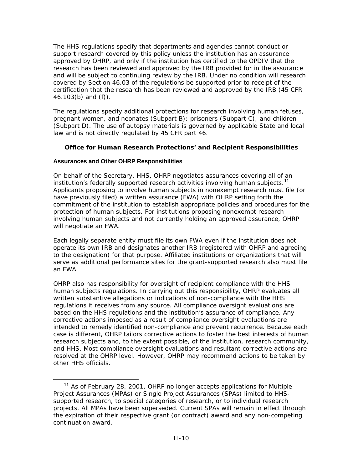The HHS regulations specify that departments and agencies cannot conduct or support research covered by this policy unless the institution has an assurance approved by OHRP, and only if the institution has certified to the OPDIV that the research has been reviewed and approved by the IRB provided for in the assurance and will be subject to continuing review by the IRB. Under no condition will research covered by Section 46.03 of the regulations be supported prior to receipt of the certification that the research has been reviewed and approved by the IRB (45 CFR 46.103(b) and (f)).

The regulations specify additional protections for research involving human fetuses, pregnant women, and neonates (Subpart B); prisoners (Subpart C); and children (Subpart D). The use of autopsy materials is governed by applicable State and local law and is not directly regulated by 45 CFR part 46.

### **Office for Human Research Protections' and Recipient Responsibilities**

### **Assurances and Other OHRP Responsibilities**

On behalf of the Secretary, HHS, OHRP negotiates assurances covering all of an institution's federally supported research activities involving human subjects.<sup>[11](#page-61-0)</sup> Applicants proposing to involve human subjects in nonexempt research must file (or have previously filed) a written assurance (FWA) with OHRP setting forth the commitment of the institution to establish appropriate policies and procedures for the protection of human subjects. For institutions proposing nonexempt research involving human subjects and not currently holding an approved assurance, OHRP will negotiate an FWA.

Each legally separate entity must file its own FWA even if the institution does not operate its own IRB and designates another IRB (registered with OHRP and agreeing to the designation) for that purpose. Affiliated institutions or organizations that will serve as additional performance sites for the grant-supported research also must file an FWA.

OHRP also has responsibility for oversight of recipient compliance with the HHS human subjects regulations. In carrying out this responsibility, OHRP evaluates all written substantive allegations or indications of non-compliance with the HHS regulations it receives from any source. All compliance oversight evaluations are based on the HHS regulations and the institution's assurance of compliance. Any corrective actions imposed as a result of compliance oversight evaluations are intended to remedy identified non-compliance and prevent recurrence. Because each case is different, OHRP tailors corrective actions to foster the best interests of human research subjects and, to the extent possible, of the institution, research community, and HHS. Most compliance oversight evaluations and resultant corrective actions are resolved at the OHRP level. However, OHRP may recommend actions to be taken by other HHS officials.

<span id="page-61-0"></span><sup>&</sup>lt;sup>11</sup> As of February 28, 2001, OHRP no longer accepts applications for Multiple Project Assurances (MPAs) or Single Project Assurances (SPAs) limited to HHSsupported research, to special categories of research, or to individual research projects. All MPAs have been superseded. Current SPAs will remain in effect through the expiration of their respective grant (or contract) award and any non-competing continuation award.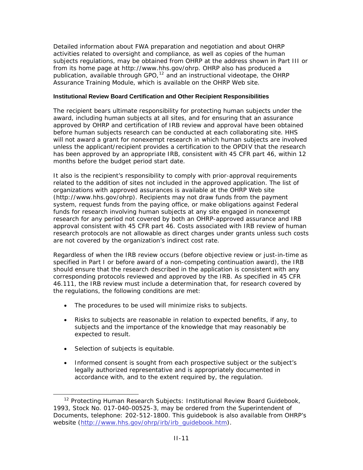Detailed information about FWA preparation and negotiation and about OHRP activities related to oversight and compliance, as well as copies of the human subjects regulations, may be obtained from OHRP at the address shown in Part III or from its home page at [http://www.hhs.gov/ohrp.](http://www.hhs.gov/ohrp/) OHRP also has produced a publication, available through GPO, $12$  and an instructional videotape, the OHRP Assurance Training Module, which is available on the OHRP Web site.

### **Institutional Review Board Certification and Other Recipient Responsibilities**

The recipient bears ultimate responsibility for protecting human subjects under the award, including human subjects at all sites, and for ensuring that an assurance approved by OHRP and certification of IRB review and approval have been obtained before human subjects research can be conducted at each collaborating site. HHS will not award a grant for nonexempt research in which human subjects are involved unless the applicant/recipient provides a certification to the OPDIV that the research has been approved by an appropriate IRB, consistent with 45 CFR part 46, within 12 months before the budget period start date.

It also is the recipient's responsibility to comply with prior-approval requirements related to the addition of sites not included in the approved application. The list of organizations with approved assurances is available at the OHRP Web site ([http://www.hhs.gov/ohrp\).](http://www.hhs.gov/ohrp/) Recipients may not draw funds from the payment system, request funds from the paying office, or make obligations against Federal funds for research involving human subjects at any site engaged in nonexempt research for any period not covered by both an OHRP-approved assurance and IRB approval consistent with 45 CFR part 46. Costs associated with IRB review of human research protocols are not allowable as direct charges under grants unless such costs are not covered by the organization's indirect cost rate.

Regardless of when the IRB review occurs (before objective review or just-in-time as specified in Part I or before award of a non-competing continuation award), the IRB should ensure that the research described in the application is consistent with any corresponding protocols reviewed and approved by the IRB. As specified in 45 CFR 46.111, the IRB review must include a determination that, for research covered by the regulations, the following conditions are met:

- The procedures to be used will minimize risks to subjects.
- Risks to subjects are reasonable in relation to expected benefits, if any, to subjects and the importance of the knowledge that may reasonably be expected to result.
- Selection of subjects is equitable.
- Informed consent is sought from each prospective subject or the subject's legally authorized representative and is appropriately documented in accordance with, and to the extent required by, the regulation.

<span id="page-62-0"></span> <sup>12</sup> *Protecting Human Research Subjects: Institutional Review Board Guidebook*, 1993, Stock No. 017-040-00525-3, may be ordered from the Superintendent of Documents, telephone: 202-512-1800. This guidebook is also available from OHRP's website [\(http://www.hhs.gov/ohrp/irb/irb\\_guidebook.htm](http://www.hhs.gov/ohrp/irb/irb_guidebook.htm)).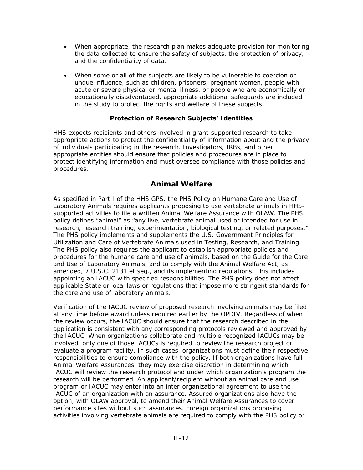- When appropriate, the research plan makes adequate provision for monitoring the data collected to ensure the safety of subjects, the protection of privacy, and the confidentiality of data.
- When some or all of the subjects are likely to be vulnerable to coercion or undue influence, such as children, prisoners, pregnant women, people with acute or severe physical or mental illness, or people who are economically or educationally disadvantaged, appropriate additional safeguards are included in the study to protect the rights and welfare of these subjects.

### **Protection of Research Subjects' Identities**

HHS expects recipients and others involved in grant-supported research to take appropriate actions to protect the confidentiality of information about and the privacy of individuals participating in the research. Investigators, IRBs, and other appropriate entities should ensure that policies and procedures are in place to protect identifying information and must oversee compliance with those policies and procedures.

# **Animal Welfare**

As specified in Part I of the HHS GPS, the *PHS Policy on Humane Care and Use of Laboratory Animals* requires applicants proposing to use vertebrate animals in HHSsupported activities to file a written Animal Welfare Assurance with OLAW. The PHS policy defines "animal" as "any live, vertebrate animal used or intended for use in research, research training, experimentation, biological testing, or related purposes." The PHS policy implements and supplements the *U.S. Government Principles for Utilization and Care of Vertebrate Animals used in Testing, Research, and Training*. The PHS policy also requires the applicant to establish appropriate policies and procedures for the humane care and use of animals, based on the *Guide for the Care and Use of Laboratory Animals*, and to comply with the Animal Welfare Act, as amended, 7 U.S.C. 2131 *et seq*., and its implementing regulations. This includes appointing an IACUC with specified responsibilities. The PHS policy does not affect applicable State or local laws or regulations that impose more stringent standards for the care and use of laboratory animals.

Verification of the IACUC review of proposed research involving animals may be filed at any time before award unless required earlier by the OPDIV. Regardless of when the review occurs, the IACUC should ensure that the research described in the application is consistent with any corresponding protocols reviewed and approved by the IACUC. When organizations collaborate and multiple recognized IACUCs may be involved, only one of those IACUCs is required to review the research project or evaluate a program facility. In such cases, organizations must define their respective responsibilities to ensure compliance with the policy. If both organizations have full Animal Welfare Assurances, they may exercise discretion in determining which IACUC will review the research protocol and under which organization's program the research will be performed. An applicant/recipient without an animal care and use program or IACUC may enter into an inter-organizational agreement to use the IACUC of an organization with an assurance. Assured organizations also have the option, with OLAW approval, to amend their Animal Welfare Assurances to cover performance sites without such assurances. Foreign organizations proposing activities involving vertebrate animals are required to comply with the PHS policy or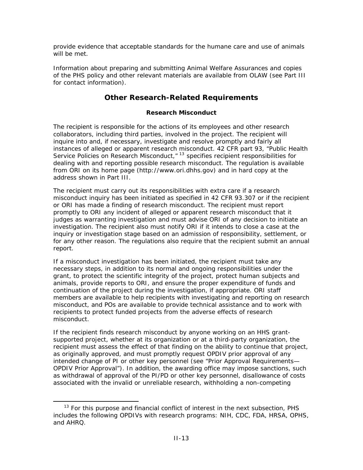provide evidence that acceptable standards for the humane care and use of animals will be met.

Information about preparing and submitting Animal Welfare Assurances and copies of the PHS policy and other relevant materials are available from OLAW (see [Part III](http://grants1.nih.gov/grants/policy/nihgps_2003/NIHGPS_Part14.htm#olaw)  [for contact information](http://grants1.nih.gov/grants/policy/nihgps_2003/NIHGPS_Part14.htm#olaw)).

# **Other Research-Related Requirements**

### **Research Misconduct**

The recipient is responsible for the actions of its employees and other research collaborators, including third parties, involved in the project. The recipient will inquire into and, if necessary, investigate and resolve promptly and fairly all instances of alleged or apparent research misconduct. 42 CFR part 93, "Public Health Service Policies on Research Misconduct, $n^2$  specifies recipient responsibilities for dealing with and reporting possible research misconduct. The regulation is available from ORI on its home page [\(http://www.ori.dhhs.gov\)](http://www.ori.dhhs.gov/) and in hard copy at the address shown in Part III.

The recipient must carry out its responsibilities with extra care if a research misconduct inquiry has been initiated as specified in 42 CFR 93.307 or if the recipient or ORI has made a finding of research misconduct. The recipient must report promptly to ORI any incident of alleged or apparent research misconduct that it judges as warranting investigation and must advise ORI of any decision to initiate an investigation. The recipient also must notify ORI if it intends to close a case at the inquiry or investigation stage based on an admission of responsibility, settlement, or for any other reason. The regulations also require that the recipient submit an annual report.

If a misconduct investigation has been initiated, the recipient must take any necessary steps, in addition to its normal and ongoing responsibilities under the grant, to protect the scientific integrity of the project, protect human subjects and animals, provide reports to ORI, and ensure the proper expenditure of funds and continuation of the project during the investigation, if appropriate. ORI staff members are available to help recipients with investigating and reporting on research misconduct, and POs are available to provide technical assistance and to work with recipients to protect funded projects from the adverse effects of research misconduct.

If the recipient finds research misconduct by anyone working on an HHS grantsupported project, whether at its organization or at a third-party organization, the recipient must assess the effect of that finding on the ability to continue that project, as originally approved, and must promptly request OPDIV prior approval of any intended change of PI or other key personnel (see "Prior Approval Requirements— OPDIV Prior Approval"). In addition, the awarding office may impose sanctions, such as withdrawal of approval of the PI/PD or other key personnel, disallowance of costs associated with the invalid or unreliable research, withholding a non-competing

<span id="page-64-0"></span><sup>&</sup>lt;sup>13</sup> For this purpose and financial conflict of interest in the next subsection, PHS includes the following OPDIVs with research programs: NIH, CDC, FDA, HRSA, OPHS, and AHRQ.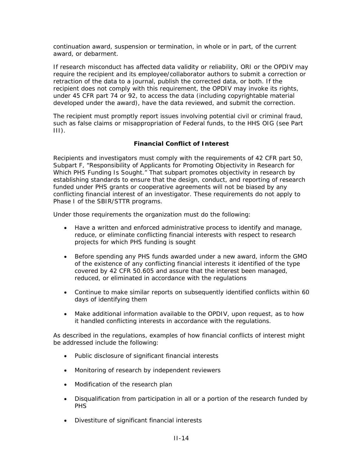continuation award, suspension or termination, in whole or in part, of the current award, or debarment.

If research misconduct has affected data validity or reliability, ORI or the OPDIV may require the recipient and its employee/collaborator authors to submit a correction or retraction of the data to a journal, publish the corrected data, or both. If the recipient does not comply with this requirement, the OPDIV may invoke its rights, under 45 CFR part 74 or 92, to access the data (including copyrightable material developed under the award), have the data reviewed, and submit the correction.

The recipient must promptly report issues involving potential civil or criminal fraud, such as false claims or misappropriation of Federal funds, to the HHS OIG (see [Part](http://grants1.nih.gov/grants/policy/nihgps_2003/NIHGPS_Part14.htm#oig)   $III$ ).

### **Financial Conflict of Interest**

Recipients and investigators must comply with the requirements of 42 CFR part 50, Subpart F, "Responsibility of Applicants for Promoting Objectivity in Research for Which PHS Funding Is Sought." That subpart promotes objectivity in research by establishing standards to ensure that the design, conduct, and reporting of research funded under PHS grants or cooperative agreements will not be biased by any conflicting financial interest of an investigator. These requirements do not apply to Phase I of the SBIR/STTR programs.

Under those requirements the organization must do the following:

- Have a written and enforced administrative process to identify and manage, reduce, or eliminate conflicting financial interests with respect to research projects for which PHS funding is sought
- Before spending any PHS funds awarded under a new award, inform the GMO of the existence of any conflicting financial interests it identified of the type covered by 42 CFR 50.605 and assure that the interest been managed, reduced, or eliminated in accordance with the regulations
- Continue to make similar reports on subsequently identified conflicts within 60 days of identifying them
- Make additional information available to the OPDIV, upon request, as to how it handled conflicting interests in accordance with the regulations.

As described in the regulations, examples of how financial conflicts of interest might be addressed include the following:

- Public disclosure of significant financial interests
- Monitoring of research by independent reviewers
- Modification of the research plan
- Disqualification from participation in all or a portion of the research funded by PHS
- Divestiture of significant financial interests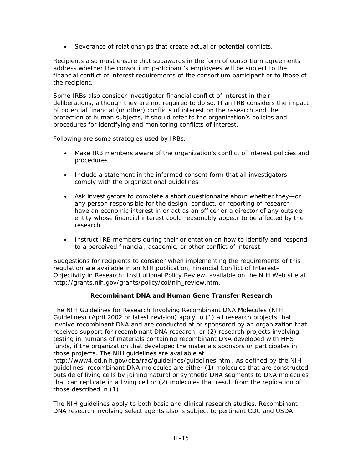• Severance of relationships that create actual or potential conflicts.

Recipients also must ensure that subawards in the form of consortium agreements address whether the consortium participant's employees will be subject to the financial conflict of interest requirements of the consortium participant or to those of the recipient.

Some IRBs also consider investigator financial conflict of interest in their deliberations, although they are not required to do so. If an IRB considers the impact of potential financial (or other) conflicts of interest on the research and the protection of human subjects, it should refer to the organization's policies and procedures for identifying and monitoring conflicts of interest.

Following are some strategies used by IRBs:

- Make IRB members aware of the organization's conflict of interest policies and procedures
- Include a statement in the informed consent form that all investigators comply with the organizational guidelines
- Ask investigators to complete a short questionnaire about whether they—or any person responsible for the design, conduct, or reporting of research have an economic interest in or act as an officer or a director of any outside entity whose financial interest could reasonably appear to be affected by the research
- Instruct IRB members during their orientation on how to identify and respond to a perceived financial, academic, or other conflict of interest.

Suggestions for recipients to consider when implementing the requirements of this regulation are available in an NIH publication, *[Financial Conflict of Interest–](http://grants.nih.gov/grants/policy/coi/nih_review.htm) [Objectivity in Research: Institutional Policy Review](http://grants.nih.gov/grants/policy/coi/nih_review.htm)*, available on the NIH Web site at [http://grants.nih.gov/grants/policy/coi/nih\\_review.htm.](http://grants.nih.gov/grants/policy/coi/nih_review.htm)

### **Recombinant DNA and Human Gene Transfer Research**

The *NIH Guidelines for Research Involving Recombinant DNA Molecules* (NIH Guidelines) (April 2002 or latest revision) apply to (1) all research projects that involve recombinant DNA and are conducted at or sponsored by an organization that receives support for recombinant DNA research, or (2) research projects involving testing in humans of materials containing recombinant DNA developed with HHS funds, if the organization that developed the materials sponsors or participates in those projects. The NIH guidelines are available at

<http://www4.od.nih.gov/oba/rac/guidelines/guidelines.html>. As defined by the NIH guidelines, recombinant DNA molecules are either (1) molecules that are constructed outside of living cells by joining natural or synthetic DNA segments to DNA molecules that can replicate in a living cell or (2) molecules that result from the replication of those described in (1).

The NIH guidelines apply to both basic and clinical research studies. Recombinant DNA research involving select agents also is subject to pertinent CDC and USDA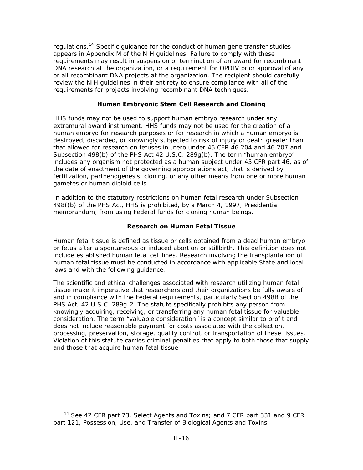regulations.<sup>[14](#page-67-0)</sup> Specific guidance for the conduct of human gene transfer studies appears in Appendix M of the NIH guidelines. Failure to comply with these requirements may result in suspension or termination of an award for recombinant DNA research at the organization, or a requirement for OPDIV prior approval of any or all recombinant DNA projects at the organization. The recipient should carefully review the NIH guidelines in their entirety to ensure compliance with all of the requirements for projects involving recombinant DNA techniques.

### **Human Embryonic Stem Cell Research and Cloning**

HHS funds may not be used to support human embryo research under any extramural award instrument. HHS funds may not be used for the creation of a human embryo for research purposes or for research in which a human embryo is destroyed, discarded, or knowingly subjected to risk of injury or death greater than that allowed for research on fetuses *in utero* under 45 CFR 46.204 and 46.207 and Subsection 498(b) of the PHS Act 42 U.S.C. 289g(b). The term "human embryo" includes any organism not protected as a human subject under 45 CFR part 46, as of the date of enactment of the governing appropriations act, that is derived by fertilization, parthenogenesis, cloning, or any other means from one or more human gametes or human diploid cells.

In addition to the statutory restrictions on human fetal research under Subsection 498((b) of the PHS Act, HHS is prohibited, by a March 4, 1997, Presidential memorandum, from using Federal funds for cloning human beings.

### **Research on Human Fetal Tissue**

Human fetal tissue is defined as tissue or cells obtained from a dead human embryo or fetus after a spontaneous or induced abortion or stillbirth. This definition does not include established human fetal cell lines. Research involving the transplantation of human fetal tissue must be conducted in accordance with applicable State and local laws and with the following guidance.

The scientific and ethical challenges associated with research utilizing human fetal tissue make it imperative that researchers and their organizations be fully aware of and in compliance with the Federal requirements, particularly Section 498B of the PHS Act, 42 U.S.C. 289g-2. The statute specifically prohibits any person from knowingly acquiring, receiving, or transferring any human fetal tissue for valuable consideration. The term "valuable consideration" is a concept similar to profit and does not include reasonable payment for costs associated with the collection, processing, preservation, storage, quality control, or transportation of these tissues. Violation of this statute carries criminal penalties that apply to both those that supply and those that acquire human fetal tissue.

<span id="page-67-0"></span> <sup>14</sup> See 42 CFR part 73, *Select Agents and Toxins;* and 7 CFR part 331 and 9 CFR part 121, *Possession, Use, and Transfer of Biological Agents and Toxins.*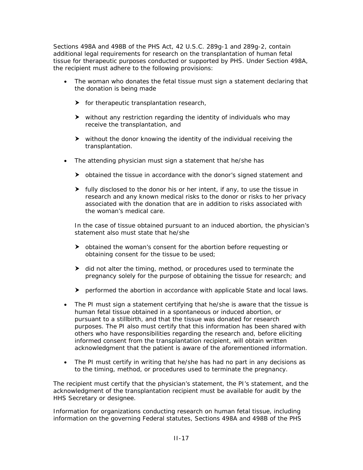Sections 498A and 498B of the PHS Act, 42 U.S.C. 289g-1 and 289g-2, contain additional legal requirements for research on the transplantation of human fetal tissue for therapeutic purposes conducted or supported by PHS. Under Section 498A, the recipient must adhere to the following provisions:

- The woman who donates the fetal tissue must sign a statement declaring that the donation is being made
	- $\triangleright$  for therapeutic transplantation research,
	- $\blacktriangleright$  without any restriction regarding the identity of individuals who may receive the transplantation, and
	- $\blacktriangleright$  without the donor knowing the identity of the individual receiving the transplantation.
- The attending physician must sign a statement that he/she has
	- $\triangleright$  obtained the tissue in accordance with the donor's signed statement and
	- $\blacktriangleright$  fully disclosed to the donor his or her intent, if any, to use the tissue in research and any known medical risks to the donor or risks to her privacy associated with the donation that are in addition to risks associated with the woman's medical care.

In the case of tissue obtained pursuant to an induced abortion, the physician's statement also must state that he/she

- $\triangleright$  obtained the woman's consent for the abortion before requesting or obtaining consent for the tissue to be used;
- $\blacktriangleright$  did not alter the timing, method, or procedures used to terminate the pregnancy solely for the purpose of obtaining the tissue for research; and
- $\blacktriangleright$  performed the abortion in accordance with applicable State and local laws.
- The PI must sign a statement certifying that he/she is aware that the tissue is human fetal tissue obtained in a spontaneous or induced abortion, or pursuant to a stillbirth, and that the tissue was donated for research purposes. The PI also must certify that this information has been shared with others who have responsibilities regarding the research and, before eliciting informed consent from the transplantation recipient, will obtain written acknowledgment that the patient is aware of the aforementioned information.
- The PI must certify in writing that he/she has had no part in any decisions as to the timing, method, or procedures used to terminate the pregnancy.

The recipient must certify that the physician's statement, the PI's statement, and the acknowledgment of the transplantation recipient must be available for audit by the HHS Secretary or designee.

Information for organizations conducting research on human fetal tissue, including information on the governing Federal statutes, Sections 498A and 498B of the PHS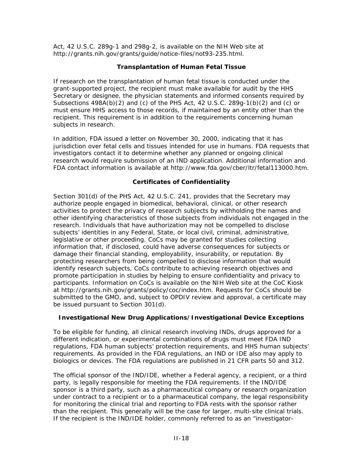Act, 42 U.S.C. 289g-1 and 298g-2, is available on the NIH Web site at [http://grants.nih.gov/grants/guide/notice-files/not93-235.html.](http://grants.nih.gov/grants/guide/notice-files/not93-235.html)

### **Transplantation of Human Fetal Tissue**

If research on the transplantation of human fetal tissue is conducted under the grant-supported project, the recipient must make available for audit by the HHS Secretary or designee, the physician statements and informed consents required by Subsections  $498A(b)(2)$  and (c) of the PHS Act,  $42$  U.S.C. 289q-1(b)(2) and (c) or must ensure HHS access to those records, if maintained by an entity other than the recipient. This requirement is in addition to the requirements concerning human subjects in research.

In addition, FDA issued a letter on November 30, 2000, indicating that it has jurisdiction over fetal cells and tissues intended for use in humans. FDA requests that investigators contact it to determine whether any planned or ongoing clinical research would require submission of an IND application. Additional information and FDA contact information is available at<http://www.fda.gov/cber/ltr/fetal113000.htm>.

### **Certificates of Confidentiality**

Section 301(d) of the PHS Act, 42 U.S.C. 241, provides that the Secretary may authorize people engaged in biomedical, behavioral, clinical, or other research activities to protect the privacy of research subjects by withholding the names and other identifying characteristics of those subjects from individuals not engaged in the research. Individuals that have authorization may not be compelled to disclose subjects' identities in any Federal, State, or local civil, criminal, administrative, legislative or other proceeding. CoCs may be granted for studies collecting information that, if disclosed, could have adverse consequences for subjects or damage their financial standing, employability, insurability, or reputation. By protecting researchers from being compelled to disclose information that would identify research subjects, CoCs contribute to achieving research objectives and promote participation in studies by helping to ensure confidentiality and privacy to participants. Information on CoCs is available on the NIH Web site at the CoC Kiosk at [http://grants.nih.gov/grants/policy/coc/index.htm.](http://grants.nih.gov/grants/policy/coc/index.htm) Requests for CoCs should be submitted to the GMO, and, subject to OPDIV review and approval, a certificate may be issued pursuant to Section 301(d).

### **Investigational New Drug Applications/Investigational Device Exceptions**

To be eligible for funding, all clinical research involving INDs, drugs approved for a different indication, or experimental combinations of drugs must meet FDA IND regulations, FDA human subjects' protection requirements, and HHS human subjects' requirements. As provided in the FDA regulations, an IND or IDE also may apply to biologics or devices. The FDA regulations are published in 21 CFR parts 50 and 312.

The official sponsor of the IND/IDE, whether a Federal agency, a recipient, or a third party, is legally responsible for meeting the FDA requirements. If the IND/IDE sponsor is a third party, such as a pharmaceutical company or research organization under contract to a recipient or to a pharmaceutical company, the legal responsibility for monitoring the clinical trial and reporting to FDA rests with the sponsor rather than the recipient. This generally will be the case for larger, multi-site clinical trials. If the recipient is the IND/IDE holder, commonly referred to as an "investigator-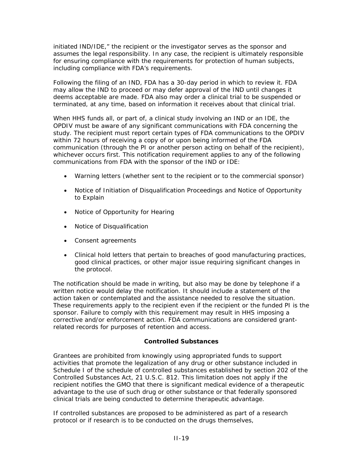initiated IND/IDE," the recipient or the investigator serves as the sponsor and assumes the legal responsibility. In any case, the recipient is ultimately responsible for ensuring compliance with the requirements for protection of human subjects, including compliance with FDA's requirements.

Following the filing of an IND, FDA has a 30-day period in which to review it. FDA may allow the IND to proceed or may defer approval of the IND until changes it deems acceptable are made. FDA also may order a clinical trial to be suspended or terminated, at any time, based on information it receives about that clinical trial.

When HHS funds all, or part of, a clinical study involving an IND or an IDE, the OPDIV must be aware of any significant communications with FDA concerning the study. The recipient must report certain types of FDA communications to the OPDIV within 72 hours of receiving a copy of or upon being informed of the FDA communication (through the PI or another person acting on behalf of the recipient), whichever occurs first. This notification requirement applies to any of the following communications from FDA with the sponsor of the IND or IDE:

- Warning letters (whether sent to the recipient or to the commercial sponsor)
- Notice of Initiation of Disqualification Proceedings and Notice of Opportunity to Explain
- Notice of Opportunity for Hearing
- Notice of Disqualification
- Consent agreements
- Clinical hold letters that pertain to breaches of good manufacturing practices, good clinical practices, or other major issue requiring significant changes in the protocol.

The notification should be made in writing, but also may be done by telephone if a written notice would delay the notification. It should include a statement of the action taken or contemplated and the assistance needed to resolve the situation. These requirements apply to the recipient even if the recipient or the funded PI is the sponsor. Failure to comply with this requirement may result in HHS imposing a corrective and/or enforcement action. FDA communications are considered grantrelated records for purposes of retention and access.

### **Controlled Substances**

Grantees are prohibited from knowingly using appropriated funds to support activities that promote the legalization of any drug or other substance included in Schedule I of the schedule of controlled substances established by section 202 of the Controlled Substances Act, 21 U.S.C. 812. This limitation does not apply if the recipient notifies the GMO that there is significant medical evidence of a therapeutic advantage to the use of such drug or other substance or that federally sponsored clinical trials are being conducted to determine therapeutic advantage.

If controlled substances are proposed to be administered as part of a research protocol or if research is to be conducted on the drugs themselves,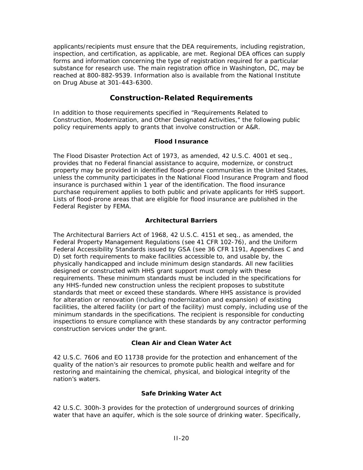applicants/recipients must ensure that the DEA requirements, including registration, inspection, and certification, as applicable, are met. Regional DEA offices can supply forms and information concerning the type of registration required for a particular substance for research use. The main registration office in Washington, DC, may be reached at 800-882-9539. Information also is available from the National Institute on Drug Abuse at 301-443-6300.

# **Construction-Related Requirements**

In addition to those requirements specified in "Requirements Related to Construction, Modernization, and Other Designated Activities," the following public policy requirements apply to grants that involve construction or A&R.

### **Flood Insurance**

The Flood Disaster Protection Act of 1973, as amended, 42 U.S.C. 4001 *et seq*., provides that no Federal financial assistance to acquire, modernize, or construct property may be provided in identified flood-prone communities in the United States, unless the community participates in the National Flood Insurance Program and flood insurance is purchased within 1 year of the identification. The flood insurance purchase requirement applies to both public and private applicants for HHS support. Lists of flood-prone areas that are eligible for flood insurance are published in the *Federal Register* by FEMA.

### **Architectural Barriers**

The Architectural Barriers Act of 1968, 42 U.S.C. 4151 *et seq*., as amended, the Federal Property Management Regulations (see 41 CFR 102-76), and the Uniform Federal Accessibility Standards issued by GSA (see 36 CFR 1191, Appendixes C and D) set forth requirements to make facilities accessible to, and usable by, the physically handicapped and include minimum design standards. All new facilities designed or constructed with HHS grant support must comply with these requirements. These minimum standards must be included in the specifications for any HHS-funded new construction unless the recipient proposes to substitute standards that meet or exceed these standards. Where HHS assistance is provided for alteration or renovation (including modernization and expansion) of existing facilities, the altered facility (or part of the facility) must comply, including use of the minimum standards in the specifications. The recipient is responsible for conducting inspections to ensure compliance with these standards by any contractor performing construction services under the grant.

### **Clean Air and Clean Water Act**

42 U.S.C. 7606 and EO 11738 provide for the protection and enhancement of the quality of the nation's air resources to promote public health and welfare and for restoring and maintaining the chemical, physical, and biological integrity of the nation's waters.

### **Safe Drinking Water Act**

42 U.S.C. 300h-3 provides for the protection of underground sources of drinking water that have an aquifer, which is the sole source of drinking water. Specifically,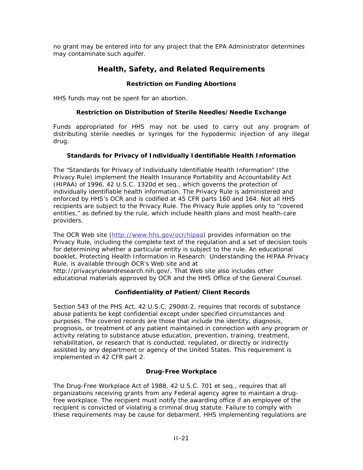no grant may be entered into for any project that the EPA Administrator determines may contaminate such aquifer.

## **Health, Safety, and Related Requirements**

#### **Restriction on Funding Abortions**

HHS funds may not be spent for an abortion.

#### **Restriction on Distribution of Sterile Needles/Needle Exchange**

Funds appropriated for HHS may not be used to carry out any program of distributing sterile needles or syringes for the hypodermic injection of any illegal drug.

#### **Standards for Privacy of Individually Identifiable Health Information**

The "Standards for Privacy of Individually Identifiable Health Information" (the Privacy Rule) implement the Health Insurance Portability and Accountability Act (HIPAA) of 1996, 42 U.S.C. 1320d *et seq*., which governs the protection of individually identifiable health information. The Privacy Rule is administered and enforced by HHS's OCR and is codified at 45 CFR parts 160 and 164. Not all HHS recipients are subject to the Privacy Rule. The Privacy Rule applies only to "covered entities," as defined by the rule, which include health plans and most health-care providers.

The OCR Web site ([http://www.hhs.gov/ocr/hipaa\)](http://www.hhs.gov/ocr/hipaa) provides information on the Privacy Rule, including the complete text of the regulation and a set of decision tools for determining whether a particular entity is subject to the rule. An educational booklet, *Protecting Health Information in Research: Understanding the HIPAA Privacy Rule*, is available through OCR's Web site and at

[http://privacyruleandresearch.nih.gov/.](http://privacyruleandresearch.nih.gov/) That Web site also includes other educational materials approved by OCR and the HHS Office of the General Counsel.

#### **Confidentiality of Patient/Client Records**

Section 543 of the PHS Act, 42 U.S.C. 290dd-2, requires that records of substance abuse patients be kept confidential except under specified circumstances and purposes. The covered records are those that include the identity, diagnosis, prognosis, or treatment of any patient maintained in connection with any program or activity relating to substance abuse education, prevention, training, treatment, rehabilitation, or research that is conducted, regulated, or directly or indirectly assisted by any department or agency of the United States. This requirement is implemented in 42 CFR part 2.

### **Drug-Free Workplace**

The Drug-Free Workplace Act of 1988, 42 U.S.C. 701 *et seq*., requires that all organizations receiving grants from any Federal agency agree to maintain a drugfree workplace. The recipient must notify the awarding office if an employee of the recipient is convicted of violating a criminal drug statute. Failure to comply with these requirements may be cause for debarment. HHS implementing regulations are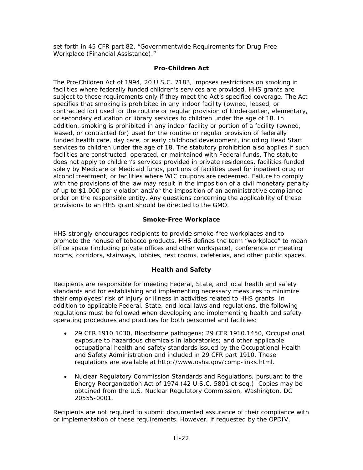set forth in 45 CFR part 82, "Governmentwide Requirements for Drug-Free Workplace (Financial Assistance)."

### **Pro-Children Act**

The Pro-Children Act of 1994, 20 U.S.C. 7183, imposes restrictions on smoking in facilities where federally funded children's services are provided. HHS grants are subject to these requirements only if they meet the Act's specified coverage. The Act specifies that smoking is prohibited in any indoor facility (owned, leased, or contracted for) used for the routine or regular provision of kindergarten, elementary, or secondary education or library services to children under the age of 18. In addition, smoking is prohibited in any indoor facility or portion of a facility (owned, leased, or contracted for) used for the routine or regular provision of federally funded health care, day care, or early childhood development, including Head Start services to children under the age of 18. The statutory prohibition also applies if such facilities are constructed, operated, or maintained with Federal funds. The statute does not apply to children's services provided in private residences, facilities funded solely by Medicare or Medicaid funds, portions of facilities used for inpatient drug or alcohol treatment, or facilities where WIC coupons are redeemed. Failure to comply with the provisions of the law may result in the imposition of a civil monetary penalty of up to \$1,000 per violation and/or the imposition of an administrative compliance order on the responsible entity. Any questions concerning the applicability of these provisions to an HHS grant should be directed to the GMO.

#### **Smoke-Free Workplace**

HHS strongly encourages recipients to provide smoke-free workplaces and to promote the nonuse of tobacco products. HHS defines the term "workplace" to mean office space (including private offices and other workspace), conference or meeting rooms, corridors, stairways, lobbies, rest rooms, cafeterias, and other public spaces.

#### **Health and Safety**

Recipients are responsible for meeting Federal, State, and local health and safety standards and for establishing and implementing necessary measures to minimize their employees' risk of injury or illness in activities related to HHS grants. In addition to applicable Federal, State, and local laws and regulations, the following regulations must be followed when developing and implementing health and safety operating procedures and practices for both personnel and facilities:

- 29 CFR 1910.1030, Bloodborne pathogens; 29 CFR 1910.1450, Occupational exposure to hazardous chemicals in laboratories; and other applicable occupational health and safety standards issued by the Occupational Health and Safety Administration and included in 29 CFR part 1910. These regulations are available at [http://www.osha.gov/comp-links.html.](http://www.osha.gov/comp-links.html)
- Nuclear Regulatory Commission Standards and Regulations, pursuant to the Energy Reorganization Act of 1974 (42 U.S.C. 5801 *et seq*.). Copies may be obtained from the U.S. Nuclear Regulatory Commission, Washington, DC 20555-0001.

Recipients are not required to submit documented assurance of their compliance with or implementation of these requirements. However, if requested by the OPDIV,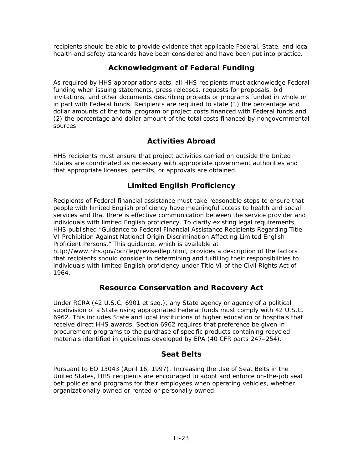recipients should be able to provide evidence that applicable Federal, State, and local health and safety standards have been considered and have been put into practice.

## **Acknowledgment of Federal Funding**

As required by HHS appropriations acts, all HHS recipients must acknowledge Federal funding when issuing statements, press releases, requests for proposals, bid invitations, and other documents describing projects or programs funded in whole or in part with Federal funds. Recipients are required to state (1) the percentage and dollar amounts of the total program or project costs financed with Federal funds and (2) the percentage and dollar amount of the total costs financed by nongovernmental sources.

# **Activities Abroad**

HHS recipients must ensure that project activities carried on outside the United States are coordinated as necessary with appropriate government authorities and that appropriate licenses, permits, or approvals are obtained.

# **Limited English Proficiency**

Recipients of Federal financial assistance must take reasonable steps to ensure that people with limited English proficiency have meaningful access to health and social services and that there is effective communication between the service provider and individuals with limited English proficiency. To clarify existing legal requirements, HHS published "Guidance to Federal Financial Assistance Recipients Regarding Title VI Prohibition Against National Origin Discrimination Affecting Limited English Proficient Persons." This guidance, which is available at

[http://www.hhs.gov/ocr/lep/revisedlep.html,](http://www.hhs.gov/ocr/lep/revisedlep.html) provides a description of the factors that recipients should consider in determining and fulfilling their responsibilities to individuals with limited English proficiency under Title VI of the Civil Rights Act of 1964.

# **Resource Conservation and Recovery Act**

Under RCRA (42 U.S.C. 6901 *et seq.*), any State agency or agency of a political subdivision of a State using appropriated Federal funds must comply with 42 U.S.C. 6962. This includes State and local institutions of higher education or hospitals that receive direct HHS awards. Section 6962 requires that preference be given in procurement programs to the purchase of specific products containing recycled materials identified in guidelines developed by EPA (40 CFR parts 247–254).

# **Seat Belts**

Pursuant to EO 13043 (April 16, 1997), Increasing the Use of Seat Belts in the United States, HHS recipients are encouraged to adopt and enforce on-the-job seat belt policies and programs for their employees when operating vehicles, whether organizationally owned or rented or personally owned.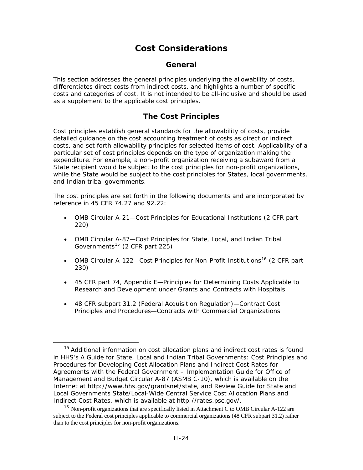# **Cost Considerations**

## **General**

This section addresses the general principles underlying the allowability of costs, differentiates direct costs from indirect costs, and highlights a number of specific costs and categories of cost. It is not intended to be all-inclusive and should be used as a supplement to the applicable cost principles.

## **The Cost Principles**

Cost principles establish general standards for the allowability of costs, provide detailed guidance on the cost accounting treatment of costs as direct or indirect costs, and set forth allowability principles for selected items of cost. Applicability of a particular set of cost principles depends on the type of organization making the expenditure. For example, a non-profit organization receiving a subaward from a State recipient would be subject to the cost principles for non-profit organizations, while the State would be subject to the cost principles for States, local governments, and Indian tribal governments.

The cost principles are set forth in the following documents and are incorporated by reference in 45 CFR 74.27 and 92.22:

- [OMB Circular A-21—](http://www.whitehouse.gov/omb/circulars/a021/a21_2004.html)Cost Principles for Educational Institutions (2 CFR part 220)
- [OMB Circular A-87—](http://www.whitehouse.gov/omb/circulars/a087/a87_2004.html)Cost Principles for State, Local, and Indian Tribal Governments<sup>[15](#page-75-0)</sup> (2 CFR part 225)
- [OMB Circular A-122](http://www.whitehouse.gov/omb/circulars/a122/a122_2004.html)—Cost Principles for Non-Profit Institutions<sup>[16](#page-75-1)</sup> (2 CFR part 230)
- [45 CFR part 74, Appendix E—](http://frwebgate.access.gpo.gov/cgi-bin/get-cfr.cgi?TITLE=45&PART=74&SECTION=91&YEAR=1999&TYPE=TEXT)Principles for Determining Costs Applicable to Research and Development under Grants and Contracts with Hospitals
- 48 CFR [subpart 31.2 \(Federal Acquisition Regulation\)—Contract Cost](http://www.arnet.gov/far/current/html/Subpart_31_2.html)  [Principles and Procedures—Contracts with Commercial Organizations](http://www.arnet.gov/far/current/html/Subpart_31_2.html)

<span id="page-75-0"></span><sup>&</sup>lt;sup>15</sup> Additional information on cost allocation plans and indirect cost rates is found in HHS's *A Guide for State, Local and Indian Tribal Governments: Cost Principles and Procedures for Developing Cost Allocation Plans and Indirect Cost Rates for Agreements with the Federal Government – Implementation Guide for Office of Management and Budget Circular A-87 (ASMB C-10),* which is available on the Internet at <http://www.hhs.gov/grantsnet/state>, *and Review Guide for State and Local Governments State/Local-Wide Central Service Cost Allocation Plans and Indirect Cost Rates*, which is available at [http://rates.psc.gov/.](http://rates.psc.gov/)

<span id="page-75-1"></span><sup>&</sup>lt;sup>16</sup> Non-profit organizations that are specifically listed in Attachment C to OMB Circular A-122 are subject to the Federal cost principles applicable to commercial organizations (48 CFR subpart 31.2) rather than to the cost principles for non-profit organizations.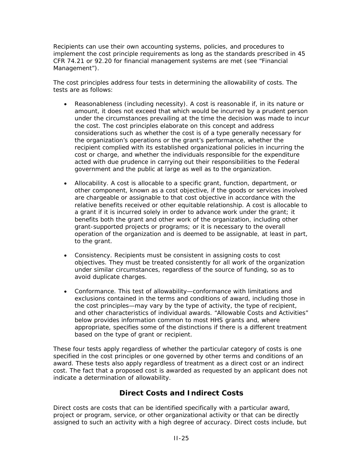Recipients can use their own accounting systems, policies, and procedures to implement the cost principle requirements as long as the standards prescribed in 45 CFR 74.21 or 92.20 for financial management systems are met (see "Financial Management").

The cost principles address four tests in determining the allowability of costs. The tests are as follows:

- *Reasonableness (including necessity).* A cost is reasonable if, in its nature or amount, it does not exceed that which would be incurred by a prudent person under the circumstances prevailing at the time the decision was made to incur the cost. The cost principles elaborate on this concept and address considerations such as whether the cost is of a type generally necessary for the organization's operations or the grant's performance, whether the recipient complied with its established organizational policies in incurring the cost or charge, and whether the individuals responsible for the expenditure acted with due prudence in carrying out their responsibilities to the Federal government and the public at large as well as to the organization.
- *Allocability.* A cost is allocable to a specific grant, function, department, or other component, known as a cost objective, if the goods or services involved are chargeable or assignable to that cost objective in accordance with the relative benefits received or other equitable relationship. A cost is allocable to a grant if it is incurred solely in order to advance work under the grant; it benefits both the grant and other work of the organization, including other grant-supported projects or programs; or it is necessary to the overall operation of the organization and is deemed to be assignable, at least in part, to the grant.
- *Consistency.* Recipients must be consistent in assigning costs to cost objectives. They must be treated consistently for all work of the organization under similar circumstances, regardless of the source of funding, so as to avoid duplicate charges.
- *Conformance.* This test of allowability—conformance with limitations and exclusions contained in the terms and conditions of award, including those in the cost principles—may vary by the type of activity, the type of recipient, and other characteristics of individual awards. ["Allowable Costs and Activities](http://grants1.nih.gov/grants/policy/nihgps_2003/NIHGPS_Part5.htm#_Allowability_of_Costs/Activities#_Allowability_of_Costs/Activities)" below provides information common to most HHS grants and, where appropriate, specifies some of the distinctions if there is a different treatment based on the type of grant or recipient.

These four tests apply regardless of whether the particular category of costs is one specified in the cost principles or one governed by other terms and conditions of an award. These tests also apply regardless of treatment as a direct cost or an indirect cost. The fact that a proposed cost is awarded as requested by an applicant does not indicate a determination of allowability.

# **Direct Costs and Indirect Costs**

Direct costs are costs that can be identified specifically with a particular award, project or program, service, or other organizational activity or that can be directly assigned to such an activity with a high degree of accuracy. Direct costs include, but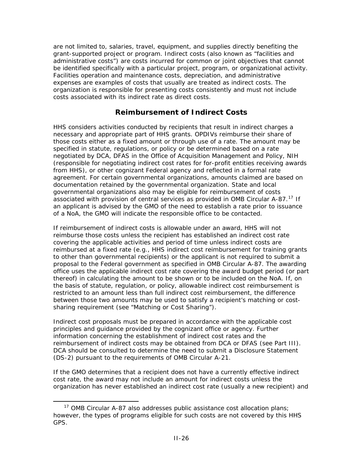are not limited to, salaries, travel, equipment, and supplies directly benefiting the grant-supported project or program. Indirect costs (also known as "facilities and administrative costs") are costs incurred for common or joint objectives that cannot be identified specifically with a particular project, program, or organizational activity. Facilities operation and maintenance costs, depreciation, and administrative expenses are examples of costs that usually are treated as indirect costs. The organization is responsible for presenting costs consistently and must not include costs associated with its indirect rate as direct costs.

## **Reimbursement of Indirect Costs**

HHS considers activities conducted by recipients that result in indirect charges a necessary and appropriate part of HHS grants. OPDIVs reimburse their share of those costs either as a fixed amount or through use of a rate. The amount may be specified in statute, regulations, or policy or be determined based on a rate negotiated by DCA, DFAS in the Office of Acquisition Management and Policy, NIH (responsible for negotiating indirect cost rates for for-profit entities receiving awards from HHS), or other cognizant Federal agency and reflected in a formal rate agreement. For certain governmental organizations, amounts claimed are based on documentation retained by the governmental organization. State and local governmental organizations also may be eligible for reimbursement of costs associated with provision of central services as provided in OMB Circular A-87.<sup>[17](#page-77-0)</sup> If an applicant is advised by the GMO of the need to establish a rate prior to issuance of a NoA, the GMO will indicate the responsible office to be contacted.

If reimbursement of indirect costs is allowable under an award, HHS will not reimburse those costs unless the recipient has established an indirect cost rate covering the applicable activities and period of time unless indirect costs are reimbursed at a fixed rate (e.g., HHS indirect cost reimbursement for training grants to other than governmental recipients) or the applicant is not required to submit a proposal to the Federal government as specified in OMB Circular A-87. The awarding office uses the applicable indirect cost rate covering the award budget period (or part thereof) in calculating the amount to be shown or to be included on the NoA. If, on the basis of statute, regulation, or policy, allowable indirect cost reimbursement is restricted to an amount less than full indirect cost reimbursement, the difference between those two amounts may be used to satisfy a recipient's matching or costsharing requirement (see "Matching or Cost Sharing").

Indirect cost proposals must be prepared in accordance with the applicable cost principles and guidance provided by the cognizant office or agency. Further information concerning the establishment of indirect cost rates and the reimbursement of indirect costs may be obtained from DCA or DFAS (see Part III). DCA should be consulted to determine the need to submit a Disclosure Statement (DS-2) pursuant to the requirements of OMB Circular A-21.

If the GMO determines that a recipient does not have a currently effective indirect cost rate, the award may not include an amount for indirect costs unless the organization has never established an indirect cost rate (usually a new recipient) and

1

<span id="page-77-0"></span><sup>&</sup>lt;sup>17</sup> OMB Circular A-87 also addresses public assistance cost allocation plans; however, the types of programs eligible for such costs are not covered by this HHS GPS.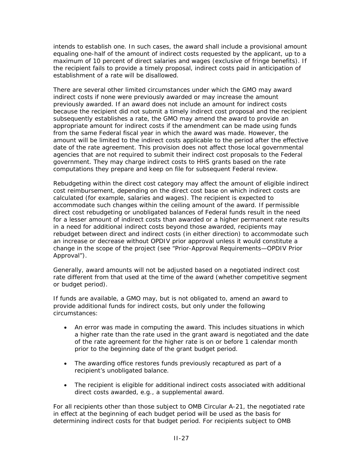intends to establish one. In such cases, the award shall include a provisional amount equaling one-half of the amount of indirect costs requested by the applicant, up to a maximum of 10 percent of direct salaries and wages (exclusive of fringe benefits). If the recipient fails to provide a timely proposal, indirect costs paid in anticipation of establishment of a rate will be disallowed.

There are several other limited circumstances under which the GMO may award indirect costs if none were previously awarded or may increase the amount previously awarded. If an award does not include an amount for indirect costs because the recipient did not submit a timely indirect cost proposal and the recipient subsequently establishes a rate, the GMO may amend the award to provide an appropriate amount for indirect costs if the amendment can be made using funds from the same Federal fiscal year in which the award was made. However, the amount will be limited to the indirect costs applicable to the period after the effective date of the rate agreement. This provision does not affect those local governmental agencies that are not required to submit their indirect cost proposals to the Federal government. They may charge indirect costs to HHS grants based on the rate computations they prepare and keep on file for subsequent Federal review.

Rebudgeting within the direct cost category may affect the amount of eligible indirect cost reimbursement, depending on the direct cost base on which indirect costs are calculated (for example, salaries and wages). The recipient is expected to accommodate such changes within the ceiling amount of the award. If permissible direct cost rebudgeting or unobligated balances of Federal funds result in the need for a lesser amount of indirect costs than awarded or a higher permanent rate results in a need for additional indirect costs beyond those awarded, recipients may rebudget between direct and indirect costs (in either direction) to accommodate such an increase or decrease without OPDIV prior approval unless it would constitute a change in the scope of the project (see "Prior-Approval Requirements—OPDIV Prior Approval").

Generally, award amounts will not be adjusted based on a negotiated indirect cost rate different from that used at the time of the award (whether competitive segment or budget period).

If funds are available, a GMO may, but is not obligated to, amend an award to provide additional funds for indirect costs, but only under the following circumstances:

- An error was made in computing the award. This includes situations in which a higher rate than the rate used in the grant award is negotiated and the date of the rate agreement for the higher rate is on or before 1 calendar month prior to the beginning date of the grant budget period.
- The awarding office restores funds previously recaptured as part of a recipient's unobligated balance.
- The recipient is eligible for additional indirect costs associated with additional direct costs awarded, e.g., a supplemental award.

For all recipients other than those subject to OMB Circular A-21, the negotiated rate in effect at the beginning of each budget period will be used as the basis for determining indirect costs for that budget period. For recipients subject to OMB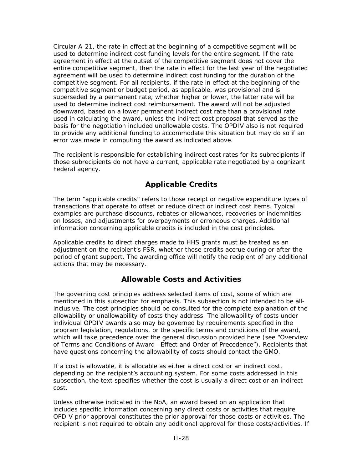Circular A-21, the rate in effect at the beginning of a competitive segment will be used to determine indirect cost funding levels for the entire segment. If the rate agreement in effect at the outset of the competitive segment does not cover the entire competitive segment, then the rate in effect for the last year of the negotiated agreement will be used to determine indirect cost funding for the duration of the competitive segment. For all recipients, if the rate in effect at the beginning of the competitive segment or budget period, as applicable, was provisional and is superseded by a permanent rate, whether higher or lower, the latter rate will be used to determine indirect cost reimbursement. The award will not be adjusted downward, based on a lower permanent indirect cost rate than a provisional rate used in calculating the award, unless the indirect cost proposal that served as the basis for the negotiation included unallowable costs. The OPDIV also is not required to provide any additional funding to accommodate this situation but may do so if an error was made in computing the award as indicated above.

The recipient is responsible for establishing indirect cost rates for its subrecipients if those subrecipients do not have a current, applicable rate negotiated by a cognizant Federal agency.

# **Applicable Credits**

The term "applicable credits" refers to those receipt or negative expenditure types of transactions that operate to offset or reduce direct or indirect cost items. Typical examples are purchase discounts, rebates or allowances, recoveries or indemnities on losses, and adjustments for overpayments or erroneous charges. Additional information concerning applicable credits is included in the cost principles.

Applicable credits to direct charges made to HHS grants must be treated as an adjustment on the recipient's FSR, whether those credits accrue during or after the period of grant support. The awarding office will notify the recipient of any additional actions that may be necessary.

# **Allowable Costs and Activities**

The governing cost principles address selected items of cost, some of which are mentioned in this subsection for emphasis. This subsection is not intended to be allinclusive. The cost principles should be consulted for the complete explanation of the allowability or unallowability of costs they address. The allowability of costs under individual OPDIV awards also may be governed by requirements specified in the program legislation, regulations, or the specific terms and conditions of the award, which will take precedence over the general discussion provided here (see "Overview of Terms and Conditions of Award—Effect and Order of Precedence"). Recipients that have questions concerning the allowability of costs should contact the GMO.

If a cost is allowable, it is allocable as either a direct cost or an indirect cost, depending on the recipient's accounting system. For some costs addressed in this subsection, the text specifies whether the cost is usually a direct cost or an indirect cost.

Unless otherwise indicated in the NoA, an award based on an application that includes specific information concerning any direct costs or activities that require OPDIV prior approval constitutes the prior approval for those costs or activities. The recipient is not required to obtain any additional approval for those costs/activities. If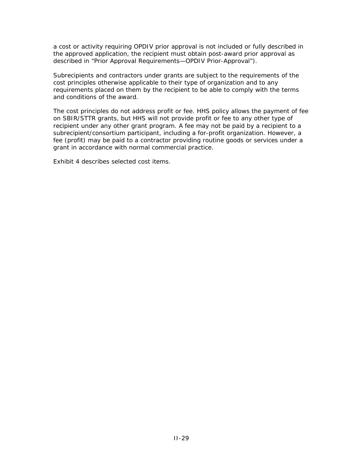a cost or activity requiring OPDIV prior approval is not included or fully described in the approved application, the recipient must obtain post-award prior approval as described in "Prior Approval Requirements—OPDIV Prior-Approval").

Subrecipients and contractors under grants are subject to the requirements of the cost principles otherwise applicable to their type of organization and to any requirements placed on them by the recipient to be able to comply with the terms and conditions of the award.

The cost principles do not address profit or fee. HHS policy allows the payment of fee on SBIR/STTR grants, but HHS will not provide profit or fee to any other type of recipient under any other grant program. A fee may not be paid by a recipient to a subrecipient/consortium participant, including a for-profit organization. However, a fee (profit) may be paid to a contractor providing routine goods or services under a grant in accordance with normal commercial practice.

Exhibit 4 describes selected cost items.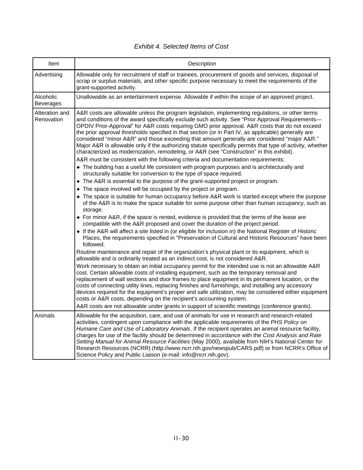| Item                          | Description                                                                                                                                                                                                                                                                                                                                                                                                                                                                                                                                                                                                                                                                                                                                                                                                                                                                                                                                                                                                                                                                                                                                                                                                                                                                                                                                                                                                                                                                                                                                                                                                                                                                                                                                                          |
|-------------------------------|----------------------------------------------------------------------------------------------------------------------------------------------------------------------------------------------------------------------------------------------------------------------------------------------------------------------------------------------------------------------------------------------------------------------------------------------------------------------------------------------------------------------------------------------------------------------------------------------------------------------------------------------------------------------------------------------------------------------------------------------------------------------------------------------------------------------------------------------------------------------------------------------------------------------------------------------------------------------------------------------------------------------------------------------------------------------------------------------------------------------------------------------------------------------------------------------------------------------------------------------------------------------------------------------------------------------------------------------------------------------------------------------------------------------------------------------------------------------------------------------------------------------------------------------------------------------------------------------------------------------------------------------------------------------------------------------------------------------------------------------------------------------|
| Advertising                   | Allowable only for recruitment of staff or trainees, procurement of goods and services, disposal of<br>scrap or surplus materials, and other specific purpose necessary to meet the requirements of the<br>grant-supported activity.                                                                                                                                                                                                                                                                                                                                                                                                                                                                                                                                                                                                                                                                                                                                                                                                                                                                                                                                                                                                                                                                                                                                                                                                                                                                                                                                                                                                                                                                                                                                 |
| Alcoholic<br><b>Beverages</b> | Unallowable as an entertainment expense. Allowable if within the scope of an approved project.                                                                                                                                                                                                                                                                                                                                                                                                                                                                                                                                                                                                                                                                                                                                                                                                                                                                                                                                                                                                                                                                                                                                                                                                                                                                                                                                                                                                                                                                                                                                                                                                                                                                       |
| Alteration and<br>Renovation  | A&R costs are allowable unless the program legislation, implementing regulations, or other terms<br>and conditions of the award specifically exclude such activity. See "Prior Approval Requirements-<br>OPDIV Prior-Approval" for A&R costs requiring GMO prior approval. A&R costs that do not exceed<br>the prior approval thresholds specified in that section (or in Part IV, as applicable) generally are<br>considered "minor A&R" and those exceeding that amount generally are considered "major A&R."<br>Major A&R is allowable only if the authorizing statute specifically permits that type of activity, whether<br>characterized as modernization, remodeling, or A&R (see "Construction" in this exhibit).<br>A&R must be consistent with the following criteria and documentation requirements:<br>• The building has a useful life consistent with program purposes and is architecturally and<br>structurally suitable for conversion to the type of space required.<br>• The A&R is essential to the purpose of the grant-supported project or program.<br>• The space involved will be occupied by the project or program.<br>• The space is suitable for human occupancy before A&R work is started except where the purpose<br>of the A&R is to make the space suitable for some purpose other than human occupancy, such as<br>storage.<br>• For minor A&R, if the space is rented, evidence is provided that the terms of the lease are<br>compatible with the A&R proposed and cover the duration of the project period.<br>• If the A&R will affect a site listed in (or eligible for inclusion in) the National Register of Historic<br>Places, the requirements specified in "Preservation of Cultural and Historic Resources" have been |
|                               | followed.<br>Routine maintenance and repair of the organization's physical plant or its equipment, which is<br>allowable and is ordinarily treated as an indirect cost, is not considered A&R.<br>Work necessary to obtain an initial occupancy permit for the intended use is not an allowable A&R<br>cost. Certain allowable costs of installing equipment, such as the temporary removal and<br>replacement of wall sections and door frames to place equipment in its permanent location, or the<br>costs of connecting utility lines, replacing finishes and furnishings, and installing any accessory<br>devices required for the equipment's proper and safe utilization, may be considered either equipment<br>costs or A&R costs, depending on the recipient's accounting system.<br>A&R costs are not allowable under grants in support of scientific meetings (conference grants).                                                                                                                                                                                                                                                                                                                                                                                                                                                                                                                                                                                                                                                                                                                                                                                                                                                                        |
| Animals                       | Allowable for the acquisition, care, and use of animals for use in research and research-related<br>activities, contingent upon compliance with the applicable requirements of the PHS Policy on<br>Humane Care and Use of Laboratory Animals. If the recipient operates an animal resource facility,<br>charges for use of the facility should be determined in accordance with the Cost Analysis and Rate<br>Setting Manual for Animal Resource Facilities (May 2000), available from NIH's National Center for<br>Research Resources (NCRR) (http://www.ncrr.nih.gov/newspub/CARS.pdf) or from NCRR's Office of<br>Science Policy and Public Liaison (e-mail: info@ncrr.nih.gov).                                                                                                                                                                                                                                                                                                                                                                                                                                                                                                                                                                                                                                                                                                                                                                                                                                                                                                                                                                                                                                                                                 |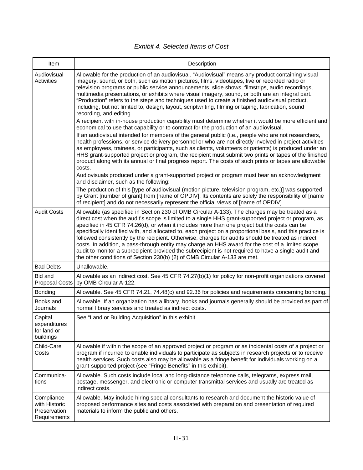| Item                                                        | Description                                                                                                                                                                                                                                                                                                                                                                                                                                                                                                                                                                                                                                                                                                                                                                                                                                                                                                                                                                                                                                                                                                                                                                                                                                                                                                                                                                                                                                                                                                                                                                                                                                                                                                                                                             |
|-------------------------------------------------------------|-------------------------------------------------------------------------------------------------------------------------------------------------------------------------------------------------------------------------------------------------------------------------------------------------------------------------------------------------------------------------------------------------------------------------------------------------------------------------------------------------------------------------------------------------------------------------------------------------------------------------------------------------------------------------------------------------------------------------------------------------------------------------------------------------------------------------------------------------------------------------------------------------------------------------------------------------------------------------------------------------------------------------------------------------------------------------------------------------------------------------------------------------------------------------------------------------------------------------------------------------------------------------------------------------------------------------------------------------------------------------------------------------------------------------------------------------------------------------------------------------------------------------------------------------------------------------------------------------------------------------------------------------------------------------------------------------------------------------------------------------------------------------|
| Audiovisual<br><b>Activities</b>                            | Allowable for the production of an audiovisual. "Audiovisual" means any product containing visual<br>imagery, sound, or both, such as motion pictures, films, videotapes, live or recorded radio or<br>television programs or public service announcements, slide shows, filmstrips, audio recordings,<br>multimedia presentations, or exhibits where visual imagery, sound, or both are an integral part.<br>"Production" refers to the steps and techniques used to create a finished audiovisual product,<br>including, but not limited to, design, layout, scriptwriting, filming or taping, fabrication, sound<br>recording, and editing.<br>A recipient with in-house production capability must determine whether it would be more efficient and<br>economical to use that capability or to contract for the production of an audiovisual.<br>If an audiovisual intended for members of the general public (i.e., people who are not researchers,<br>health professions, or service delivery personnel or who are not directly involved in project activities<br>as employees, trainees, or participants, such as clients, volunteers or patients) is produced under an<br>HHS grant-supported project or program, the recipient must submit two prints or tapes of the finished<br>product along with its annual or final progress report. The costs of such prints or tapes are allowable<br>costs.<br>Audiovisuals produced under a grant-supported project or program must bear an acknowledgment<br>and disclaimer, such as the following:<br>The production of this [type of audiovisual (motion picture, television program, etc.)] was supported<br>by Grant [number of grant] from [name of OPDIV]. Its contents are solely the responsibility of [name |
|                                                             | of recipient] and do not necessarily represent the official views of [name of OPDIV].                                                                                                                                                                                                                                                                                                                                                                                                                                                                                                                                                                                                                                                                                                                                                                                                                                                                                                                                                                                                                                                                                                                                                                                                                                                                                                                                                                                                                                                                                                                                                                                                                                                                                   |
| <b>Audit Costs</b>                                          | Allowable (as specified in Section 230 of OMB Circular A-133). The charges may be treated as a<br>direct cost when the audit's scope is limited to a single HHS grant-supported project or program, as<br>specified in 45 CFR 74.26(d), or when it includes more than one project but the costs can be<br>specifically identified with, and allocated to, each project on a proportional basis, and this practice is<br>followed consistently by the recipient. Otherwise, charges for audits should be treated as indirect<br>costs. In addition, a pass-through entity may charge an HHS award for the cost of a limited scope<br>audit to monitor a subrecipient provided the subrecipient is not required to have a single audit and<br>the other conditions of Section 230(b) (2) of OMB Circular A-133 are met.                                                                                                                                                                                                                                                                                                                                                                                                                                                                                                                                                                                                                                                                                                                                                                                                                                                                                                                                                   |
| <b>Bad Debts</b>                                            | Unallowable.                                                                                                                                                                                                                                                                                                                                                                                                                                                                                                                                                                                                                                                                                                                                                                                                                                                                                                                                                                                                                                                                                                                                                                                                                                                                                                                                                                                                                                                                                                                                                                                                                                                                                                                                                            |
| Bid and<br><b>Proposal Costs</b>                            | Allowable as an indirect cost. See 45 CFR 74.27(b)(1) for policy for non-profit organizations covered<br>by OMB Circular A-122.                                                                                                                                                                                                                                                                                                                                                                                                                                                                                                                                                                                                                                                                                                                                                                                                                                                                                                                                                                                                                                                                                                                                                                                                                                                                                                                                                                                                                                                                                                                                                                                                                                         |
| Bonding                                                     | Allowable. See 45 CFR 74.21, 74.48(c) and 92.36 for policies and requirements concerning bonding.                                                                                                                                                                                                                                                                                                                                                                                                                                                                                                                                                                                                                                                                                                                                                                                                                                                                                                                                                                                                                                                                                                                                                                                                                                                                                                                                                                                                                                                                                                                                                                                                                                                                       |
| Books and<br>Journals                                       | Allowable. If an organization has a library, books and journals generally should be provided as part of<br>normal library services and treated as indirect costs.                                                                                                                                                                                                                                                                                                                                                                                                                                                                                                                                                                                                                                                                                                                                                                                                                                                                                                                                                                                                                                                                                                                                                                                                                                                                                                                                                                                                                                                                                                                                                                                                       |
| Capital<br>expenditures<br>for land or<br>buildings         | See "Land or Building Acquisition" in this exhibit.                                                                                                                                                                                                                                                                                                                                                                                                                                                                                                                                                                                                                                                                                                                                                                                                                                                                                                                                                                                                                                                                                                                                                                                                                                                                                                                                                                                                                                                                                                                                                                                                                                                                                                                     |
| Child-Care<br>Costs                                         | Allowable if within the scope of an approved project or program or as incidental costs of a project or<br>program if incurred to enable individuals to participate as subjects in research projects or to receive<br>health services. Such costs also may be allowable as a fringe benefit for individuals working on a<br>grant-supported project (see "Fringe Benefits" in this exhibit).                                                                                                                                                                                                                                                                                                                                                                                                                                                                                                                                                                                                                                                                                                                                                                                                                                                                                                                                                                                                                                                                                                                                                                                                                                                                                                                                                                             |
| Communica-<br>tions                                         | Allowable. Such costs include local and long-distance telephone calls, telegrams, express mail,<br>postage, messenger, and electronic or computer transmittal services and usually are treated as<br>indirect costs.                                                                                                                                                                                                                                                                                                                                                                                                                                                                                                                                                                                                                                                                                                                                                                                                                                                                                                                                                                                                                                                                                                                                                                                                                                                                                                                                                                                                                                                                                                                                                    |
| Compliance<br>with Historic<br>Preservation<br>Requirements | Allowable. May include hiring special consultants to research and document the historic value of<br>proposed performance sites and costs associated with preparation and presentation of required<br>materials to inform the public and others.                                                                                                                                                                                                                                                                                                                                                                                                                                                                                                                                                                                                                                                                                                                                                                                                                                                                                                                                                                                                                                                                                                                                                                                                                                                                                                                                                                                                                                                                                                                         |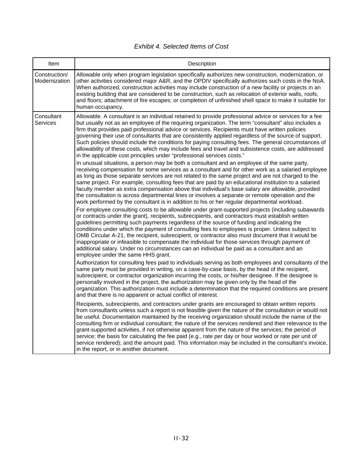| Item                           | Description                                                                                                                                                                                                                                                                                                                                                                                                                                                                                                                                                                                                                                                                                                                                                                                                                                                                                                                                                                                                                                                                                                                      |
|--------------------------------|----------------------------------------------------------------------------------------------------------------------------------------------------------------------------------------------------------------------------------------------------------------------------------------------------------------------------------------------------------------------------------------------------------------------------------------------------------------------------------------------------------------------------------------------------------------------------------------------------------------------------------------------------------------------------------------------------------------------------------------------------------------------------------------------------------------------------------------------------------------------------------------------------------------------------------------------------------------------------------------------------------------------------------------------------------------------------------------------------------------------------------|
| Construction/<br>Modernization | Allowable only when program legislation specifically authorizes new construction, modernization, or<br>other activities considered major A&R, and the OPDIV specifically authorizes such costs in the NoA.<br>When authorized, construction activities may include construction of a new facility or projects in an<br>existing building that are considered to be construction, such as relocation of exterior walls, roofs,<br>and floors; attachment of fire escapes; or completion of unfinished shell space to make it suitable for<br>human occupancy.                                                                                                                                                                                                                                                                                                                                                                                                                                                                                                                                                                     |
| Consultant<br><b>Services</b>  | Allowable. A consultant is an individual retained to provide professional advice or services for a fee<br>but usually not as an employee of the requiring organization. The term "consultant" also includes a<br>firm that provides paid professional advice or services. Recipients must have written policies<br>governing their use of consultants that are consistently applied regardless of the source of support.<br>Such policies should include the conditions for paying consulting fees. The general circumstances of<br>allowability of these costs, which may include fees and travel and subsistence costs, are addressed<br>in the applicable cost principles under "professional services costs."                                                                                                                                                                                                                                                                                                                                                                                                                |
|                                | In unusual situations, a person may be both a consultant and an employee of the same party,<br>receiving compensation for some services as a consultant and for other work as a salaried employee<br>as long as those separate services are not related to the same project and are not charged to the<br>same project. For example, consulting fees that are paid by an educational institution to a salaried<br>faculty member as extra compensation above that individual's base salary are allowable, provided<br>the consultation is across departmental lines or involves a separate or remote operation and the<br>work performed by the consultant is in addition to his or her regular departmental workload.<br>For employee consulting costs to be allowable under grant-supported projects (including subawards<br>or contracts under the grant), recipients, subrecipients, and contractors must establish written<br>guidelines permitting such payments regardless of the source of funding and indicating the<br>conditions under which the payment of consulting fees to employees is proper. Unless subject to |
|                                | OMB Circular A-21, the recipient, subrecipient, or contractor also must document that it would be<br>inappropriate or infeasible to compensate the individual for those services through payment of<br>additional salary. Under no circumstances can an individual be paid as a consultant and an<br>employee under the same HHS grant.                                                                                                                                                                                                                                                                                                                                                                                                                                                                                                                                                                                                                                                                                                                                                                                          |
|                                | Authorization for consulting fees paid to individuals serving as both employees and consultants of the<br>same party must be provided in writing, on a case-by-case basis, by the head of the recipient,<br>subrecipient, or contractor organization incurring the costs, or his/her designee. If the designee is<br>personally involved in the project, the authorization may be given only by the head of the<br>organization. This authorization must include a determination that the required conditions are present<br>and that there is no apparent or actual conflict of interest.                                                                                                                                                                                                                                                                                                                                                                                                                                                                                                                                       |
|                                | Recipients, subrecipients, and contractors under grants are encouraged to obtain written reports<br>from consultants unless such a report is not feasible given the nature of the consultation or would not<br>be useful. Documentation maintained by the receiving organization should include the name of the<br>consulting firm or individual consultant; the nature of the services rendered and their relevance to the<br>grant-supported activities, if not otherwise apparent from the nature of the services; the period of<br>service; the basis for calculating the fee paid (e.g., rate per day or hour worked or rate per unit of<br>service rendered); and the amount paid. This information may be included in the consultant's invoice,<br>in the report, or in another document.                                                                                                                                                                                                                                                                                                                                 |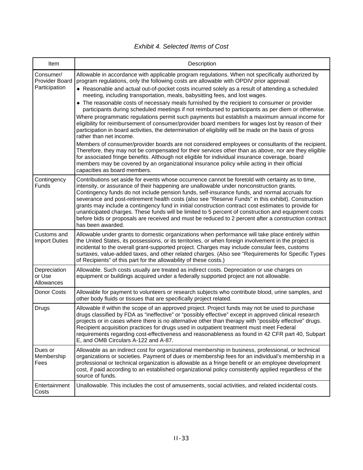| <b>Exhibit 4. Selected Items of Cost</b> |  |
|------------------------------------------|--|
|------------------------------------------|--|

| Item                                         | Description                                                                                                                                                                                                                                                                                                                                                                                                                                                                                                                                                                                                                                                                                                                                                                                                                                                                                                                                                                                                                                                                                                                                                                                                                                                                                                                                                                 |
|----------------------------------------------|-----------------------------------------------------------------------------------------------------------------------------------------------------------------------------------------------------------------------------------------------------------------------------------------------------------------------------------------------------------------------------------------------------------------------------------------------------------------------------------------------------------------------------------------------------------------------------------------------------------------------------------------------------------------------------------------------------------------------------------------------------------------------------------------------------------------------------------------------------------------------------------------------------------------------------------------------------------------------------------------------------------------------------------------------------------------------------------------------------------------------------------------------------------------------------------------------------------------------------------------------------------------------------------------------------------------------------------------------------------------------------|
| Consumer/<br>Provider Board<br>Participation | Allowable in accordance with applicable program regulations. When not specifically authorized by<br>program regulations, only the following costs are allowable with OPDIV prior approval:<br>◆ Reasonable and actual out-of-pocket costs incurred solely as a result of attending a scheduled<br>meeting, including transportation, meals, babysitting fees, and lost wages.<br>The reasonable costs of necessary meals furnished by the recipient to consumer or provider<br>participants during scheduled meetings if not reimbursed to participants as per diem or otherwise.<br>Where programmatic regulations permit such payments but establish a maximum annual income for<br>eligibility for reimbursement of consumer/provider board members for wages lost by reason of their<br>participation in board activities, the determination of eligibility will be made on the basis of gross<br>rather than net income.<br>Members of consumer/provider boards are not considered employees or consultants of the recipient.<br>Therefore, they may not be compensated for their services other than as above, nor are they eligible<br>for associated fringe benefits. Although not eligible for individual insurance coverage, board<br>members may be covered by an organizational insurance policy while acting in their official<br>capacities as board members. |
| Contingency<br>Funds                         | Contributions set aside for events whose occurrence cannot be foretold with certainty as to time,<br>intensity, or assurance of their happening are unallowable under nonconstruction grants.<br>Contingency funds do not include pension funds, self-insurance funds, and normal accruals for<br>severance and post-retirement health costs (also see "Reserve Funds" in this exhibit). Construction<br>grants may include a contingency fund in initial construction contract cost estimates to provide for<br>unanticipated charges. These funds will be limited to 5 percent of construction and equipment costs<br>before bids or proposals are received and must be reduced to 2 percent after a construction contract<br>has been awarded.                                                                                                                                                                                                                                                                                                                                                                                                                                                                                                                                                                                                                           |
| Customs and<br><b>Import Duties</b>          | Allowable under grants to domestic organizations when performance will take place entirely within<br>the United States, its possessions, or its territories, or when foreign involvement in the project is<br>incidental to the overall grant-supported project. Charges may include consular fees, customs<br>surtaxes, value-added taxes, and other related charges. (Also see "Requirements for Specific Types<br>of Recipients" of this part for the allowability of these costs.)                                                                                                                                                                                                                                                                                                                                                                                                                                                                                                                                                                                                                                                                                                                                                                                                                                                                                      |
| Depreciation<br>or Use<br>Allowances         | Allowable. Such costs usually are treated as indirect costs. Depreciation or use charges on<br>equipment or buildings acquired under a federally supported project are not allowable.                                                                                                                                                                                                                                                                                                                                                                                                                                                                                                                                                                                                                                                                                                                                                                                                                                                                                                                                                                                                                                                                                                                                                                                       |
| Donor Costs                                  | Allowable for payment to volunteers or research subjects who contribute blood, urine samples, and<br>other body fluids or tissues that are specifically project related.                                                                                                                                                                                                                                                                                                                                                                                                                                                                                                                                                                                                                                                                                                                                                                                                                                                                                                                                                                                                                                                                                                                                                                                                    |
| Drugs                                        | Allowable if within the scope of an approved project. Project funds may not be used to purchase<br>drugs classified by FDA as "ineffective" or "possibly effective" except in approved clinical research<br>projects or in cases where there is no alternative other than therapy with "possibly effective" drugs.<br>Recipient acquisition practices for drugs used in outpatient treatment must meet Federal<br>requirements regarding cost-effectiveness and reasonableness as found in 42 CFR part 40, Subpart<br>E, and OMB Circulars A-122 and A-87.                                                                                                                                                                                                                                                                                                                                                                                                                                                                                                                                                                                                                                                                                                                                                                                                                  |
| Dues or<br>Membership<br>Fees                | Allowable as an indirect cost for organizational membership in business, professional, or technical<br>organizations or societies. Payment of dues or membership fees for an individual's membership in a<br>professional or technical organization is allowable as a fringe benefit or an employee development<br>cost, if paid according to an established organizational policy consistently applied regardless of the<br>source of funds.                                                                                                                                                                                                                                                                                                                                                                                                                                                                                                                                                                                                                                                                                                                                                                                                                                                                                                                               |
| Entertainment<br>Costs                       | Unallowable. This includes the cost of amusements, social activities, and related incidental costs.                                                                                                                                                                                                                                                                                                                                                                                                                                                                                                                                                                                                                                                                                                                                                                                                                                                                                                                                                                                                                                                                                                                                                                                                                                                                         |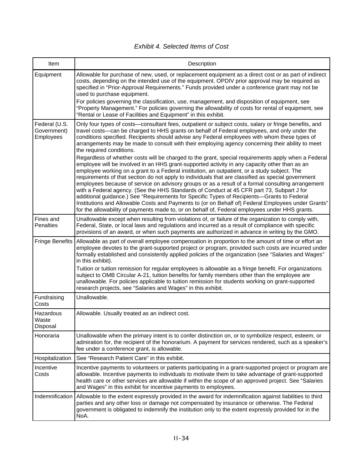| Item                                      | Description                                                                                                                                                                                                                                                                                                                                                                                                                                                                                                                                                                                                                                                                                                                                                                                                                                                                                                                                                                                                                                                                                                                                                                                                                                                                                                                                                  |
|-------------------------------------------|--------------------------------------------------------------------------------------------------------------------------------------------------------------------------------------------------------------------------------------------------------------------------------------------------------------------------------------------------------------------------------------------------------------------------------------------------------------------------------------------------------------------------------------------------------------------------------------------------------------------------------------------------------------------------------------------------------------------------------------------------------------------------------------------------------------------------------------------------------------------------------------------------------------------------------------------------------------------------------------------------------------------------------------------------------------------------------------------------------------------------------------------------------------------------------------------------------------------------------------------------------------------------------------------------------------------------------------------------------------|
| Equipment                                 | Allowable for purchase of new, used, or replacement equipment as a direct cost or as part of indirect<br>costs, depending on the intended use of the equipment. OPDIV prior approval may be required as<br>specified in "Prior-Approval Requirements." Funds provided under a conference grant may not be<br>used to purchase equipment.                                                                                                                                                                                                                                                                                                                                                                                                                                                                                                                                                                                                                                                                                                                                                                                                                                                                                                                                                                                                                     |
|                                           | For policies governing the classification, use, management, and disposition of equipment, see<br>"Property Management." For policies governing the allowability of costs for rental of equipment, see<br>"Rental or Lease of Facilities and Equipment" in this exhibit.                                                                                                                                                                                                                                                                                                                                                                                                                                                                                                                                                                                                                                                                                                                                                                                                                                                                                                                                                                                                                                                                                      |
| Federal (U.S.<br>Government)<br>Employees | Only four types of costs—consultant fees, outpatient or subject costs, salary or fringe benefits, and<br>travel costs—can be charged to HHS grants on behalf of Federal employees, and only under the<br>conditions specified. Recipients should advise any Federal employees with whom these types of<br>arrangements may be made to consult with their employing agency concerning their ability to meet<br>the required conditions.<br>Regardless of whether costs will be charged to the grant, special requirements apply when a Federal<br>employee will be involved in an HHS grant-supported activity in any capacity other than as an<br>employee working on a grant to a Federal institution, an outpatient, or a study subject. The<br>requirements of that section do not apply to individuals that are classified as special government<br>employees because of service on advisory groups or as a result of a formal consulting arrangement<br>with a Federal agency. (See the HHS Standards of Conduct at 45 CFR part 73, Subpart J for<br>additional guidance.) See "Requirements for Specific Types of Recipients-Grants to Federal<br>Institutions and Allowable Costs and Payments to (or on Behalf of) Federal Employees under Grants"<br>for the allowability of payments made to, or on behalf of, Federal employees under HHS grants. |
| Fines and<br>Penalties                    | Unallowable except when resulting from violations of, or failure of the organization to comply with,<br>Federal, State, or local laws and regulations and incurred as a result of compliance with specific<br>provisions of an award, or when such payments are authorized in advance in writing by the GMO.                                                                                                                                                                                                                                                                                                                                                                                                                                                                                                                                                                                                                                                                                                                                                                                                                                                                                                                                                                                                                                                 |
| <b>Fringe Benefits</b>                    | Allowable as part of overall employee compensation in proportion to the amount of time or effort an<br>employee devotes to the grant-supported project or program, provided such costs are incurred under<br>formally established and consistently applied policies of the organization (see "Salaries and Wages"<br>in this exhibit).                                                                                                                                                                                                                                                                                                                                                                                                                                                                                                                                                                                                                                                                                                                                                                                                                                                                                                                                                                                                                       |
|                                           | Tuition or tuition remission for regular employees is allowable as a fringe benefit. For organizations<br>subject to OMB Circular A-21, tuition benefits for family members other than the employee are<br>unallowable. For policies applicable to tuition remission for students working on grant-supported<br>research projects, see "Salaries and Wages" in this exhibit.                                                                                                                                                                                                                                                                                                                                                                                                                                                                                                                                                                                                                                                                                                                                                                                                                                                                                                                                                                                 |
| Fundraising<br>Costs                      | Unallowable.                                                                                                                                                                                                                                                                                                                                                                                                                                                                                                                                                                                                                                                                                                                                                                                                                                                                                                                                                                                                                                                                                                                                                                                                                                                                                                                                                 |
| Hazardous<br>Waste<br>Disposal            | Allowable. Usually treated as an indirect cost.                                                                                                                                                                                                                                                                                                                                                                                                                                                                                                                                                                                                                                                                                                                                                                                                                                                                                                                                                                                                                                                                                                                                                                                                                                                                                                              |
| Honoraria                                 | Unallowable when the primary intent is to confer distinction on, or to symbolize respect, esteem, or<br>admiration for, the recipient of the honorarium. A payment for services rendered, such as a speaker's<br>fee under a conference grant, is allowable.                                                                                                                                                                                                                                                                                                                                                                                                                                                                                                                                                                                                                                                                                                                                                                                                                                                                                                                                                                                                                                                                                                 |
| Hospitalization                           | See "Research Patient Care" in this exhibit.                                                                                                                                                                                                                                                                                                                                                                                                                                                                                                                                                                                                                                                                                                                                                                                                                                                                                                                                                                                                                                                                                                                                                                                                                                                                                                                 |
| Incentive<br>Costs                        | Incentive payments to volunteers or patients participating in a grant-supported project or program are<br>allowable. Incentive payments to individuals to motivate them to take advantage of grant-supported<br>health care or other services are allowable if within the scope of an approved project. See "Salaries<br>and Wages" in this exhibit for incentive payments to employees.                                                                                                                                                                                                                                                                                                                                                                                                                                                                                                                                                                                                                                                                                                                                                                                                                                                                                                                                                                     |
| Indemnification                           | Allowable to the extent expressly provided in the award for indemnification against liabilities to third<br>parties and any other loss or damage not compensated by insurance or otherwise. The Federal<br>government is obligated to indemnify the institution only to the extent expressly provided for in the<br>NoA.                                                                                                                                                                                                                                                                                                                                                                                                                                                                                                                                                                                                                                                                                                                                                                                                                                                                                                                                                                                                                                     |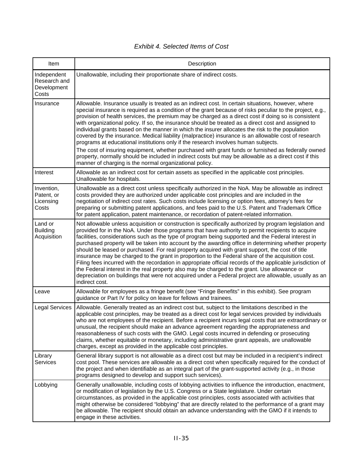| Item                                                | Description                                                                                                                                                                                                                                                                                                                                                                                                                                                                                                                                                                                                                                                                                                                                                                                                                                                                                                                                                                                              |
|-----------------------------------------------------|----------------------------------------------------------------------------------------------------------------------------------------------------------------------------------------------------------------------------------------------------------------------------------------------------------------------------------------------------------------------------------------------------------------------------------------------------------------------------------------------------------------------------------------------------------------------------------------------------------------------------------------------------------------------------------------------------------------------------------------------------------------------------------------------------------------------------------------------------------------------------------------------------------------------------------------------------------------------------------------------------------|
| Independent<br>Research and<br>Development<br>Costs | Unallowable, including their proportionate share of indirect costs.                                                                                                                                                                                                                                                                                                                                                                                                                                                                                                                                                                                                                                                                                                                                                                                                                                                                                                                                      |
| Insurance                                           | Allowable. Insurance usually is treated as an indirect cost. In certain situations, however, where<br>special insurance is required as a condition of the grant because of risks peculiar to the project, e.g.,<br>provision of health services, the premium may be charged as a direct cost if doing so is consistent<br>with organizational policy. If so, the insurance should be treated as a direct cost and assigned to<br>individual grants based on the manner in which the insurer allocates the risk to the population<br>covered by the insurance. Medical liability (malpractice) insurance is an allowable cost of research<br>programs at educational institutions only if the research involves human subjects.<br>The cost of insuring equipment, whether purchased with grant funds or furnished as federally owned<br>property, normally should be included in indirect costs but may be allowable as a direct cost if this<br>manner of charging is the normal organizational policy. |
| Interest                                            | Allowable as an indirect cost for certain assets as specified in the applicable cost principles.<br>Unallowable for hospitals.                                                                                                                                                                                                                                                                                                                                                                                                                                                                                                                                                                                                                                                                                                                                                                                                                                                                           |
| Invention,<br>Patent, or<br>Licensing<br>Costs      | Unallowable as a direct cost unless specifically authorized in the NoA. May be allowable as indirect<br>costs provided they are authorized under applicable cost principles and are included in the<br>negotiation of indirect cost rates. Such costs include licensing or option fees, attorney's fees for<br>preparing or submitting patent applications, and fees paid to the U.S. Patent and Trademark Office<br>for patent application, patent maintenance, or recordation of patent-related information.                                                                                                                                                                                                                                                                                                                                                                                                                                                                                           |
| Land or<br><b>Building</b><br>Acquisition           | Not allowable unless acquisition or construction is specifically authorized by program legislation and<br>provided for in the NoA. Under those programs that have authority to permit recipients to acquire<br>facilities, considerations such as the type of program being supported and the Federal interest in<br>purchased property will be taken into account by the awarding office in determining whether property<br>should be leased or purchased. For real property acquired with grant support, the cost of title<br>insurance may be charged to the grant in proportion to the Federal share of the acquisition cost.<br>Filing fees incurred with the recordation in appropriate official records of the applicable jurisdiction of<br>the Federal interest in the real property also may be charged to the grant. Use allowance or<br>depreciation on buildings that were not acquired under a Federal project are allowable, usually as an<br>indirect cost.                              |
| Leave                                               | Allowable for employees as a fringe benefit (see "Fringe Benefits" in this exhibit). See program<br>guidance or Part IV for policy on leave for fellows and trainees.                                                                                                                                                                                                                                                                                                                                                                                                                                                                                                                                                                                                                                                                                                                                                                                                                                    |
| <b>Legal Services</b>                               | Allowable. Generally treated as an indirect cost but, subject to the limitations described in the<br>applicable cost principles, may be treated as a direct cost for legal services provided by individuals<br>who are not employees of the recipient. Before a recipient incurs legal costs that are extraordinary or<br>unusual, the recipient should make an advance agreement regarding the appropriateness and<br>reasonableness of such costs with the GMO. Legal costs incurred in defending or prosecuting<br>claims, whether equitable or monetary, including administrative grant appeals, are unallowable<br>charges, except as provided in the applicable cost principles.                                                                                                                                                                                                                                                                                                                   |
| Library<br>Services                                 | General library support is not allowable as a direct cost but may be included in a recipient's indirect<br>cost pool. These services are allowable as a direct cost when specifically required for the conduct of<br>the project and when identifiable as an integral part of the grant-supported activity (e.g., in those<br>programs designed to develop and support such services).                                                                                                                                                                                                                                                                                                                                                                                                                                                                                                                                                                                                                   |
| Lobbying                                            | Generally unallowable, including costs of lobbying activities to influence the introduction, enactment,<br>or modification of legislation by the U.S. Congress or a State legislature. Under certain<br>circumstances, as provided in the applicable cost principles, costs associated with activities that<br>might otherwise be considered "lobbying" that are directly related to the performance of a grant may<br>be allowable. The recipient should obtain an advance understanding with the GMO if it intends to<br>engage in these activities.                                                                                                                                                                                                                                                                                                                                                                                                                                                   |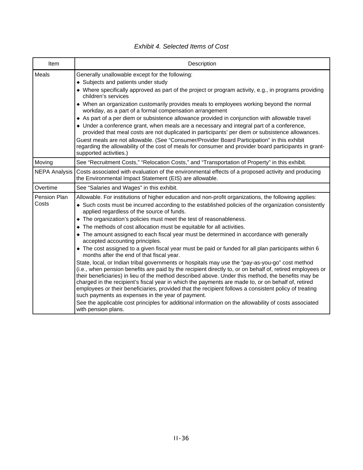| Item                  | Description                                                                                                                                                                                                                                                                                                                                                                                                                                                                                                                                                                                                                                                                                                                                                                                                                                                                                                                                                                                                                                                                                                                  |
|-----------------------|------------------------------------------------------------------------------------------------------------------------------------------------------------------------------------------------------------------------------------------------------------------------------------------------------------------------------------------------------------------------------------------------------------------------------------------------------------------------------------------------------------------------------------------------------------------------------------------------------------------------------------------------------------------------------------------------------------------------------------------------------------------------------------------------------------------------------------------------------------------------------------------------------------------------------------------------------------------------------------------------------------------------------------------------------------------------------------------------------------------------------|
| Meals                 | Generally unallowable except for the following:<br>• Subjects and patients under study<br>• Where specifically approved as part of the project or program activity, e.g., in programs providing<br>children's services<br>• When an organization customarily provides meals to employees working beyond the normal<br>workday, as a part of a formal compensation arrangement<br>As part of a per diem or subsistence allowance provided in conjunction with allowable travel<br>• Under a conference grant, when meals are a necessary and integral part of a conference,                                                                                                                                                                                                                                                                                                                                                                                                                                                                                                                                                   |
|                       | provided that meal costs are not duplicated in participants' per diem or subsistence allowances.<br>Guest meals are not allowable. (See "Consumer/Provider Board Participation" in this exhibit<br>regarding the allowability of the cost of meals for consumer and provider board participants in grant-<br>supported activities.)                                                                                                                                                                                                                                                                                                                                                                                                                                                                                                                                                                                                                                                                                                                                                                                          |
| Moving                | See "Recruitment Costs," "Relocation Costs," and "Transportation of Property" in this exhibit.                                                                                                                                                                                                                                                                                                                                                                                                                                                                                                                                                                                                                                                                                                                                                                                                                                                                                                                                                                                                                               |
| <b>NEPA Analysis</b>  | Costs associated with evaluation of the environmental effects of a proposed activity and producing<br>the Environmental Impact Statement (EIS) are allowable.                                                                                                                                                                                                                                                                                                                                                                                                                                                                                                                                                                                                                                                                                                                                                                                                                                                                                                                                                                |
| Overtime              | See "Salaries and Wages" in this exhibit.                                                                                                                                                                                                                                                                                                                                                                                                                                                                                                                                                                                                                                                                                                                                                                                                                                                                                                                                                                                                                                                                                    |
| Pension Plan<br>Costs | Allowable. For institutions of higher education and non-profit organizations, the following applies:<br>• Such costs must be incurred according to the established policies of the organization consistently<br>applied regardless of the source of funds.<br>• The organization's policies must meet the test of reasonableness.<br>• The methods of cost allocation must be equitable for all activities.<br>• The amount assigned to each fiscal year must be determined in accordance with generally<br>accepted accounting principles.<br>• The cost assigned to a given fiscal year must be paid or funded for all plan participants within 6<br>months after the end of that fiscal year.<br>State, local, or Indian tribal governments or hospitals may use the "pay-as-you-go" cost method<br>(i.e., when pension benefits are paid by the recipient directly to, or on behalf of, retired employees or<br>their beneficiaries) in lieu of the method described above. Under this method, the benefits may be<br>charged in the recipient's fiscal year in which the payments are made to, or on behalf of, retired |
|                       | employees or their beneficiaries, provided that the recipient follows a consistent policy of treating<br>such payments as expenses in the year of payment.<br>See the applicable cost principles for additional information on the allowability of costs associated<br>with pension plans.                                                                                                                                                                                                                                                                                                                                                                                                                                                                                                                                                                                                                                                                                                                                                                                                                                   |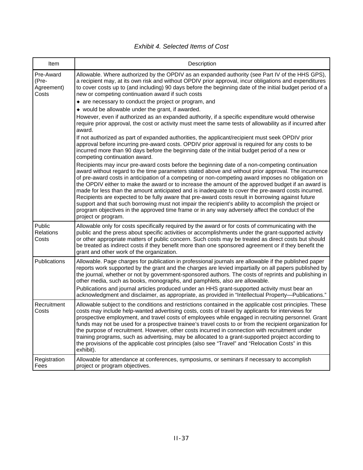| <b>Exhibit 4. Selected Items of Cost</b> |  |
|------------------------------------------|--|
|------------------------------------------|--|

| Item                                      | Description                                                                                                                                                                                                                                                                                                                                                                                                                                                                                                                                                                                                                                                                                                                                                                                                                                                      |
|-------------------------------------------|------------------------------------------------------------------------------------------------------------------------------------------------------------------------------------------------------------------------------------------------------------------------------------------------------------------------------------------------------------------------------------------------------------------------------------------------------------------------------------------------------------------------------------------------------------------------------------------------------------------------------------------------------------------------------------------------------------------------------------------------------------------------------------------------------------------------------------------------------------------|
| Pre-Award<br>(Pre-<br>Agreement)<br>Costs | Allowable. Where authorized by the OPDIV as an expanded authority (see Part IV of the HHS GPS),<br>a recipient may, at its own risk and without OPDIV prior approval, incur obligations and expenditures<br>to cover costs up to (and including) 90 days before the beginning date of the initial budget period of a<br>new or competing continuation award if such costs                                                                                                                                                                                                                                                                                                                                                                                                                                                                                        |
|                                           | • are necessary to conduct the project or program, and                                                                                                                                                                                                                                                                                                                                                                                                                                                                                                                                                                                                                                                                                                                                                                                                           |
|                                           | • would be allowable under the grant, if awarded.<br>However, even if authorized as an expanded authority, if a specific expenditure would otherwise                                                                                                                                                                                                                                                                                                                                                                                                                                                                                                                                                                                                                                                                                                             |
|                                           | require prior approval, the cost or activity must meet the same tests of allowability as if incurred after<br>award.                                                                                                                                                                                                                                                                                                                                                                                                                                                                                                                                                                                                                                                                                                                                             |
|                                           | If not authorized as part of expanded authorities, the applicant/recipient must seek OPDIV prior<br>approval before incurring pre-award costs. OPDIV prior approval is required for any costs to be<br>incurred more than 90 days before the beginning date of the initial budget period of a new or<br>competing continuation award.                                                                                                                                                                                                                                                                                                                                                                                                                                                                                                                            |
|                                           | Recipients may incur pre-award costs before the beginning date of a non-competing continuation<br>award without regard to the time parameters stated above and without prior approval. The incurrence<br>of pre-award costs in anticipation of a competing or non-competing award imposes no obligation on<br>the OPDIV either to make the award or to increase the amount of the approved budget if an award is<br>made for less than the amount anticipated and is inadequate to cover the pre-award costs incurred.<br>Recipients are expected to be fully aware that pre-award costs result in borrowing against future<br>support and that such borrowing must not impair the recipient's ability to accomplish the project or<br>program objectives in the approved time frame or in any way adversely affect the conduct of the<br>project or program.    |
| Public<br>Relations<br>Costs              | Allowable only for costs specifically required by the award or for costs of communicating with the<br>public and the press about specific activities or accomplishments under the grant-supported activity<br>or other appropriate matters of public concern. Such costs may be treated as direct costs but should<br>be treated as indirect costs if they benefit more than one sponsored agreement or if they benefit the<br>grant and other work of the organization.                                                                                                                                                                                                                                                                                                                                                                                         |
| Publications                              | Allowable. Page charges for publication in professional journals are allowable if the published paper<br>reports work supported by the grant and the charges are levied impartially on all papers published by<br>the journal, whether or not by government-sponsored authors. The costs of reprints and publishing in<br>other media, such as books, monographs, and pamphlets, also are allowable.<br>Publications and journal articles produced under an HHS grant-supported activity must bear an                                                                                                                                                                                                                                                                                                                                                            |
| Recruitment<br>Costs                      | acknowledgment and disclaimer, as appropriate, as provided in "Intellectual Property-Publications."<br>Allowable subject to the conditions and restrictions contained in the applicable cost principles. These<br>costs may include help-wanted advertising costs, costs of travel by applicants for interviews for<br>prospective employment, and travel costs of employees while engaged in recruiting personnel. Grant<br>funds may not be used for a prospective trainee's travel costs to or from the recipient organization for<br>the purpose of recruitment. However, other costs incurred in connection with recruitment under<br>training programs, such as advertising, may be allocated to a grant-supported project according to<br>the provisions of the applicable cost principles (also see "Travel" and "Relocation Costs" in this<br>exhibit). |
| Registration<br>Fees                      | Allowable for attendance at conferences, symposiums, or seminars if necessary to accomplish<br>project or program objectives.                                                                                                                                                                                                                                                                                                                                                                                                                                                                                                                                                                                                                                                                                                                                    |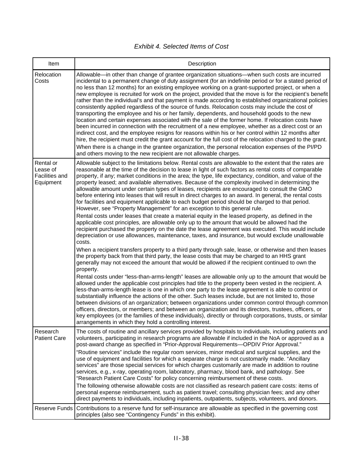| Item                                                 | Description                                                                                                                                                                                                                                                                                                                                                                                                                                                                                                                                                                                                                                                                                                                                                                                                                                                                                                                                                                                                                                                                                                                                                                                                                                                                                                                                                                                                                                                                                                                                                                                                                                                                                                                                                                                                                                                                                                                                                                                                                                                                                                                                                                                                                                                                                                                                                                                            |
|------------------------------------------------------|--------------------------------------------------------------------------------------------------------------------------------------------------------------------------------------------------------------------------------------------------------------------------------------------------------------------------------------------------------------------------------------------------------------------------------------------------------------------------------------------------------------------------------------------------------------------------------------------------------------------------------------------------------------------------------------------------------------------------------------------------------------------------------------------------------------------------------------------------------------------------------------------------------------------------------------------------------------------------------------------------------------------------------------------------------------------------------------------------------------------------------------------------------------------------------------------------------------------------------------------------------------------------------------------------------------------------------------------------------------------------------------------------------------------------------------------------------------------------------------------------------------------------------------------------------------------------------------------------------------------------------------------------------------------------------------------------------------------------------------------------------------------------------------------------------------------------------------------------------------------------------------------------------------------------------------------------------------------------------------------------------------------------------------------------------------------------------------------------------------------------------------------------------------------------------------------------------------------------------------------------------------------------------------------------------------------------------------------------------------------------------------------------------|
| Relocation<br>Costs                                  | Allowable—in other than change of grantee organization situations—when such costs are incurred<br>incidental to a permanent change of duty assignment (for an indefinite period or for a stated period of<br>no less than 12 months) for an existing employee working on a grant-supported project, or when a<br>new employee is recruited for work on the project, provided that the move is for the recipient's benefit<br>rather than the individual's and that payment is made according to established organizational policies<br>consistently applied regardless of the source of funds. Relocation costs may include the cost of<br>transporting the employee and his or her family, dependents, and household goods to the new<br>location and certain expenses associated with the sale of the former home. If relocation costs have<br>been incurred in connection with the recruitment of a new employee, whether as a direct cost or an<br>indirect cost, and the employee resigns for reasons within his or her control within 12 months after<br>hire, the recipient must credit the grant account for the full cost of the relocation charged to the grant.<br>When there is a change in the grantee organization, the personal relocation expenses of the PI/PD<br>and others moving to the new recipient are not allowable charges.                                                                                                                                                                                                                                                                                                                                                                                                                                                                                                                                                                                                                                                                                                                                                                                                                                                                                                                                                                                                                                                   |
| Rental or<br>Lease of<br>Facilities and<br>Equipment | Allowable subject to the limitations below. Rental costs are allowable to the extent that the rates are<br>reasonable at the time of the decision to lease in light of such factors as rental costs of comparable<br>property, if any; market conditions in the area; the type, life expectancy, condition, and value of the<br>property leased; and available alternatives. Because of the complexity involved in determining the<br>allowable amount under certain types of leases, recipients are encouraged to consult the GMO<br>before entering into leases that will result in direct charges to an award. In general, the rental costs<br>for facilities and equipment applicable to each budget period should be charged to that period.<br>However, see "Property Management" for an exception to this general rule.<br>Rental costs under leases that create a material equity in the leased property, as defined in the<br>applicable cost principles, are allowable only up to the amount that would be allowed had the<br>recipient purchased the property on the date the lease agreement was executed. This would include<br>depreciation or use allowances, maintenance, taxes, and insurance, but would exclude unallowable<br>costs.<br>When a recipient transfers property to a third party through sale, lease, or otherwise and then leases<br>the property back from that third party, the lease costs that may be charged to an HHS grant<br>generally may not exceed the amount that would be allowed if the recipient continued to own the<br>property.<br>Rental costs under "less-than-arms-length" leases are allowable only up to the amount that would be<br>allowed under the applicable cost principles had title to the property been vested in the recipient. A<br>less-than-arms-length lease is one in which one party to the lease agreement is able to control or<br>substantially influence the actions of the other. Such leases include, but are not limited to, those<br>between divisions of an organization; between organizations under common control through common<br>officers, directors, or members; and between an organization and its directors, trustees, officers, or<br>key employees (or the families of these individuals), directly or through corporations, trusts, or similar<br>arrangements in which they hold a controlling interest. |
| Research<br><b>Patient Care</b>                      | The costs of routine and ancillary services provided by hospitals to individuals, including patients and<br>volunteers, participating in research programs are allowable if included in the NoA or approved as a<br>post-award change as specified in "Prior-Approval Requirements-OPDIV Prior Approval."<br>"Routine services" include the regular room services, minor medical and surgical supplies, and the<br>use of equipment and facilities for which a separate charge is not customarily made. "Ancillary<br>services" are those special services for which charges customarily are made in addition to routine<br>services, e.g., x-ray, operating room, laboratory, pharmacy, blood bank, and pathology. See<br>"Research Patient Care Costs" for policy concerning reimbursement of these costs.<br>The following otherwise allowable costs are not classified as research patient care costs: items of<br>personal expense reimbursement, such as patient travel; consulting physician fees; and any other<br>direct payments to individuals, including inpatients, outpatients, subjects, volunteers, and donors.                                                                                                                                                                                                                                                                                                                                                                                                                                                                                                                                                                                                                                                                                                                                                                                                                                                                                                                                                                                                                                                                                                                                                                                                                                                                        |
| Reserve Funds                                        | Contributions to a reserve fund for self-insurance are allowable as specified in the governing cost<br>principles (also see "Contingency Funds" in this exhibit).                                                                                                                                                                                                                                                                                                                                                                                                                                                                                                                                                                                                                                                                                                                                                                                                                                                                                                                                                                                                                                                                                                                                                                                                                                                                                                                                                                                                                                                                                                                                                                                                                                                                                                                                                                                                                                                                                                                                                                                                                                                                                                                                                                                                                                      |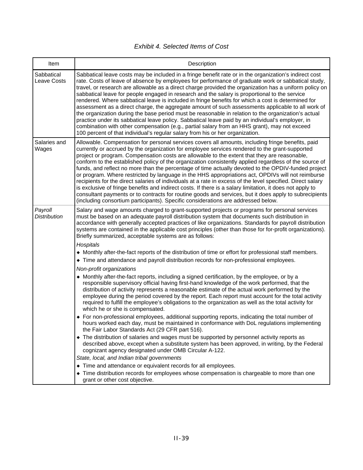| Item                           | Description                                                                                                                                                                                                                                                                                                                                                                                                                                                                                                                                                                                                                                                                                                                                                                                                                                                                                                                                                                                                                                          |
|--------------------------------|------------------------------------------------------------------------------------------------------------------------------------------------------------------------------------------------------------------------------------------------------------------------------------------------------------------------------------------------------------------------------------------------------------------------------------------------------------------------------------------------------------------------------------------------------------------------------------------------------------------------------------------------------------------------------------------------------------------------------------------------------------------------------------------------------------------------------------------------------------------------------------------------------------------------------------------------------------------------------------------------------------------------------------------------------|
| Sabbatical<br>Leave Costs      | Sabbatical leave costs may be included in a fringe benefit rate or in the organization's indirect cost<br>rate. Costs of leave of absence by employees for performance of graduate work or sabbatical study,<br>travel, or research are allowable as a direct charge provided the organization has a uniform policy on<br>sabbatical leave for people engaged in research and the salary is proportional to the service<br>rendered. Where sabbatical leave is included in fringe benefits for which a cost is determined for<br>assessment as a direct charge, the aggregate amount of such assessments applicable to all work of<br>the organization during the base period must be reasonable in relation to the organization's actual<br>practice under its sabbatical leave policy. Sabbatical leave paid by an individual's employer, in<br>combination with other compensation (e.g., partial salary from an HHS grant), may not exceed<br>100 percent of that individual's regular salary from his or her organization.                      |
| Salaries and<br>Wages          | Allowable. Compensation for personal services covers all amounts, including fringe benefits, paid<br>currently or accrued by the organization for employee services rendered to the grant-supported<br>project or program. Compensation costs are allowable to the extent that they are reasonable,<br>conform to the established policy of the organization consistently applied regardless of the source of<br>funds, and reflect no more than the percentage of time actually devoted to the OPDIV-funded project<br>or program. Where restricted by language in the HHS appropriations act, OPDIVs will not reimburse<br>recipients for the direct salaries of individuals at a rate in excess of the level specified. Direct salary<br>is exclusive of fringe benefits and indirect costs. If there is a salary limitation, it does not apply to<br>consultant payments or to contracts for routine goods and services, but it does apply to subrecipients<br>(including consortium participants). Specific considerations are addressed below. |
| Payroll<br><b>Distribution</b> | Salary and wage amounts charged to grant-supported projects or programs for personal services<br>must be based on an adequate payroll distribution system that documents such distribution in<br>accordance with generally accepted practices of like organizations. Standards for payroll distribution<br>systems are contained in the applicable cost principles (other than those for for-profit organizations).<br>Briefly summarized, acceptable systems are as follows:                                                                                                                                                                                                                                                                                                                                                                                                                                                                                                                                                                        |
|                                | Hospitals                                                                                                                                                                                                                                                                                                                                                                                                                                                                                                                                                                                                                                                                                                                                                                                                                                                                                                                                                                                                                                            |
|                                | • Monthly after-the-fact reports of the distribution of time or effort for professional staff members.                                                                                                                                                                                                                                                                                                                                                                                                                                                                                                                                                                                                                                                                                                                                                                                                                                                                                                                                               |
|                                | • Time and attendance and payroll distribution records for non-professional employees.                                                                                                                                                                                                                                                                                                                                                                                                                                                                                                                                                                                                                                                                                                                                                                                                                                                                                                                                                               |
|                                | Non-profit organizations                                                                                                                                                                                                                                                                                                                                                                                                                                                                                                                                                                                                                                                                                                                                                                                                                                                                                                                                                                                                                             |
|                                | • Monthly after-the-fact reports, including a signed certification, by the employee, or by a<br>responsible supervisory official having first-hand knowledge of the work performed, that the<br>distribution of activity represents a reasonable estimate of the actual work performed by the<br>employee during the period covered by the report. Each report must account for the total activity<br>required to fulfill the employee's obligations to the organization as well as the total activity for<br>which he or she is compensated.                                                                                                                                                                                                                                                                                                                                                                                                                                                                                                        |
|                                | • For non-professional employees, additional supporting reports, indicating the total number of<br>hours worked each day, must be maintained in conformance with DoL regulations implementing<br>the Fair Labor Standards Act (29 CFR part 516).                                                                                                                                                                                                                                                                                                                                                                                                                                                                                                                                                                                                                                                                                                                                                                                                     |
|                                | • The distribution of salaries and wages must be supported by personnel activity reports as<br>described above, except when a substitute system has been approved, in writing, by the Federal<br>cognizant agency designated under OMB Circular A-122.                                                                                                                                                                                                                                                                                                                                                                                                                                                                                                                                                                                                                                                                                                                                                                                               |
|                                | State, local, and Indian tribal governments                                                                                                                                                                                                                                                                                                                                                                                                                                                                                                                                                                                                                                                                                                                                                                                                                                                                                                                                                                                                          |
|                                | • Time and attendance or equivalent records for all employees.                                                                                                                                                                                                                                                                                                                                                                                                                                                                                                                                                                                                                                                                                                                                                                                                                                                                                                                                                                                       |
|                                | • Time distribution records for employees whose compensation is chargeable to more than one<br>grant or other cost objective.                                                                                                                                                                                                                                                                                                                                                                                                                                                                                                                                                                                                                                                                                                                                                                                                                                                                                                                        |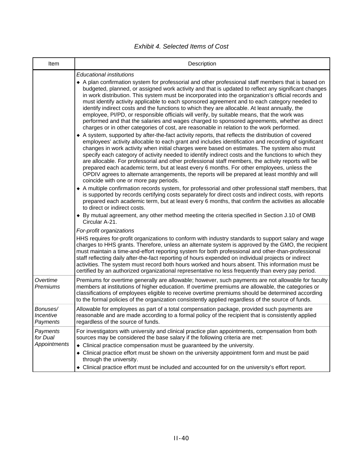*Exhibit 4. Selected Items of Cost* 

| Item                                        | Description                                                                                                                                                                                                                                                                                                                                                                                                                                                                                                                                                                                                                                                                                                                                                                                                                                                                                                                                                                                                                                                                                                                                                                                                                                                                                                                                                                                                                                                                                                                                                                                                                                                                                                                                                                                                                                                                                                                                                                                                                                                                                                                                                                                                                                                                                                                                                                                                                                                                                                                                                                                                                                                |
|---------------------------------------------|------------------------------------------------------------------------------------------------------------------------------------------------------------------------------------------------------------------------------------------------------------------------------------------------------------------------------------------------------------------------------------------------------------------------------------------------------------------------------------------------------------------------------------------------------------------------------------------------------------------------------------------------------------------------------------------------------------------------------------------------------------------------------------------------------------------------------------------------------------------------------------------------------------------------------------------------------------------------------------------------------------------------------------------------------------------------------------------------------------------------------------------------------------------------------------------------------------------------------------------------------------------------------------------------------------------------------------------------------------------------------------------------------------------------------------------------------------------------------------------------------------------------------------------------------------------------------------------------------------------------------------------------------------------------------------------------------------------------------------------------------------------------------------------------------------------------------------------------------------------------------------------------------------------------------------------------------------------------------------------------------------------------------------------------------------------------------------------------------------------------------------------------------------------------------------------------------------------------------------------------------------------------------------------------------------------------------------------------------------------------------------------------------------------------------------------------------------------------------------------------------------------------------------------------------------------------------------------------------------------------------------------------------------|
|                                             | <b>Educational institutions</b><br>• A plan confirmation system for professorial and other professional staff members that is based on<br>budgeted, planned, or assigned work activity and that is updated to reflect any significant changes<br>in work distribution. This system must be incorporated into the organization's official records and<br>must identify activity applicable to each sponsored agreement and to each category needed to<br>identify indirect costs and the functions to which they are allocable. At least annually, the<br>employee, PI/PD, or responsible officials will verify, by suitable means, that the work was<br>performed and that the salaries and wages charged to sponsored agreements, whether as direct<br>charges or in other categories of cost, are reasonable in relation to the work performed.<br>• A system, supported by after-the-fact activity reports, that reflects the distribution of covered<br>employees' activity allocable to each grant and includes identification and recording of significant<br>changes in work activity when initial charges were based on estimates. The system also must<br>specify each category of activity needed to identify indirect costs and the functions to which they<br>are allocable. For professorial and other professional staff members, the activity reports will be<br>prepared each academic term, but at least every 6 months. For other employees, unless the<br>OPDIV agrees to alternate arrangements, the reports will be prepared at least monthly and will<br>coincide with one or more pay periods.<br>• A multiple confirmation records system, for professorial and other professional staff members, that<br>is supported by records certifying costs separately for direct costs and indirect costs, with reports<br>prepared each academic term, but at least every 6 months, that confirm the activities as allocable<br>to direct or indirect costs.<br>◆ By mutual agreement, any other method meeting the criteria specified in Section J.10 of OMB<br>Circular A-21.<br>For-profit organizations<br>HHS requires for-profit organizations to conform with industry standards to support salary and wage<br>charges to HHS grants. Therefore, unless an alternate system is approved by the GMO, the recipient<br>must maintain a time-and-effort reporting system for both professional and other-than-professional<br>staff reflecting daily after-the-fact reporting of hours expended on individual projects or indirect<br>activities. The system must record both hours worked and hours absent. This information must be |
| Overtime<br>Premiums                        | certified by an authorized organizational representative no less frequently than every pay period.<br>Premiums for overtime generally are allowable; however, such payments are not allowable for faculty<br>members at institutions of higher education. If overtime premiums are allowable, the categories or<br>classifications of employees eligible to receive overtime premiums should be determined according<br>to the formal policies of the organization consistently applied regardless of the source of funds.                                                                                                                                                                                                                                                                                                                                                                                                                                                                                                                                                                                                                                                                                                                                                                                                                                                                                                                                                                                                                                                                                                                                                                                                                                                                                                                                                                                                                                                                                                                                                                                                                                                                                                                                                                                                                                                                                                                                                                                                                                                                                                                                 |
| Bonuses/<br>Incentive<br>Payments           | Allowable for employees as part of a total compensation package, provided such payments are<br>reasonable and are made according to a formal policy of the recipient that is consistently applied<br>regardless of the source of funds.                                                                                                                                                                                                                                                                                                                                                                                                                                                                                                                                                                                                                                                                                                                                                                                                                                                                                                                                                                                                                                                                                                                                                                                                                                                                                                                                                                                                                                                                                                                                                                                                                                                                                                                                                                                                                                                                                                                                                                                                                                                                                                                                                                                                                                                                                                                                                                                                                    |
| Payments<br>for Dual<br><b>Appointments</b> | For investigators with university and clinical practice plan appointments, compensation from both<br>sources may be considered the base salary if the following criteria are met:<br>• Clinical practice compensation must be guaranteed by the university.<br>• Clinical practice effort must be shown on the university appointment form and must be paid<br>through the university.<br>• Clinical practice effort must be included and accounted for on the university's effort report.                                                                                                                                                                                                                                                                                                                                                                                                                                                                                                                                                                                                                                                                                                                                                                                                                                                                                                                                                                                                                                                                                                                                                                                                                                                                                                                                                                                                                                                                                                                                                                                                                                                                                                                                                                                                                                                                                                                                                                                                                                                                                                                                                                 |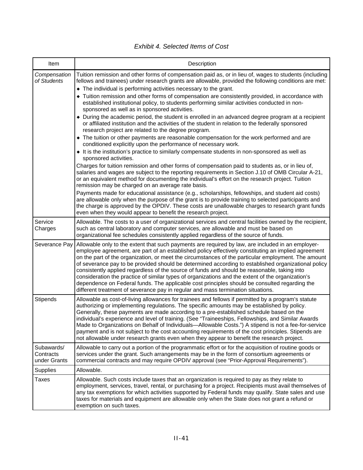|  | <b>Exhibit 4. Selected Items of Cost</b> |  |  |
|--|------------------------------------------|--|--|
|--|------------------------------------------|--|--|

| Item                                    | Description                                                                                                                                                                                                                                                                                                                                                                                                                                                                                                                                                                                                                                                                                                                                                                                                      |
|-----------------------------------------|------------------------------------------------------------------------------------------------------------------------------------------------------------------------------------------------------------------------------------------------------------------------------------------------------------------------------------------------------------------------------------------------------------------------------------------------------------------------------------------------------------------------------------------------------------------------------------------------------------------------------------------------------------------------------------------------------------------------------------------------------------------------------------------------------------------|
| Compensation<br>of Students             | Tuition remission and other forms of compensation paid as, or in lieu of, wages to students (including<br>fellows and trainees) under research grants are allowable, provided the following conditions are met:<br>• The individual is performing activities necessary to the grant.<br>• Tuition remission and other forms of compensation are consistently provided, in accordance with<br>established institutional policy, to students performing similar activities conducted in non-<br>sponsored as well as in sponsored activities.                                                                                                                                                                                                                                                                      |
|                                         | • During the academic period, the student is enrolled in an advanced degree program at a recipient<br>or affiliated institution and the activities of the student in relation to the federally sponsored<br>research project are related to the degree program.                                                                                                                                                                                                                                                                                                                                                                                                                                                                                                                                                  |
|                                         | • The tuition or other payments are reasonable compensation for the work performed and are<br>conditioned explicitly upon the performance of necessary work.                                                                                                                                                                                                                                                                                                                                                                                                                                                                                                                                                                                                                                                     |
|                                         | It is the institution's practice to similarly compensate students in non-sponsored as well as<br>sponsored activities.                                                                                                                                                                                                                                                                                                                                                                                                                                                                                                                                                                                                                                                                                           |
|                                         | Charges for tuition remission and other forms of compensation paid to students as, or in lieu of,<br>salaries and wages are subject to the reporting requirements in Section J.10 of OMB Circular A-21,<br>or an equivalent method for documenting the individual's effort on the research project. Tuition<br>remission may be charged on an average rate basis.                                                                                                                                                                                                                                                                                                                                                                                                                                                |
|                                         | Payments made for educational assistance (e.g., scholarships, fellowships, and student aid costs)<br>are allowable only when the purpose of the grant is to provide training to selected participants and<br>the charge is approved by the OPDIV. These costs are unallowable charges to research grant funds<br>even when they would appear to benefit the research project.                                                                                                                                                                                                                                                                                                                                                                                                                                    |
| Service<br>Charges                      | Allowable. The costs to a user of organizational services and central facilities owned by the recipient,<br>such as central laboratory and computer services, are allowable and must be based on<br>organizational fee schedules consistently applied regardless of the source of funds.                                                                                                                                                                                                                                                                                                                                                                                                                                                                                                                         |
| Severance Pay                           | Allowable only to the extent that such payments are required by law, are included in an employer-<br>employee agreement, are part of an established policy effectively constituting an implied agreement<br>on the part of the organization, or meet the circumstances of the particular employment. The amount<br>of severance pay to be provided should be determined according to established organizational policy<br>consistently applied regardless of the source of funds and should be reasonable, taking into<br>consideration the practice of similar types of organizations and the extent of the organization's<br>dependence on Federal funds. The applicable cost principles should be consulted regarding the<br>different treatment of severance pay in regular and mass termination situations. |
| <b>Stipends</b>                         | Allowable as cost-of-living allowances for trainees and fellows if permitted by a program's statute<br>authorizing or implementing regulations. The specific amounts may be established by policy.<br>Generally, these payments are made according to a pre-established schedule based on the<br>individual's experience and level of training. (See "Traineeships, Fellowships, and Similar Awards<br>Made to Organizations on Behalf of Individuals-Allowable Costs.") A stipend is not a fee-for-service<br>payment and is not subject to the cost accounting requirements of the cost principles. Stipends are<br>not allowable under research grants even when they appear to benefit the research project.                                                                                                 |
| Subawards/<br>Contracts<br>under Grants | Allowable to carry out a portion of the programmatic effort or for the acquisition of routine goods or<br>services under the grant. Such arrangements may be in the form of consortium agreements or<br>commercial contracts and may require OPDIV approval (see "Prior-Approval Requirements").                                                                                                                                                                                                                                                                                                                                                                                                                                                                                                                 |
| <b>Supplies</b>                         | Allowable.                                                                                                                                                                                                                                                                                                                                                                                                                                                                                                                                                                                                                                                                                                                                                                                                       |
| Taxes                                   | Allowable. Such costs include taxes that an organization is required to pay as they relate to<br>employment, services, travel, rental, or purchasing for a project. Recipients must avail themselves of<br>any tax exemptions for which activities supported by Federal funds may qualify. State sales and use<br>taxes for materials and equipment are allowable only when the State does not grant a refund or<br>exemption on such taxes.                                                                                                                                                                                                                                                                                                                                                                     |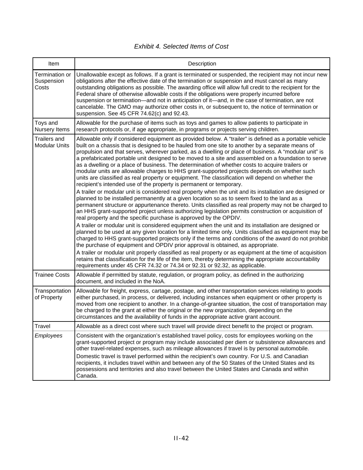| Item                                        | Description                                                                                                                                                                                                                                                                                                                                                                                                                                                                                                                                                                                                                                                                                                                                                                                                                                                                                                                                                                                                                                                                                                                                                                                                                                                                                                                                                                                                                                                                                                                                                                                                                                                                                                                                                                                                                                                                                                                                                                                                                   |
|---------------------------------------------|-------------------------------------------------------------------------------------------------------------------------------------------------------------------------------------------------------------------------------------------------------------------------------------------------------------------------------------------------------------------------------------------------------------------------------------------------------------------------------------------------------------------------------------------------------------------------------------------------------------------------------------------------------------------------------------------------------------------------------------------------------------------------------------------------------------------------------------------------------------------------------------------------------------------------------------------------------------------------------------------------------------------------------------------------------------------------------------------------------------------------------------------------------------------------------------------------------------------------------------------------------------------------------------------------------------------------------------------------------------------------------------------------------------------------------------------------------------------------------------------------------------------------------------------------------------------------------------------------------------------------------------------------------------------------------------------------------------------------------------------------------------------------------------------------------------------------------------------------------------------------------------------------------------------------------------------------------------------------------------------------------------------------------|
| Termination or<br>Suspension<br>Costs       | Unallowable except as follows. If a grant is terminated or suspended, the recipient may not incur new<br>obligations after the effective date of the termination or suspension and must cancel as many<br>outstanding obligations as possible. The awarding office will allow full credit to the recipient for the<br>Federal share of otherwise allowable costs if the obligations were properly incurred before<br>suspension or termination—and not in anticipation of it—and, in the case of termination, are not<br>cancelable. The GMO may authorize other costs in, or subsequent to, the notice of termination or<br>suspension. See 45 CFR 74.62(c) and 92.43.                                                                                                                                                                                                                                                                                                                                                                                                                                                                                                                                                                                                                                                                                                                                                                                                                                                                                                                                                                                                                                                                                                                                                                                                                                                                                                                                                       |
| Toys and<br>Nursery Items                   | Allowable for the purchase of items such as toys and games to allow patients to participate in<br>research protocols or, if age appropriate, in programs or projects serving children.                                                                                                                                                                                                                                                                                                                                                                                                                                                                                                                                                                                                                                                                                                                                                                                                                                                                                                                                                                                                                                                                                                                                                                                                                                                                                                                                                                                                                                                                                                                                                                                                                                                                                                                                                                                                                                        |
| <b>Trailers and</b><br><b>Modular Units</b> | Allowable only if considered equipment as provided below. A "trailer" is defined as a portable vehicle<br>built on a chassis that is designed to be hauled from one site to another by a separate means of<br>propulsion and that serves, wherever parked, as a dwelling or place of business. A "modular unit" is<br>a prefabricated portable unit designed to be moved to a site and assembled on a foundation to serve<br>as a dwelling or a place of business. The determination of whether costs to acquire trailers or<br>modular units are allowable charges to HHS grant-supported projects depends on whether such<br>units are classified as real property or equipment. The classification will depend on whether the<br>recipient's intended use of the property is permanent or temporary.<br>A trailer or modular unit is considered real property when the unit and its installation are designed or<br>planned to be installed permanently at a given location so as to seem fixed to the land as a<br>permanent structure or appurtenance thereto. Units classified as real property may not be charged to<br>an HHS grant-supported project unless authorizing legislation permits construction or acquisition of<br>real property and the specific purchase is approved by the OPDIV.<br>A trailer or modular unit is considered equipment when the unit and its installation are designed or<br>planned to be used at any given location for a limited time only. Units classified as equipment may be<br>charged to HHS grant-supported projects only if the terms and conditions of the award do not prohibit<br>the purchase of equipment and OPDIV prior approval is obtained, as appropriate.<br>A trailer or modular unit properly classified as real property or as equipment at the time of acquisition<br>retains that classification for the life of the item, thereby determining the appropriate accountability<br>requirements under 45 CFR 74.32 or 74.34 or 92.31 or 92.32, as applicable. |
| <b>Trainee Costs</b>                        | Allowable if permitted by statute, regulation, or program policy, as defined in the authorizing<br>document, and included in the NoA.                                                                                                                                                                                                                                                                                                                                                                                                                                                                                                                                                                                                                                                                                                                                                                                                                                                                                                                                                                                                                                                                                                                                                                                                                                                                                                                                                                                                                                                                                                                                                                                                                                                                                                                                                                                                                                                                                         |
| Transportation<br>of Property               | Allowable for freight, express, cartage, postage, and other transportation services relating to goods<br>either purchased, in process, or delivered, including instances when equipment or other property is<br>moved from one recipient to another. In a change-of-grantee situation, the cost of transportation may<br>be charged to the grant at either the original or the new organization, depending on the<br>circumstances and the availability of funds in the appropriate active grant account.                                                                                                                                                                                                                                                                                                                                                                                                                                                                                                                                                                                                                                                                                                                                                                                                                                                                                                                                                                                                                                                                                                                                                                                                                                                                                                                                                                                                                                                                                                                     |
| Travel                                      | Allowable as a direct cost where such travel will provide direct benefit to the project or program.                                                                                                                                                                                                                                                                                                                                                                                                                                                                                                                                                                                                                                                                                                                                                                                                                                                                                                                                                                                                                                                                                                                                                                                                                                                                                                                                                                                                                                                                                                                                                                                                                                                                                                                                                                                                                                                                                                                           |
| Employees                                   | Consistent with the organization's established travel policy, costs for employees working on the<br>grant-supported project or program may include associated per diem or subsistence allowances and<br>other travel-related expenses, such as mileage allowances if travel is by personal automobile.<br>Domestic travel is travel performed within the recipient's own country. For U.S. and Canadian<br>recipients, it includes travel within and between any of the 50 States of the United States and its<br>possessions and territories and also travel between the United States and Canada and within<br>Canada.                                                                                                                                                                                                                                                                                                                                                                                                                                                                                                                                                                                                                                                                                                                                                                                                                                                                                                                                                                                                                                                                                                                                                                                                                                                                                                                                                                                                      |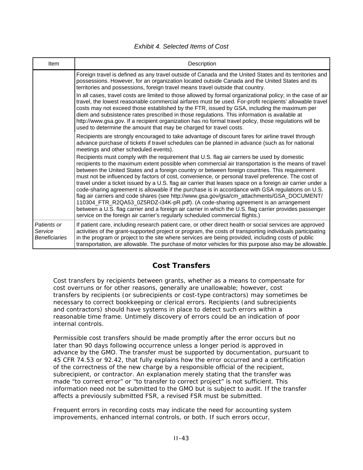| <b>Exhibit 4. Selected Items of Cost</b> |  |
|------------------------------------------|--|
|------------------------------------------|--|

| Item                                           | Description                                                                                                                                                                                                                                                                                                                                                                                                                                                                                                                                                                                                                                                                                                                                                                                                                                                                                                                                                                                                   |
|------------------------------------------------|---------------------------------------------------------------------------------------------------------------------------------------------------------------------------------------------------------------------------------------------------------------------------------------------------------------------------------------------------------------------------------------------------------------------------------------------------------------------------------------------------------------------------------------------------------------------------------------------------------------------------------------------------------------------------------------------------------------------------------------------------------------------------------------------------------------------------------------------------------------------------------------------------------------------------------------------------------------------------------------------------------------|
|                                                | Foreign travel is defined as any travel outside of Canada and the United States and its territories and<br>possessions. However, for an organization located outside Canada and the United States and its<br>territories and possessions, foreign travel means travel outside that country.<br>In all cases, travel costs are limited to those allowed by formal organizational policy; in the case of air<br>travel, the lowest reasonable commercial airfares must be used. For-profit recipients' allowable travel<br>costs may not exceed those established by the FTR, issued by GSA, including the maximum per<br>diem and subsistence rates prescribed in those regulations. This information is available at<br>http://www.gsa.gov. If a recipient organization has no formal travel policy, those regulations will be<br>used to determine the amount that may be charged for travel costs.                                                                                                          |
|                                                | Recipients are strongly encouraged to take advantage of discount fares for airline travel through<br>advance purchase of tickets if travel schedules can be planned in advance (such as for national<br>meetings and other scheduled events).                                                                                                                                                                                                                                                                                                                                                                                                                                                                                                                                                                                                                                                                                                                                                                 |
|                                                | Recipients must comply with the requirement that U.S. flag air carriers be used by domestic<br>recipients to the maximum extent possible when commercial air transportation is the means of travel<br>between the United States and a foreign country or between foreign countries. This requirement<br>must not be influenced by factors of cost, convenience, or personal travel preference. The cost of<br>travel under a ticket issued by a U.S. flag air carrier that leases space on a foreign air carrier under a<br>code-sharing agreement is allowable if the purchase is in accordance with GSA regulations on U.S.<br>flag air carriers and code shares (see http://www.gsa.gov/gsa/cm_attachments/GSA_DOCUMENT/<br>110304_FTR_R2QA53_0Z5RDZ-i34K-pR.pdf). (A code-sharing agreement is an arrangement<br>between a U.S. flag carrier and a foreign air carrier in which the U.S. flag carrier provides passenger<br>service on the foreign air carrier's regularly scheduled commercial flights.) |
| Patients or<br>Service<br><b>Beneficiaries</b> | If patient care, including research patient care, or other direct health or social services are approved<br>activities of the grant-supported project or program, the costs of transporting individuals participating<br>in the program or project to the site where services are being provided, including costs of public<br>transportation, are allowable. The purchase of motor vehicles for this purpose also may be allowable.                                                                                                                                                                                                                                                                                                                                                                                                                                                                                                                                                                          |

# **Cost Transfers**

Cost transfers by recipients between grants, whether as a means to compensate for cost overruns or for other reasons, generally are unallowable; however, cost transfers by recipients (or subrecipients or cost-type contractors) may sometimes be necessary to correct bookkeeping or clerical errors. Recipients (and subrecipients and contractors) should have systems in place to detect such errors within a reasonable time frame. Untimely discovery of errors could be an indication of poor internal controls.

Permissible cost transfers should be made promptly after the error occurs but no later than 90 days following occurrence unless a longer period is approved in advance by the GMO. The transfer must be supported by documentation, pursuant to 45 CFR 74.53 or 92.42, that fully explains how the error occurred and a certification of the correctness of the new charge by a responsible official of the recipient, subrecipient, or contractor. An explanation merely stating that the transfer was made "to correct error" or "to transfer to correct project" is not sufficient. This information need not be submitted to the GMO but is subject to audit. If the transfer affects a previously submitted FSR, a revised FSR must be submitted.

Frequent errors in recording costs may indicate the need for accounting system improvements, enhanced internal controls, or both. If such errors occur,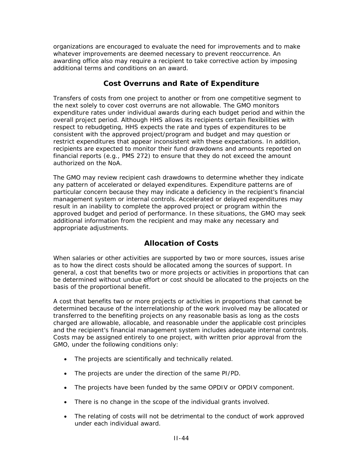organizations are encouraged to evaluate the need for improvements and to make whatever improvements are deemed necessary to prevent reoccurrence. An awarding office also may require a recipient to take corrective action by imposing additional terms and conditions on an award.

# **Cost Overruns and Rate of Expenditure**

Transfers of costs from one project to another or from one competitive segment to the next solely to cover cost overruns are not allowable. The GMO monitors expenditure rates under individual awards during each budget period and within the overall project period. Although HHS allows its recipients certain flexibilities with respect to rebudgeting, HHS expects the rate and types of expenditures to be consistent with the approved project/program and budget and may question or restrict expenditures that appear inconsistent with these expectations. In addition, recipients are expected to monitor their fund drawdowns and amounts reported on financial reports (e.g., PMS 272) to ensure that they do not exceed the amount authorized on the NoA.

The GMO may review recipient cash drawdowns to determine whether they indicate any pattern of accelerated or delayed expenditures. Expenditure patterns are of particular concern because they may indicate a deficiency in the recipient's financial management system or internal controls. Accelerated or delayed expenditures may result in an inability to complete the approved project or program within the approved budget and period of performance. In these situations, the GMO may seek additional information from the recipient and may make any necessary and appropriate adjustments.

# **Allocation of Costs**

When salaries or other activities are supported by two or more sources, issues arise as to how the direct costs should be allocated among the sources of support. In general, a cost that benefits two or more projects or activities in proportions that can be determined without undue effort or cost should be allocated to the projects on the basis of the proportional benefit.

A cost that benefits two or more projects or activities in proportions that cannot be determined because of the interrelationship of the work involved may be allocated or transferred to the benefiting projects on any reasonable basis as long as the costs charged are allowable, allocable, and reasonable under the applicable cost principles and the recipient's financial management system includes adequate internal controls. Costs may be assigned entirely to one project, with written prior approval from the GMO, under the following conditions only:

- The projects are scientifically and technically related.
- The projects are under the direction of the same PI/PD.
- The projects have been funded by the same OPDIV or OPDIV component.
- There is no change in the scope of the individual grants involved.
- The relating of costs will not be detrimental to the conduct of work approved under each individual award.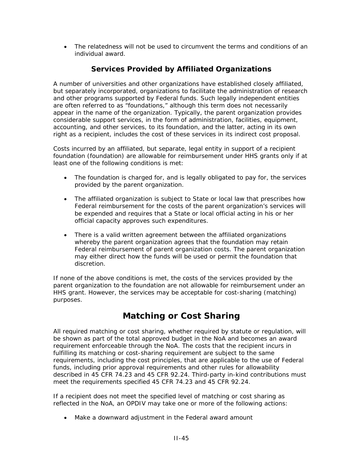• The relatedness will not be used to circumvent the terms and conditions of an individual award.

## **Services Provided by Affiliated Organizations**

A number of universities and other organizations have established closely affiliated, but separately incorporated, organizations to facilitate the administration of research and other programs supported by Federal funds. Such legally independent entities are often referred to as "foundations," although this term does not necessarily appear in the name of the organization. Typically, the parent organization provides considerable support services, in the form of administration, facilities, equipment, accounting, and other services, to its foundation, and the latter, acting in its own right as a recipient, includes the cost of these services in its indirect cost proposal.

Costs incurred by an affiliated, but separate, legal entity in support of a recipient foundation (foundation) are allowable for reimbursement under HHS grants only if at least one of the following conditions is met:

- The foundation is charged for, and is legally obligated to pay for, the services provided by the parent organization.
- The affiliated organization is subject to State or local law that prescribes how Federal reimbursement for the costs of the parent organization's services will be expended and requires that a State or local official acting in his or her official capacity approves such expenditures.
- There is a valid written agreement between the affiliated organizations whereby the parent organization agrees that the foundation may retain Federal reimbursement of parent organization costs. The parent organization may either direct how the funds will be used or permit the foundation that discretion.

If none of the above conditions is met, the costs of the services provided by the parent organization to the foundation are not allowable for reimbursement under an HHS grant. However, the services may be acceptable for cost-sharing (matching) purposes.

# **Matching or Cost Sharing**

All required matching or cost sharing, whether required by statute or regulation, will be shown as part of the total approved budget in the NoA and becomes an award requirement enforceable through the NoA. The costs that the recipient incurs in fulfilling its matching or cost-sharing requirement are subject to the same requirements, including the cost principles, that are applicable to the use of Federal funds, including prior approval requirements and other rules for allowability described in 45 CFR 74.23 and 45 CFR 92.24. Third-party in-kind contributions must meet the requirements specified 45 CFR 74.23 and 45 CFR 92.24.

If a recipient does not meet the specified level of matching or cost sharing as reflected in the NoA, an OPDIV may take one or more of the following actions:

• Make a downward adjustment in the Federal award amount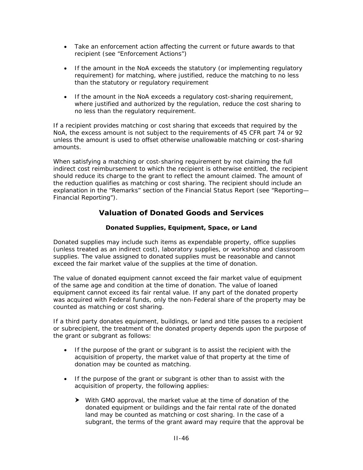- Take an enforcement action affecting the current or future awards to that recipient (see "Enforcement Actions")
- If the amount in the NoA exceeds the statutory (or implementing regulatory requirement) for matching, where justified, reduce the matching to no less than the statutory or regulatory requirement
- If the amount in the NoA exceeds a regulatory cost-sharing requirement, where justified and authorized by the regulation, reduce the cost sharing to no less than the regulatory requirement.

If a recipient provides matching or cost sharing that exceeds that required by the NoA, the excess amount is not subject to the requirements of 45 CFR part 74 or 92 unless the amount is used to offset otherwise unallowable matching or cost-sharing amounts.

When satisfying a matching or cost-sharing requirement by not claiming the full indirect cost reimbursement to which the recipient is otherwise entitled, the recipient should reduce its charge to the grant to reflect the amount claimed. The amount of the reduction qualifies as matching or cost sharing. The recipient should include an explanation in the "Remarks" section of the Financial Status Report (see "Reporting— Financial Reporting").

# **Valuation of Donated Goods and Services**

## **Donated Supplies, Equipment, Space, or Land**

Donated supplies may include such items as expendable property, office supplies (unless treated as an indirect cost), laboratory supplies, or workshop and classroom supplies. The value assigned to donated supplies must be reasonable and cannot exceed the fair market value of the supplies at the time of donation.

The value of donated equipment cannot exceed the fair market value of equipment of the same age and condition at the time of donation. The value of loaned equipment cannot exceed its fair rental value. If any part of the donated property was acquired with Federal funds, only the non-Federal share of the property may be counted as matching or cost sharing.

If a third party donates equipment, buildings, or land and title passes to a recipient or subrecipient, the treatment of the donated property depends upon the purpose of the grant or subgrant as follows:

- If the purpose of the grant or subgrant is to assist the recipient with the acquisition of property, the market value of that property at the time of donation may be counted as matching.
- If the purpose of the grant or subgrant is other than to assist with the acquisition of property, the following applies:
	- $\blacktriangleright$  With GMO approval, the market value at the time of donation of the donated equipment or buildings and the fair rental rate of the donated land may be counted as matching or cost sharing. In the case of a subgrant, the terms of the grant award may require that the approval be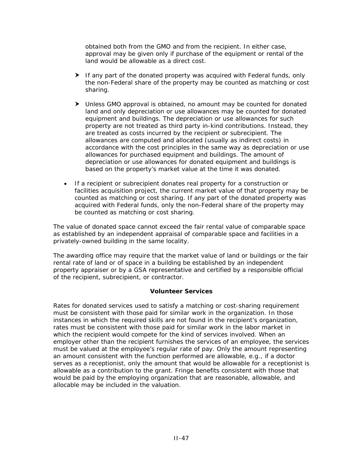obtained both from the GMO and from the recipient. In either case, approval may be given only if purchase of the equipment or rental of the land would be allowable as a direct cost.

- $\blacktriangleright$  If any part of the donated property was acquired with Federal funds, only the non-Federal share of the property may be counted as matching or cost sharing.
- $\blacktriangleright$  Unless GMO approval is obtained, no amount may be counted for donated land and only depreciation or use allowances may be counted for donated equipment and buildings. The depreciation or use allowances for such property are not treated as third party in-kind contributions. Instead, they are treated as costs incurred by the recipient or subrecipient. The allowances are computed and allocated (usually as indirect costs) in accordance with the cost principles in the same way as depreciation or use allowances for purchased equipment and buildings. The amount of depreciation or use allowances for donated equipment and buildings is based on the property's market value at the time it was donated.
- If a recipient or subrecipient donates real property for a construction or facilities acquisition project, the current market value of that property may be counted as matching or cost sharing. If any part of the donated property was acquired with Federal funds, only the non-Federal share of the property may be counted as matching or cost sharing.

The value of donated space cannot exceed the fair rental value of comparable space as established by an independent appraisal of comparable space and facilities in a privately-owned building in the same locality.

The awarding office may require that the market value of land or buildings or the fair rental rate of land or of space in a building be established by an independent property appraiser or by a GSA representative and certified by a responsible official of the recipient, subrecipient, or contractor.

#### **Volunteer Services**

Rates for donated services used to satisfy a matching or cost-sharing requirement must be consistent with those paid for similar work in the organization. In those instances in which the required skills are not found in the recipient's organization, rates must be consistent with those paid for similar work in the labor market in which the recipient would compete for the kind of services involved. When an employer other than the recipient furnishes the services of an employee, the services must be valued at the employee's regular rate of pay. Only the amount representing an amount consistent with the function performed are allowable, e.g., if a doctor serves as a receptionist, only the amount that would be allowable for a receptionist is allowable as a contribution to the grant. Fringe benefits consistent with those that would be paid by the employing organization that are reasonable, allowable, and allocable may be included in the valuation.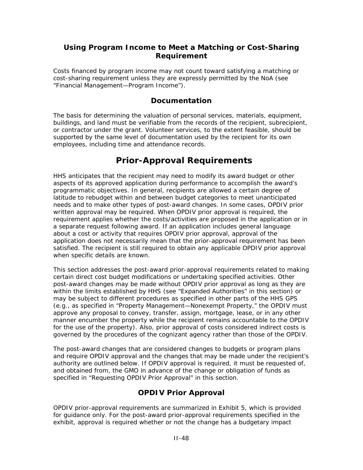## **Using Program Income to Meet a Matching or Cost-Sharing Requirement**

Costs financed by program income may not count toward satisfying a matching or cost-sharing requirement unless they are expressly permitted by the NoA (see "Financial Management—Program Income").

### **Documentation**

The basis for determining the valuation of personal services, materials, equipment, buildings, and land must be verifiable from the records of the recipient, subrecipient, or contractor under the grant. Volunteer services, to the extent feasible, should be supported by the same level of documentation used by the recipient for its own employees, including time and attendance records.

# **Prior-Approval Requirements**

HHS anticipates that the recipient may need to modify its award budget or other aspects of its approved application during performance to accomplish the award's programmatic objectives. In general, recipients are allowed a certain degree of latitude to rebudget within and between budget categories to meet unanticipated needs and to make other types of post-award changes. In some cases, OPDIV prior written approval may be required. When OPDIV prior approval is required, the requirement applies whether the costs/activities are proposed in the application or in a separate request following award. If an application includes general language about a cost or activity that requires OPDIV prior approval, approval of the application does not necessarily mean that the prior-approval requirement has been satisfied. The recipient is still required to obtain any applicable OPDIV prior approval when specific details are known.

This section addresses the post-award prior-approval requirements related to making certain direct cost budget modifications or undertaking specified activities. Other post-award changes may be made without OPDIV prior approval as long as they are within the limits established by HHS (see "Expanded Authorities" in this section) or may be subject to different procedures as specified in other parts of the HHS GPS (e.g., as specified in "Property Management—Nonexempt Property," the OPDIV must approve any proposal to convey, transfer, assign, mortgage, lease, or in any other manner encumber the property while the recipient remains accountable to the OPDIV for the use of the property). Also, prior approval of costs considered indirect costs is governed by the procedures of the cognizant agency rather than those of the OPDIV.

The post-award changes that are considered changes to budgets or program plans and require OPDIV approval and the changes that may be made under the recipient's authority are outlined below. If OPDIV approval is required, it must be requested of, and obtained from, the GMO in advance of the change or obligation of funds as specified in "Requesting OPDIV Prior Approval" in this section.

# **OPDIV Prior Approval**

OPDIV prior-approval requirements are summarized in Exhibit 5, which is provided for guidance only. For the post-award prior-approval requirements specified in the exhibit, approval is required whether or not the change has a budgetary impact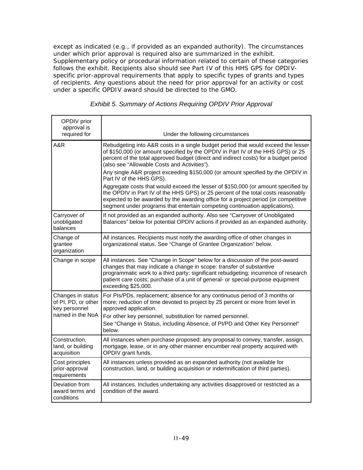except as indicated (e.g., if provided as an expanded authority). The circumstances under which prior approval is required also are summarized in the exhibit. Supplementary policy or procedural information related to certain of these categories follows the exhibit. Recipients also should see Part IV of this HHS GPS for OPDIVspecific prior-approval requirements that apply to specific types of grants and types of recipients. Any questions about the need for prior approval for an activity or cost under a specific OPDIV award should be directed to the GMO.

| OPDIV prior<br>approval is<br>required for                                    | Under the following circumstances                                                                                                                                                                                                                                                                                                                                                               |
|-------------------------------------------------------------------------------|-------------------------------------------------------------------------------------------------------------------------------------------------------------------------------------------------------------------------------------------------------------------------------------------------------------------------------------------------------------------------------------------------|
| A&R                                                                           | Rebudgeting into A&R costs in a single budget period that would exceed the lesser<br>of \$150,000 (or amount specified by the OPDIV in Part IV of the HHS GPS) or 25<br>percent of the total approved budget (direct and indirect costs) for a budget period<br>(also see "Allowable Costs and Activities").<br>Any single A&R project exceeding \$150,000 (or amount specified by the OPDIV in |
|                                                                               | Part IV of the HHS GPS).<br>Aggregate costs that would exceed the lesser of \$150,000 (or amount specified by<br>the OPDIV in Part IV of the HHS GPS) or 25 percent of the total costs reasonably<br>expected to be awarded by the awarding office for a project period (or competitive<br>segment under programs that entertain competing continuation applications).                          |
| Carryover of<br>unobligated<br>balances                                       | If not provided as an expanded authority. Also see "Carryover of Unobligated<br>Balances" below for potential OPDIV actions if provided as an expanded authority.                                                                                                                                                                                                                               |
| Change of<br>grantee<br>organization                                          | All instances. Recipients must notify the awarding office of other changes in<br>organizational status. See "Change of Grantee Organization" below.                                                                                                                                                                                                                                             |
| Change in scope                                                               | All instances. See "Change in Scope" below for a discussion of the post-award<br>changes that may indicate a change in scope: transfer of substantive<br>programmatic work to a third party; significant rebudgeting; incurrence of research<br>patient care costs; purchase of a unit of general- or special-purpose equipment<br>exceeding \$25,000.                                          |
| Changes in status<br>of PI, PD, or other<br>key personnel<br>named in the NoA | For PIs/PDs, replacement; absence for any continuous period of 3 months or<br>more; reduction of time devoted to project by 25 percent or more from level in<br>approved application.<br>For other key personnel, substitution for named personnel.<br>See "Change in Status, including Absence, of PI/PD and Other Key Personnel"<br>below.                                                    |
| Construction,<br>land, or building<br>acquisition                             | All instances when purchase proposed; any proposal to convey, transfer, assign,<br>mortgage, lease, or in any other manner encumber real property acquired with<br>OPDIV grant funds.                                                                                                                                                                                                           |
| Cost principles<br>prior-approval<br>requirements                             | All instances unless provided as an expanded authority (not available for<br>construction, land, or building acquisition or indemnification of third parties).                                                                                                                                                                                                                                  |
| Deviation from<br>award terms and<br>conditions                               | All instances. Includes undertaking any activities disapproved or restricted as a<br>condition of the award.                                                                                                                                                                                                                                                                                    |

*Exhibit 5. Summary of Actions Requiring OPDIV Prior Approval*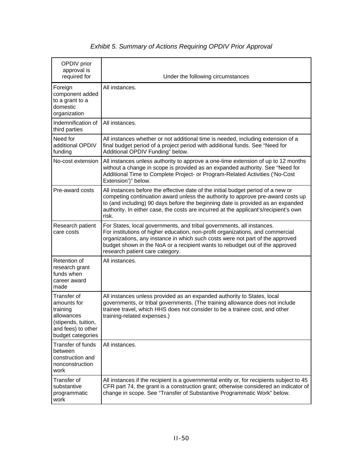| OPDIV prior<br>approval is<br>required for                                                                             | Under the following circumstances                                                                                                                                                                                                                                                                                                                           |
|------------------------------------------------------------------------------------------------------------------------|-------------------------------------------------------------------------------------------------------------------------------------------------------------------------------------------------------------------------------------------------------------------------------------------------------------------------------------------------------------|
| Foreign<br>component added<br>to a grant to a<br>domestic<br>organization                                              | All instances.                                                                                                                                                                                                                                                                                                                                              |
| Indemnification of<br>third parties                                                                                    | All instances.                                                                                                                                                                                                                                                                                                                                              |
| Need for<br>additional OPDIV<br>funding                                                                                | All instances whether or not additional time is needed, including extension of a<br>final budget period of a project period with additional funds. See "Need for<br>Additional OPDIV Funding" below.                                                                                                                                                        |
| No-cost extension                                                                                                      | All instances unless authority to approve a one-time extension of up to 12 months<br>without a change in scope is provided as an expanded authority. See "Need for<br>Additional Time to Complete Project- or Program-Related Activities ('No-Cost<br>Extension')" below.                                                                                   |
| Pre-award costs                                                                                                        | All instances before the effective date of the initial budget period of a new or<br>competing continuation award unless the authority to approve pre-award costs up<br>to (and including) 90 days before the beginning date is provided as an expanded<br>authority. In either case, the costs are incurred at the applicant's/recipient's own<br>risk.     |
| Research patient<br>care costs                                                                                         | For States, local governments, and tribal governments, all instances.<br>For institutions of higher education, non-profit organizations, and commercial<br>organizations, any instance in which such costs were not part of the approved<br>budget shown in the NoA or a recipient wants to rebudget out of the approved<br>research patient care category. |
| Retention of<br>research grant<br>funds when<br>career award<br>made                                                   | All instances.                                                                                                                                                                                                                                                                                                                                              |
| Transfer of<br>amounts for<br>training<br>allowances<br>(stipends, tuition,<br>and fees) to other<br>budget categories | All instances unless provided as an expanded authority to States, local<br>governments, or tribal governments. (The training allowance does not include<br>trainee travel, which HHS does not consider to be a trainee cost, and other<br>training-related expenses.)                                                                                       |
| Transfer of funds<br>between<br>construction and<br>nonconstruction<br>work                                            | All instances.                                                                                                                                                                                                                                                                                                                                              |
| Transfer of<br>substantive<br>programmatic<br>work                                                                     | All instances if the recipient is a governmental entity or, for recipients subject to 45<br>CFR part 74, the grant is a construction grant; otherwise considered an indicator of<br>change in scope. See "Transfer of Substantive Programmatic Work" below.                                                                                                 |

# *Exhibit 5. Summary of Actions Requiring OPDIV Prior Approval*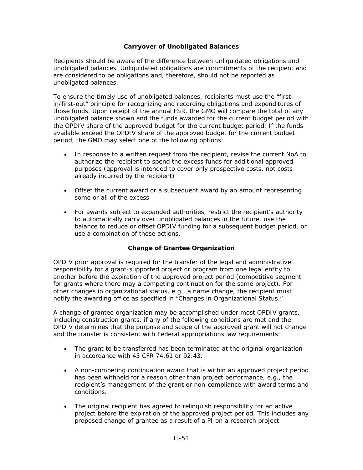#### **Carryover of Unobligated Balances**

Recipients should be aware of the difference between unliquidated obligations and unobligated balances. Unliquidated obligations are commitments of the recipient and are considered to be obligations and, therefore, should not be reported as unobligated balances.

To ensure the timely use of unobligated balances, recipients must use the "firstin/first-out" principle for recognizing and recording obligations and expenditures of those funds. Upon receipt of the annual FSR, the GMO will compare the total of any unobligated balance shown and the funds awarded for the current budget period with the OPDIV share of the approved budget for the current budget period. If the funds available exceed the OPDIV share of the approved budget for the current budget period, the GMO may select one of the following options:

- In response to a written request from the recipient, revise the current NoA to authorize the recipient to spend the excess funds for additional approved purposes (approval is intended to cover only prospective costs, not costs already incurred by the recipient)
- Offset the current award or a subsequent award by an amount representing some or all of the excess
- For awards subject to expanded authorities, restrict the recipient's authority to automatically carry over unobligated balances in the future, use the balance to reduce or offset OPDIV funding for a subsequent budget period, or use a combination of these actions.

### **Change of Grantee Organization**

OPDIV prior approval is required for the transfer of the legal and administrative responsibility for a grant-supported project or program from one legal entity to another before the expiration of the approved project period (competitive segment for grants where there may a competing continuation for the same project). For other changes in organizational status, e.g., a name change, the recipient must notify the awarding office as specified in "Changes in Organizational Status."

A change of grantee organization may be accomplished under most OPDIV grants, including construction grants, if any of the following conditions are met and the OPDIV determines that the purpose and scope of the approved grant will not change and the transfer is consistent with Federal appropriations law requirements:

- The grant to be transferred has been terminated at the original organization in accordance with 45 CFR 74.61 or 92.43.
- A non-competing continuation award that is within an approved project period has been withheld for a reason other than project performance, e.g., the recipient's management of the grant or non-compliance with award terms and conditions.
- The original recipient has agreed to relinquish responsibility for an active project before the expiration of the approved project period. This includes any proposed change of grantee as a result of a PI on a research project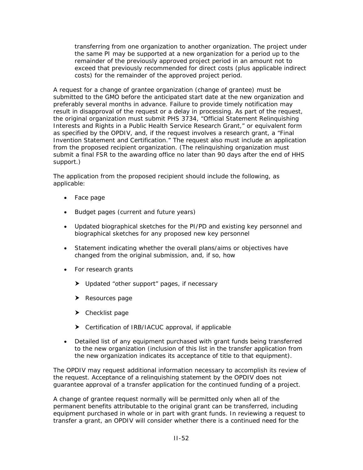transferring from one organization to another organization. The project under the same PI may be supported at a new organization for a period up to the remainder of the previously approved project period in an amount not to exceed that previously recommended for direct costs (plus applicable indirect costs) for the remainder of the approved project period.

A request for a change of grantee organization (change of grantee) must be submitted to the GMO before the anticipated start date at the new organization and preferably several months in advance. Failure to provide timely notification may result in disapproval of the request or a delay in processing. As part of the request, the original organization must submit PHS 3734, "Official Statement Relinquishing Interests and Rights in a Public Health Service Research Grant," or equivalent form as specified by the OPDIV, and, if the request involves a research grant, a "Final Invention Statement and Certification." The request also must include an application from the proposed recipient organization. (The relinquishing organization must submit a final FSR to the awarding office no later than 90 days after the end of HHS support.)

The application from the proposed recipient should include the following, as applicable:

- Face page
- Budget pages (current and future years)
- Updated biographical sketches for the PI/PD and existing key personnel and biographical sketches for any proposed new key personnel
- Statement indicating whether the overall plans/aims or objectives have changed from the original submission, and, if so, how
- For research grants
	- > Updated "other support" pages, if necessary
	- $\blacktriangleright$  Resources page
	- $\blacktriangleright$  Checklist page
	- $\triangleright$  Certification of IRB/IACUC approval, if applicable
- Detailed list of any equipment purchased with grant funds being transferred to the new organization (inclusion of this list in the transfer application from the new organization indicates its acceptance of title to that equipment).

The OPDIV may request additional information necessary to accomplish its review of the request. Acceptance of a relinquishing statement by the OPDIV does not guarantee approval of a transfer application for the continued funding of a project.

A change of grantee request normally will be permitted only when all of the permanent benefits attributable to the original grant can be transferred, including equipment purchased in whole or in part with grant funds. In reviewing a request to transfer a grant, an OPDIV will consider whether there is a continued need for the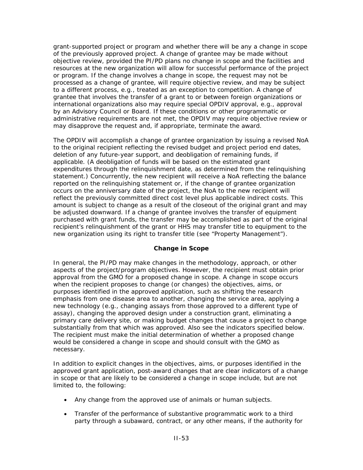grant-supported project or program and whether there will be any a change in scope of the previously approved project. A change of grantee may be made without objective review, provided the PI/PD plans no change in scope and the facilities and resources at the new organization will allow for successful performance of the project or program. If the change involves a change in scope, the request may not be processed as a change of grantee, will require objective review, and may be subject to a different process, e.g., treated as an exception to competition. A change of grantee that involves the transfer of a grant to or between foreign organizations or international organizations also may require special OPDIV approval, e.g., approval by an Advisory Council or Board. If these conditions or other programmatic or administrative requirements are not met, the OPDIV may require objective review or may disapprove the request and, if appropriate, terminate the award.

The OPDIV will accomplish a change of grantee organization by issuing a revised NoA to the original recipient reflecting the revised budget and project period end dates, deletion of any future-year support, and deobligation of remaining funds, if applicable. (A deobligation of funds will be based on the estimated grant expenditures through the relinquishment date, as determined from the relinquishing statement.) Concurrently, the new recipient will receive a NoA reflecting the balance reported on the relinquishing statement or, if the change of grantee organization occurs on the anniversary date of the project, the NoA to the new recipient will reflect the previously committed direct cost level plus applicable indirect costs. This amount is subject to change as a result of the closeout of the original grant and may be adjusted downward. If a change of grantee involves the transfer of equipment purchased with grant funds, the transfer may be accomplished as part of the original recipient's relinquishment of the grant or HHS may transfer title to equipment to the new organization using its right to transfer title (see "Property Management").

### **Change in Scope**

In general, the PI/PD may make changes in the methodology, approach, or other aspects of the project/program objectives. However, the recipient must obtain prior approval from the GMO for a proposed change in scope. A change in scope occurs when the recipient proposes to change (or changes) the objectives, aims, or purposes identified in the approved application, such as shifting the research emphasis from one disease area to another, changing the service area, applying a new technology (e.g., changing assays from those approved to a different type of assay), changing the approved design under a construction grant, eliminating a primary care delivery site, or making budget changes that cause a project to change substantially from that which was approved. Also see the indicators specified below. The recipient must make the initial determination of whether a proposed change would be considered a change in scope and should consult with the GMO as necessary.

In addition to explicit changes in the objectives, aims, or purposes identified in the approved grant application, post-award changes that are clear indicators of a change in scope or that are likely to be considered a change in scope include, but are not limited to, the following:

- Any change from the approved use of animals or human subjects.
- Transfer of the performance of substantive programmatic work to a third party through a subaward, contract, or any other means, if the authority for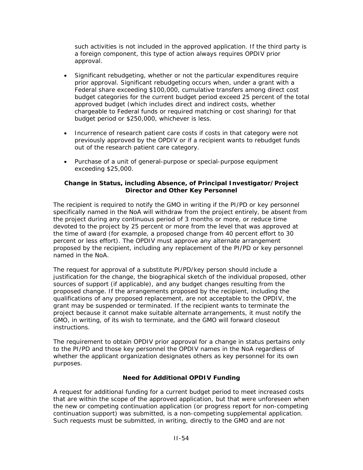such activities is not included in the approved application. If the third party is a foreign component, this type of action always requires OPDIV prior approval.

- Significant rebudgeting, whether or not the particular expenditures require prior approval. Significant rebudgeting occurs when, under a grant with a Federal share exceeding \$100,000, cumulative transfers among direct cost budget categories for the current budget period exceed 25 percent of the total approved budget (which includes direct and indirect costs, whether chargeable to Federal funds or required matching or cost sharing) for that budget period or \$250,000, whichever is less.
- Incurrence of research patient care costs if costs in that category were not previously approved by the OPDIV or if a recipient wants to rebudget funds out of the research patient care category.
- Purchase of a unit of general-purpose or special-purpose equipment exceeding \$25,000.

#### **Change in Status, including Absence, of Principal Investigator/Project Director and Other Key Personnel**

The recipient is required to notify the GMO in writing if the PI/PD or key personnel specifically named in the NoA will withdraw from the project entirely, be absent from the project during any continuous period of 3 months or more, or reduce time devoted to the project by 25 percent or more from the level that was approved at the time of award (for example, a proposed change from 40 percent effort to 30 percent or less effort). The OPDIV must approve any alternate arrangement proposed by the recipient, including any replacement of the PI/PD or key personnel named in the NoA.

The request for approval of a substitute PI/PD/key person should include a justification for the change, the biographical sketch of the individual proposed, other sources of support (if applicable), and any budget changes resulting from the proposed change. If the arrangements proposed by the recipient, including the qualifications of any proposed replacement, are not acceptable to the OPDIV, the grant may be suspended or terminated. If the recipient wants to terminate the project because it cannot make suitable alternate arrangements, it must notify the GMO, in writing, of its wish to terminate, and the GMO will forward closeout instructions.

The requirement to obtain OPDIV prior approval for a change in status pertains only to the PI/PD and those key personnel the OPDIV names in the NoA regardless of whether the applicant organization designates others as key personnel for its own purposes.

#### **Need for Additional OPDIV Funding**

A request for additional funding for a current budget period to meet increased costs that are within the scope of the approved application, but that were unforeseen when the new or competing continuation application (or progress report for non-competing continuation support) was submitted, is a non-competing supplemental application. Such requests must be submitted, in writing, directly to the GMO and are not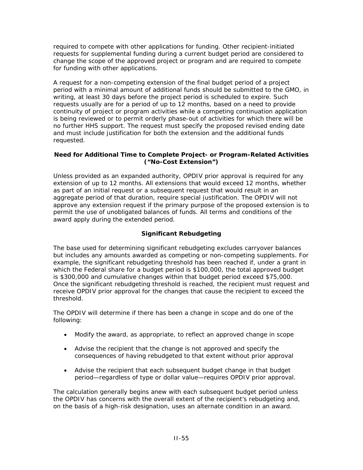required to compete with other applications for funding. Other recipient-initiated requests for supplemental funding during a current budget period are considered to change the scope of the approved project or program and are required to compete for funding with other applications.

A request for a non-competing extension of the final budget period of a project period with a minimal amount of additional funds should be submitted to the GMO, in writing, at least 30 days before the project period is scheduled to expire. Such requests usually are for a period of up to 12 months, based on a need to provide continuity of project or program activities while a competing continuation application is being reviewed or to permit orderly phase-out of activities for which there will be no further HHS support. The request must specify the proposed revised ending date and must include justification for both the extension and the additional funds requested.

#### **Need for Additional Time to Complete Project- or Program-Related Activities ("No-Cost Extension")**

Unless provided as an expanded authority, OPDIV prior approval is required for any extension of up to 12 months. All extensions that would exceed 12 months, whether as part of an initial request or a subsequent request that would result in an aggregate period of that duration, require special justification. The OPDIV will not approve any extension request if the primary purpose of the proposed extension is to permit the use of unobligated balances of funds. All terms and conditions of the award apply during the extended period.

## **Significant Rebudgeting**

The base used for determining significant rebudgeting excludes carryover balances but includes any amounts awarded as competing or non-competing supplements. For example, the significant rebudgeting threshold has been reached if, under a grant in which the Federal share for a budget period is \$100,000, the total approved budget is \$300,000 and cumulative changes within that budget period exceed \$75,000. Once the significant rebudgeting threshold is reached, the recipient must request and receive OPDIV prior approval for the changes that cause the recipient to exceed the threshold.

The OPDIV will determine if there has been a change in scope and do one of the following:

- Modify the award, as appropriate, to reflect an approved change in scope
- Advise the recipient that the change is not approved and specify the consequences of having rebudgeted to that extent without prior approval
- Advise the recipient that each subsequent budget change in that budget period—regardless of type or dollar value—requires OPDIV prior approval.

The calculation generally begins anew with each subsequent budget period unless the OPDIV has concerns with the overall extent of the recipient's rebudgeting and, on the basis of a high-risk designation, uses an alternate condition in an award.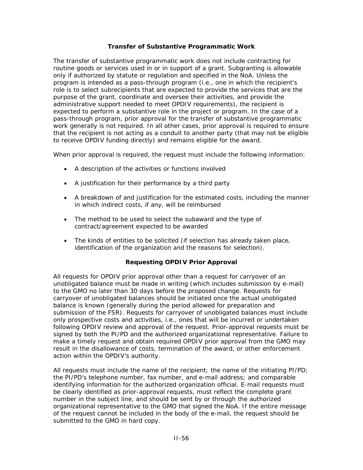#### **Transfer of Substantive Programmatic Work**

The transfer of substantive programmatic work does not include contracting for routine goods or services used in or in support of a grant. Subgranting is allowable only if authorized by statute or regulation and specified in the NoA. Unless the program is intended as a pass-through program (i.e., one in which the recipient's role is to select subrecipients that are expected to provide the services that are the purpose of the grant, coordinate and oversee their activities, and provide the administrative support needed to meet OPDIV requirements), the recipient is expected to perform a substantive role in the project or program. In the case of a pass-through program, prior approval for the transfer of substantive programmatic work generally is not required. In all other cases, prior approval is required to ensure that the recipient is not acting as a conduit to another party (that may not be eligible to receive OPDIV funding directly) and remains eligible for the award.

When prior approval is required, the request must include the following information:

- A description of the activities or functions involved
- A justification for their performance by a third party
- A breakdown of and justification for the estimated costs, including the manner in which indirect costs, if any, will be reimbursed
- The method to be used to select the subaward and the type of contract/agreement expected to be awarded
- The kinds of entities to be solicited (if selection has already taken place, identification of the organization and the reasons for selection).

### **Requesting OPDIV Prior Approval**

All requests for OPDIV prior approval other than a request for carryover of an unobligated balance must be made in writing (which includes submission by e-mail) to the GMO no later than 30 days before the proposed change. Requests for carryover of unobligated balances should be initiated once the actual unobligated balance is known (generally during the period allowed for preparation and submission of the FSR). Requests for carryover of unobligated balances must include only prospective costs and activities, i.e., ones that will be incurred or undertaken following OPDIV review and approval of the request. Prior-approval requests must be signed by both the PI/PD and the authorized organizational representative. Failure to make a timely request and obtain required OPDIV prior approval from the GMO may result in the disallowance of costs, termination of the award, or other enforcement action within the OPDIV's authority.

All requests must include the name of the recipient; the name of the initiating PI/PD; the PI/PD's telephone number, fax number, and e-mail address; and comparable identifying information for the authorized organization official. E-mail requests must be clearly identified as prior-approval requests, must reflect the complete grant number in the subject line, and should be sent by or through the authorized organizational representative to the GMO that signed the NoA. If the entire message of the request cannot be included in the body of the e-mail, the request should be submitted to the GMO in hard copy.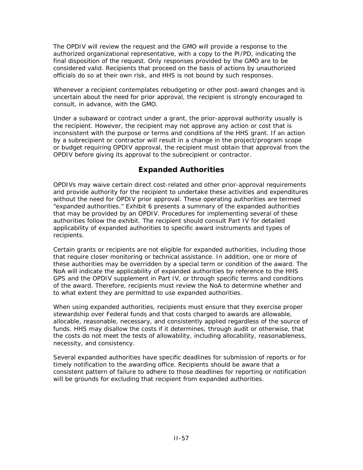The OPDIV will review the request and the GMO will provide a response to the authorized organizational representative, with a copy to the PI/PD, indicating the final disposition of the request. Only responses provided by the GMO are to be considered valid. Recipients that proceed on the basis of actions by unauthorized officials do so at their own risk, and HHS is not bound by such responses.

Whenever a recipient contemplates rebudgeting or other post-award changes and is uncertain about the need for prior approval, the recipient is strongly encouraged to consult, in advance, with the GMO.

Under a subaward or contract under a grant, the prior-approval authority usually is the recipient. However, the recipient may not approve any action or cost that is inconsistent with the purpose or terms and conditions of the HHS grant. If an action by a subrecipient or contractor will result in a change in the project/program scope or budget requiring OPDIV approval, the recipient must obtain that approval from the OPDIV before giving its approval to the subrecipient or contractor.

### **Expanded Authorities**

OPDIVs may waive certain direct cost-related and other prior-approval requirements and provide authority for the recipient to undertake these activities and expenditures without the need for OPDIV prior approval. These operating authorities are termed "expanded authorities." Exhibit 6 presents a summary of the expanded authorities that may be provided by an OPDIV. Procedures for implementing several of these authorities follow the exhibit. The recipient should consult Part IV for detailed applicability of expanded authorities to specific award instruments and types of recipients.

Certain grants or recipients are not eligible for expanded authorities, including those that require closer monitoring or technical assistance. In addition, one or more of these authorities may be overridden by a special term or condition of the award. The NoA will indicate the applicability of expanded authorities by reference to the HHS GPS and the OPDIV supplement in Part IV, or through specific terms and conditions of the award. Therefore, recipients must review the NoA to determine whether and to what extent they are permitted to use expanded authorities.

When using expanded authorities, recipients must ensure that they exercise proper stewardship over Federal funds and that costs charged to awards are allowable, allocable, reasonable, necessary, and consistently applied regardless of the source of funds. HHS may disallow the costs if it determines, through audit or otherwise, that the costs do not meet the tests of allowability, including allocability, reasonableness, necessity, and consistency.

Several expanded authorities have specific deadlines for submission of reports or for timely notification to the awarding office. Recipients should be aware that a consistent pattern of failure to adhere to those deadlines for reporting or notification will be grounds for excluding that recipient from expanded authorities.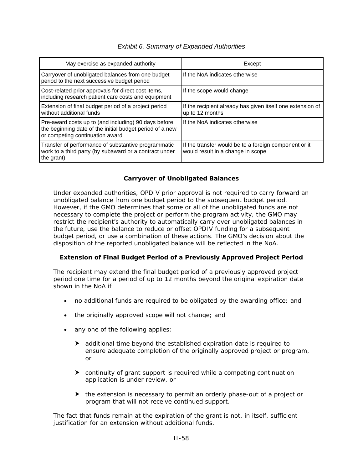#### *Exhibit 6. Summary of Expanded Authorities*

| May exercise as expanded authority                                                                                                                  | Except                                                                                     |
|-----------------------------------------------------------------------------------------------------------------------------------------------------|--------------------------------------------------------------------------------------------|
| Carryover of unobligated balances from one budget<br>period to the next successive budget period                                                    | If the NoA indicates otherwise                                                             |
| Cost-related prior approvals for direct cost items,<br>including research patient care costs and equipment                                          | If the scope would change                                                                  |
| Extension of final budget period of a project period<br>without additional funds                                                                    | If the recipient already has given itself one extension of<br>up to 12 months              |
| Pre-award costs up to (and including) 90 days before<br>the beginning date of the initial budget period of a new<br>or competing continuation award | If the NoA indicates otherwise                                                             |
| Transfer of performance of substantive programmatic<br>work to a third party (by subaward or a contract under<br>the grant)                         | If the transfer would be to a foreign component or it<br>would result in a change in scope |

#### **Carryover of Unobligated Balances**

Under expanded authorities, OPDIV prior approval is not required to carry forward an unobligated balance from one budget period to the subsequent budget period. However, if the GMO determines that some or all of the unobligated funds are not necessary to complete the project or perform the program activity, the GMO may restrict the recipient's authority to automatically carry over unobligated balances in the future, use the balance to reduce or offset OPDIV funding for a subsequent budget period, or use a combination of these actions. The GMO's decision about the disposition of the reported unobligated balance will be reflected in the NoA.

#### **Extension of Final Budget Period of a Previously Approved Project Period**

The recipient may extend the final budget period of a previously approved project period one time for a period of up to 12 months beyond the original expiration date shown in the NoA if

- no additional funds are required to be obligated by the awarding office; and
- the originally approved scope will not change; and
- any one of the following applies:
	- $\blacktriangleright$  additional time beyond the established expiration date is required to ensure adequate completion of the originally approved project or program, or
	- $\blacktriangleright$  continuity of grant support is required while a competing continuation application is under review, or
	- $\blacktriangleright$  the extension is necessary to permit an orderly phase-out of a project or program that will not receive continued support.

The fact that funds remain at the expiration of the grant is not, in itself, sufficient justification for an extension without additional funds.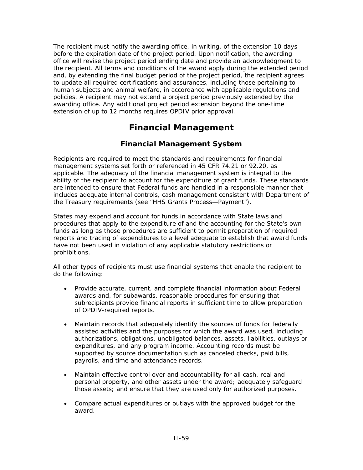The recipient must notify the awarding office, in writing, of the extension 10 days before the expiration date of the project period. Upon notification, the awarding office will revise the project period ending date and provide an acknowledgment to the recipient. All terms and conditions of the award apply during the extended period and, by extending the final budget period of the project period, the recipient agrees to update all required certifications and assurances, including those pertaining to human subjects and animal welfare, in accordance with applicable regulations and policies. A recipient may not extend a project period previously extended by the awarding office. Any additional project period extension beyond the one-time extension of up to 12 months requires OPDIV prior approval.

# **Financial Management**

### **Financial Management System**

Recipients are required to meet the standards and requirements for financial management systems set forth or referenced in 45 CFR 74.21 or 92.20, as applicable. The adequacy of the financial management system is integral to the ability of the recipient to account for the expenditure of grant funds. These standards are intended to ensure that Federal funds are handled in a responsible manner that includes adequate internal controls, cash management consistent with Department of the Treasury requirements (see "HHS Grants Process—Payment").

States may expend and account for funds in accordance with State laws and procedures that apply to the expenditure of and the accounting for the State's own funds as long as those procedures are sufficient to permit preparation of required reports and tracing of expenditures to a level adequate to establish that award funds have not been used in violation of any applicable statutory restrictions or prohibitions.

All other types of recipients must use financial systems that enable the recipient to do the following:

- Provide accurate, current, and complete financial information about Federal awards and, for subawards, reasonable procedures for ensuring that subrecipients provide financial reports in sufficient time to allow preparation of OPDIV-required reports.
- Maintain records that adequately identify the sources of funds for federally assisted activities and the purposes for which the award was used, including authorizations, obligations, unobligated balances, assets, liabilities, outlays or expenditures, and any program income. Accounting records must be supported by source documentation such as canceled checks, paid bills, payrolls, and time and attendance records.
- Maintain effective control over and accountability for all cash, real and personal property, and other assets under the award; adequately safeguard those assets; and ensure that they are used only for authorized purposes.
- Compare actual expenditures or outlays with the approved budget for the award.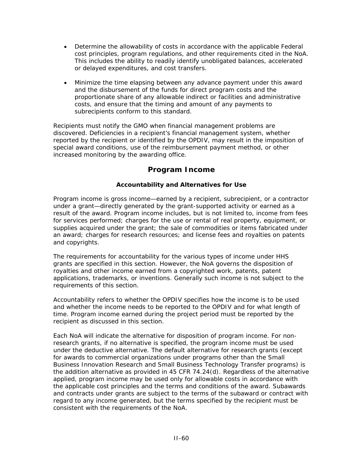- Determine the allowability of costs in accordance with the applicable Federal cost principles, program regulations, and other requirements cited in the NoA. This includes the ability to readily identify unobligated balances, accelerated or delayed expenditures, and cost transfers.
- Minimize the time elapsing between any advance payment under this award and the disbursement of the funds for direct program costs and the proportionate share of any allowable indirect or facilities and administrative costs, and ensure that the timing and amount of any payments to subrecipients conform to this standard.

Recipients must notify the GMO when financial management problems are discovered. Deficiencies in a recipient's financial management system, whether reported by the recipient or identified by the OPDIV, may result in the imposition of special award conditions, use of the reimbursement payment method, or other increased monitoring by the awarding office.

### **Program Income**

#### **Accountability and Alternatives for Use**

Program income is gross income—earned by a recipient, subrecipient, or a contractor under a grant—directly generated by the grant-supported activity or earned as a result of the award. Program income includes, but is not limited to, income from fees for services performed; charges for the use or rental of real property, equipment, or supplies acquired under the grant; the sale of commodities or items fabricated under an award; charges for research resources; and license fees and royalties on patents and copyrights.

The requirements for accountability for the various types of income under HHS grants are specified in this section. However, the NoA governs the disposition of royalties and other income earned from a copyrighted work, patents, patent applications, trademarks, or inventions. Generally such income is not subject to the requirements of this section.

Accountability refers to whether the OPDIV specifies how the income is to be used and whether the income needs to be reported to the OPDIV and for what length of time. Program income earned during the project period must be reported by the recipient as discussed in this section.

Each NoA will indicate the alternative for disposition of program income. For nonresearch grants, if no alternative is specified, the program income must be used under the deductive alternative. The default alternative for research grants (except for awards to commercial organizations under programs *other than* the Small Business Innovation Research and Small Business Technology Transfer programs) is the addition alternative as provided in 45 CFR 74.24(d). Regardless of the alternative applied, program income may be used only for allowable costs in accordance with the applicable cost principles and the terms and conditions of the award. Subawards and contracts under grants are subject to the terms of the subaward or contract with regard to any income generated, but the terms specified by the recipient must be consistent with the requirements of the NoA.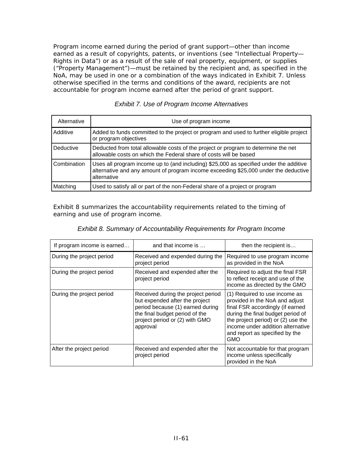Program income earned during the period of grant support—other than income earned as a result of copyrights, patents, or inventions (see "Intellectual Property— Rights in Data") or as a result of the sale of real property, equipment, or supplies ("Property Management")—must be retained by the recipient and, as specified in the NoA, may be used in one or a combination of the ways indicated in Exhibit 7. Unless otherwise specified in the terms and conditions of the award, recipients are not accountable for program income earned after the period of grant support.

| Alternative | Use of program income                                                                                                                                                                        |
|-------------|----------------------------------------------------------------------------------------------------------------------------------------------------------------------------------------------|
| Additive    | Added to funds committed to the project or program and used to further eligible project<br>or program objectives                                                                             |
| Deductive   | Deducted from total allowable costs of the project or program to determine the net<br>allowable costs on which the Federal share of costs will be based                                      |
| Combination | Uses all program income up to (and including) \$25,000 as specified under the additive<br>alternative and any amount of program income exceeding \$25,000 under the deductive<br>alternative |
| Matching    | Used to satisfy all or part of the non-Federal share of a project or program                                                                                                                 |

| <b>Exhibit 7. Use of Program Income Alternatives</b> |  |
|------------------------------------------------------|--|
|------------------------------------------------------|--|

Exhibit 8 summarizes the accountability requirements related to the timing of earning and use of program income.

| If program income is earned | and that income is                                                                                                                                                                       | then the recipient is                                                                                                                                                                                                                                        |
|-----------------------------|------------------------------------------------------------------------------------------------------------------------------------------------------------------------------------------|--------------------------------------------------------------------------------------------------------------------------------------------------------------------------------------------------------------------------------------------------------------|
| During the project period   | Received and expended during the<br>project period                                                                                                                                       | Required to use program income<br>as provided in the NoA                                                                                                                                                                                                     |
| During the project period   | Received and expended after the<br>project period                                                                                                                                        | Required to adjust the final FSR<br>to reflect receipt and use of the<br>income as directed by the GMO                                                                                                                                                       |
| During the project period   | Received during the project period<br>but expended after the project<br>period because (1) earned during<br>the final budget period of the<br>project period or (2) with GMO<br>approval | (1) Required to use income as<br>provided in the NoA and adjust<br>final FSR accordingly (if earned<br>during the final budget period of<br>the project period) or (2) use the<br>income under addition alternative<br>and report as specified by the<br>GMO |
| After the project period    | Received and expended after the<br>project period                                                                                                                                        | Not accountable for that program<br>income unless specifically<br>provided in the NoA                                                                                                                                                                        |

| Exhibit 8. Summary of Accountability Requirements for Program Income |
|----------------------------------------------------------------------|
|----------------------------------------------------------------------|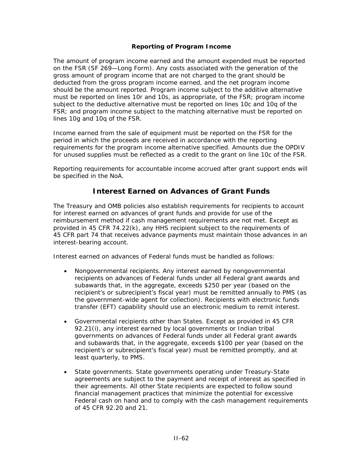#### **Reporting of Program Income**

The amount of program income earned and the amount expended must be reported on the FSR (SF 269—Long Form). Any costs associated with the generation of the gross amount of program income that are not charged to the grant should be deducted from the gross program income earned, and the net program income should be the amount reported. Program income subject to the additive alternative must be reported on lines 10r and 10s, as appropriate, of the FSR; program income subject to the deductive alternative must be reported on lines 10c and 10q of the FSR; and program income subject to the matching alternative must be reported on lines 10g and 10q of the FSR.

Income earned from the sale of equipment must be reported on the FSR for the period in which the proceeds are received in accordance with the reporting requirements for the program income alternative specified. Amounts due the OPDIV for unused supplies must be reflected as a credit to the grant on line 10c of the FSR.

Reporting requirements for accountable income accrued after grant support ends will be specified in the NoA.

### **Interest Earned on Advances of Grant Funds**

The Treasury and OMB policies also establish requirements for recipients to account for interest earned on advances of grant funds and provide for use of the reimbursement method if cash management requirements are not met. Except as provided in 45 CFR 74.22(k), any HHS recipient subject to the requirements of 45 CFR part 74 that receives advance payments must maintain those advances in an interest-bearing account.

Interest earned on advances of Federal funds must be handled as follows:

- *Nongovernmental recipients*. Any interest earned by nongovernmental recipients on advances of Federal funds under all Federal grant awards and subawards that, in the aggregate, exceeds \$250 per year (based on the recipient's or subrecipient's fiscal year) must be remitted annually to PMS (as the government-wide agent for collection). Recipients with electronic funds transfer (EFT) capability should use an electronic medium to remit interest.
- *Governmental recipients other than States*. Except as provided in 45 CFR 92.21(i), any interest earned by local governments or Indian tribal governments on advances of Federal funds under all Federal grant awards and subawards that, in the aggregate, exceeds \$100 per year (based on the recipient's or subrecipient's fiscal year) must be remitted promptly, and at least quarterly, to PMS.
- *State governments*. State governments operating under Treasury-State agreements are subject to the payment and receipt of interest as specified in their agreements. All other State recipients are expected to follow sound financial management practices that minimize the potential for excessive Federal cash on hand and to comply with the cash management requirements of 45 CFR 92.20 and 21.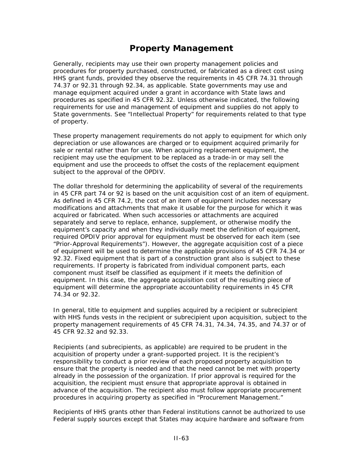## **Property Management**

Generally, recipients may use their own property management policies and procedures for property purchased, constructed, or fabricated as a direct cost using HHS grant funds, provided they observe the requirements in 45 CFR 74.31 through 74.37 or 92.31 through 92.34, as applicable. State governments may use and manage equipment acquired under a grant in accordance with State laws and procedures as specified in 45 CFR 92.32. Unless otherwise indicated, the following requirements for use and management of equipment and supplies do not apply to State governments. See "Intellectual Property" for requirements related to that type of property.

These property management requirements do not apply to equipment for which only depreciation or use allowances are charged or to equipment acquired primarily for sale or rental rather than for use. When acquiring replacement equipment, the recipient may use the equipment to be replaced as a trade-in or may sell the equipment and use the proceeds to offset the costs of the replacement equipment subject to the approval of the OPDIV.

The dollar threshold for determining the applicability of several of the requirements in 45 CFR part 74 or 92 is based on the unit acquisition cost of an item of equipment. As defined in 45 CFR 74.2, the cost of an item of equipment includes necessary modifications and attachments that make it usable for the purpose for which it was acquired or fabricated. When such accessories or attachments are acquired separately and serve to replace, enhance, supplement, or otherwise modify the equipment's capacity and when they individually meet the definition of equipment, required OPDIV prior approval for equipment must be observed for each item (see "Prior-Approval Requirements"). However, the aggregate acquisition cost of a piece of equipment will be used to determine the applicable provisions of 45 CFR 74.34 or 92.32. Fixed equipment that is part of a construction grant also is subject to these requirements. If property is fabricated from individual component parts, each component must itself be classified as equipment if it meets the definition of equipment. In this case, the aggregate acquisition cost of the resulting piece of equipment will determine the appropriate accountability requirements in 45 CFR 74.34 or 92.32.

In general, title to equipment and supplies acquired by a recipient or subrecipient with HHS funds vests in the recipient or subrecipient upon acquisition, subject to the property management requirements of 45 CFR 74.31, 74.34, 74.35, and 74.37 or of 45 CFR 92.32 and 92.33.

Recipients (and subrecipients, as applicable) are required to be prudent in the acquisition of property under a grant-supported project. It is the recipient's responsibility to conduct a prior review of each proposed property acquisition to ensure that the property is needed and that the need cannot be met with property already in the possession of the organization. If prior approval is required for the acquisition, the recipient must ensure that appropriate approval is obtained in advance of the acquisition. The recipient also must follow appropriate procurement procedures in acquiring property as specified in "Procurement Management."

Recipients of HHS grants other than Federal institutions cannot be authorized to use Federal supply sources except that States may acquire hardware and software from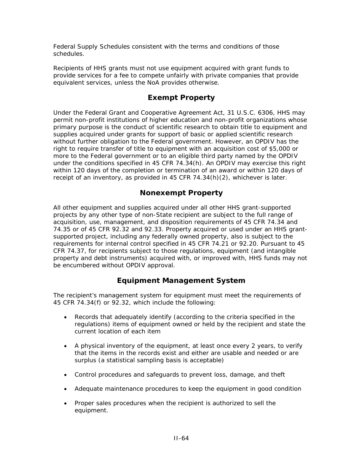Federal Supply Schedules consistent with the terms and conditions of those schedules.

Recipients of HHS grants must not use equipment acquired with grant funds to provide services for a fee to compete unfairly with private companies that provide equivalent services, unless the NoA provides otherwise.

### **Exempt Property**

Under the Federal Grant and Cooperative Agreement Act, 31 U.S.C. 6306, HHS may permit non-profit institutions of higher education and non-profit organizations whose primary purpose is the conduct of scientific research to obtain title to equipment and supplies acquired under grants for support of basic or applied scientific research without further obligation to the Federal government. However, an OPDIV has the right to require transfer of title to equipment with an acquisition cost of \$5,000 or more to the Federal government or to an eligible third party named by the OPDIV under the conditions specified in 45 CFR 74.34(h). An OPDIV may exercise this right within 120 days of the completion or termination of an award or within 120 days of receipt of an inventory, as provided in 45 CFR 74.34(h)(2), whichever is later.

### **Nonexempt Property**

All other equipment and supplies acquired under all other HHS grant-supported projects by any other type of non-State recipient are subject to the full range of acquisition, use, management, and disposition requirements of 45 CFR 74.34 and 74.35 or of 45 CFR 92.32 and 92.33. Property acquired or used under an HHS grantsupported project, including any federally owned property, also is subject to the requirements for internal control specified in 45 CFR 74.21 or 92.20. Pursuant to 45 CFR 74.37, for recipients subject to those regulations, equipment (and intangible property and debt instruments) acquired with, or improved with, HHS funds may not be encumbered without OPDIV approval.

### **Equipment Management System**

The recipient's management system for equipment must meet the requirements of 45 CFR 74.34(f) or 92.32, which include the following:

- Records that adequately identify (according to the criteria specified in the regulations) items of equipment owned or held by the recipient and state the current location of each item
- A physical inventory of the equipment, at least once every 2 years, to verify that the items in the records exist and either are usable and needed or are surplus (a statistical sampling basis is acceptable)
- Control procedures and safeguards to prevent loss, damage, and theft
- Adequate maintenance procedures to keep the equipment in good condition
- Proper sales procedures when the recipient is authorized to sell the equipment.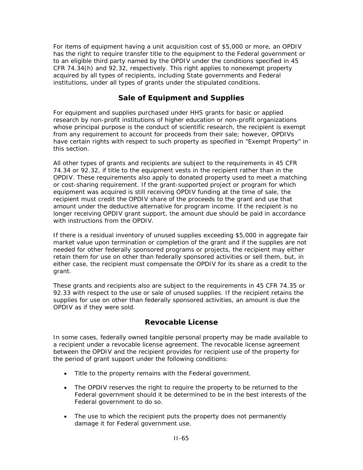For items of equipment having a unit acquisition cost of \$5,000 or more, an OPDIV has the right to require transfer title to the equipment to the Federal government or to an eligible third party named by the OPDIV under the conditions specified in 45 CFR 74.34(h) and 92.32, respectively. This right applies to nonexempt property acquired by all types of recipients, including State governments and Federal institutions, under all types of grants under the stipulated conditions.

### **Sale of Equipment and Supplies**

For equipment and supplies purchased under HHS grants for basic or applied research by non-profit institutions of higher education or non-profit organizations whose principal purpose is the conduct of scientific research, the recipient is exempt from any requirement to account for proceeds from their sale; however, OPDIVs have certain rights with respect to such property as specified in "Exempt Property" in this section.

All other types of grants and recipients are subject to the requirements in 45 CFR 74.34 or 92.32, if title to the equipment vests in the recipient rather than in the OPDIV. These requirements also apply to donated property used to meet a matching or cost-sharing requirement. If the grant-supported project or program for which equipment was acquired is still receiving OPDIV funding at the time of sale, the recipient must credit the OPDIV share of the proceeds to the grant and use that amount under the deductive alternative for program income. If the recipient is no longer receiving OPDIV grant support, the amount due should be paid in accordance with instructions from the OPDIV.

If there is a residual inventory of unused supplies exceeding \$5,000 in aggregate fair market value upon termination or completion of the grant and if the supplies are not needed for other federally sponsored programs or projects, the recipient may either retain them for use on other than federally sponsored activities or sell them, but, in either case, the recipient must compensate the OPDIV for its share as a credit to the grant.

These grants and recipients also are subject to the requirements in 45 CFR 74.35 or 92.33 with respect to the use or sale of unused supplies. If the recipient retains the supplies for use on other than federally sponsored activities, an amount is due the OPDIV as if they were sold.

### **Revocable License**

In some cases, federally owned tangible personal property may be made available to a recipient under a revocable license agreement. The revocable license agreement between the OPDIV and the recipient provides for recipient use of the property for the period of grant support under the following conditions:

- Title to the property remains with the Federal government.
- The OPDIV reserves the right to require the property to be returned to the Federal government should it be determined to be in the best interests of the Federal government to do so.
- The use to which the recipient puts the property does not permanently damage it for Federal government use.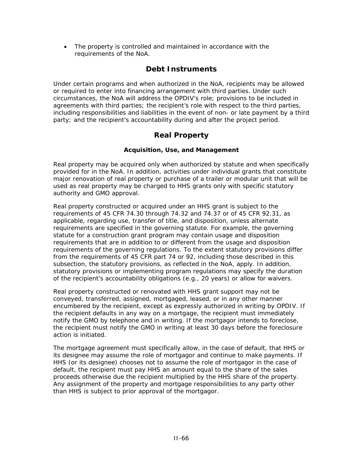• The property is controlled and maintained in accordance with the requirements of the NoA.

#### **Debt Instruments**

Under certain programs and when authorized in the NoA, recipients may be allowed or required to enter into financing arrangement with third parties. Under such circumstances, the NoA will address the OPDIV's role; provisions to be included in agreements with third parties; the recipient's role with respect to the third parties, including responsibilities and liabilities in the event of non- or late payment by a third party; and the recipient's accountability during and after the project period.

#### **Real Property**

#### **Acquisition, Use, and Management**

Real property may be acquired only when authorized by statute and when specifically provided for in the NoA. In addition, activities under individual grants that constitute major renovation of real property or purchase of a trailer or modular unit that will be used as real property may be charged to HHS grants only with specific statutory authority and GMO approval.

Real property constructed or acquired under an HHS grant is subject to the requirements of 45 CFR 74.30 through 74.32 and 74.37 or of 45 CFR 92.31, as applicable, regarding use, transfer of title, and disposition, unless alternate requirements are specified in the governing statute. For example, the governing statute for a construction grant program may contain usage and disposition requirements that are in addition to or different from the usage and disposition requirements of the governing regulations. To the extent statutory provisions differ from the requirements of 45 CFR part 74 or 92, including those described in this subsection, the statutory provisions, as reflected in the NoA, apply. In addition, statutory provisions or implementing program regulations may specify the duration of the recipient's accountability obligations (e.g., 20 years) or allow for waivers.

Real property constructed or renovated with HHS grant support may not be conveyed, transferred, assigned, mortgaged, leased, or in any other manner encumbered by the recipient, except as expressly authorized in writing by OPDIV. If the recipient defaults in any way on a mortgage, the recipient must immediately notify the GMO by telephone and in writing. If the mortgagor intends to foreclose, the recipient must notify the GMO in writing at least 30 days before the foreclosure action is initiated.

The mortgage agreement must specifically allow, in the case of default, that HHS or its designee may assume the role of mortgagor and continue to make payments. If HHS (or its designee) chooses not to assume the role of mortgagor in the case of default, the recipient must pay HHS an amount equal to the share of the sales proceeds otherwise due the recipient multiplied by the HHS share of the property. Any assignment of the property and mortgage responsibilities to any party other than HHS is subject to prior approval of the mortgagor.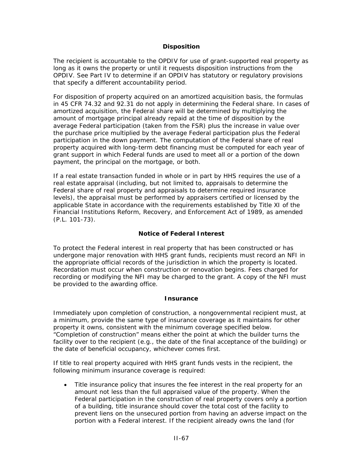#### **Disposition**

The recipient is accountable to the OPDIV for use of grant-supported real property as long as it owns the property or until it requests disposition instructions from the OPDIV. See Part IV to determine if an OPDIV has statutory or regulatory provisions that specify a different accountability period.

For disposition of property acquired on an amortized acquisition basis, the formulas in 45 CFR 74.32 and 92.31 do not apply in determining the Federal share. In cases of amortized acquisition, the Federal share will be determined by multiplying the amount of mortgage principal already repaid at the time of disposition by the average Federal participation (taken from the FSR) plus the increase in value over the purchase price multiplied by the average Federal participation plus the Federal participation in the down payment. The computation of the Federal share of real property acquired with long-term debt financing must be computed for each year of grant support in which Federal funds are used to meet all or a portion of the down payment, the principal on the mortgage, or both.

If a real estate transaction funded in whole or in part by HHS requires the use of a real estate appraisal (including, but not limited to, appraisals to determine the Federal share of real property and appraisals to determine required insurance levels), the appraisal must be performed by appraisers certified or licensed by the applicable State in accordance with the requirements established by Title XI of the Financial Institutions Reform, Recovery, and Enforcement Act of 1989, as amended (P.L. 101-73).

#### **Notice of Federal Interest**

To protect the Federal interest in real property that has been constructed or has undergone major renovation with HHS grant funds, recipients must record an NFI in the appropriate official records of the jurisdiction in which the property is located. Recordation must occur when construction or renovation begins. Fees charged for recording or modifying the NFI may be charged to the grant. A copy of the NFI must be provided to the awarding office.

#### **Insurance**

Immediately upon completion of construction, a nongovernmental recipient must, at a minimum, provide the same type of insurance coverage as it maintains for other property it owns, consistent with the minimum coverage specified below. "Completion of construction" means either the point at which the builder turns the facility over to the recipient (e.g., the date of the final acceptance of the building) or the date of beneficial occupancy, whichever comes first.

If title to real property acquired with HHS grant funds vests in the recipient, the following minimum insurance coverage is required:

• *Title insurance policy that insures the fee interest in the real property for an amount not less than the full appraised value of the property.* When the Federal participation in the construction of real property covers only a portion of a building, title insurance should cover the total cost of the facility to prevent liens on the unsecured portion from having an adverse impact on the portion with a Federal interest. If the recipient already owns the land (for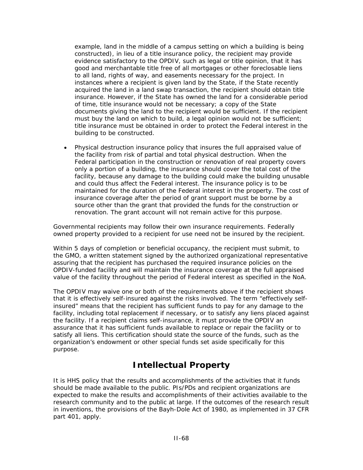example, land in the middle of a campus setting on which a building is being constructed), in lieu of a title insurance policy, the recipient may provide evidence satisfactory to the OPDIV, such as legal or title opinion, that it has good and merchantable title free of all mortgages or other foreclosable liens to all land, rights of way, and easements necessary for the project. In instances where a recipient is given land by the State, if the State recently acquired the land in a land swap transaction, the recipient should obtain title insurance. However, if the State has owned the land for a considerable period of time, title insurance would not be necessary; a copy of the State documents giving the land to the recipient would be sufficient. If the recipient must buy the land on which to build, a legal opinion would not be sufficient; title insurance must be obtained in order to protect the Federal interest in the building to be constructed.

• *Physical destruction insurance policy that insures the full appraised value of the facility from risk of partial and total physical destruction.* When the Federal participation in the construction or renovation of real property covers only a portion of a building, the insurance should cover the total cost of the facility, because any damage to the building could make the building unusable and could thus affect the Federal interest. The insurance policy is to be maintained for the duration of the Federal interest in the property. The cost of insurance coverage after the period of grant support must be borne by a source other than the grant that provided the funds for the construction or renovation. The grant account will not remain active for this purpose.

Governmental recipients may follow their own insurance requirements. Federally owned property provided to a recipient for use need not be insured by the recipient.

Within 5 days of completion or beneficial occupancy, the recipient must submit, to the GMO, a written statement signed by the authorized organizational representative assuring that the recipient has purchased the required insurance policies on the OPDIV-funded facility and will maintain the insurance coverage at the full appraised value of the facility throughout the period of Federal interest as specified in the NoA.

The OPDIV may waive one or both of the requirements above if the recipient shows that it is effectively self-insured against the risks involved. The term "effectively selfinsured" means that the recipient has sufficient funds to pay for any damage to the facility, including total replacement if necessary, or to satisfy any liens placed against the facility. If a recipient claims self-insurance, it must provide the OPDIV an assurance that it has sufficient funds available to replace or repair the facility or to satisfy all liens. This certification should state the source of the funds, such as the organization's endowment or other special funds set aside specifically for this purpose.

# **Intellectual Property**

It is HHS policy that the results and accomplishments of the activities that it funds should be made available to the public. PIs/PDs and recipient organizations are expected to make the results and accomplishments of their activities available to the research community and to the public at large. If the outcomes of the research result in inventions, the provisions of the Bayh-Dole Act of 1980, as implemented in 37 CFR part 401, apply.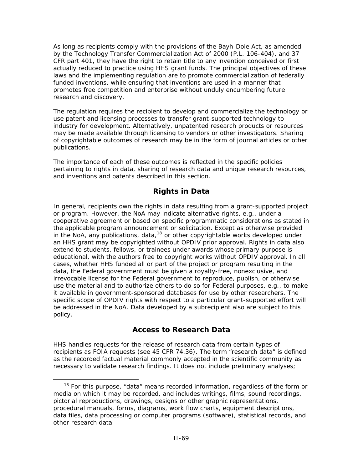As long as recipients comply with the provisions of the Bayh-Dole Act, as amended by the Technology Transfer Commercialization Act of 2000 (P.L. 106-404), and 37 CFR part 401, they have the right to retain title to any invention conceived or first actually reduced to practice using HHS grant funds. The principal objectives of these laws and the implementing regulation are to promote commercialization of federally funded inventions, while ensuring that inventions are used in a manner that promotes free competition and enterprise without unduly encumbering future research and discovery.

The regulation requires the recipient to develop and commercialize the technology or use patent and licensing processes to transfer grant-supported technology to industry for development. Alternatively, unpatented research products or resources may be made available through licensing to vendors or other investigators. Sharing of copyrightable outcomes of research may be in the form of journal articles or other publications.

The importance of each of these outcomes is reflected in the specific policies pertaining to rights in data, sharing of research data and unique research resources, and inventions and patents described in this section.

### **Rights in Data**

In general, recipients own the rights in data resulting from a grant-supported project or program. However, the NoA may indicate alternative rights, e.g., under a cooperative agreement or based on specific programmatic considerations as stated in the applicable program announcement or solicitation. Except as otherwise provided in the NoA, any publications, data, $18$  or other copyrightable works developed under an HHS grant may be copyrighted without OPDIV prior approval. Rights in data also extend to students, fellows, or trainees under awards whose primary purpose is educational, with the authors free to copyright works without OPDIV approval. In all cases, whether HHS funded all or part of the project or program resulting in the data, the Federal government must be given a royalty-free, nonexclusive, and irrevocable license for the Federal government to reproduce, publish, or otherwise use the material and to authorize others to do so for Federal purposes, e.g., to make it available in government-sponsored databases for use by other researchers. The specific scope of OPDIV rights with respect to a particular grant-supported effort will be addressed in the NoA. Data developed by a subrecipient also are subject to this policy.

### **Access to Research Data**

HHS handles requests for the release of research data from certain types of recipients as FOIA requests (see 45 CFR 74.36). The term "research data" is defined as the recorded factual material commonly accepted in the scientific community as necessary to validate research findings. It does not include preliminary analyses;

<span id="page-120-0"></span> $18$  For this purpose, "data" means recorded information, regardless of the form or media on which it may be recorded, and includes writings, films, sound recordings, pictorial reproductions, drawings, designs or other graphic representations, procedural manuals, forms, diagrams, work flow charts, equipment descriptions, data files, data processing or computer programs (software), statistical records, and other research data.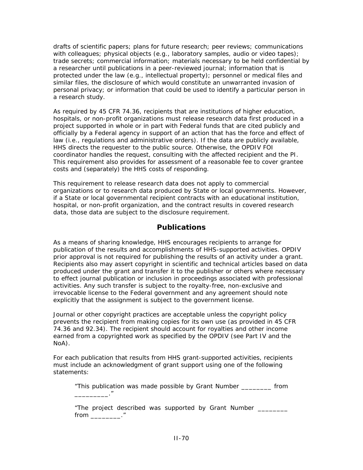drafts of scientific papers; plans for future research; peer reviews; communications with colleagues; physical objects (e.g., laboratory samples, audio or video tapes); trade secrets; commercial information; materials necessary to be held confidential by a researcher until publications in a peer-reviewed journal; information that is protected under the law (e.g., intellectual property); personnel or medical files and similar files, the disclosure of which would constitute an unwarranted invasion of personal privacy; or information that could be used to identify a particular person in a research study.

As required by 45 CFR 74.36, recipients that are institutions of higher education, hospitals, or non-profit organizations must release research data first produced in a project supported in whole or in part with Federal funds that are cited publicly and officially by a Federal agency in support of an action that has the force and effect of law (i.e., regulations and administrative orders). If the data are publicly available, HHS directs the requester to the public source. Otherwise, the OPDIV FOI coordinator handles the request, consulting with the affected recipient and the PI. This requirement also provides for assessment of a reasonable fee to cover grantee costs and (separately) the HHS costs of responding.

This requirement to release research data does not apply to commercial organizations or to research data produced by State or local governments. However, if a State or local governmental recipient contracts with an educational institution, hospital, or non-profit organization, and the contract results in covered research data, those data are subject to the disclosure requirement.

#### **Publications**

As a means of sharing knowledge, HHS encourages recipients to arrange for publication of the results and accomplishments of HHS-supported activities. OPDIV prior approval is not required for publishing the results of an activity under a grant. Recipients also may assert copyright in scientific and technical articles based on data produced under the grant and transfer it to the publisher or others where necessary to effect journal publication or inclusion in proceedings associated with professional activities. Any such transfer is subject to the royalty-free, non-exclusive and irrevocable license to the Federal government and any agreement should note explicitly that the assignment is subject to the government license.

Journal or other copyright practices are acceptable unless the copyright policy prevents the recipient from making copies for its own use (as provided in 45 CFR 74.36 and 92.34). The recipient should account for royalties and other income earned from a copyrighted work as specified by the OPDIV (see Part IV and the NoA).

For each publication that results from HHS grant-supported activities, recipients must include an acknowledgment of grant support using one of the following statements:

"This publication was made possible by Grant Number \_\_\_\_\_\_\_\_ from \_\_\_\_\_\_\_\_\_."

"The project described was supported by Grant Number \_\_\_\_\_\_\_\_ from  $\blacksquare$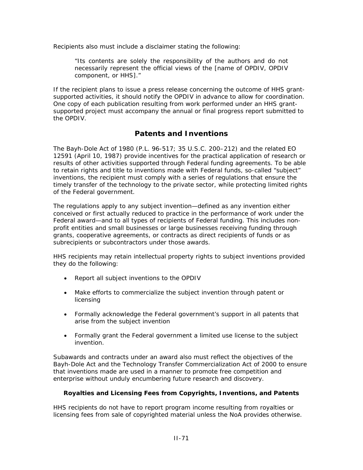Recipients also must include a disclaimer stating the following:

"Its contents are solely the responsibility of the authors and do not necessarily represent the official views of the [name of OPDIV, OPDIV component, or HHS]."

If the recipient plans to issue a press release concerning the outcome of HHS grantsupported activities, it should notify the OPDIV in advance to allow for coordination. One copy of each publication resulting from work performed under an HHS grantsupported project must accompany the annual or final progress report submitted to the OPDIV.

### **Patents and Inventions**

The Bayh-Dole Act of 1980 (P.L. 96-517; 35 U.S.C. 200–212) and the related EO 12591 (April 10, 1987) provide incentives for the practical application of research or results of other activities supported through Federal funding agreements. To be able to retain rights and title to inventions made with Federal funds, so-called "subject" inventions, the recipient must comply with a series of regulations that ensure the timely transfer of the technology to the private sector, while protecting limited rights of the Federal government.

The regulations apply to any subject invention—defined as any invention either conceived or first actually reduced to practice in the performance of work under the Federal award—and to all types of recipients of Federal funding. This includes nonprofit entities and small businesses or large businesses receiving funding through grants, cooperative agreements, or contracts as direct recipients of funds or as subrecipients or subcontractors under those awards.

HHS recipients may retain intellectual property rights to subject inventions provided they do the following:

- Report all subject inventions to the OPDIV
- Make efforts to commercialize the subject invention through patent or licensing
- Formally acknowledge the Federal government's support in all patents that arise from the subject invention
- Formally grant the Federal government a limited use license to the subject invention.

Subawards and contracts under an award also must reflect the objectives of the Bayh-Dole Act and the Technology Transfer Commercialization Act of 2000 to ensure that inventions made are used in a manner to promote free competition and enterprise without unduly encumbering future research and discovery.

#### **Royalties and Licensing Fees from Copyrights, Inventions, and Patents**

HHS recipients do not have to report program income resulting from royalties or licensing fees from sale of copyrighted material unless the NoA provides otherwise.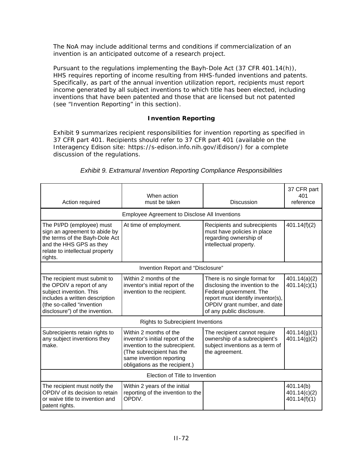The NoA may include additional terms and conditions if commercialization of an invention is an anticipated outcome of a research project.

Pursuant to the regulations implementing the Bayh-Dole Act (37 CFR 401.14(h)), HHS requires reporting of income resulting from HHS-funded inventions and patents. Specifically, as part of the annual invention utilization report, recipients must report income generated by all subject inventions to which title has been elected, including inventions that have been patented and those that are licensed but not patented (see "Invention Reporting" in this section).

#### **Invention Reporting**

Exhibit 9 summarizes recipient responsibilities for invention reporting as specified in 37 CFR part 401. Recipients should refer to 37 CFR part 401 (available on the Interagency Edison site: [https://s-edison.info.nih.gov/iEdison/\)](https://s-edison.info.nih.gov/iEdison/) for a complete discussion of the regulations.

| Action required                                                                                                                                                                       | When action<br>must be taken                                                                                                                                                            | <b>Discussion</b>                                                                                                                                                                             | 37 CFR part<br>401<br>reference           |
|---------------------------------------------------------------------------------------------------------------------------------------------------------------------------------------|-----------------------------------------------------------------------------------------------------------------------------------------------------------------------------------------|-----------------------------------------------------------------------------------------------------------------------------------------------------------------------------------------------|-------------------------------------------|
|                                                                                                                                                                                       | Employee Agreement to Disclose All Inventions                                                                                                                                           |                                                                                                                                                                                               |                                           |
| The PI/PD (employee) must<br>sign an agreement to abide by<br>the terms of the Bayh-Dole Act<br>and the HHS GPS as they<br>relate to intellectual property<br>rights.                 | At time of employment.                                                                                                                                                                  | Recipients and subrecipients<br>must have policies in place<br>regarding ownership of<br>intellectual property.                                                                               | 401.14(f)(2)                              |
|                                                                                                                                                                                       | Invention Report and "Disclosure"                                                                                                                                                       |                                                                                                                                                                                               |                                           |
| The recipient must submit to<br>the OPDIV a report of any<br>subject invention. This<br>includes a written description<br>(the so-called "invention<br>disclosure") of the invention. | Within 2 months of the<br>inventor's initial report of the<br>invention to the recipient.                                                                                               | There is no single format for<br>disclosing the invention to the<br>Federal government. The<br>report must identify inventor(s),<br>OPDIV grant number, and date<br>of any public disclosure. | 401.14(a)(2)<br>401.14(c)(1)              |
| <b>Rights to Subrecipient Inventions</b>                                                                                                                                              |                                                                                                                                                                                         |                                                                                                                                                                                               |                                           |
| Subrecipients retain rights to<br>any subject inventions they<br>make.                                                                                                                | Within 2 months of the<br>inventor's initial report of the<br>invention to the subrecipient.<br>(The subrecipient has the<br>same invention reporting<br>obligations as the recipient.) | The recipient cannot require<br>ownership of a subrecipient's<br>subject inventions as a term of<br>the agreement.                                                                            | 401.14(g)(1)<br>401.14(g)(2)              |
| Election of Title to Invention                                                                                                                                                        |                                                                                                                                                                                         |                                                                                                                                                                                               |                                           |
| The recipient must notify the<br>OPDIV of its decision to retain<br>or waive title to invention and<br>patent rights.                                                                 | Within 2 years of the initial<br>reporting of the invention to the<br>OPDIV.                                                                                                            |                                                                                                                                                                                               | 401.14(b)<br>401.14(c)(2)<br>401.14(f)(1) |

#### *Exhibit 9. Extramural Invention Reporting Compliance Responsibilities*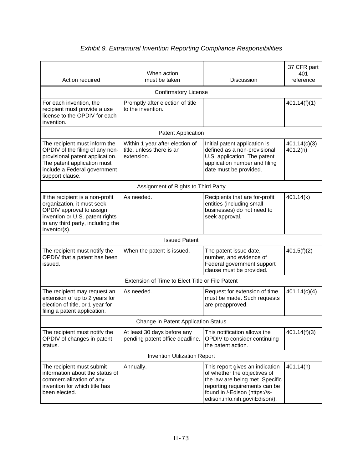| Action required                                                                                                                                                                       | When action<br>must be taken                                               | <b>Discussion</b>                                                                                                                                                                                              | 37 CFR part<br>401<br>reference |
|---------------------------------------------------------------------------------------------------------------------------------------------------------------------------------------|----------------------------------------------------------------------------|----------------------------------------------------------------------------------------------------------------------------------------------------------------------------------------------------------------|---------------------------------|
|                                                                                                                                                                                       | <b>Confirmatory License</b>                                                |                                                                                                                                                                                                                |                                 |
| For each invention, the<br>recipient must provide a use<br>license to the OPDIV for each<br>invention.                                                                                | Promptly after election of title<br>to the invention.                      |                                                                                                                                                                                                                | 401.14(f)(1)                    |
|                                                                                                                                                                                       | Patent Application                                                         |                                                                                                                                                                                                                |                                 |
| The recipient must inform the<br>OPDIV of the filing of any non-<br>provisional patent application.<br>The patent application must<br>include a Federal government<br>support clause. | Within 1 year after election of<br>title, unless there is an<br>extension. | Initial patent application is<br>defined as a non-provisional<br>U.S. application. The patent<br>application number and filing<br>date must be provided.                                                       | 401.14(c)(3)<br>401.2(n)        |
|                                                                                                                                                                                       | Assignment of Rights to Third Party                                        |                                                                                                                                                                                                                |                                 |
| If the recipient is a non-profit<br>organization, it must seek<br>OPDIV approval to assign<br>invention or U.S. patent rights<br>to any third party, including the<br>inventor(s).    | As needed.                                                                 | Recipients that are for-profit<br>entities (including small<br>businesses) do not need to<br>seek approval.                                                                                                    | 401.14(k)                       |
|                                                                                                                                                                                       | <b>Issued Patent</b>                                                       |                                                                                                                                                                                                                |                                 |
| The recipient must notify the<br>OPDIV that a patent has been<br>issued.                                                                                                              | When the patent is issued.                                                 | The patent issue date,<br>number, and evidence of<br>Federal government support<br>clause must be provided.                                                                                                    | 401.5(f)(2)                     |
| Extension of Time to Elect Title or File Patent                                                                                                                                       |                                                                            |                                                                                                                                                                                                                |                                 |
| The recipient may request an<br>extension of up to 2 years for<br>election of title, or 1 year for<br>filing a patent application.                                                    | As needed.                                                                 | Request for extension of time<br>must be made. Such requests<br>are preapproved.                                                                                                                               | 401.14(c)(4)                    |
| Change in Patent Application Status                                                                                                                                                   |                                                                            |                                                                                                                                                                                                                |                                 |
| The recipient must notify the<br>OPDIV of changes in patent<br>status.                                                                                                                | At least 30 days before any<br>pending patent office deadline.             | This notification allows the<br>OPDIV to consider continuing<br>the patent action.                                                                                                                             | 401.14(f)(3)                    |
| <b>Invention Utilization Report</b>                                                                                                                                                   |                                                                            |                                                                                                                                                                                                                |                                 |
| The recipient must submit<br>information about the status of<br>commercialization of any<br>invention for which title has<br>been elected.                                            | Annually.                                                                  | This report gives an indication<br>of whether the objectives of<br>the law are being met. Specific<br>reporting requirements can be<br>found in <i>i</i> -Edison (https://s-<br>edison.info.nih.gov/iEdison/). | 401.14(h)                       |

### *Exhibit 9. Extramural Invention Reporting Compliance Responsibilities*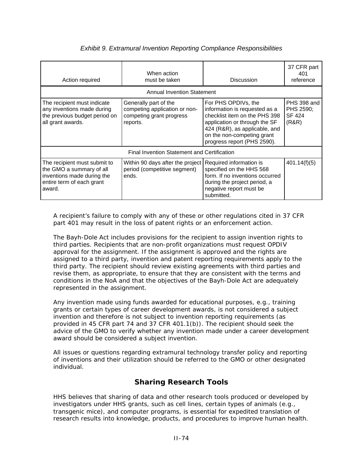| Action required                                                                                                               | When action<br>must be taken                                                                   | <b>Discussion</b>                                                                                                                                                                                                    | 37 CFR part<br>401<br>reference                    |
|-------------------------------------------------------------------------------------------------------------------------------|------------------------------------------------------------------------------------------------|----------------------------------------------------------------------------------------------------------------------------------------------------------------------------------------------------------------------|----------------------------------------------------|
|                                                                                                                               | <b>Annual Invention Statement</b>                                                              |                                                                                                                                                                                                                      |                                                    |
| The recipient must indicate<br>any inventions made during<br>the previous budget period on<br>all grant awards.               | Generally part of the<br>competing application or non-<br>competing grant progress<br>reports. | For PHS OPDIVs, the<br>information is requested as a<br>checklist item on the PHS 398<br>application or through the SF<br>424 (R&R), as applicable, and<br>on the non-competing grant<br>progress report (PHS 2590). | PHS 398 and<br>PHS 2590;<br><b>SF 424</b><br>(R&R) |
| Final Invention Statement and Certification                                                                                   |                                                                                                |                                                                                                                                                                                                                      |                                                    |
| The recipient must submit to<br>the GMO a summary of all<br>inventions made during the<br>entire term of each grant<br>award. | Within 90 days after the project<br>period (competitive segment)<br>ends.                      | Required information is<br>specified on the HHS 568<br>form. If no inventions occurred<br>during the project period, a<br>negative report must be<br>submitted.                                                      | 401.14(f)(5)                                       |

#### *Exhibit 9. Extramural Invention Reporting Compliance Responsibilities*

A recipient's failure to comply with any of these or other regulations cited in 37 CFR part 401 may result in the loss of patent rights or an enforcement action.

The Bayh-Dole Act includes provisions for the recipient to assign invention rights to third parties. Recipients that are non-profit organizations must request OPDIV approval for the assignment. If the assignment is approved and the rights are assigned to a third party, invention and patent reporting requirements apply to the third party. The recipient should review existing agreements with third parties and revise them, as appropriate, to ensure that they are consistent with the terms and conditions in the NoA and that the objectives of the Bayh-Dole Act are adequately represented in the assignment.

Any invention made using funds awarded for educational purposes, e.g., training grants or certain types of career development awards, is not considered a subject invention and therefore is not subject to invention reporting requirements (as provided in 45 CFR part 74 and 37 CFR 401.1(b)). The recipient should seek the advice of the GMO to verify whether any invention made under a career development award should be considered a subject invention.

All issues or questions regarding extramural technology transfer policy and reporting of inventions and their utilization should be referred to the GMO or other designated individual.

### **Sharing Research Tools**

HHS believes that sharing of data and other research tools produced or developed by investigators under HHS grants, such as cell lines, certain types of animals (e.g., transgenic mice), and computer programs, is essential for expedited translation of research results into knowledge, products, and procedures to improve human health.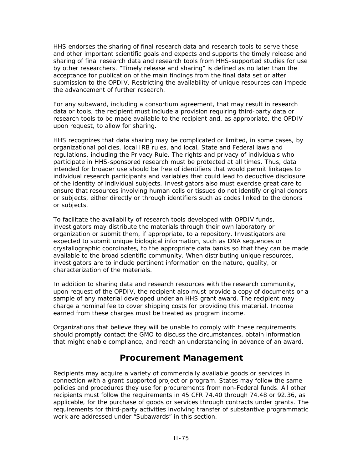HHS endorses the sharing of final research data and research tools to serve these and other important scientific goals and expects and supports the timely release and sharing of final research data and research tools from HHS-supported studies for use by other researchers. "Timely release and sharing" is defined as no later than the acceptance for publication of the main findings from the final data set or after submission to the OPDIV. Restricting the availability of unique resources can impede the advancement of further research.

For any subaward, including a consortium agreement, that may result in research data or tools, the recipient must include a provision requiring third-party data or research tools to be made available to the recipient and, as appropriate, the OPDIV upon request, to allow for sharing.

HHS recognizes that data sharing may be complicated or limited, in some cases, by organizational policies, local IRB rules, and local, State and Federal laws and regulations, including the Privacy Rule. The rights and privacy of individuals who participate in HHS-sponsored research must be protected at all times. Thus, data intended for broader use should be free of identifiers that would permit linkages to individual research participants and variables that could lead to deductive disclosure of the identity of individual subjects. Investigators also must exercise great care to ensure that resources involving human cells or tissues do not identify original donors or subjects, either directly or through identifiers such as codes linked to the donors or subjects.

To facilitate the availability of research tools developed with OPDIV funds, investigators may distribute the materials through their own laboratory or organization or submit them, if appropriate, to a repository. Investigators are expected to submit unique biological information, such as DNA sequences or crystallographic coordinates, to the appropriate data banks so that they can be made available to the broad scientific community. When distributing unique resources, investigators are to include pertinent information on the nature, quality, or characterization of the materials.

In addition to sharing data and research resources with the research community, upon request of the OPDIV, the recipient also must provide a copy of documents or a sample of any material developed under an HHS grant award. The recipient may charge a nominal fee to cover shipping costs for providing this material. Income earned from these charges must be treated as program income.

Organizations that believe they will be unable to comply with these requirements should promptly contact the GMO to discuss the circumstances, obtain information that might enable compliance, and reach an understanding in advance of an award.

### **Procurement Management**

Recipients may acquire a variety of commercially available goods or services in connection with a grant-supported project or program. States may follow the same policies and procedures they use for procurements from non-Federal funds. All other recipients must follow the requirements in 45 CFR 74.40 through 74.48 or 92.36, as applicable, for the purchase of goods or services through contracts under grants. The requirements for third-party activities involving transfer of substantive programmatic work are addressed under "Subawards" in this section.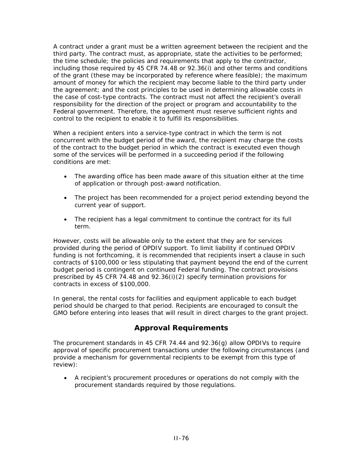A contract under a grant must be a written agreement between the recipient and the third party. The contract must, as appropriate, state the activities to be performed; the time schedule; the policies and requirements that apply to the contractor, including those required by 45 CFR 74.48 or 92.36(i) and other terms and conditions of the grant (these may be incorporated by reference where feasible); the maximum amount of money for which the recipient may become liable to the third party under the agreement; and the cost principles to be used in determining allowable costs in the case of cost-type contracts. The contract must not affect the recipient's overall responsibility for the direction of the project or program and accountability to the Federal government. Therefore, the agreement must reserve sufficient rights and control to the recipient to enable it to fulfill its responsibilities.

When a recipient enters into a service-type contract in which the term is not concurrent with the budget period of the award, the recipient may charge the costs of the contract to the budget period in which the contract is executed even though some of the services will be performed in a succeeding period if the following conditions are met:

- The awarding office has been made aware of this situation either at the time of application or through post-award notification.
- The project has been recommended for a project period extending beyond the current year of support.
- The recipient has a legal commitment to continue the contract for its full term.

However, costs will be allowable only to the extent that they are for services provided during the period of OPDIV support. To limit liability if continued OPDIV funding is not forthcoming, it is recommended that recipients insert a clause in such contracts of \$100,000 or less stipulating that payment beyond the end of the current budget period is contingent on continued Federal funding. The contract provisions prescribed by 45 CFR 74.48 and 92.36(i)(2) specify termination provisions for contracts in excess of \$100,000.

In general, the rental costs for facilities and equipment applicable to each budget period should be charged to that period. Recipients are encouraged to consult the GMO before entering into leases that will result in direct charges to the grant project.

### **Approval Requirements**

The procurement standards in 45 CFR 74.44 and 92.36(g) allow OPDIVs to require approval of specific procurement transactions under the following circumstances (and provide a mechanism for governmental recipients to be exempt from this type of review):

• A recipient's procurement procedures or operations do not comply with the procurement standards required by those regulations.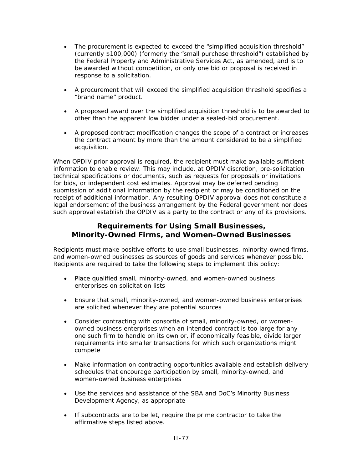- The procurement is expected to exceed the "simplified acquisition threshold" (currently \$100,000) (formerly the "small purchase threshold") established by the Federal Property and Administrative Services Act, as amended, and is to be awarded without competition, or only one bid or proposal is received in response to a solicitation.
- A procurement that will exceed the simplified acquisition threshold specifies a "brand name" product.
- A proposed award over the simplified acquisition threshold is to be awarded to other than the apparent low bidder under a sealed-bid procurement.
- A proposed contract modification changes the scope of a contract or increases the contract amount by more than the amount considered to be a simplified acquisition.

When OPDIV prior approval is required, the recipient must make available sufficient information to enable review. This may include, at OPDIV discretion, pre-solicitation technical specifications or documents, such as requests for proposals or invitations for bids, or independent cost estimates. Approval may be deferred pending submission of additional information by the recipient or may be conditioned on the receipt of additional information. Any resulting OPDIV approval does not constitute a legal endorsement of the business arrangement by the Federal government nor does such approval establish the OPDIV as a party to the contract or any of its provisions.

#### **Requirements for Using Small Businesses, Minority-Owned Firms, and Women-Owned Businesses**

Recipients must make positive efforts to use small businesses, minority-owned firms, and women-owned businesses as sources of goods and services whenever possible. Recipients are required to take the following steps to implement this policy:

- Place qualified small, minority-owned, and women-owned business enterprises on solicitation lists
- Ensure that small, minority-owned, and women-owned business enterprises are solicited whenever they are potential sources
- Consider contracting with consortia of small, minority-owned, or womenowned business enterprises when an intended contract is too large for any one such firm to handle on its own or, if economically feasible, divide larger requirements into smaller transactions for which such organizations might compete
- Make information on contracting opportunities available and establish delivery schedules that encourage participation by small, minority-owned, and women-owned business enterprises
- Use the services and assistance of the SBA and DoC's Minority Business Development Agency, as appropriate
- If subcontracts are to be let, require the prime contractor to take the affirmative steps listed above.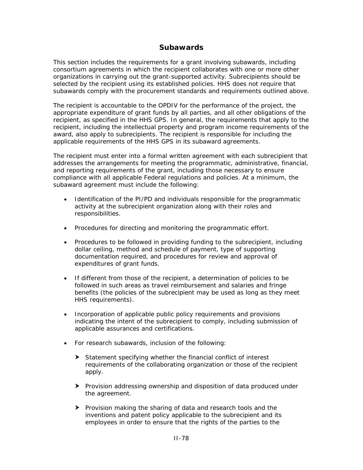#### **Subawards**

This section includes the requirements for a grant involving subawards, including consortium agreements in which the recipient collaborates with one or more other organizations in carrying out the grant-supported activity. Subrecipients should be selected by the recipient using its established policies. HHS does not require that subawards comply with the procurement standards and requirements outlined above.

The recipient is accountable to the OPDIV for the performance of the project, the appropriate expenditure of grant funds by all parties, and all other obligations of the recipient, as specified in the HHS GPS. In general, the requirements that apply to the recipient, including the intellectual property and program income requirements of the award, also apply to subrecipients. The recipient is responsible for including the applicable requirements of the HHS GPS in its subaward agreements.

The recipient must enter into a formal written agreement with each subrecipient that addresses the arrangements for meeting the programmatic, administrative, financial, and reporting requirements of the grant, including those necessary to ensure compliance with all applicable Federal regulations and policies. At a minimum, the subaward agreement must include the following:

- Identification of the PI/PD and individuals responsible for the programmatic activity at the subrecipient organization along with their roles and responsibilities.
- Procedures for directing and monitoring the programmatic effort.
- Procedures to be followed in providing funding to the subrecipient, including dollar ceiling, method and schedule of payment, type of supporting documentation required, and procedures for review and approval of expenditures of grant funds.
- If different from those of the recipient, a determination of policies to be followed in such areas as travel reimbursement and salaries and fringe benefits (the policies of the subrecipient may be used as long as they meet HHS requirements).
- Incorporation of applicable public policy requirements and provisions indicating the intent of the subrecipient to comply, including submission of applicable assurances and certifications.
- For research subawards, inclusion of the following:
	- $\blacktriangleright$  Statement specifying whether the financial conflict of interest requirements of the collaborating organization or those of the recipient apply.
	- $\blacktriangleright$  Provision addressing ownership and disposition of data produced under the agreement.
	- **F** Provision making the sharing of data and research tools and the inventions and patent policy applicable to the subrecipient and its employees in order to ensure that the rights of the parties to the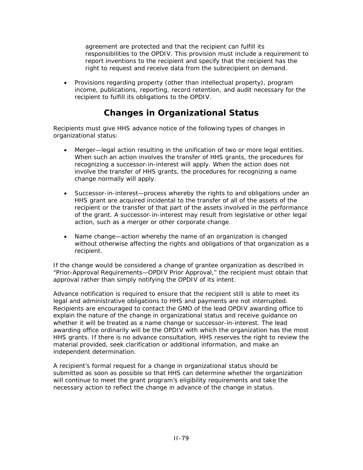agreement are protected and that the recipient can fulfill its responsibilities to the OPDIV. This provision must include a requirement to report inventions to the recipient and specify that the recipient has the right to request and receive data from the subrecipient on demand.

• Provisions regarding property (other than intellectual property), program income, publications, reporting, record retention, and audit necessary for the recipient to fulfill its obligations to the OPDIV.

# **Changes in Organizational Status**

Recipients must give HHS advance notice of the following types of changes in organizational status:

- *Merger*—legal action resulting in the unification of two or more legal entities. When such an action involves the transfer of HHS grants, the procedures for recognizing a successor-in-interest will apply. When the action does not involve the transfer of HHS grants, the procedures for recognizing a name change normally will apply.
- *Successor-in-interest*—process whereby the rights to and obligations under an HHS grant are acquired incidental to the transfer of all of the assets of the recipient or the transfer of that part of the assets involved in the performance of the grant. A successor-in-interest may result from legislative or other legal action, such as a merger or other corporate change.
- *Name change*—action whereby the name of an organization is changed without otherwise affecting the rights and obligations of that organization as a recipient.

If the change would be considered a change of grantee organization as described in "Prior-Approval Requirements—OPDIV Prior Approval," the recipient must obtain that approval rather than simply notifying the OPDIV of its intent.

Advance notification is required to ensure that the recipient still is able to meet its legal and administrative obligations to HHS and payments are not interrupted. Recipients are encouraged to contact the GMO of the lead OPDIV awarding office to explain the nature of the change in organizational status and receive guidance on whether it will be treated as a name change or successor-in-interest. The lead awarding office ordinarily will be the OPDIV with which the organization has the most HHS grants. If there is no advance consultation, HHS reserves the right to review the material provided, seek clarification or additional information, and make an independent determination.

A recipient's formal request for a change in organizational status should be submitted as soon as possible so that HHS can determine whether the organization will continue to meet the grant program's eligibility requirements and take the necessary action to reflect the change in advance of the change in status.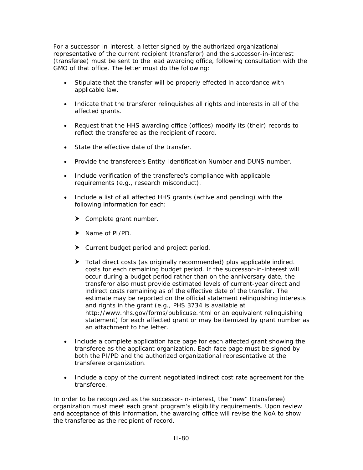For a successor-in-interest, a letter signed by the authorized organizational representative of the current recipient (transferor) and the successor-in-interest (transferee) must be sent to the lead awarding office, following consultation with the GMO of that office. The letter must do the following:

- Stipulate that the transfer will be properly effected in accordance with applicable law.
- Indicate that the transferor relinquishes all rights and interests in all of the affected grants.
- Request that the HHS awarding office (offices) modify its (their) records to reflect the transferee as the recipient of record.
- State the effective date of the transfer.
- Provide the transferee's Entity Identification Number and DUNS number.
- Include verification of the transferee's compliance with applicable requirements (e.g., research misconduct).
- Include a list of all affected HHS grants (active and pending) with the following information for each:
	- $\blacktriangleright$  Complete grant number.
	- $\blacktriangleright$  Name of PI/PD.
	- $\blacktriangleright$  Current budget period and project period.
	- $\triangleright$  Total direct costs (as originally recommended) plus applicable indirect costs for each remaining budget period. If the successor-in-interest will occur during a budget period rather than on the anniversary date, the transferor also must provide estimated levels of current-year direct and indirect costs remaining as of the effective date of the transfer. The estimate may be reported on the official statement relinquishing interests and rights in the grant (e.g., PHS 3734 is available at <http://www.hhs.gov/forms/publicuse.html> or an equivalent relinquishing statement) for each affected grant or may be itemized by grant number as an attachment to the letter.
- Include a complete application face page for each affected grant showing the transferee as the applicant organization. Each face page must be signed by both the PI/PD and the authorized organizational representative at the transferee organization.
- Include a copy of the current negotiated indirect cost rate agreement for the transferee.

In order to be recognized as the successor-in-interest, the "new" (transferee) organization must meet each grant program's eligibility requirements. Upon review and acceptance of this information, the awarding office will revise the NoA to show the transferee as the recipient of record.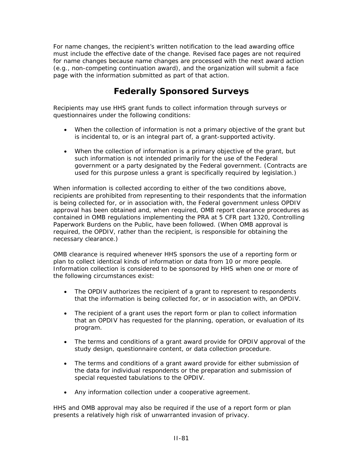For name changes, the recipient's written notification to the lead awarding office must include the effective date of the change. Revised face pages are not required for name changes because name changes are processed with the next award action (e.g., non-competing continuation award), and the organization will submit a face page with the information submitted as part of that action.

# **Federally Sponsored Surveys**

Recipients may use HHS grant funds to collect information through surveys or questionnaires under the following conditions:

- When the collection of information is not a primary objective of the grant but is incidental to, or is an integral part of, a grant-supported activity.
- When the collection of information is a primary objective of the grant, but such information is not intended primarily for the use of the Federal government or a party designated by the Federal government. (Contracts are used for this purpose unless a grant is specifically required by legislation.)

When information is collected according to either of the two conditions above, recipients are prohibited from representing to their respondents that the information is being collected for, or in association with, the Federal government unless OPDIV approval has been obtained and, when required, OMB report clearance procedures as contained in OMB regulations implementing the PRA at 5 CFR part 1320, Controlling Paperwork Burdens on the Public, have been followed. (When OMB approval is required, the OPDIV, rather than the recipient, is responsible for obtaining the necessary clearance.)

OMB clearance is required whenever HHS sponsors the use of a reporting form or plan to collect identical kinds of information or data from 10 or more people. Information collection is considered to be sponsored by HHS when one or more of the following circumstances exist:

- The OPDIV authorizes the recipient of a grant to represent to respondents that the information is being collected for, or in association with, an OPDIV.
- The recipient of a grant uses the report form or plan to collect information that an OPDIV has requested for the planning, operation, or evaluation of its program.
- The terms and conditions of a grant award provide for OPDIV approval of the study design, questionnaire content, or data collection procedure.
- The terms and conditions of a grant award provide for either submission of the data for individual respondents or the preparation and submission of special requested tabulations to the OPDIV.
- Any information collection under a cooperative agreement.

HHS and OMB approval may also be required if the use of a report form or plan presents a relatively high risk of unwarranted invasion of privacy.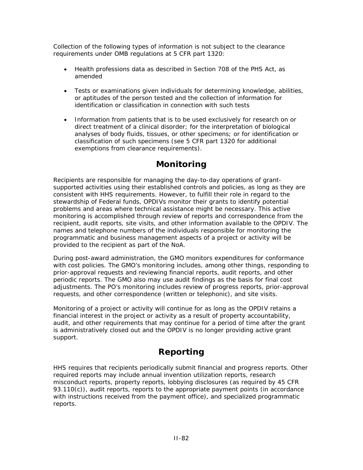Collection of the following types of information is not subject to the clearance requirements under OMB regulations at 5 CFR part 1320:

- Health professions data as described in Section 708 of the PHS Act, as amended
- Tests or examinations given individuals for determining knowledge, abilities, or aptitudes of the person tested and the collection of information for identification or classification in connection with such tests
- Information from patients that is to be used exclusively for research on or direct treatment of a clinical disorder; for the interpretation of biological analyses of body fluids, tissues, or other specimens; or for identification or classification of such specimens (see 5 CFR part 1320 for additional exemptions from clearance requirements).

# **Monitoring**

Recipients are responsible for managing the day-to-day operations of grantsupported activities using their established controls and policies, as long as they are consistent with HHS requirements. However, to fulfill their role in regard to the stewardship of Federal funds, OPDIVs monitor their grants to identify potential problems and areas where technical assistance might be necessary. This active monitoring is accomplished through review of reports and correspondence from the recipient, audit reports, site visits, and other information available to the OPDIV. The names and telephone numbers of the individuals responsible for monitoring the programmatic and business management aspects of a project or activity will be provided to the recipient as part of the NoA.

During post-award administration, the GMO monitors expenditures for conformance with cost policies. The GMO's monitoring includes, among other things, responding to prior-approval requests and reviewing financial reports, audit reports, and other periodic reports. The GMO also may use audit findings as the basis for final cost adjustments. The PO's monitoring includes review of progress reports, prior-approval requests, and other correspondence (written or telephonic), and site visits.

Monitoring of a project or activity will continue for as long as the OPDIV retains a financial interest in the project or activity as a result of property accountability, audit, and other requirements that may continue for a period of time after the grant is administratively closed out and the OPDIV is no longer providing active grant support.

# **Reporting**

HHS requires that recipients periodically submit financial and progress reports. Other required reports may include annual invention utilization reports, research misconduct reports, property reports, lobbying disclosures (as required by 45 CFR 93.110(c)), audit reports, reports to the appropriate payment points (in accordance with instructions received from the payment office), and specialized programmatic reports.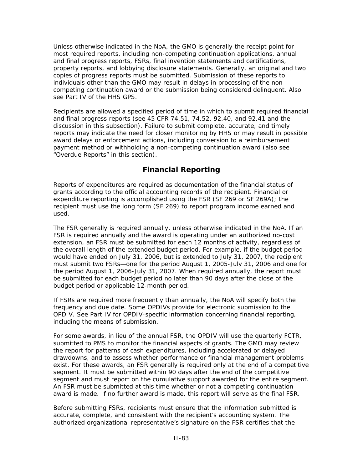Unless otherwise indicated in the NoA, the GMO is generally the receipt point for most required reports, including non-competing continuation applications, annual and final progress reports, FSRs, final invention statements and certifications, property reports, and lobbying disclosure statements. Generally, an original and two copies of progress reports must be submitted. Submission of these reports to individuals other than the GMO may result in delays in processing of the noncompeting continuation award or the submission being considered delinquent. Also see Part IV of the HHS GPS.

Recipients are allowed a specified period of time in which to submit required financial and final progress reports (see 45 CFR 74.51, 74.52, 92.40, and 92.41 and the discussion in this subsection). Failure to submit complete, accurate, and timely reports may indicate the need for closer monitoring by HHS or may result in possible award delays or enforcement actions, including conversion to a reimbursement payment method or withholding a non-competing continuation award (also see "Overdue Reports" in this section).

### **Financial Reporting**

Reports of expenditures are required as documentation of the financial status of grants according to the official accounting records of the recipient. Financial or expenditure reporting is accomplished using the FSR (SF 269 or SF 269A); the recipient must use the long form (SF 269) to report program income earned and used.

The FSR generally is required annually, unless otherwise indicated in the NoA. If an FSR is required annually and the award is operating under an authorized no-cost extension, an FSR must be submitted for each 12 months of activity, regardless of the overall length of the extended budget period. For example, if the budget period would have ended on July 31, 2006, but is extended to July 31, 2007, the recipient must submit two FSRs—one for the period August 1, 2005-July 31, 2006 and one for the period August 1, 2006-July 31, 2007. When required annually, the report must be submitted for each budget period no later than 90 days after the close of the budget period or applicable 12-month period.

If FSRs are required more frequently than annually, the NoA will specify both the frequency and due date. Some OPDIVs provide for electronic submission to the OPDIV. See Part IV for OPDIV-specific information concerning financial reporting, including the means of submission.

For some awards, in lieu of the annual FSR, the OPDIV will use the quarterly FCTR, submitted to PMS to monitor the financial aspects of grants. The GMO may review the report for patterns of cash expenditures, including accelerated or delayed drawdowns, and to assess whether performance or financial management problems exist. For these awards, an FSR generally is required only at the end of a competitive segment. It must be submitted within 90 days after the end of the competitive segment and must report on the cumulative support awarded for the entire segment. An FSR must be submitted at this time whether or not a competing continuation award is made. If no further award is made, this report will serve as the final FSR.

Before submitting FSRs, recipients must ensure that the information submitted is accurate, complete, and consistent with the recipient's accounting system. The authorized organizational representative's signature on the FSR certifies that the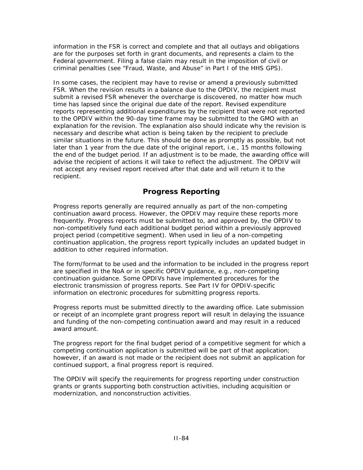information in the FSR is correct and complete and that all outlays and obligations are for the purposes set forth in grant documents, and represents a claim to the Federal government. Filing a false claim may result in the imposition of civil or criminal penalties (see "Fraud, Waste, and Abuse" in Part I of the HHS GPS).

In some cases, the recipient may have to revise or amend a previously submitted FSR. When the revision results in a balance due to the OPDIV, the recipient must submit a revised FSR whenever the overcharge is discovered, no matter how much time has lapsed since the original due date of the report. Revised expenditure reports representing additional expenditures by the recipient that were not reported to the OPDIV within the 90-day time frame may be submitted to the GMO with an explanation for the revision. The explanation also should indicate why the revision is necessary and describe what action is being taken by the recipient to preclude similar situations in the future. This should be done as promptly as possible, but not later than 1 year from the due date of the original report, i.e., 15 months following the end of the budget period. If an adjustment is to be made, the awarding office will advise the recipient of actions it will take to reflect the adjustment. The OPDIV will not accept any revised report received after that date and will return it to the recipient.

### **Progress Reporting**

Progress reports generally are required annually as part of the non-competing continuation award process. However, the OPDIV may require these reports more frequently. Progress reports must be submitted to, and approved by, the OPDIV to non-competitively fund each additional budget period within a previously approved project period (competitive segment). When used in lieu of a non-competing continuation application, the progress report typically includes an updated budget in addition to other required information.

The form/format to be used and the information to be included in the progress report are specified in the NoA or in specific OPDIV guidance, e.g., non-competing continuation guidance. Some OPDIVs have implemented procedures for the electronic transmission of progress reports. See Part IV for OPDIV-specific information on electronic procedures for submitting progress reports.

Progress reports must be submitted directly to the awarding office. Late submission or receipt of an incomplete grant progress report will result in delaying the issuance and funding of the non-competing continuation award and may result in a reduced award amount.

The progress report for the final budget period of a competitive segment for which a competing continuation application is submitted will be part of that application; however, if an award is not made or the recipient does not submit an application for continued support, a final progress report is required.

The OPDIV will specify the requirements for progress reporting under construction grants or grants supporting both construction activities, including acquisition or modernization, and nonconstruction activities.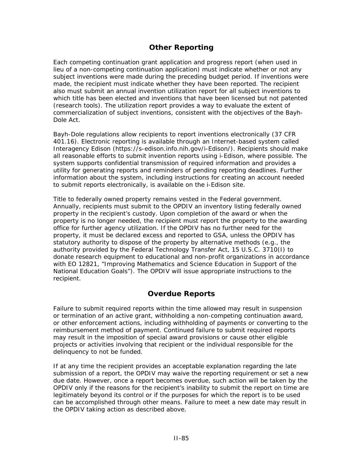### **Other Reporting**

Each competing continuation grant application and progress report (when used in lieu of a non-competing continuation application) must indicate whether or not any subject inventions were made during the preceding budget period. If inventions were made, the recipient must indicate whether they have been reported. The recipient also must submit an annual invention utilization report for all subject inventions to which title has been elected and inventions that have been licensed but not patented (research tools). The utilization report provides a way to evaluate the extent of commercialization of subject inventions, consistent with the objectives of the Bayh-Dole Act.

Bayh-Dole regulations allow recipients to report inventions electronically (37 CFR 401.16). Electronic reporting is available through an Internet-based system called Interagency Edison ([https://s-edison.info.nih.gov/](https://s-edison.info.nih.gov/iEdison/)*i*-Edison/). Recipients should make all reasonable efforts to submit invention reports using *i*-Edison, where possible. The system supports confidential transmission of required information and provides a utility for generating reports and reminders of pending reporting deadlines. Further information about the system, including instructions for creating an account needed to submit reports electronically, is available on the *i*-Edison site.

Title to federally owned property remains vested in the Federal government. Annually, recipients must submit to the OPDIV an inventory listing federally owned property in the recipient's custody. Upon completion of the award or when the property is no longer needed, the recipient must report the property to the awarding office for further agency utilization. If the OPDIV has no further need for the property, it must be declared excess and reported to GSA, unless the OPDIV has statutory authority to dispose of the property by alternative methods (e.g., the authority provided by the Federal Technology Transfer Act, 15 U.S.C. 3710(I) to donate research equipment to educational and non-profit organizations in accordance with EO 12821, "Improving Mathematics and Science Education in Support of the National Education Goals"). The OPDIV will issue appropriate instructions to the recipient.

#### **Overdue Reports**

Failure to submit required reports within the time allowed may result in suspension or termination of an active grant, withholding a non-competing continuation award, or other enforcement actions, including withholding of payments or converting to the reimbursement method of payment. Continued failure to submit required reports may result in the imposition of special award provisions or cause other eligible projects or activities involving that recipient or the individual responsible for the delinquency to not be funded.

If at any time the recipient provides an acceptable explanation regarding the late submission of a report, the OPDIV may waive the reporting requirement or set a new due date. However, once a report becomes overdue, such action will be taken by the OPDIV only if the reasons for the recipient's inability to submit the report on time are legitimately beyond its control or if the purposes for which the report is to be used can be accomplished through other means. Failure to meet a new date may result in the OPDIV taking action as described above.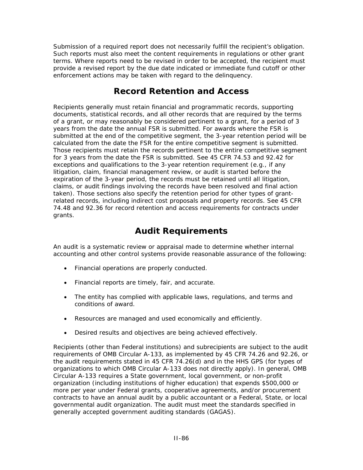Submission of a required report does not necessarily fulfill the recipient's obligation. Such reports must also meet the content requirements in regulations or other grant terms. Where reports need to be revised in order to be accepted, the recipient must provide a revised report by the due date indicated or immediate fund cutoff or other enforcement actions may be taken with regard to the delinquency.

# **Record Retention and Access**

Recipients generally must retain financial and programmatic records, supporting documents, statistical records, and all other records that are required by the terms of a grant, or may reasonably be considered pertinent to a grant, for a period of 3 years from the date the annual FSR is submitted. For awards where the FSR is submitted at the end of the competitive segment, the 3-year retention period will be calculated from the date the FSR for the entire competitive segment is submitted. Those recipients must retain the records pertinent to the entire competitive segment for 3 years from the date the FSR is submitted. See 45 CFR 74.53 and 92.42 for exceptions and qualifications to the 3-year retention requirement (e.g., if any litigation, claim, financial management review, or audit is started before the expiration of the 3-year period, the records must be retained until all litigation, claims, or audit findings involving the records have been resolved and final action taken). Those sections also specify the retention period for other types of grantrelated records, including indirect cost proposals and property records. See 45 CFR 74.48 and 92.36 for record retention and access requirements for contracts under grants.

# **Audit Requirements**

An audit is a systematic review or appraisal made to determine whether internal accounting and other control systems provide reasonable assurance of the following:

- Financial operations are properly conducted.
- Financial reports are timely, fair, and accurate.
- The entity has complied with applicable laws, regulations, and terms and conditions of award.
- Resources are managed and used economically and efficiently.
- Desired results and objectives are being achieved effectively.

Recipients (other than Federal institutions) and subrecipients are subject to the audit requirements of OMB Circular A-133, as implemented by 45 CFR 74.26 and 92.26, or the audit requirements stated in 45 CFR 74.26(d) and in the HHS GPS (for types of organizations to which OMB Circular A-133 does not directly apply). In general, OMB Circular A-133 requires a State government, local government, or non-profit organization (including institutions of higher education) that expends \$500,000 or more per year under Federal grants, cooperative agreements, and/or procurement contracts to have an annual audit by a public accountant or a Federal, State, or local governmental audit organization. The audit must meet the standards specified in generally accepted government auditing standards (GAGAS).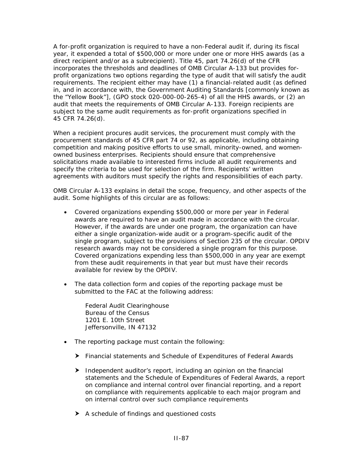A for-profit organization is required to have a non-Federal audit if, during its fiscal year, it expended a total of \$500,000 or more under one or more HHS awards (as a direct recipient and/or as a subrecipient). Title 45, part 74.26(d) of the CFR incorporates the thresholds and deadlines of OMB Circular A-133 but provides forprofit organizations two options regarding the type of audit that will satisfy the audit requirements. The recipient either may have (1) a financial-related audit (as defined in, and in accordance with, the Government Auditing Standards [commonly known as the "Yellow Book"], (GPO stock 020-000-00-265-4) of all the HHS awards, or (2) an audit that meets the requirements of OMB Circular A-133. Foreign recipients are subject to the same audit requirements as for-profit organizations specified in 45 CFR 74.26(d).

When a recipient procures audit services, the procurement must comply with the procurement standards of 45 CFR part 74 or 92, as applicable, including obtaining competition and making positive efforts to use small, minority-owned, and womenowned business enterprises. Recipients should ensure that comprehensive solicitations made available to interested firms include all audit requirements and specify the criteria to be used for selection of the firm. Recipients' written agreements with auditors must specify the rights and responsibilities of each party.

OMB Circular A-133 explains in detail the scope, frequency, and other aspects of the audit. Some highlights of this circular are as follows:

- Covered organizations expending \$500,000 or more per year in Federal awards are required to have an audit made in accordance with the circular. However, if the awards are under one program, the organization can have either a single organization-wide audit or a program-specific audit of the single program, subject to the provisions of Section 235 of the circular. OPDIV research awards may not be considered a single program for this purpose. Covered organizations expending less than \$500,000 in any year are exempt from these audit requirements in that year but must have their records available for review by the OPDIV.
- The data collection form and copies of the reporting package must be submitted to the FAC at the following address:

Federal Audit Clearinghouse Bureau of the Census 1201 E. 10th Street Jeffersonville, IN 47132

- The reporting package must contain the following:
	- h Financial statements and Schedule of Expenditures of Federal Awards
	- $\blacktriangleright$  Independent auditor's report, including an opinion on the financial statements and the Schedule of Expenditures of Federal Awards, a report on compliance and internal control over financial reporting, and a report on compliance with requirements applicable to each major program and on internal control over such compliance requirements
	- $\blacktriangleright$  A schedule of findings and questioned costs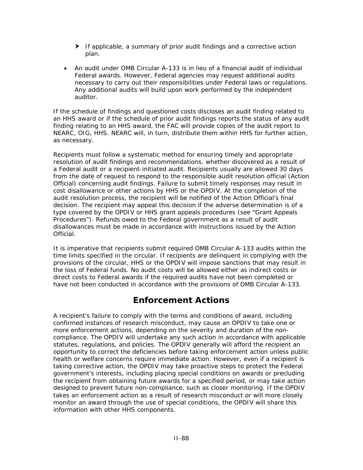- $\blacktriangleright$  If applicable, a summary of prior audit findings and a corrective action plan.
- An audit under OMB Circular A-133 is in lieu of a financial audit of individual Federal awards. However, Federal agencies may request additional audits necessary to carry out their responsibilities under Federal laws or regulations. Any additional audits will build upon work performed by the independent auditor.

If the schedule of findings and questioned costs discloses an audit finding related to an HHS award or if the schedule of prior audit findings reports the status of any audit finding relating to an HHS award, the FAC will provide copies of the audit report to NEARC, OIG, HHS. NEARC will, in turn, distribute them within HHS for further action, as necessary.

Recipients must follow a systematic method for ensuring timely and appropriate resolution of audit findings and recommendations, whether discovered as a result of a Federal audit or a recipient-initiated audit. Recipients usually are allowed 30 days from the date of request to respond to the responsible audit resolution official (Action Official) concerning audit findings. Failure to submit timely responses may result in cost disallowance or other actions by HHS or the OPDIV. At the completion of the audit resolution process, the recipient will be notified of the Action Official's final decision. The recipient may appeal this decision if the adverse determination is of a type covered by the OPDIV or HHS grant appeals procedures (see "Grant Appeals Procedures"). Refunds owed to the Federal government as a result of audit disallowances must be made in accordance with instructions issued by the Action **Official** 

It is imperative that recipients submit required OMB Circular A-133 audits within the time limits specified in the circular. If recipients are delinquent in complying with the provisions of the circular, HHS or the OPDIV will impose sanctions that may result in the loss of Federal funds. No audit costs will be allowed either as indirect costs or direct costs to Federal awards if the required audits have not been completed or have not been conducted in accordance with the provisions of OMB Circular A-133.

# **Enforcement Actions**

A recipient's failure to comply with the terms and conditions of award, including confirmed instances of research misconduct, may cause an OPDIV to take one or more enforcement actions, depending on the severity and duration of the noncompliance. The OPDIV will undertake any such action in accordance with applicable statutes, regulations, and policies. The OPDIV generally will afford the recipient an opportunity to correct the deficiencies before taking enforcement action unless public health or welfare concerns require immediate action. However, even if a recipient is taking corrective action, the OPDIV may take proactive steps to protect the Federal government's interests, including placing special conditions on awards or precluding the recipient from obtaining future awards for a specified period, or may take action designed to prevent future non-compliance, such as closer monitoring. If the OPDIV takes an enforcement action as a result of research misconduct or will more closely monitor an award through the use of special conditions, the OPDIV will share this information with other HHS components.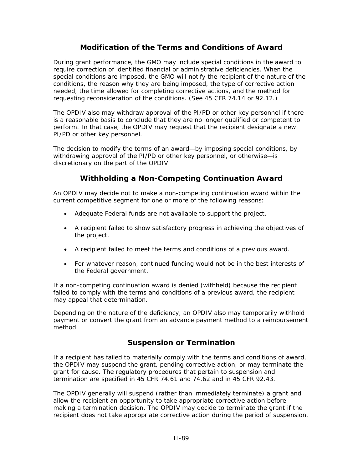### **Modification of the Terms and Conditions of Award**

During grant performance, the GMO may include special conditions in the award to require correction of identified financial or administrative deficiencies. When the special conditions are imposed, the GMO will notify the recipient of the nature of the conditions, the reason why they are being imposed, the type of corrective action needed, the time allowed for completing corrective actions, and the method for requesting reconsideration of the conditions. (See 45 CFR 74.14 or 92.12.)

The OPDIV also may withdraw approval of the PI/PD or other key personnel if there is a reasonable basis to conclude that they are no longer qualified or competent to perform. In that case, the OPDIV may request that the recipient designate a new PI/PD or other key personnel.

The decision to modify the terms of an award—by imposing special conditions, by withdrawing approval of the PI/PD or other key personnel, or otherwise—is discretionary on the part of the OPDIV.

### **Withholding a Non-Competing Continuation Award**

An OPDIV may decide not to make a non-competing continuation award within the current competitive segment for one or more of the following reasons:

- Adequate Federal funds are not available to support the project.
- A recipient failed to show satisfactory progress in achieving the objectives of the project.
- A recipient failed to meet the terms and conditions of a previous award.
- For whatever reason, continued funding would not be in the best interests of the Federal government.

If a non-competing continuation award is denied (withheld) because the recipient failed to comply with the terms and conditions of a previous award, the recipient may appeal that determination.

Depending on the nature of the deficiency, an OPDIV also may temporarily withhold payment or convert the grant from an advance payment method to a reimbursement method.

### **Suspension or Termination**

If a recipient has failed to materially comply with the terms and conditions of award, the OPDIV may suspend the grant, pending corrective action, or may terminate the grant for cause. The regulatory procedures that pertain to suspension and termination are specified in 45 CFR 74.61 and 74.62 and in 45 CFR 92.43.

The OPDIV generally will suspend (rather than immediately terminate) a grant and allow the recipient an opportunity to take appropriate corrective action before making a termination decision. The OPDIV may decide to terminate the grant if the recipient does not take appropriate corrective action during the period of suspension.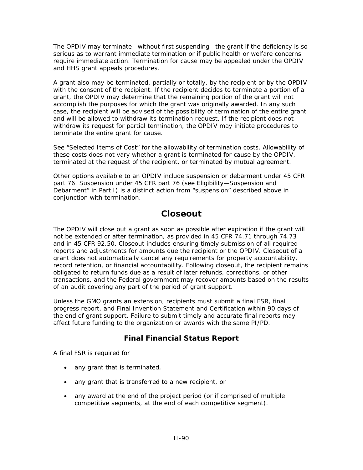The OPDIV may terminate—without first suspending—the grant if the deficiency is so serious as to warrant immediate termination or if public health or welfare concerns require immediate action. Termination for cause may be appealed under the OPDIV and HHS grant appeals procedures.

A grant also may be terminated, partially or totally, by the recipient or by the OPDIV with the consent of the recipient. If the recipient decides to terminate a portion of a grant, the OPDIV may determine that the remaining portion of the grant will not accomplish the purposes for which the grant was originally awarded. In any such case, the recipient will be advised of the possibility of termination of the entire grant and will be allowed to withdraw its termination request. If the recipient does not withdraw its request for partial termination, the OPDIV may initiate procedures to terminate the entire grant for cause.

See "Selected Items of Cost" for the allowability of termination costs. Allowability of these costs does not vary whether a grant is terminated for cause by the OPDIV, terminated at the request of the recipient, or terminated by mutual agreement.

Other options available to an OPDIV include suspension or debarment under 45 CFR part 76. Suspension under 45 CFR part 76 (see Eligibility—Suspension and Debarment" in Part I) is a distinct action from "suspension" described above in conjunction with termination.

## **Closeout**

The OPDIV will close out a grant as soon as possible after expiration if the grant will not be extended or after termination, as provided in 45 CFR 74.71 through 74.73 and in 45 CFR 92.50. Closeout includes ensuring timely submission of all required reports and adjustments for amounts due the recipient or the OPDIV. Closeout of a grant does not automatically cancel any requirements for property accountability, record retention, or financial accountability. Following closeout, the recipient remains obligated to return funds due as a result of later refunds, corrections, or other transactions, and the Federal government may recover amounts based on the results of an audit covering any part of the period of grant support.

Unless the GMO grants an extension, recipients must submit a final FSR, final progress report, and Final Invention Statement and Certification within 90 days of the end of grant support. Failure to submit timely and accurate final reports may affect future funding to the organization or awards with the same PI/PD.

### **Final Financial Status Report**

A final FSR is required for

- any grant that is terminated,
- any grant that is transferred to a new recipient, or
- any award at the end of the project period (or if comprised of multiple competitive segments, at the end of each competitive segment).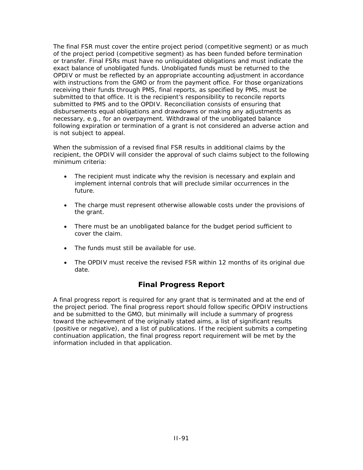The final FSR must cover the entire project period (competitive segment) or as much of the project period (competitive segment) as has been funded before termination or transfer. Final FSRs must have no unliquidated obligations and must indicate the exact balance of unobligated funds. Unobligated funds must be returned to the OPDIV or must be reflected by an appropriate accounting adjustment in accordance with instructions from the GMO or from the payment office. For those organizations receiving their funds through PMS, final reports, as specified by PMS, must be submitted to that office. It is the recipient's responsibility to reconcile reports submitted to PMS and to the OPDIV. Reconciliation consists of ensuring that disbursements equal obligations and drawdowns or making any adjustments as necessary, e.g., for an overpayment. Withdrawal of the unobligated balance following expiration or termination of a grant is not considered an adverse action and is not subject to appeal.

When the submission of a revised final FSR results in additional claims by the recipient, the OPDIV will consider the approval of such claims subject to the following minimum criteria:

- The recipient must indicate why the revision is necessary and explain and implement internal controls that will preclude similar occurrences in the future.
- The charge must represent otherwise allowable costs under the provisions of the grant.
- There must be an unobligated balance for the budget period sufficient to cover the claim.
- The funds must still be available for use.
- The OPDIV must receive the revised FSR within 12 months of its original due date.

#### **Final Progress Report**

A final progress report is required for any grant that is terminated and at the end of the project period. The final progress report should follow specific OPDIV instructions and be submitted to the GMO, but minimally will include a summary of progress toward the achievement of the originally stated aims, a list of significant results (positive or negative), and a list of publications. If the recipient submits a competing continuation application, the final progress report requirement will be met by the information included in that application.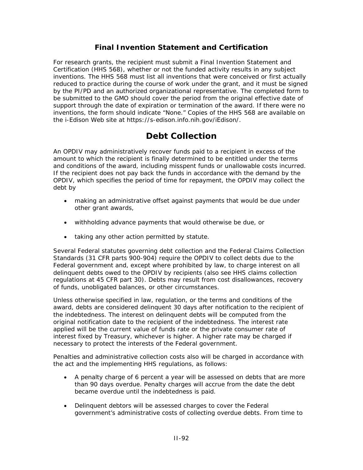#### **Final Invention Statement and Certification**

For research grants, the recipient must submit a Final Invention Statement and Certification (HHS 568), whether or not the funded activity results in any subject inventions. The HHS 568 must list all inventions that were conceived or first actually reduced to practice during the course of work under the grant, and it must be signed by the PI/PD and an authorized organizational representative. The completed form to be submitted to the GMO should cover the period from the original effective date of support through the date of expiration or termination of the award. If there were no inventions, the form should indicate "None." Copies of the HHS 568 are available on the *i*-Edison Web site at <https://s-edison.info.nih.gov/iEdison/>.

# **Debt Collection**

An OPDIV may administratively recover funds paid to a recipient in excess of the amount to which the recipient is finally determined to be entitled under the terms and conditions of the award, including misspent funds or unallowable costs incurred. If the recipient does not pay back the funds in accordance with the demand by the OPDIV, which specifies the period of time for repayment, the OPDIV may collect the debt by

- making an administrative offset against payments that would be due under other grant awards,
- withholding advance payments that would otherwise be due, or
- taking any other action permitted by statute.

Several Federal statutes governing debt collection and the Federal Claims Collection Standards (31 CFR parts 900-904) require the OPDIV to collect debts due to the Federal government and, except where prohibited by law, to charge interest on all delinquent debts owed to the OPDIV by recipients (also see HHS claims collection regulations at 45 CFR part 30). Debts may result from cost disallowances, recovery of funds, unobligated balances, or other circumstances.

Unless otherwise specified in law, regulation, or the terms and conditions of the award, debts are considered delinquent 30 days after notification to the recipient of the indebtedness. The interest on delinquent debts will be computed from the original notification date to the recipient of the indebtedness. The interest rate applied will be the current value of funds rate or the private consumer rate of interest fixed by Treasury, whichever is higher. A higher rate may be charged if necessary to protect the interests of the Federal government.

Penalties and administrative collection costs also will be charged in accordance with the act and the implementing HHS regulations, as follows:

- A penalty charge of 6 percent a year will be assessed on debts that are more than 90 days overdue. Penalty charges will accrue from the date the debt became overdue until the indebtedness is paid.
- Delinquent debtors will be assessed charges to cover the Federal government's administrative costs of collecting overdue debts. From time to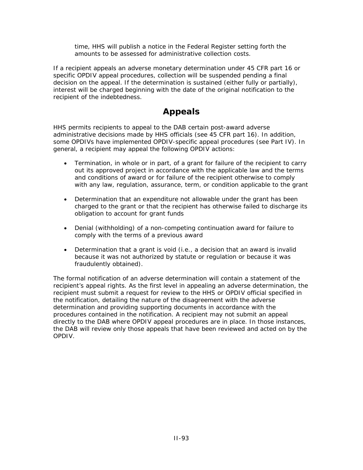time, HHS will publish a notice in the *Federal Register* setting forth the amounts to be assessed for administrative collection costs.

If a recipient appeals an adverse monetary determination under 45 CFR part 16 or specific OPDIV appeal procedures, collection will be suspended pending a final decision on the appeal. If the determination is sustained (either fully or partially), interest will be charged beginning with the date of the original notification to the recipient of the indebtedness.

# **Appeals**

HHS permits recipients to appeal to the DAB certain post-award adverse administrative decisions made by HHS officials (see 45 CFR part 16). In addition, some OPDIVs have implemented OPDIV-specific appeal procedures (see Part IV). In general, a recipient may appeal the following OPDIV actions:

- Termination, in whole or in part, of a grant for failure of the recipient to carry out its approved project in accordance with the applicable law and the terms and conditions of award or for failure of the recipient otherwise to comply with any law, regulation, assurance, term, or condition applicable to the grant
- Determination that an expenditure not allowable under the grant has been charged to the grant or that the recipient has otherwise failed to discharge its obligation to account for grant funds
- Denial (withholding) of a non-competing continuation award for failure to comply with the terms of a previous award
- Determination that a grant is void (i.e., a decision that an award is invalid because it was not authorized by statute or regulation or because it was fraudulently obtained).

The formal notification of an adverse determination will contain a statement of the recipient's appeal rights. As the first level in appealing an adverse determination, the recipient must submit a request for review to the HHS or OPDIV official specified in the notification, detailing the nature of the disagreement with the adverse determination and providing supporting documents in accordance with the procedures contained in the notification. A recipient may not submit an appeal directly to the DAB where OPDIV appeal procedures are in place. In those instances, the DAB will review only those appeals that have been reviewed and acted on by the OPDIV.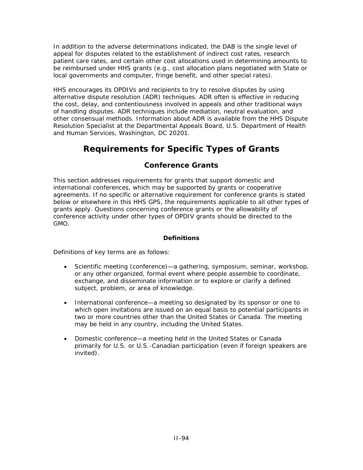In addition to the adverse determinations indicated, the DAB is the single level of appeal for disputes related to the establishment of indirect cost rates, research patient care rates, and certain other cost allocations used in determining amounts to be reimbursed under HHS grants (e.g., cost allocation plans negotiated with State or local governments and computer, fringe benefit, and other special rates).

HHS encourages its OPDIVs and recipients to try to resolve disputes by using alternative dispute resolution (ADR) techniques. ADR often is effective in reducing the cost, delay, and contentiousness involved in appeals and other traditional ways of handling disputes. ADR techniques include mediation, neutral evaluation, and other consensual methods. Information about ADR is available from the HHS Dispute Resolution Specialist at the Departmental Appeals Board, U.S. Department of Health and Human Services, Washington, DC 20201.

# **Requirements for Specific Types of Grants**

## **Conference Grants**

This section addresses requirements for grants that support domestic and international conferences, which may be supported by grants or cooperative agreements. If no specific or alternative requirement for conference grants is stated below or elsewhere in this HHS GPS, the requirements applicable to all other types of grants apply. Questions concerning conference grants or the allowability of conference activity under other types of OPDIV grants should be directed to the GMO.

#### **Definitions**

Definitions of key terms are as follows:

- Scientific meeting (conference)—a gathering, symposium, seminar, workshop, or any other organized, formal event where people assemble to coordinate, exchange, and disseminate information or to explore or clarify a defined subject, problem, or area of knowledge.
- International conference—a meeting so designated by its sponsor or one to which open invitations are issued on an equal basis to potential participants in two or more countries other than the United States or Canada. The meeting may be held in any country, including the United States.
- Domestic conference—a meeting held in the United States or Canada primarily for U.S. or U.S.-Canadian participation (even if foreign speakers are invited).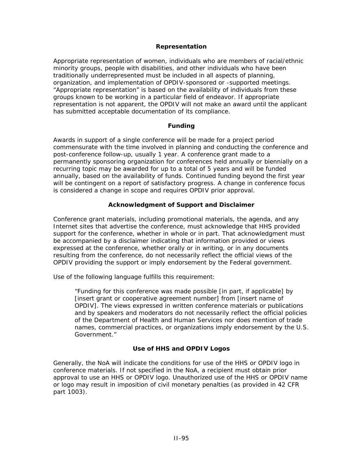#### **Representation**

Appropriate representation of women, individuals who are members of racial/ethnic minority groups, people with disabilities, and other individuals who have been traditionally underrepresented must be included in all aspects of planning, organization, and implementation of OPDIV-sponsored or -supported meetings. "Appropriate representation" is based on the availability of individuals from these groups known to be working in a particular field of endeavor. If appropriate representation is not apparent, the OPDIV will not make an award until the applicant has submitted acceptable documentation of its compliance.

#### **Funding**

Awards in support of a single conference will be made for a project period commensurate with the time involved in planning and conducting the conference and post-conference follow-up, usually 1 year. A conference grant made to a permanently sponsoring organization for conferences held annually or biennially on a recurring topic may be awarded for up to a total of 5 years and will be funded annually, based on the availability of funds. Continued funding beyond the first year will be contingent on a report of satisfactory progress. A change in conference focus is considered a change in scope and requires OPDIV prior approval.

#### **Acknowledgment of Support and Disclaimer**

Conference grant materials, including promotional materials, the agenda, and any Internet sites that advertise the conference, must acknowledge that HHS provided support for the conference, whether in whole or in part. That acknowledgment must be accompanied by a disclaimer indicating that information provided or views expressed at the conference, whether orally or in writing, or in any documents resulting from the conference, do not necessarily reflect the official views of the OPDIV providing the support or imply endorsement by the Federal government.

Use of the following language fulfills this requirement:

"Funding for this conference was made possible [*in part, if applicable*] by [*insert grant or cooperative agreement number*] from [*insert name of OPDIV*]. The views expressed in written conference materials or publications and by speakers and moderators do not necessarily reflect the official policies of the Department of Health and Human Services nor does mention of trade names, commercial practices, or organizations imply endorsement by the U.S. Government."

#### **Use of HHS and OPDIV Logos**

Generally, the NoA will indicate the conditions for use of the HHS or OPDIV logo in conference materials. If not specified in the NoA, a recipient must obtain prior approval to use an HHS or OPDIV logo. Unauthorized use of the HHS or OPDIV name or logo may result in imposition of civil monetary penalties (as provided in 42 CFR part 1003).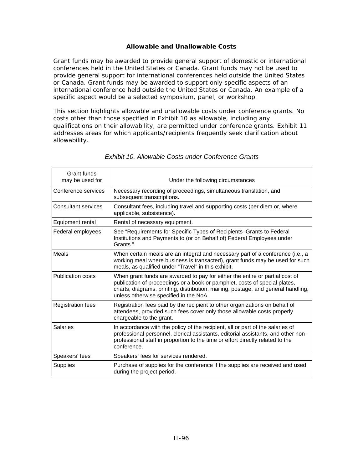#### **Allowable and Unallowable Costs**

Grant funds may be awarded to provide general support of domestic or international conferences held in the United States or Canada. Grant funds may not be used to provide general support for international conferences held outside the United States or Canada. Grant funds may be awarded to support only specific aspects of an international conference held outside the United States or Canada. An example of a specific aspect would be a selected symposium, panel, or workshop.

This section highlights allowable and unallowable costs under conference grants. No costs other than those specified in Exhibit 10 as allowable, including any qualifications on their allowability, are permitted under conference grants. Exhibit 11 addresses areas for which applicants/recipients frequently seek clarification about allowability.

| Grant funds<br>may be used for | Under the following circumstances                                                                                                                                                                                                                                                         |
|--------------------------------|-------------------------------------------------------------------------------------------------------------------------------------------------------------------------------------------------------------------------------------------------------------------------------------------|
| Conference services            | Necessary recording of proceedings, simultaneous translation, and<br>subsequent transcriptions.                                                                                                                                                                                           |
| <b>Consultant services</b>     | Consultant fees, including travel and supporting costs (per diem or, where<br>applicable, subsistence).                                                                                                                                                                                   |
| Equipment rental               | Rental of necessary equipment.                                                                                                                                                                                                                                                            |
| Federal employees              | See "Requirements for Specific Types of Recipients-Grants to Federal<br>Institutions and Payments to (or on Behalf of) Federal Employees under<br>Grants."                                                                                                                                |
| Meals                          | When certain meals are an integral and necessary part of a conference (i.e., a<br>working meal where business is transacted), grant funds may be used for such<br>meals, as qualified under "Travel" in this exhibit.                                                                     |
| <b>Publication costs</b>       | When grant funds are awarded to pay for either the entire or partial cost of<br>publication of proceedings or a book or pamphlet, costs of special plates,<br>charts, diagrams, printing, distribution, mailing, postage, and general handling,<br>unless otherwise specified in the NoA. |
| <b>Registration fees</b>       | Registration fees paid by the recipient to other organizations on behalf of<br>attendees, provided such fees cover only those allowable costs properly<br>chargeable to the grant.                                                                                                        |
| <b>Salaries</b>                | In accordance with the policy of the recipient, all or part of the salaries of<br>professional personnel, clerical assistants, editorial assistants, and other non-<br>professional staff in proportion to the time or effort directly related to the<br>conference.                      |
| Speakers' fees                 | Speakers' fees for services rendered.                                                                                                                                                                                                                                                     |
| <b>Supplies</b>                | Purchase of supplies for the conference if the supplies are received and used<br>during the project period.                                                                                                                                                                               |

#### *Exhibit 10. Allowable Costs under Conference Grants*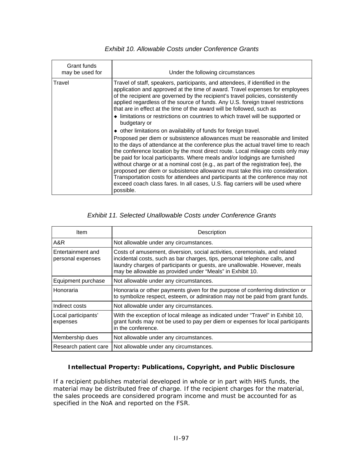| Grant funds<br>may be used for | Under the following circumstances                                                                                                                                                                                                                                                                                                                                                                                                                                                                                                                                                                                                                                                                                                                     |
|--------------------------------|-------------------------------------------------------------------------------------------------------------------------------------------------------------------------------------------------------------------------------------------------------------------------------------------------------------------------------------------------------------------------------------------------------------------------------------------------------------------------------------------------------------------------------------------------------------------------------------------------------------------------------------------------------------------------------------------------------------------------------------------------------|
| Travel                         | Travel of staff, speakers, participants, and attendees, if identified in the<br>application and approved at the time of award. Travel expenses for employees<br>of the recipient are governed by the recipient's travel policies, consistently<br>applied regardless of the source of funds. Any U.S. foreign travel restrictions<br>that are in effect at the time of the award will be followed, such as<br>• limitations or restrictions on countries to which travel will be supported or<br>budgetary or                                                                                                                                                                                                                                         |
|                                | • other limitations on availability of funds for foreign travel.<br>Proposed per diem or subsistence allowances must be reasonable and limited<br>to the days of attendance at the conference plus the actual travel time to reach<br>the conference location by the most direct route. Local mileage costs only may<br>be paid for local participants. Where meals and/or lodgings are furnished<br>without charge or at a nominal cost (e.g., as part of the registration fee), the<br>proposed per diem or subsistence allowance must take this into consideration.<br>Transportation costs for attendees and participants at the conference may not<br>exceed coach class fares. In all cases, U.S. flag carriers will be used where<br>possible. |

#### *Exhibit 10. Allowable Costs under Conference Grants*

#### *Exhibit 11. Selected Unallowable Costs under Conference Grants*

| Item                                   | Description                                                                                                                                                                                                                                                                                         |
|----------------------------------------|-----------------------------------------------------------------------------------------------------------------------------------------------------------------------------------------------------------------------------------------------------------------------------------------------------|
| A&R                                    | Not allowable under any circumstances.                                                                                                                                                                                                                                                              |
| Entertainment and<br>personal expenses | Costs of amusement, diversion, social activities, ceremonials, and related<br>incidental costs, such as bar charges, tips, personal telephone calls, and<br>laundry charges of participants or guests, are unallowable. However, meals<br>may be allowable as provided under "Meals" in Exhibit 10. |
| Equipment purchase                     | Not allowable under any circumstances.                                                                                                                                                                                                                                                              |
| Honoraria                              | Honoraria or other payments given for the purpose of conferring distinction or<br>to symbolize respect, esteem, or admiration may not be paid from grant funds.                                                                                                                                     |
| Indirect costs                         | Not allowable under any circumstances.                                                                                                                                                                                                                                                              |
| Local participants'<br>expenses        | With the exception of local mileage as indicated under "Travel" in Exhibit 10,<br>grant funds may not be used to pay per diem or expenses for local participants<br>in the conference.                                                                                                              |
| Membership dues                        | Not allowable under any circumstances.                                                                                                                                                                                                                                                              |
| Research patient care                  | Not allowable under any circumstances.                                                                                                                                                                                                                                                              |

#### **Intellectual Property: Publications, Copyright, and Public Disclosure**

If a recipient publishes material developed in whole or in part with HHS funds, the material may be distributed free of charge. If the recipient charges for the material, the sales proceeds are considered program income and must be accounted for as specified in the NoA and reported on the FSR.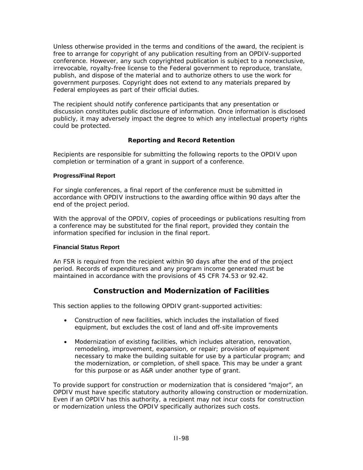Unless otherwise provided in the terms and conditions of the award, the recipient is free to arrange for copyright of any publication resulting from an OPDIV-supported conference. However, any such copyrighted publication is subject to a nonexclusive, irrevocable, royalty-free license to the Federal government to reproduce, translate, publish, and dispose of the material and to authorize others to use the work for government purposes. Copyright does not extend to any materials prepared by Federal employees as part of their official duties.

The recipient should notify conference participants that any presentation or discussion constitutes public disclosure of information. Once information is disclosed publicly, it may adversely impact the degree to which any intellectual property rights could be protected.

#### **Reporting and Record Retention**

Recipients are responsible for submitting the following reports to the OPDIV upon completion or termination of a grant in support of a conference.

#### **Progress/Final Report**

For single conferences, a final report of the conference must be submitted in accordance with OPDIV instructions to the awarding office within 90 days after the end of the project period.

With the approval of the OPDIV, copies of proceedings or publications resulting from a conference may be substituted for the final report, provided they contain the information specified for inclusion in the final report.

#### **Financial Status Report**

An FSR is required from the recipient within 90 days after the end of the project period. Records of expenditures and any program income generated must be maintained in accordance with the provisions of 45 CFR 74.53 or 92.42.

## **Construction and Modernization of Facilities**

This section applies to the following OPDIV grant-supported activities:

- Construction of new facilities, which includes the installation of fixed equipment, but excludes the cost of land and off-site improvements
- Modernization of existing facilities, which includes alteration, renovation, remodeling, improvement, expansion, or repair; provision of equipment necessary to make the building suitable for use by a particular program; and the modernization, or completion, of shell space. This may be under a grant for this purpose or as A&R under another type of grant.

To provide support for construction or modernization that is considered "major", an OPDIV must have specific statutory authority allowing construction or modernization. Even if an OPDIV has this authority, a recipient may not incur costs for construction or modernization unless the OPDIV specifically authorizes such costs.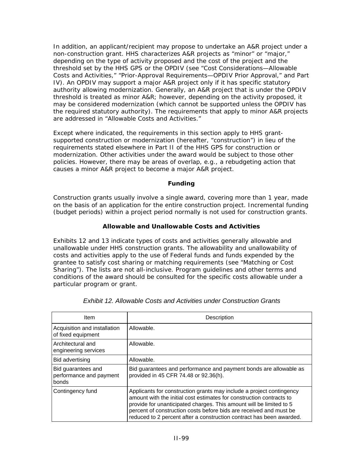In addition, an applicant/recipient may propose to undertake an A&R project under a non-construction grant. HHS characterizes A&R projects as "minor" or "major," depending on the type of activity proposed and the cost of the project and the threshold set by the HHS GPS or the OPDIV (see "Cost Considerations—Allowable Costs and Activities," "Prior-Approval Requirements—OPDIV Prior Approval," and Part IV). An OPDIV may support a major A&R project only if it has specific statutory authority allowing modernization. Generally, an A&R project that is under the OPDIV threshold is treated as minor A&R; however, depending on the activity proposed, it may be considered modernization (which cannot be supported unless the OPDIV has the required statutory authority). The requirements that apply to minor A&R projects are addressed in "Allowable Costs and Activities."

Except where indicated, the requirements in this section apply to HHS grantsupported construction or modernization (hereafter, "construction") in lieu of the requirements stated elsewhere in Part II of the HHS GPS for construction or modernization. Other activities under the award would be subject to those other policies. However, there may be areas of overlap, e.g., a rebudgeting action that causes a minor A&R project to become a major A&R project.

#### **Funding**

Construction grants usually involve a single award, covering more than 1 year, made on the basis of an application for the entire construction project. Incremental funding (budget periods) within a project period normally is not used for construction grants.

#### **Allowable and Unallowable Costs and Activities**

Exhibits 12 and 13 indicate types of costs and activities generally allowable and unallowable under HHS construction grants. The allowability and unallowability of costs and activities apply to the use of Federal funds and funds expended by the grantee to satisfy cost sharing or matching requirements (see "Matching or Cost Sharing"). The lists are not all-inclusive. Program guidelines and other terms and conditions of the award should be consulted for the specific costs allowable under a particular program or grant.

| Item                                                   | Description                                                                                                                                                                                                                                                                                                                                                       |
|--------------------------------------------------------|-------------------------------------------------------------------------------------------------------------------------------------------------------------------------------------------------------------------------------------------------------------------------------------------------------------------------------------------------------------------|
| Acquisition and installation<br>of fixed equipment     | Allowable.                                                                                                                                                                                                                                                                                                                                                        |
| Architectural and<br>engineering services              | Allowable.                                                                                                                                                                                                                                                                                                                                                        |
| Bid advertising                                        | Allowable.                                                                                                                                                                                                                                                                                                                                                        |
| Bid guarantees and<br>performance and payment<br>bonds | Bid guarantees and performance and payment bonds are allowable as<br>provided in 45 CFR 74.48 or 92.36(h).                                                                                                                                                                                                                                                        |
| Contingency fund                                       | Applicants for construction grants may include a project contingency<br>amount with the initial cost estimates for construction contracts to<br>provide for unanticipated charges. This amount will be limited to 5<br>percent of construction costs before bids are received and must be<br>reduced to 2 percent after a construction contract has been awarded. |

*Exhibit 12. Allowable Costs and Activities under Construction Grants*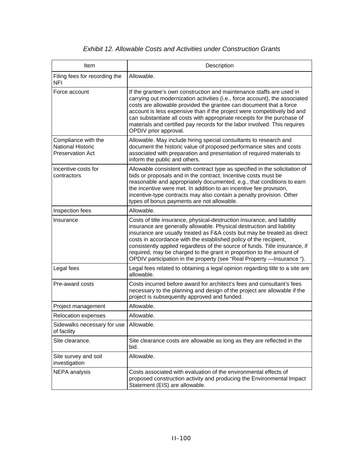## *Exhibit 12. Allowable Costs and Activities under Construction Grants*

| Item                                                                | Description                                                                                                                                                                                                                                                                                                                                                                                                                                                                                                                        |
|---------------------------------------------------------------------|------------------------------------------------------------------------------------------------------------------------------------------------------------------------------------------------------------------------------------------------------------------------------------------------------------------------------------------------------------------------------------------------------------------------------------------------------------------------------------------------------------------------------------|
| Filing fees for recording the<br><b>NFI</b>                         | Allowable.                                                                                                                                                                                                                                                                                                                                                                                                                                                                                                                         |
| Force account                                                       | If the grantee's own construction and maintenance staffs are used in<br>carrying out modernization activities (i.e., force account), the associated<br>costs are allowable provided the grantee can document that a force<br>account is less expensive than if the project were competitively bid and<br>can substantiate all costs with appropriate receipts for the purchase of<br>materials and certified pay records for the labor involved. This requires<br>OPDIV prior approval.                                            |
| Compliance with the<br>National Historic<br><b>Preservation Act</b> | Allowable. May include hiring special consultants to research and<br>document the historic value of proposed performance sites and costs<br>associated with preparation and presentation of required materials to<br>inform the public and others.                                                                                                                                                                                                                                                                                 |
| Incentive costs for<br>contractors                                  | Allowable consistent with contract type as specified in the solicitation of<br>bids or proposals and in the contract. Incentive costs must be<br>reasonable and appropriately documented, e.g., that conditions to earn<br>the incentive were met. In addition to an incentive fee provision,<br>incentive-type contracts may also contain a penalty provision. Other<br>types of bonus payments are not allowable.                                                                                                                |
| Inspection fees                                                     | Allowable.                                                                                                                                                                                                                                                                                                                                                                                                                                                                                                                         |
| Insurance                                                           | Costs of title insurance, physical-destruction insurance, and liability<br>insurance are generally allowable. Physical destruction and liability<br>insurance are usually treated as F&A costs but may be treated as direct<br>costs in accordance with the established policy of the recipient,<br>consistently applied regardless of the source of funds. Title insurance, if<br>required, may be charged to the grant in proportion to the amount of<br>OPDIV participation in the property (see "Real Property - Insurance "). |
| Legal fees                                                          | Legal fees related to obtaining a legal opinion regarding title to a site are<br>allowable.                                                                                                                                                                                                                                                                                                                                                                                                                                        |
| Pre-award costs                                                     | Costs incurred before award for architect's fees and consultant's fees<br>necessary to the planning and design of the project are allowable if the<br>project is subsequently approved and funded.                                                                                                                                                                                                                                                                                                                                 |
| Project management                                                  | Allowable.                                                                                                                                                                                                                                                                                                                                                                                                                                                                                                                         |
| Relocation expenses                                                 | Allowable.                                                                                                                                                                                                                                                                                                                                                                                                                                                                                                                         |
| Sidewalks necessary for use   Allowable.<br>of facility             |                                                                                                                                                                                                                                                                                                                                                                                                                                                                                                                                    |
| Site clearance.                                                     | Site clearance costs are allowable as long as they are reflected in the<br>bid.                                                                                                                                                                                                                                                                                                                                                                                                                                                    |
| Site survey and soil<br>investigation                               | Allowable.                                                                                                                                                                                                                                                                                                                                                                                                                                                                                                                         |
| NEPA analysis                                                       | Costs associated with evaluation of the environmental effects of<br>proposed construction activity and producing the Environmental Impact<br>Statement (EIS) are allowable.                                                                                                                                                                                                                                                                                                                                                        |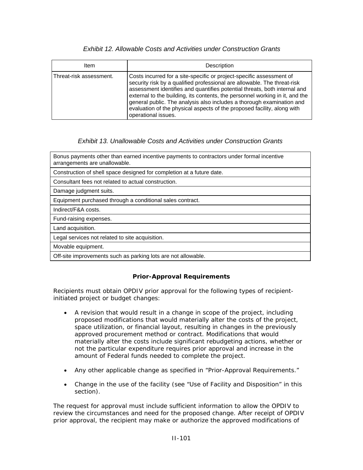#### *Exhibit 12. Allowable Costs and Activities under Construction Grants*

| Item                    | Description                                                                                                                                                                                                                                                                                                                                                                                                                                                                              |
|-------------------------|------------------------------------------------------------------------------------------------------------------------------------------------------------------------------------------------------------------------------------------------------------------------------------------------------------------------------------------------------------------------------------------------------------------------------------------------------------------------------------------|
| Threat-risk assessment. | Costs incurred for a site-specific or project-specific assessment of<br>security risk by a qualified professional are allowable. The threat-risk<br>assessment identifies and quantifies potential threats, both internal and<br>external to the building, its contents, the personnel working in it, and the<br>general public. The analysis also includes a thorough examination and<br>evaluation of the physical aspects of the proposed facility, along with<br>operational issues. |

#### *Exhibit 13. Unallowable Costs and Activities under Construction Grants*

Bonus payments other than earned incentive payments to contractors under formal incentive arrangements are unallowable. Construction of shell space designed for completion at a future date. Consultant fees not related to actual construction. Damage judgment suits. Equipment purchased through a conditional sales contract. Indirect/F&A costs. Fund-raising expenses.

Land acquisition.

Legal services not related to site acquisition.

Movable equipment.

Off-site improvements such as parking lots are not allowable.

#### **Prior-Approval Requirements**

Recipients must obtain OPDIV prior approval for the following types of recipientinitiated project or budget changes:

- A revision that would result in a change in scope of the project, including proposed modifications that would materially alter the costs of the project, space utilization, or financial layout, resulting in changes in the previously approved procurement method or contract. Modifications that would materially alter the costs include significant rebudgeting actions, whether or not the particular expenditure requires prior approval and increase in the amount of Federal funds needed to complete the project.
- Any other applicable change as specified in "Prior-Approval Requirements."
- Change in the use of the facility (see "Use of Facility and Disposition" in this section).

The request for approval must include sufficient information to allow the OPDIV to review the circumstances and need for the proposed change. After receipt of OPDIV prior approval, the recipient may make or authorize the approved modifications of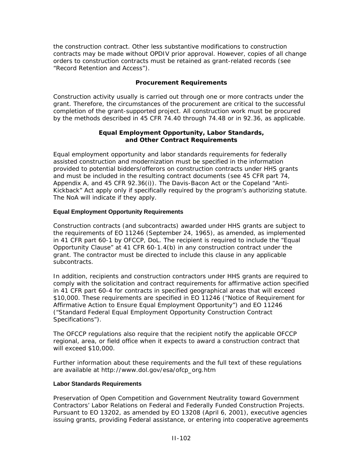the construction contract. Other less substantive modifications to construction contracts may be made without OPDIV prior approval. However, copies of all change orders to construction contracts must be retained as grant-related records (see "Record Retention and Access").

#### **Procurement Requirements**

Construction activity usually is carried out through one or more contracts under the grant. Therefore, the circumstances of the procurement are critical to the successful completion of the grant-supported project. All construction work must be procured by the methods described in 45 CFR 74.40 through 74.48 or in 92.36, as applicable.

#### **Equal Employment Opportunity, Labor Standards, and Other Contract Requirements**

Equal employment opportunity and labor standards requirements for federally assisted construction and modernization must be specified in the information provided to potential bidders/offerors on construction contracts under HHS grants and must be included in the resulting contract documents (see 45 CFR part 74, Appendix A, and 45 CFR 92.36(i)). The Davis-Bacon Act or the Copeland "Anti-Kickback" Act apply only if specifically required by the program's authorizing statute. The NoA will indicate if they apply.

#### **Equal Employment Opportunity Requirements**

Construction contracts (and subcontracts) awarded under HHS grants are subject to the requirements of EO 11246 (September 24, 1965), as amended, as implemented in 41 CFR part 60-1 by OFCCP, DoL. The recipient is required to include the "Equal Opportunity Clause" at 41 CFR 60-1.4(b) in any construction contract under the grant. The contractor must be directed to include this clause in any applicable subcontracts.

In addition, recipients and construction contractors under HHS grants are required to comply with the solicitation and contract requirements for affirmative action specified in 41 CFR part 60-4 for contracts in specified geographical areas that will exceed \$10,000. These requirements are specified in EO 11246 ("Notice of Requirement for Affirmative Action to Ensure Equal Employment Opportunity") and EO 11246 ("Standard Federal Equal Employment Opportunity Construction Contract Specifications").

The OFCCP regulations also require that the recipient notify the applicable OFCCP regional, area, or field office when it expects to award a construction contract that will exceed \$10,000.

Further information about these requirements and the full text of these regulations are available at [http://www.dol.gov/esa/ofcp\\_org.htm](http://www.dol.gov/esa/ofcp_org.htm) 

#### **Labor Standards Requirements**

*Preservation of Open Competition and Government Neutrality toward Government Contractors' Labor Relations on Federal and Federally Funded Construction Projects.* Pursuant to EO 13202, as amended by EO 13208 (April 6, 2001), executive agencies issuing grants, providing Federal assistance, or entering into cooperative agreements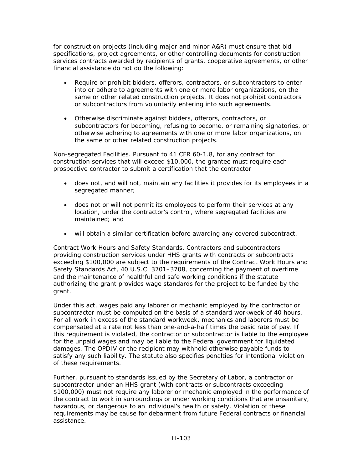for construction projects (including major and minor A&R) must ensure that bid specifications, project agreements, or other controlling documents for construction services contracts awarded by recipients of grants, cooperative agreements, or other financial assistance do *not* do the following:

- Require or prohibit bidders, offerors, contractors, or subcontractors to enter into or adhere to agreements with one or more labor organizations, on the same or other related construction projects. It does not prohibit contractors or subcontractors from voluntarily entering into such agreements.
- Otherwise discriminate against bidders, offerors, contractors, or subcontractors for becoming, refusing to become, or remaining signatories, or otherwise adhering to agreements with one or more labor organizations, on the same or other related construction projects.

*Non-segregated Facilities.* Pursuant to 41 CFR 60-1.8, for any contract for construction services that will exceed \$10,000, the grantee must require each prospective contractor to submit a certification that the contractor

- does not, and will not, maintain any facilities it provides for its employees in a segregated manner;
- does not or will not permit its employees to perform their services at any location, under the contractor's control, where segregated facilities are maintained; and
- will obtain a similar certification before awarding any covered subcontract.

*Contract Work Hours and Safety Standards.* Contractors and subcontractors providing construction services under HHS grants with contracts or subcontracts exceeding \$100,000 are subject to the requirements of the Contract Work Hours and Safety Standards Act, 40 U.S.C. 3701–3708, concerning the payment of overtime and the maintenance of healthful and safe working conditions if the statute authorizing the grant provides wage standards for the project to be funded by the grant.

Under this act, wages paid any laborer or mechanic employed by the contractor or subcontractor must be computed on the basis of a standard workweek of 40 hours. For all work in excess of the standard workweek, mechanics and laborers must be compensated at a rate not less than one-and-a-half times the basic rate of pay. If this requirement is violated, the contractor or subcontractor is liable to the employee for the unpaid wages and may be liable to the Federal government for liquidated damages. The OPDIV or the recipient may withhold otherwise payable funds to satisfy any such liability. The statute also specifies penalties for intentional violation of these requirements.

Further, pursuant to standards issued by the Secretary of Labor, a contractor or subcontractor under an HHS grant (with contracts or subcontracts exceeding \$100,000) must not require any laborer or mechanic employed in the performance of the contract to work in surroundings or under working conditions that are unsanitary, hazardous, or dangerous to an individual's health or safety. Violation of these requirements may be cause for debarment from future Federal contracts or financial assistance.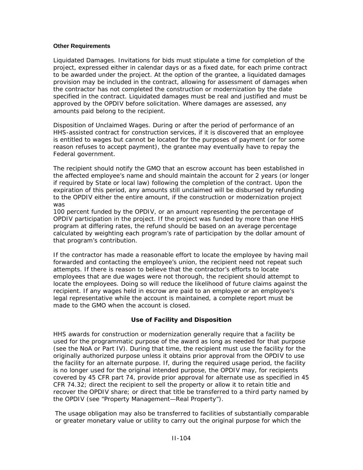#### **Other Requirements**

*Liquidated Damages.* Invitations for bids must stipulate a time for completion of the project, expressed either in calendar days or as a fixed date, for each prime contract to be awarded under the project. At the option of the grantee, a liquidated damages provision may be included in the contract, allowing for assessment of damages when the contractor has not completed the construction or modernization by the date specified in the contract. Liquidated damages must be real and justified and must be approved by the OPDIV before solicitation. Where damages are assessed, any amounts paid belong to the recipient.

*Disposition of Unclaimed Wages.* During or after the period of performance of an HHS-assisted contract for construction services, if it is discovered that an employee is entitled to wages but cannot be located for the purposes of payment (or for some reason refuses to accept payment), the grantee may eventually have to repay the Federal government.

The recipient should notify the GMO that an escrow account has been established in the affected employee's name and should maintain the account for 2 years (or longer if required by State or local law) following the completion of the contract. Upon the expiration of this period, any amounts still unclaimed will be disbursed by refunding to the OPDIV either the entire amount, if the construction or modernization project was

100 percent funded by the OPDIV, or an amount representing the percentage of OPDIV participation in the project. If the project was funded by more than one HHS program at differing rates, the refund should be based on an average percentage calculated by weighting each program's rate of participation by the dollar amount of that program's contribution.

If the contractor has made a reasonable effort to locate the employee by having mail forwarded and contacting the employee's union, the recipient need not repeat such attempts. If there is reason to believe that the contractor's efforts to locate employees that are due wages were not thorough, the recipient should attempt to locate the employees. Doing so will reduce the likelihood of future claims against the recipient. If any wages held in escrow are paid to an employee or an employee's legal representative while the account is maintained, a complete report must be made to the GMO when the account is closed.

#### **Use of Facility and Disposition**

HHS awards for construction or modernization generally require that a facility be used for the programmatic purpose of the award as long as needed for that purpose (see the NoA or Part IV). During that time, the recipient must use the facility for the originally authorized purpose unless it obtains prior approval from the OPDIV to use the facility for an alternate purpose. If, during the required usage period, the facility is no longer used for the original intended purpose, the OPDIV may, for recipients covered by 45 CFR part 74, provide prior approval for alternate use as specified in 45 CFR 74.32; direct the recipient to sell the property or allow it to retain title and recover the OPDIV share; or direct that title be transferred to a third party named by the OPDIV (see "Property Management—Real Property").

The usage obligation may also be transferred to facilities of substantially comparable or greater monetary value or utility to carry out the original purpose for which the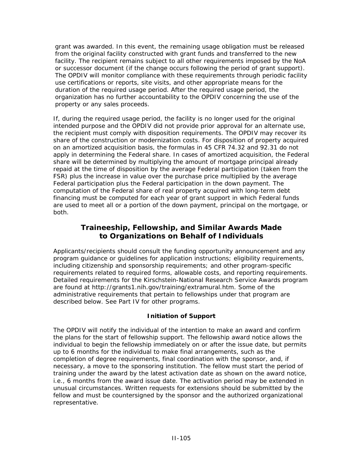grant was awarded. In this event, the remaining usage obligation must be released from the original facility constructed with grant funds and transferred to the new facility. The recipient remains subject to all other requirements imposed by the NoA or successor document (if the change occurs following the period of grant support). The OPDIV will monitor compliance with these requirements through periodic facility use certifications or reports, site visits, and other appropriate means for the duration of the required usage period. After the required usage period, the organization has no further accountability to the OPDIV concerning the use of the property or any sales proceeds.

If, during the required usage period, the facility is no longer used for the original intended purpose and the OPDIV did not provide prior approval for an alternate use, the recipient must comply with disposition requirements. The OPDIV may recover its share of the construction or modernization costs. For disposition of property acquired on an amortized acquisition basis, the formulas in 45 CFR 74.32 and 92.31 do not apply in determining the Federal share. In cases of amortized acquisition, the Federal share will be determined by multiplying the amount of mortgage principal already repaid at the time of disposition by the average Federal participation (taken from the FSR) plus the increase in value over the purchase price multiplied by the average Federal participation plus the Federal participation in the down payment. The computation of the Federal share of real property acquired with long-term debt financing must be computed for each year of grant support in which Federal funds are used to meet all or a portion of the down payment, principal on the mortgage, or both.

## **Traineeship, Fellowship, and Similar Awards Made to Organizations on Behalf of Individuals**

Applicants/recipients should consult the funding opportunity announcement and any program guidance or guidelines for application instructions; eligibility requirements, including citizenship and sponsorship requirements; and other program-specific requirements related to required forms, allowable costs, and reporting requirements. Detailed requirements for the Kirschstein-National Research Service Awards program are found at [http://grants1.nih.gov/training/extramural.htm.](http://grants1.nih.gov/training/extramural.htm) Some of the administrative requirements that pertain to fellowships under that program are described below. See Part IV for other programs.

#### **Initiation of Support**

The OPDIV will notify the individual of the intention to make an award and confirm the plans for the start of fellowship support. The fellowship award notice allows the individual to begin the fellowship immediately on or after the issue date, but permits up to 6 months for the individual to make final arrangements, such as the completion of degree requirements, final coordination with the sponsor, and, if necessary, a move to the sponsoring institution. The fellow must start the period of training under the award by the latest activation date as shown on the award notice, i.e., 6 months from the award issue date. The activation period may be extended in unusual circumstances. Written requests for extensions should be submitted by the fellow and must be countersigned by the sponsor and the authorized organizational representative.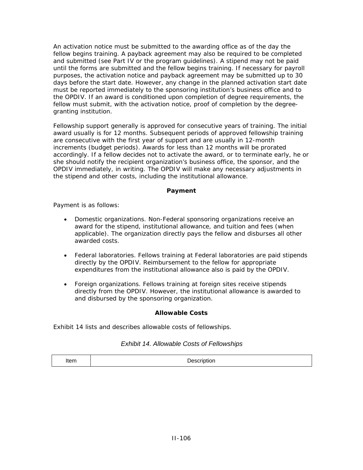An activation notice must be submitted to the awarding office as of the day the fellow begins training. A payback agreement may also be required to be completed and submitted (see Part IV or the program guidelines). A stipend may not be paid until the forms are submitted and the fellow begins training. If necessary for payroll purposes, the activation notice and payback agreement may be submitted up to 30 days before the start date. However, any change in the planned activation start date must be reported immediately to the sponsoring institution's business office and to the OPDIV. If an award is conditioned upon completion of degree requirements, the fellow must submit, with the activation notice, proof of completion by the degreegranting institution.

Fellowship support generally is approved for consecutive years of training. The initial award usually is for 12 months. Subsequent periods of approved fellowship training are consecutive with the first year of support and are usually in 12-month increments (budget periods). Awards for less than 12 months will be prorated accordingly. If a fellow decides not to activate the award, or to terminate early, he or she should notify the recipient organization's business office, the sponsor, and the OPDIV immediately, in writing. The OPDIV will make any necessary adjustments in the stipend and other costs, including the institutional allowance.

#### **Payment**

Payment is as follows:

- *Domestic organizations*. Non-Federal sponsoring organizations receive an award for the stipend, institutional allowance, and tuition and fees (when applicable). The organization directly pays the fellow and disburses all other awarded costs.
- *Federal laboratories.* Fellows training at Federal laboratories are paid stipends directly by the OPDIV. Reimbursement to the fellow for appropriate expenditures from the institutional allowance also is paid by the OPDIV.
- *Foreign organizations.* Fellows training at foreign sites receive stipends directly from the OPDIV. However, the institutional allowance is awarded to and disbursed by the sponsoring organization.

#### **Allowable Costs**

Exhibit 14 lists and describes allowable costs of fellowships.

#### *Exhibit 14. Allowable Costs of Fellowships*

|  | Item | Description |
|--|------|-------------|
|--|------|-------------|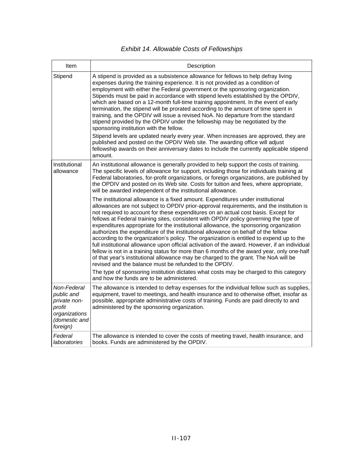## *Exhibit 14. Allowable Costs of Fellowships*

| Item                                                                                              | Description                                                                                                                                                                                                                                                                                                                                                                                                                                                                                                                                                                                                                                                                                                                                                                                                                                                                                                                                                                                                       |
|---------------------------------------------------------------------------------------------------|-------------------------------------------------------------------------------------------------------------------------------------------------------------------------------------------------------------------------------------------------------------------------------------------------------------------------------------------------------------------------------------------------------------------------------------------------------------------------------------------------------------------------------------------------------------------------------------------------------------------------------------------------------------------------------------------------------------------------------------------------------------------------------------------------------------------------------------------------------------------------------------------------------------------------------------------------------------------------------------------------------------------|
| Stipend                                                                                           | A stipend is provided as a subsistence allowance for fellows to help defray living<br>expenses during the training experience. It is not provided as a condition of<br>employment with either the Federal government or the sponsoring organization.<br>Stipends must be paid in accordance with stipend levels established by the OPDIV,<br>which are based on a 12-month full-time training appointment. In the event of early<br>termination, the stipend will be prorated according to the amount of time spent in<br>training, and the OPDIV will issue a revised NoA. No departure from the standard<br>stipend provided by the OPDIV under the fellowship may be negotiated by the<br>sponsoring institution with the fellow.<br>Stipend levels are updated nearly every year. When increases are approved, they are<br>published and posted on the OPDIV Web site. The awarding office will adjust<br>fellowship awards on their anniversary dates to include the currently applicable stipend<br>amount. |
| Institutional<br>allowance                                                                        | An institutional allowance is generally provided to help support the costs of training.<br>The specific levels of allowance for support, including those for individuals training at<br>Federal laboratories, for-profit organizations, or foreign organizations, are published by<br>the OPDIV and posted on its Web site. Costs for tuition and fees, where appropriate,<br>will be awarded independent of the institutional allowance.                                                                                                                                                                                                                                                                                                                                                                                                                                                                                                                                                                         |
|                                                                                                   | The institutional allowance is a fixed amount. Expenditures under institutional<br>allowances are not subject to OPDIV prior-approval requirements, and the institution is<br>not required to account for these expenditures on an actual cost basis. Except for<br>fellows at Federal training sites, consistent with OPDIV policy governing the type of<br>expenditures appropriate for the institutional allowance, the sponsoring organization<br>authorizes the expenditure of the institutional allowance on behalf of the fellow<br>according to the organization's policy. The organization is entitled to expend up to the<br>full institutional allowance upon official activation of the award. However, if an individual<br>fellow is not in a training status for more than 6 months of the award year, only one-half<br>of that year's institutional allowance may be charged to the grant. The NoA will be<br>revised and the balance must be refunded to the OPDIV.                               |
|                                                                                                   | The type of sponsoring institution dictates what costs may be charged to this category<br>and how the funds are to be administered.                                                                                                                                                                                                                                                                                                                                                                                                                                                                                                                                                                                                                                                                                                                                                                                                                                                                               |
| Non-Federal<br>public and<br>private non-<br>profit<br>organizations<br>(domestic and<br>foreign) | The allowance is intended to defray expenses for the individual fellow such as supplies,<br>equipment, travel to meetings, and health insurance and to otherwise offset, insofar as<br>possible, appropriate administrative costs of training. Funds are paid directly to and<br>administered by the sponsoring organization.                                                                                                                                                                                                                                                                                                                                                                                                                                                                                                                                                                                                                                                                                     |
| Federal<br>laboratories                                                                           | The allowance is intended to cover the costs of meeting travel, health insurance, and<br>books. Funds are administered by the OPDIV.                                                                                                                                                                                                                                                                                                                                                                                                                                                                                                                                                                                                                                                                                                                                                                                                                                                                              |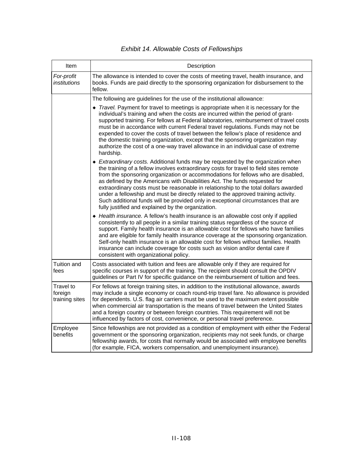## *Exhibit 14. Allowable Costs of Fellowships*

| Item                                   | Description                                                                                                                                                                                                                                                                                                                                                                                                                                                                                                                                                                                                                                                           |
|----------------------------------------|-----------------------------------------------------------------------------------------------------------------------------------------------------------------------------------------------------------------------------------------------------------------------------------------------------------------------------------------------------------------------------------------------------------------------------------------------------------------------------------------------------------------------------------------------------------------------------------------------------------------------------------------------------------------------|
| For-profit<br>institutions             | The allowance is intended to cover the costs of meeting travel, health insurance, and<br>books. Funds are paid directly to the sponsoring organization for disbursement to the<br>fellow.                                                                                                                                                                                                                                                                                                                                                                                                                                                                             |
|                                        | The following are guidelines for the use of the institutional allowance:                                                                                                                                                                                                                                                                                                                                                                                                                                                                                                                                                                                              |
|                                        | • Travel. Payment for travel to meetings is appropriate when it is necessary for the<br>individual's training and when the costs are incurred within the period of grant-<br>supported training. For fellows at Federal laboratories, reimbursement of travel costs<br>must be in accordance with current Federal travel regulations. Funds may not be<br>expended to cover the costs of travel between the fellow's place of residence and<br>the domestic training organization, except that the sponsoring organization may<br>authorize the cost of a one-way travel allowance in an individual case of extreme<br>hardship.                                      |
|                                        | ◆ Extraordinary costs. Additional funds may be requested by the organization when<br>the training of a fellow involves extraordinary costs for travel to field sites remote<br>from the sponsoring organization or accommodations for fellows who are disabled,<br>as defined by the Americans with Disabilities Act. The funds requested for<br>extraordinary costs must be reasonable in relationship to the total dollars awarded<br>under a fellowship and must be directly related to the approved training activity.<br>Such additional funds will be provided only in exceptional circumstances that are<br>fully justified and explained by the organization. |
|                                        | ◆ Health insurance. A fellow's health insurance is an allowable cost only if applied<br>consistently to all people in a similar training status regardless of the source of<br>support. Family health insurance is an allowable cost for fellows who have families<br>and are eligible for family health insurance coverage at the sponsoring organization.<br>Self-only health insurance is an allowable cost for fellows without families. Health<br>insurance can include coverage for costs such as vision and/or dental care if<br>consistent with organizational policy.                                                                                        |
| Tuition and<br>fees                    | Costs associated with tuition and fees are allowable only if they are required for<br>specific courses in support of the training. The recipient should consult the OPDIV<br>guidelines or Part IV for specific guidance on the reimbursement of tuition and fees.                                                                                                                                                                                                                                                                                                                                                                                                    |
| Travel to<br>foreign<br>training sites | For fellows at foreign training sites, in addition to the institutional allowance, awards<br>may include a single economy or coach round-trip travel fare. No allowance is provided<br>for dependents. U.S. flag air carriers must be used to the maximum extent possible<br>when commercial air transportation is the means of travel between the United States<br>and a foreign country or between foreign countries. This requirement will not be<br>influenced by factors of cost, convenience, or personal travel preference.                                                                                                                                    |
| Employee<br>benefits                   | Since fellowships are not provided as a condition of employment with either the Federal<br>government or the sponsoring organization, recipients may not seek funds, or charge<br>fellowship awards, for costs that normally would be associated with employee benefits<br>(for example, FICA, workers compensation, and unemployment insurance).                                                                                                                                                                                                                                                                                                                     |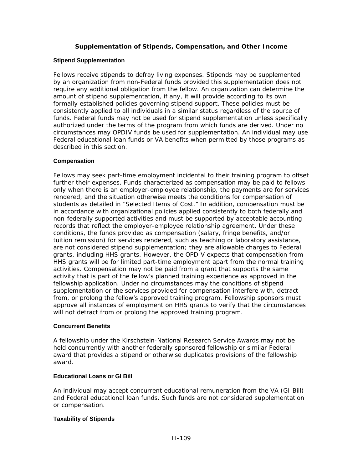#### **Supplementation of Stipends, Compensation, and Other Income**

#### **Stipend Supplementation**

Fellows receive stipends to defray living expenses. Stipends may be supplemented by an organization from non-Federal funds provided this supplementation does not require any additional obligation from the fellow. An organization can determine the amount of stipend supplementation, if any, it will provide according to its own formally established policies governing stipend support. These policies must be consistently applied to all individuals in a similar status regardless of the source of funds. Federal funds may not be used for stipend supplementation unless specifically authorized under the terms of the program from which funds are derived. Under no circumstances may OPDIV funds be used for supplementation. An individual may use Federal educational loan funds or VA benefits when permitted by those programs as described in this section.

#### **Compensation**

Fellows may seek part-time employment incidental to their training program to offset further their expenses. Funds characterized as compensation may be paid to fellows only when there is an employer-employee relationship, the payments are for services rendered, and the situation otherwise meets the conditions for compensation of students as detailed in "Selected Items of Cost." In addition, compensation must be in accordance with organizational policies applied consistently to both federally and non-federally supported activities and must be supported by acceptable accounting records that reflect the employer-employee relationship agreement. Under these conditions, the funds provided as compensation (salary, fringe benefits, and/or tuition remission) for services rendered, such as teaching or laboratory assistance, are not considered stipend supplementation; they are allowable charges to Federal grants, including HHS grants. However, the OPDIV expects that compensation from HHS grants will be for limited part-time employment apart from the normal training activities. Compensation may not be paid from a grant that supports the same activity that is part of the fellow's planned training experience as approved in the fellowship application. Under no circumstances may the conditions of stipend supplementation or the services provided for compensation interfere with, detract from, or prolong the fellow's approved training program. Fellowship sponsors must approve all instances of employment on HHS grants to verify that the circumstances will not detract from or prolong the approved training program.

#### **Concurrent Benefits**

A fellowship under the Kirschstein-National Research Service Awards may not be held concurrently with another federally sponsored fellowship or similar Federal award that provides a stipend or otherwise duplicates provisions of the fellowship award.

#### **Educational Loans or GI Bill**

An individual may accept concurrent educational remuneration from the VA (GI Bill) and Federal educational loan funds. Such funds are not considered supplementation or compensation.

#### **Taxability of Stipends**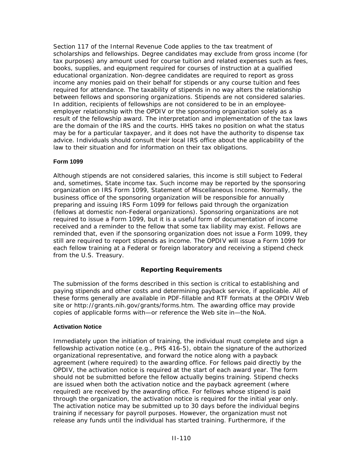Section 117 of the Internal Revenue Code applies to the tax treatment of scholarships and fellowships. Degree candidates may exclude from gross income (for tax purposes) any amount used for course tuition and related expenses such as fees, books, supplies, and equipment required for courses of instruction at a qualified educational organization. Non-degree candidates are required to report as gross income any monies paid on their behalf for stipends or any course tuition and fees required for attendance. The taxability of stipends in no way alters the relationship between fellows and sponsoring organizations. Stipends are not considered salaries. In addition, recipients of fellowships are not considered to be in an employeeemployer relationship with the OPDIV or the sponsoring organization solely as a result of the fellowship award. The interpretation and implementation of the tax laws are the domain of the IRS and the courts. HHS takes no position on what the status may be for a particular taxpayer, and it does not have the authority to dispense tax advice. Individuals should consult their local IRS office about the applicability of the law to their situation and for information on their tax obligations.

#### **Form 1099**

Although stipends are not considered salaries, this income is still subject to Federal and, sometimes, State income tax. Such income may be reported by the sponsoring organization on IRS Form 1099, Statement of Miscellaneous Income. Normally, the business office of the sponsoring organization will be responsible for annually preparing and issuing IRS Form 1099 for fellows paid through the organization (fellows at domestic non-Federal organizations). Sponsoring organizations are not required to issue a Form 1099, but it is a useful form of documentation of income received and a reminder to the fellow that some tax liability may exist. Fellows are reminded that, even if the sponsoring organization does not issue a Form 1099, they still are required to report stipends as income. The OPDIV will issue a Form 1099 for each fellow training at a Federal or foreign laboratory and receiving a stipend check from the U.S. Treasury.

#### **Reporting Requirements**

The submission of the forms described in this section is critical to establishing and paying stipends and other costs and determining payback service, if applicable. All of these forms generally are available in PDF-fillable and RTF formats at the OPDIV Web site or [http://grants.nih.gov/grants/forms.htm.](http://grants1.nih.gov/grants/forms.htm) The awarding office may provide copies of applicable forms with—or reference the Web site in—the NoA.

#### **Activation Notice**

Immediately upon the initiation of training, the individual must complete and sign a fellowship activation notice (e.g., PHS 416-5), obtain the signature of the authorized organizational representative, and forward the notice along with a payback agreement (where required) to the awarding office. For fellows paid directly by the OPDIV, the activation notice is required at the start of each award year. The form should not be submitted before the fellow actually begins training. Stipend checks are issued when both the activation notice and the payback agreement (where required) are received by the awarding office. For fellows whose stipend is paid through the organization, the activation notice is required for the initial year only. The activation notice may be submitted up to 30 days before the individual begins training if necessary for payroll purposes. However, the organization must not release any funds until the individual has started training. Furthermore, if the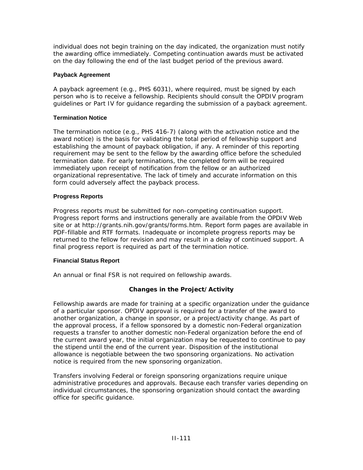individual does not begin training on the day indicated, the organization must notify the awarding office immediately. Competing continuation awards must be activated on the day following the end of the last budget period of the previous award.

#### **Payback Agreement**

A payback agreement (e.g., PHS 6031), where required, must be signed by each person who is to receive a fellowship. Recipients should consult the OPDIV program guidelines or Part IV for guidance regarding the submission of a payback agreement.

#### **Termination Notice**

The termination notice (e.g., PHS 416-7) (along with the activation notice and the award notice) is the basis for validating the total period of fellowship support and establishing the amount of payback obligation, if any. A reminder of this reporting requirement may be sent to the fellow by the awarding office before the scheduled termination date. For early terminations, the completed form will be required immediately upon receipt of notification from the fellow or an authorized organizational representative. The lack of timely and accurate information on this form could adversely affect the payback process.

#### **Progress Reports**

Progress reports must be submitted for non-competing continuation support. Progress report forms and instructions generally are available from the OPDIV Web site or at [http://grants.nih.gov/grants/forms.htm](http://grants1.nih.gov/grants/forms.htm). Report form pages are available in PDF-fillable and RTF formats. Inadequate or incomplete progress reports may be returned to the fellow for revision and may result in a delay of continued support. A final progress report is required as part of the termination notice.

#### **Financial Status Report**

An annual or final FSR is not required on fellowship awards.

#### **Changes in the Project/Activity**

Fellowship awards are made for training at a specific organization under the guidance of a particular sponsor. OPDIV approval is required for a transfer of the award to another organization, a change in sponsor, or a project/activity change. As part of the approval process, if a fellow sponsored by a domestic non-Federal organization requests a transfer to another domestic non-Federal organization before the end of the current award year, the initial organization may be requested to continue to pay the stipend until the end of the current year. Disposition of the institutional allowance is negotiable between the two sponsoring organizations. No activation notice is required from the new sponsoring organization.

Transfers involving Federal or foreign sponsoring organizations require unique administrative procedures and approvals. Because each transfer varies depending on individual circumstances, the sponsoring organization should contact the awarding office for specific guidance.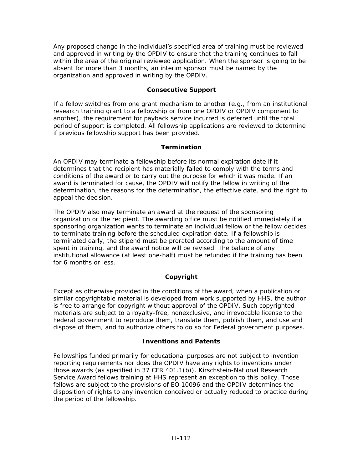Any proposed change in the individual's specified area of training must be reviewed and approved in writing by the OPDIV to ensure that the training continues to fall within the area of the original reviewed application. When the sponsor is going to be absent for more than 3 months, an interim sponsor must be named by the organization and approved in writing by the OPDIV.

#### **Consecutive Support**

If a fellow switches from one grant mechanism to another (e.g., from an institutional research training grant to a fellowship or from one OPDIV or OPDIV component to another), the requirement for payback service incurred is deferred until the total period of support is completed. All fellowship applications are reviewed to determine if previous fellowship support has been provided.

#### **Termination**

An OPDIV may terminate a fellowship before its normal expiration date if it determines that the recipient has materially failed to comply with the terms and conditions of the award or to carry out the purpose for which it was made. If an award is terminated for cause, the OPDIV will notify the fellow in writing of the determination, the reasons for the determination, the effective date, and the right to appeal the decision.

The OPDIV also may terminate an award at the request of the sponsoring organization or the recipient. The awarding office must be notified immediately if a sponsoring organization wants to terminate an individual fellow or the fellow decides to terminate training before the scheduled expiration date. If a fellowship is terminated early, the stipend must be prorated according to the amount of time spent in training, and the award notice will be revised. The balance of any institutional allowance (at least one-half) must be refunded if the training has been for 6 months or less.

#### **Copyright**

Except as otherwise provided in the conditions of the award, when a publication or similar copyrightable material is developed from work supported by HHS, the author is free to arrange for copyright without approval of the OPDIV. Such copyrighted materials are subject to a royalty-free, nonexclusive, and irrevocable license to the Federal government to reproduce them, translate them, publish them, and use and dispose of them, and to authorize others to do so for Federal government purposes.

#### **Inventions and Patents**

Fellowships funded primarily for educational purposes are not subject to invention reporting requirements nor does the OPDIV have any rights to inventions under those awards (as specified in 37 CFR 401.1(b)). Kirschstein-National Research Service Award fellows training at HHS represent an exception to this policy. Those fellows are subject to the provisions of EO 10096 and the OPDIV determines the disposition of rights to any invention conceived or actually reduced to practice during the period of the fellowship.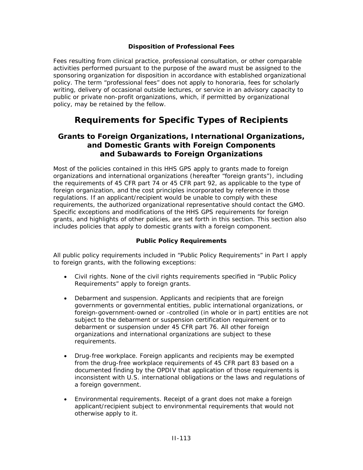#### **Disposition of Professional Fees**

Fees resulting from clinical practice, professional consultation, or other comparable activities performed pursuant to the purpose of the award must be assigned to the sponsoring organization for disposition in accordance with established organizational policy. The term "professional fees" does not apply to honoraria, fees for scholarly writing, delivery of occasional outside lectures, or service in an advisory capacity to public or private non-profit organizations, which, if permitted by organizational policy, may be retained by the fellow.

## **Requirements for Specific Types of Recipients**

## **Grants to Foreign Organizations, International Organizations, and Domestic Grants with Foreign Components and Subawards to Foreign Organizations**

Most of the policies contained in this HHS GPS apply to grants made to foreign organizations and international organizations (hereafter "foreign grants"), including the requirements of 45 CFR part 74 or 45 CFR part 92, as applicable to the type of foreign organization, and the cost principles incorporated by reference in those regulations. If an applicant/recipient would be unable to comply with these requirements, the authorized organizational representative should contact the GMO. Specific exceptions and modifications of the HHS GPS requirements for foreign grants, and highlights of other policies, are set forth in this section. This section also includes policies that apply to domestic grants with a foreign component.

#### **Public Policy Requirements**

All public policy requirements included in "Public Policy Requirements" in Part I apply to foreign grants, with the following exceptions:

- *Civil rights.* None of the civil rights requirements specified in "Public Policy Requirements" apply to foreign grants.
- *Debarment and suspension.* Applicants and recipients that are foreign governments or governmental entities, public international organizations, or foreign-government-owned or -controlled (in whole or in part) entities are not subject to the debarment or suspension certification requirement or to debarment or suspension under 45 CFR part 76. All other foreign organizations and international organizations are subject to these requirements.
- *Drug-free workplace.* Foreign applicants and recipients may be exempted from the drug-free workplace requirements of 45 CFR part 83 based on a documented finding by the OPDIV that application of those requirements is inconsistent with U.S. international obligations or the laws and regulations of a foreign government.
- *Environmental requirements.* Receipt of a grant does not make a foreign applicant/recipient subject to environmental requirements that would not otherwise apply to it.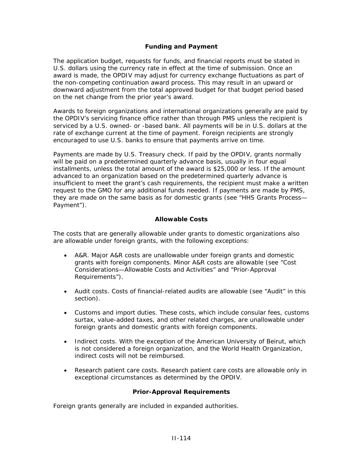#### **Funding and Payment**

The application budget, requests for funds, and financial reports must be stated in U.S. dollars using the currency rate in effect at the time of submission. Once an award is made, the OPDIV may adjust for currency exchange fluctuations as part of the non-competing continuation award process. This may result in an upward or downward adjustment from the total approved budget for that budget period based on the net change from the prior year's award.

Awards to foreign organizations and international organizations generally are paid by the OPDIV's servicing finance office rather than through PMS unless the recipient is serviced by a U.S. owned- or -based bank. All payments will be in U.S. dollars at the rate of exchange current at the time of payment. Foreign recipients are strongly encouraged to use U.S. banks to ensure that payments arrive on time.

Payments are made by U.S. Treasury check. If paid by the OPDIV, grants normally will be paid on a predetermined quarterly advance basis, usually in four equal installments, unless the total amount of the award is \$25,000 or less. If the amount advanced to an organization based on the predetermined quarterly advance is insufficient to meet the grant's cash requirements, the recipient must make a written request to the GMO for any additional funds needed. If payments are made by PMS, they are made on the same basis as for domestic grants (see "HHS Grants Process— Payment").

#### **Allowable Costs**

The costs that are generally allowable under grants to domestic organizations also are allowable under foreign grants, with the following exceptions:

- *A&R.* Major A&R costs are unallowable under foreign grants and domestic grants with foreign components. Minor A&R costs are allowable (see "Cost Considerations—Allowable Costs and Activities" and "Prior-Approval Requirements").
- *Audit costs.* Costs of financial-related audits are allowable (see "Audit" in this section).
- *Customs and import duties.* These costs, which include consular fees, customs surtax, value-added taxes, and other related charges, are unallowable under foreign grants and domestic grants with foreign components.
- *Indirect costs.* With the exception of the American University of Beirut, which is not considered a foreign organization, and the World Health Organization, indirect costs will not be reimbursed.
- *Research patient care costs.* Research patient care costs are allowable only in exceptional circumstances as determined by the OPDIV.

#### **Prior-Approval Requirements**

Foreign grants generally are included in expanded authorities.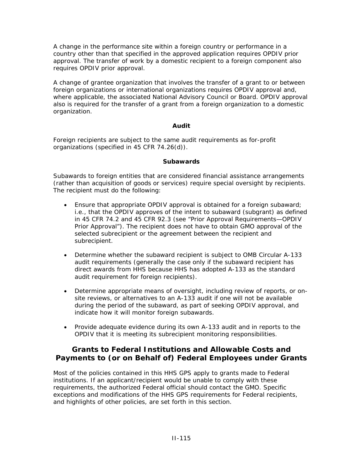A change in the performance site within a foreign country or performance in a country other than that specified in the approved application requires OPDIV prior approval. The transfer of work by a domestic recipient to a foreign component also requires OPDIV prior approval.

A change of grantee organization that involves the transfer of a grant to or between foreign organizations or international organizations requires OPDIV approval and, where applicable, the associated National Advisory Council or Board. OPDIV approval also is required for the transfer of a grant from a foreign organization to a domestic organization.

#### **Audit**

Foreign recipients are subject to the same audit requirements as for-profit organizations (specified in 45 CFR 74.26(d)).

#### **Subawards**

Subawards to foreign entities that are considered financial assistance arrangements (rather than acquisition of goods or services) require special oversight by recipients. The recipient must do the following:

- Ensure that appropriate OPDIV approval is obtained for a foreign subaward; i.e., that the OPDIV approves of the intent to subaward (subgrant) as defined in 45 CFR 74.2 and 45 CFR 92.3 (see "Prior Approval Requirements—OPDIV Prior Approval"). The recipient does not have to obtain GMO approval of the selected subrecipient or the agreement between the recipient and subrecipient.
- Determine whether the subaward recipient is subject to OMB Circular A-133 audit requirements (generally the case only if the subaward recipient has direct awards from HHS because HHS has adopted A-133 as the standard audit requirement for foreign recipients).
- Determine appropriate means of oversight, including review of reports, or onsite reviews, or alternatives to an A-133 audit if one will not be available during the period of the subaward, as part of seeking OPDIV approval, and indicate how it will monitor foreign subawards.
- Provide adequate evidence during its own A-133 audit and in reports to the OPDIV that it is meeting its subrecipient monitoring responsibilities.

## **Grants to Federal Institutions and Allowable Costs and Payments to (or on Behalf of) Federal Employees under Grants**

Most of the policies contained in this HHS GPS apply to grants made to Federal institutions. If an applicant/recipient would be unable to comply with these requirements, the authorized Federal official should contact the GMO. Specific exceptions and modifications of the HHS GPS requirements for Federal recipients, and highlights of other policies, are set forth in this section.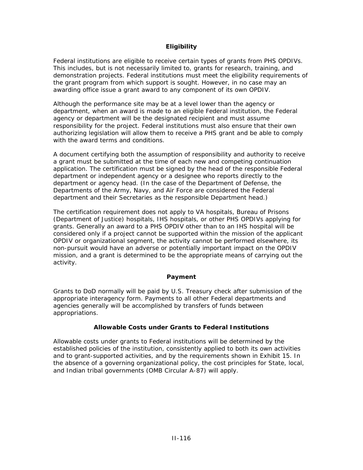#### **Eligibility**

Federal institutions are eligible to receive certain types of grants from PHS OPDIVs. This includes, but is not necessarily limited to, grants for research, training, and demonstration projects. Federal institutions must meet the eligibility requirements of the grant program from which support is sought. However, in no case may an awarding office issue a grant award to any component of its own OPDIV.

Although the performance site may be at a level lower than the agency or department, when an award is made to an eligible Federal institution, the Federal agency or department will be the designated recipient and must assume responsibility for the project. Federal institutions must also ensure that their own authorizing legislation will allow them to receive a PHS grant and be able to comply with the award terms and conditions.

A document certifying both the assumption of responsibility and authority to receive a grant must be submitted at the time of each new and competing continuation application. The certification must be signed by the head of the responsible Federal department or independent agency or a designee who reports directly to the department or agency head. (In the case of the Department of Defense, the Departments of the Army, Navy, and Air Force are considered the Federal department and their Secretaries as the responsible Department head.)

The certification requirement does not apply to VA hospitals, Bureau of Prisons (Department of Justice) hospitals, IHS hospitals, or other PHS OPDIVs applying for grants. Generally an award to a PHS OPDIV other than to an IHS hospital will be considered only if a project cannot be supported within the mission of the applicant OPDIV or organizational segment, the activity cannot be performed elsewhere, its non-pursuit would have an adverse or potentially important impact on the OPDIV mission, and a grant is determined to be the appropriate means of carrying out the activity.

#### **Payment**

Grants to DoD normally will be paid by U.S. Treasury check after submission of the appropriate interagency form. Payments to all other Federal departments and agencies generally will be accomplished by transfers of funds between appropriations.

#### **Allowable Costs under Grants to Federal Institutions**

Allowable costs under grants to Federal institutions will be determined by the established policies of the institution, consistently applied to both its own activities and to grant-supported activities, and by the requirements shown in Exhibit 15. In the absence of a governing organizational policy, the cost principles for State, local, and Indian tribal governments [\(OMB Circular A-87\)](http://www.whitehouse.gov/omb/circulars/a087/a87_2004.html) will apply.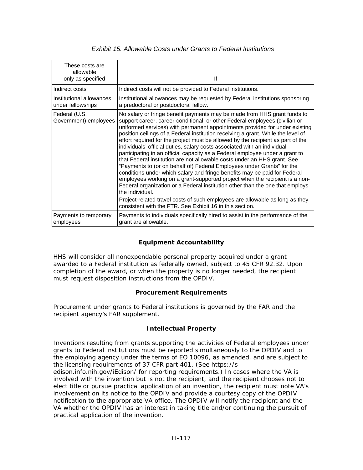| These costs are<br>allowable<br>only as specified | lf                                                                                                                                                                                                                                                                                                                                                                                                                                                                                                                                                                                                                                                                                                                                                                                                                                                                                                                                                                                                                                                                                                                                          |
|---------------------------------------------------|---------------------------------------------------------------------------------------------------------------------------------------------------------------------------------------------------------------------------------------------------------------------------------------------------------------------------------------------------------------------------------------------------------------------------------------------------------------------------------------------------------------------------------------------------------------------------------------------------------------------------------------------------------------------------------------------------------------------------------------------------------------------------------------------------------------------------------------------------------------------------------------------------------------------------------------------------------------------------------------------------------------------------------------------------------------------------------------------------------------------------------------------|
| Indirect costs                                    | Indirect costs will not be provided to Federal institutions.                                                                                                                                                                                                                                                                                                                                                                                                                                                                                                                                                                                                                                                                                                                                                                                                                                                                                                                                                                                                                                                                                |
| Institutional allowances<br>under fellowships     | Institutional allowances may be requested by Federal institutions sponsoring<br>a predoctoral or postdoctoral fellow.                                                                                                                                                                                                                                                                                                                                                                                                                                                                                                                                                                                                                                                                                                                                                                                                                                                                                                                                                                                                                       |
| Federal (U.S.<br>Government) employees            | No salary or fringe benefit payments may be made from HHS grant funds to<br>support career, career-conditional, or other Federal employees (civilian or<br>uniformed services) with permanent appointments provided for under existing<br>position ceilings of a Federal institution receiving a grant. While the level of<br>effort required for the project must be allowed by the recipient as part of the<br>individuals' official duties, salary costs associated with an individual<br>participating in an official capacity as a Federal employee under a grant to<br>that Federal institution are not allowable costs under an HHS grant. See<br>"Payments to (or on behalf of) Federal Employees under Grants" for the<br>conditions under which salary and fringe benefits may be paid for Federal<br>employees working on a grant-supported project when the recipient is a non-<br>Federal organization or a Federal institution other than the one that employs<br>the individual.<br>Project-related travel costs of such employees are allowable as long as they<br>consistent with the FTR. See Exhibit 16 in this section. |
| Payments to temporary<br>employees                | Payments to individuals specifically hired to assist in the performance of the<br>grant are allowable.                                                                                                                                                                                                                                                                                                                                                                                                                                                                                                                                                                                                                                                                                                                                                                                                                                                                                                                                                                                                                                      |

#### *Exhibit 15. Allowable Costs under Grants to Federal Institutions*

#### **Equipment Accountability**

HHS will consider all nonexpendable personal property acquired under a grant awarded to a Federal institution as federally owned, subject to 45 CFR 92.32. Upon completion of the award, or when the property is no longer needed, the recipient must request disposition instructions from the OPDIV.

#### **Procurement Requirements**

Procurement under grants to Federal institutions is governed by the FAR and the recipient agency's FAR supplement.

#### **Intellectual Property**

Inventions resulting from grants supporting the activities of Federal employees under grants to Federal institutions must be reported simultaneously to the OPDIV and to the employing agency under the terms of EO 10096, as amended, and are subject to the licensing requirements of 37 CFR part 401. (See [https://s-](https://s-edison.info.nih.gov/iEdison/)

[edison.info.nih.gov/iEdison/](https://s-edison.info.nih.gov/iEdison/) for reporting requirements.) In cases where the VA is involved with the invention but is not the recipient, and the recipient chooses not to elect title or pursue practical application of an invention, the recipient must note VA's involvement on its notice to the OPDIV and provide a courtesy copy of the OPDIV notification to the appropriate VA office. The OPDIV will notify the recipient and the VA whether the OPDIV has an interest in taking title and/or continuing the pursuit of practical application of the invention.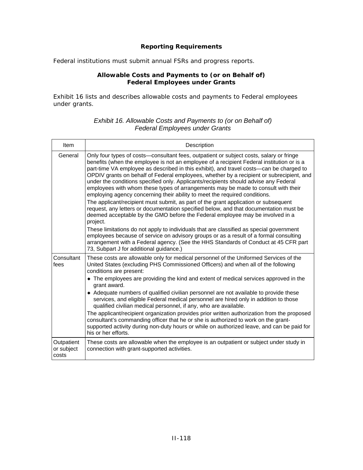#### **Reporting Requirements**

Federal institutions must submit annual FSRs and progress reports.

#### **Allowable Costs and Payments to (or on Behalf of) Federal Employees under Grants**

Exhibit 16 lists and describes allowable costs and payments to Federal employees under grants.

| Item                              | Description                                                                                                                                                                                                                                                                                                                                                                                                                                                                                                                                                                                                                                                                                                                                                                                                                                                                                                                                                                                                                                                                                                                                                                                                                               |
|-----------------------------------|-------------------------------------------------------------------------------------------------------------------------------------------------------------------------------------------------------------------------------------------------------------------------------------------------------------------------------------------------------------------------------------------------------------------------------------------------------------------------------------------------------------------------------------------------------------------------------------------------------------------------------------------------------------------------------------------------------------------------------------------------------------------------------------------------------------------------------------------------------------------------------------------------------------------------------------------------------------------------------------------------------------------------------------------------------------------------------------------------------------------------------------------------------------------------------------------------------------------------------------------|
| General                           | Only four types of costs—consultant fees, outpatient or subject costs, salary or fringe<br>benefits (when the employee is not an employee of a recipient Federal institution or is a<br>part-time VA employee as described in this exhibit), and travel costs—can be charged to<br>OPDIV grants on behalf of Federal employees, whether by a recipient or subrecipient, and<br>under the conditions specified only. Applicants/recipients should advise any Federal<br>employees with whom these types of arrangements may be made to consult with their<br>employing agency concerning their ability to meet the required conditions.<br>The applicant/recipient must submit, as part of the grant application or subsequent<br>request, any letters or documentation specified below, and that documentation must be<br>deemed acceptable by the GMO before the Federal employee may be involved in a<br>project.<br>These limitations do not apply to individuals that are classified as special government<br>employees because of service on advisory groups or as a result of a formal consulting<br>arrangement with a Federal agency. (See the HHS Standards of Conduct at 45 CFR part<br>73, Subpart J for additional guidance.) |
| Consultant<br>fees                | These costs are allowable only for medical personnel of the Uniformed Services of the<br>United States (excluding PHS Commissioned Officers) and when all of the following<br>conditions are present:<br>• The employees are providing the kind and extent of medical services approved in the<br>grant award.<br>• Adequate numbers of qualified civilian personnel are not available to provide these<br>services, and eligible Federal medical personnel are hired only in addition to those<br>qualified civilian medical personnel, if any, who are available.<br>The applicant/recipient organization provides prior written authorization from the proposed<br>consultant's commanding officer that he or she is authorized to work on the grant-<br>supported activity during non-duty hours or while on authorized leave, and can be paid for<br>his or her efforts.                                                                                                                                                                                                                                                                                                                                                             |
| Outpatient<br>or subject<br>costs | These costs are allowable when the employee is an outpatient or subject under study in<br>connection with grant-supported activities.                                                                                                                                                                                                                                                                                                                                                                                                                                                                                                                                                                                                                                                                                                                                                                                                                                                                                                                                                                                                                                                                                                     |

#### *Exhibit 16. Allowable Costs and Payments to (or on Behalf of) Federal Employees under Grants*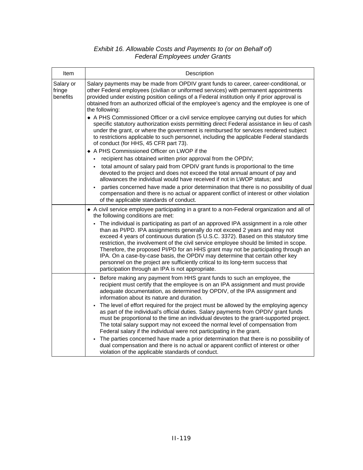#### *Exhibit 16. Allowable Costs and Payments to (or on Behalf of) Federal Employees under Grants*

| Item                            | Description                                                                                                                                                                                                                                                                                                                                                                                                                                                                                                                                                                                                                                                          |
|---------------------------------|----------------------------------------------------------------------------------------------------------------------------------------------------------------------------------------------------------------------------------------------------------------------------------------------------------------------------------------------------------------------------------------------------------------------------------------------------------------------------------------------------------------------------------------------------------------------------------------------------------------------------------------------------------------------|
| Salary or<br>fringe<br>benefits | Salary payments may be made from OPDIV grant funds to career, career-conditional, or<br>other Federal employees (civilian or uniformed services) with permanent appointments<br>provided under existing position ceilings of a Federal institution only if prior approval is<br>obtained from an authorized official of the employee's agency and the employee is one of<br>the following:                                                                                                                                                                                                                                                                           |
|                                 | • A PHS Commissioned Officer or a civil service employee carrying out duties for which<br>specific statutory authorization exists permitting direct Federal assistance in lieu of cash<br>under the grant, or where the government is reimbursed for services rendered subject<br>to restrictions applicable to such personnel, including the applicable Federal standards<br>of conduct (for HHS, 45 CFR part 73).                                                                                                                                                                                                                                                  |
|                                 | ◆ A PHS Commissioned Officer on LWOP if the                                                                                                                                                                                                                                                                                                                                                                                                                                                                                                                                                                                                                          |
|                                 | recipient has obtained written prior approval from the OPDIV;                                                                                                                                                                                                                                                                                                                                                                                                                                                                                                                                                                                                        |
|                                 | total amount of salary paid from OPDIV grant funds is proportional to the time<br>devoted to the project and does not exceed the total annual amount of pay and<br>allowances the individual would have received if not in LWOP status; and                                                                                                                                                                                                                                                                                                                                                                                                                          |
|                                 | parties concerned have made a prior determination that there is no possibility of dual<br>compensation and there is no actual or apparent conflict of interest or other violation<br>of the applicable standards of conduct.                                                                                                                                                                                                                                                                                                                                                                                                                                         |
|                                 | • A civil service employee participating in a grant to a non-Federal organization and all of<br>the following conditions are met:                                                                                                                                                                                                                                                                                                                                                                                                                                                                                                                                    |
|                                 | - The individual is participating as part of an approved IPA assignment in a role other<br>than as PI/PD. IPA assignments generally do not exceed 2 years and may not<br>exceed 4 years of continuous duration (5 U.S.C. 3372). Based on this statutory time<br>restriction, the involvement of the civil service employee should be limited in scope.<br>Therefore, the proposed PI/PD for an HHS grant may not be participating through an<br>IPA. On a case-by-case basis, the OPDIV may determine that certain other key<br>personnel on the project are sufficiently critical to its long-term success that<br>participation through an IPA is not appropriate. |
|                                 | - Before making any payment from HHS grant funds to such an employee, the<br>recipient must certify that the employee is on an IPA assignment and must provide<br>adequate documentation, as determined by OPDIV, of the IPA assignment and<br>information about its nature and duration.                                                                                                                                                                                                                                                                                                                                                                            |
|                                 | The level of effort required for the project must be allowed by the employing agency<br>as part of the individual's official duties. Salary payments from OPDIV grant funds<br>must be proportional to the time an individual devotes to the grant-supported project.<br>The total salary support may not exceed the normal level of compensation from<br>Federal salary if the individual were not participating in the grant.                                                                                                                                                                                                                                      |
|                                 | The parties concerned have made a prior determination that there is no possibility of<br>$\blacksquare$<br>dual compensation and there is no actual or apparent conflict of interest or other<br>violation of the applicable standards of conduct.                                                                                                                                                                                                                                                                                                                                                                                                                   |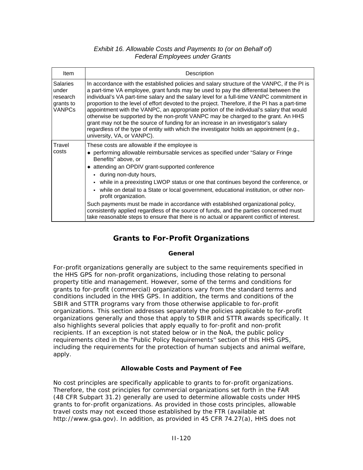#### *Exhibit 16. Allowable Costs and Payments to (or on Behalf of) Federal Employees under Grants*

| Item                                                               | Description                                                                                                                                                                                                                                                                                                                                                                                                                                                                                                                                                                                                                                                                                                                                                                          |
|--------------------------------------------------------------------|--------------------------------------------------------------------------------------------------------------------------------------------------------------------------------------------------------------------------------------------------------------------------------------------------------------------------------------------------------------------------------------------------------------------------------------------------------------------------------------------------------------------------------------------------------------------------------------------------------------------------------------------------------------------------------------------------------------------------------------------------------------------------------------|
| <b>Salaries</b><br>under<br>research<br>grants to<br><b>VANPCs</b> | In accordance with the established policies and salary structure of the VANPC, if the PI is<br>a part-time VA employee, grant funds may be used to pay the differential between the<br>individual's VA part-time salary and the salary level for a full-time VANPC commitment in<br>proportion to the level of effort devoted to the project. Therefore, if the PI has a part-time<br>appointment with the VANPC, an appropriate portion of the individual's salary that would<br>otherwise be supported by the non-profit VANPC may be charged to the grant. An HHS<br>grant may not be the source of funding for an increase in an investigator's salary<br>regardless of the type of entity with which the investigator holds an appointment (e.g.,<br>university, VA, or VANPC). |
| Travel<br>costs                                                    | These costs are allowable if the employee is<br>◆ performing allowable reimbursable services as specified under "Salary or Fringe<br>Benefits" above, or<br>• attending an OPDIV grant-supported conference<br>- during non-duty hours,<br>• while in a preexisting LWOP status or one that continues beyond the conference, or<br>while on detail to a State or local government, educational institution, or other non-<br>profit organization.<br>Such payments must be made in accordance with established organizational policy,<br>consistently applied regardless of the source of funds, and the parties concerned must<br>take reasonable steps to ensure that there is no actual or apparent conflict of interest.                                                         |

## **Grants to For-Profit Organizations**

#### **General**

For-profit organizations generally are subject to the same requirements specified in the HHS GPS for non-profit organizations, including those relating to personal property title and management. However, some of the terms and conditions for grants to for-profit (commercial) organizations vary from the standard terms and conditions included in the HHS GPS. In addition, the terms and conditions of the SBIR and STTR programs vary from those otherwise applicable to for-profit organizations. This section addresses separately the policies applicable to for-profit organizations generally and those that apply to SBIR and STTR awards specifically. It also highlights several policies that apply equally to for-profit and non-profit recipients. If an exception is not stated below or in the NoA, the public policy requirements cited in the "Public Policy Requirements" section of this HHS GPS, including the requirements for the protection of human subjects and animal welfare, apply.

#### **Allowable Costs and Payment of Fee**

No cost principles are specifically applicable to grants to for-profit organizations. Therefore, the cost principles for commercial organizations set forth in the FAR (48 CFR Subpart 31.2) generally are used to determine allowable costs under HHS grants to for-profit organizations. As provided in those costs principles, allowable travel costs may not exceed those established by the FTR (available at [http://www.gsa.gov\)](http://www.gsa.gov/Portal/gsa/ep/contentView.do?contentId=13095&contentType=GSA_DOCUMENT). In addition, as provided in 45 CFR 74.27(a), HHS does not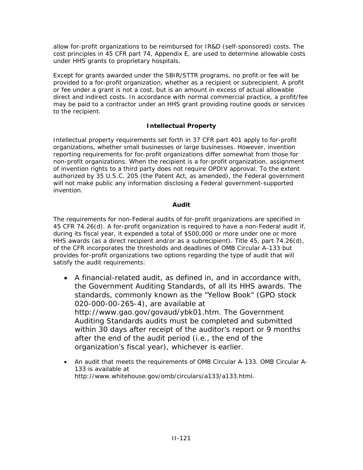allow for-profit organizations to be reimbursed for IR&D (self-sponsored) costs. The cost principles in 45 CFR part 74, Appendix E, are used to determine allowable costs under HHS grants to proprietary hospitals.

Except for grants awarded under the SBIR/STTR programs, no profit or fee will be provided to a for-profit organization, whether as a recipient or subrecipient. A profit or fee under a grant is not a cost, but is an amount in excess of actual allowable direct and indirect costs. In accordance with normal commercial practice, a profit/fee may be paid to a contractor under an HHS grant providing routine goods or services to the recipient.

#### **Intellectual Property**

Intellectual property requirements set forth in 37 CFR part 401 apply to for-profit organizations, whether small businesses or large businesses. However, invention reporting requirements for for-profit organizations differ somewhat from those for non-profit organizations. When the recipient is a for-profit organization, assignment of invention rights to a third party does not require OPDIV approval. To the extent authorized by 35 U.S.C. 205 (the Patent Act, as amended), the Federal government will not make public any information disclosing a Federal government-supported invention.

#### **Audit**

The requirements for non-Federal audits of for-profit organizations are specified in 45 CFR 74.26(d). A for-profit organization is required to have a non-Federal audit if, during its fiscal year, it expended a total of \$500,000 or more under one or more HHS awards (as a direct recipient and/or as a subrecipient). Title 45, part 74.26(d), of the CFR incorporates the thresholds and deadlines of OMB Circular A-133 but provides for-profit organizations two options regarding the type of audit that will satisfy the audit requirements:

- A financial-related audit, as defined in, and in accordance with, the Government Auditing Standards, of all its HHS awards. The standards, commonly known as the "Yellow Book" (GPO stock 020-000-00-265-4), are available at <http://www.gao.gov/govaud/ybk01.htm>. The Government Auditing Standards audits must be completed and submitted within 30 days after receipt of the auditor's report or 9 months after the end of the audit period (i.e., the end of the organization's fiscal year), whichever is earlier.
- An audit that meets the requirements of OMB Circular A-133. OMB Circular A-133 is available at [http://www.whitehouse.gov/omb/circulars/a133/a133.html.](http://www.whitehouse.gov/omb/circulars/a133/a133.html)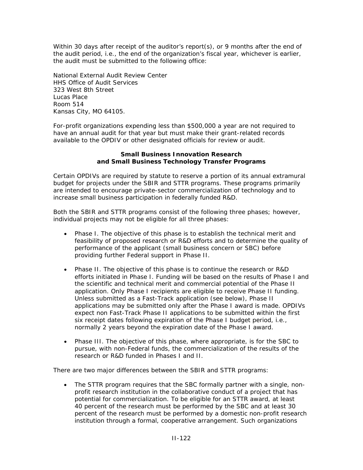Within 30 days after receipt of the auditor's report(s), or 9 months after the end of the audit period, i.e., the end of the organization's fiscal year, whichever is earlier, the audit must be submitted to the following office:

National External Audit Review Center HHS Office of Audit Services 323 West 8th Street Lucas Place Room 514 Kansas City, MO 64105.

For-profit organizations expending less than \$500,000 a year are not required to have an annual audit for that year but must make their grant-related records available to the OPDIV or other designated officials for review or audit.

#### **Small Business Innovation Research and Small Business Technology Transfer Programs**

Certain OPDIVs are required by statute to reserve a portion of its annual extramural budget for projects under the SBIR and STTR programs. These programs primarily are intended to encourage private-sector commercialization of technology and to increase small business participation in federally funded R&D.

Both the SBIR and STTR programs consist of the following three phases; however, individual projects may not be eligible for all three phases:

- *Phase I.* The objective of this phase is to establish the technical merit and feasibility of proposed research or R&D efforts and to determine the quality of performance of the applicant (small business concern or SBC) before providing further Federal support in Phase II.
- *Phase II.* The objective of this phase is to continue the research or R&D efforts initiated in Phase I. Funding will be based on the results of Phase I and the scientific and technical merit and commercial potential of the Phase II application. Only Phase I recipients are eligible to receive Phase II funding. Unless submitted as a Fast-Track application [\(see below\)](http://grants1.nih.gov/grants/policy/nihgps_2003/NIHGPS_Part13.htm#NIH_Fast_Track_application_process#NIH_Fast_Track_application_process), Phase II applications may be submitted only after the Phase I award is made. OPDIVs expect non Fast-Track Phase II applications to be submitted within the first six receipt dates following expiration of the Phase I budget period, i.e., normally 2 years beyond the expiration date of the Phase I award.
- *Phase III.* The objective of this phase, where appropriate, is for the SBC to pursue, with non-Federal funds, the commercialization of the results of the research or R&D funded in Phases I and II.

There are two major differences between the SBIR and STTR programs:

• The STTR program requires that the SBC formally partner with a single, nonprofit research institution in the collaborative conduct of a project that has potential for commercialization. To be eligible for an STTR award, at least 40 percent of the research must be performed by the SBC and at least 30 percent of the research must be performed by a domestic non-profit research institution through a formal, cooperative arrangement. Such organizations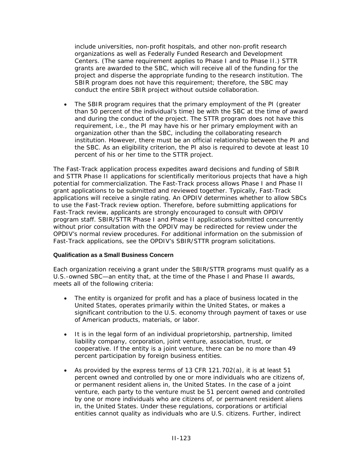include universities, non-profit hospitals, and other non-profit research organizations as well as Federally Funded Research and Development Centers. (The same requirement applies to Phase I and to Phase II.) STTR grants are awarded to the SBC, which will receive all of the funding for the project and disperse the appropriate funding to the research institution. The SBIR program does not have this requirement; therefore, the SBC may conduct the entire SBIR project without outside collaboration.

• The SBIR program requires that the primary employment of the PI (greater than 50 percent of the individual's time) be with the SBC at the time of award and during the conduct of the project. The STTR program does not have this requirement, i.e., the PI may have his or her primary employment with an organization other than the SBC, including the collaborating research institution. However, there must be an official relationship between the PI and the SBC. As an eligibility criterion, the PI also is required to devote at least 10 percent of his or her time to the STTR project.

The Fast-Track application process expedites award decisions and funding of SBIR and STTR Phase II applications for scientifically meritorious projects that have a high potential for commercialization. The Fast-Track process allows Phase I and Phase II grant applications to be submitted and reviewed together. Typically, Fast-Track applications will receive a single rating. An OPDIV determines whether to allow SBCs to use the Fast-Track review option. Therefore, before submitting applications for Fast-Track review, applicants are strongly encouraged to consult with OPDIV program staff. SBIR/STTR Phase I and Phase II applications submitted concurrently without prior consultation with the OPDIV may be redirected for review under the OPDIV's normal review procedures. For additional information on the submission of Fast-Track applications, see the OPDIV's SBIR/STTR program solicitations.

#### **Qualification as a Small Business Concern**

Each organization receiving a grant under the SBIR/STTR programs must qualify as a U.S.-owned SBC—an entity that, at the time of the Phase I and Phase II awards, meets all of the following criteria:

- The entity is organized for profit and has a place of business located in the United States, operates primarily within the United States, or makes a significant contribution to the U.S. economy through payment of taxes or use of American products, materials, or labor.
- It is in the legal form of an individual proprietorship, partnership, limited liability company, corporation, joint venture, association, trust, or cooperative. If the entity is a joint venture, there can be no more than 49 percent participation by foreign business entities.
- As provided by the express terms of 13 CFR 121.702(a), it is at least 51 percent owned and controlled by one or more individuals who are citizens of, or permanent resident aliens in, the United States. In the case of a joint venture, each party to the venture must be 51 percent owned and controlled by one or more individuals who are citizens of, or permanent resident aliens in, the United States. Under these regulations, corporations or artificial entities cannot quality as individuals who are U.S. citizens. Further, indirect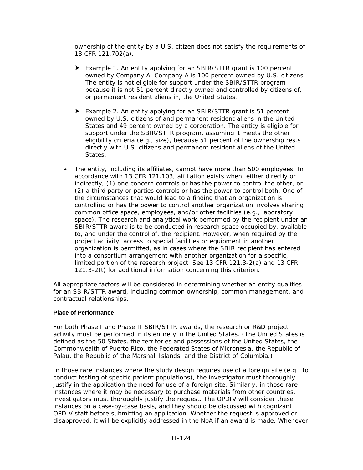ownership of the entity by a U.S. citizen does not satisfy the requirements of 13 CFR 121.702(a).

- h *Example 1.* An entity applying for an SBIR/STTR grant is 100 percent owned by Company A. Company A is 100 percent owned by U.S. citizens. The entity is not eligible for support under the SBIR/STTR program because it is not 51 percent directly owned and controlled by citizens of, or permanent resident aliens in, the United States.
- **►** Example 2. An entity applying for an SBIR/STTR grant is 51 percent owned by U.S. citizens of and permanent resident aliens in the United States and 49 percent owned by a corporation. The entity is eligible for support under the SBIR/STTR program, assuming it meets the other eligibility criteria (e.g., size), because 51 percent of the ownership rests directly with U.S. citizens and permanent resident aliens of the United States.
- The entity, including its affiliates, cannot have more than 500 employees. In accordance with 13 CFR 121.103, affiliation exists when, either directly or indirectly, (1) one concern controls or has the power to control the other, or (2) a third party or parties controls or has the power to control both. One of the circumstances that would lead to a finding that an organization is controlling or has the power to control another organization involves sharing common office space, employees, and/or other facilities (e.g., laboratory space). The research and analytical work performed by the recipient under an SBIR/STTR award is to be conducted in research space occupied by, available to, and under the control of, the recipient. However, when required by the project activity, access to special facilities or equipment in another organization is permitted, as in cases where the SBIR recipient has entered into a consortium arrangement with another organization for a specific, limited portion of the research project. See 13 CFR 121.3-2(a) and 13 CFR 121.3-2(t) for additional information concerning this criterion.

All appropriate factors will be considered in determining whether an entity qualifies for an SBIR/STTR award, including common ownership, common management, and contractual relationships.

#### **Place of Performance**

For both Phase I and Phase II SBIR/STTR awards, the research or R&D project activity must be performed in its entirety in the United States. (The United States is defined as the 50 States, the territories and possessions of the United States, the Commonwealth of Puerto Rico, the Federated States of Micronesia, the Republic of Palau, the Republic of the Marshall Islands, and the District of Columbia.)

In those rare instances where the study design requires use of a foreign site (e.g., to conduct testing of specific patient populations), the investigator must thoroughly justify in the application the need for use of a foreign site. Similarly, in those rare instances where it may be necessary to purchase materials from other countries, investigators must thoroughly justify the request. The OPDIV will consider these instances on a case-by-case basis, and they should be discussed with cognizant OPDIV staff before submitting an application. Whether the request is approved or disapproved, it will be explicitly addressed in the NoA if an award is made. Whenever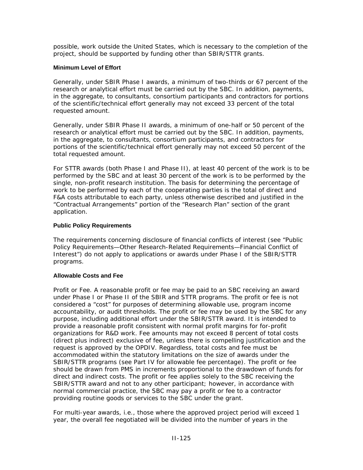possible, work outside the United States, which is necessary to the completion of the project, should be supported by funding other than SBIR/STTR grants.

#### **Minimum Level of Effort**

Generally, under SBIR Phase I awards, a minimum of two-thirds or 67 percent of the research or analytical effort must be carried out by the SBC. In addition, payments, in the aggregate, to consultants, consortium participants and contractors for portions of the scientific/technical effort generally may not exceed 33 percent of the total requested amount.

Generally, under SBIR Phase II awards, a minimum of one-half or 50 percent of the research or analytical effort must be carried out by the SBC. In addition, payments, in the aggregate, to consultants, consortium participants, and contractors for portions of the scientific/technical effort generally may not exceed 50 percent of the total requested amount.

For STTR awards (both Phase I and Phase II), at least 40 percent of the work is to be performed by the SBC and at least 30 percent of the work is to be performed by the single, non-profit research institution. The basis for determining the percentage of work to be performed by each of the cooperating parties is the total of direct and F&A costs attributable to each party, unless otherwise described and justified in the "Contractual Arrangements" portion of the "Research Plan" section of the grant application.

#### **Public Policy Requirements**

The requirements concerning disclosure of financial conflicts of interest (see "[Public](http://grants1.nih.gov/grants/policy/nihgps_2003/NIHGPS_Part4.htm#_Financial_Conflict_of)  [Policy Requirements—Other Research-Related Requirements—Financial Conflict of](http://grants1.nih.gov/grants/policy/nihgps_2003/NIHGPS_Part4.htm#_Financial_Conflict_of)  [Interest"](http://grants1.nih.gov/grants/policy/nihgps_2003/NIHGPS_Part4.htm#_Financial_Conflict_of)) do not apply to applications or awards under Phase I of the SBIR/STTR programs.

#### **Allowable Costs and Fee**

*Profit or Fee.* A reasonable profit or fee may be paid to an SBC receiving an award under Phase I or Phase II of the SBIR and STTR programs. The profit or fee is not considered a "cost" for purposes of determining allowable use, program income accountability, or audit thresholds. The profit or fee may be used by the SBC for any purpose, including additional effort under the SBIR/STTR award. It is intended to provide a reasonable profit consistent with normal profit margins for for-profit organizations for R&D work. Fee amounts may not exceed 8 percent of total costs (direct plus indirect) exclusive of fee, unless there is compelling justification and the request is approved by the OPDIV. Regardless, total costs and fee must be accommodated within the statutory limitations on the size of awards under the SBIR/STTR programs (see Part IV for allowable fee percentage). The profit or fee should be drawn from PMS in increments proportional to the drawdown of funds for direct and indirect costs. The profit or fee applies solely to the SBC receiving the SBIR/STTR award and not to any other participant; however, in accordance with normal commercial practice, the SBC may pay a profit or fee to a contractor providing routine goods or services to the SBC under the grant.

For multi-year awards, i.e., those where the approved project period will exceed 1 year, the overall fee negotiated will be divided into the number of years in the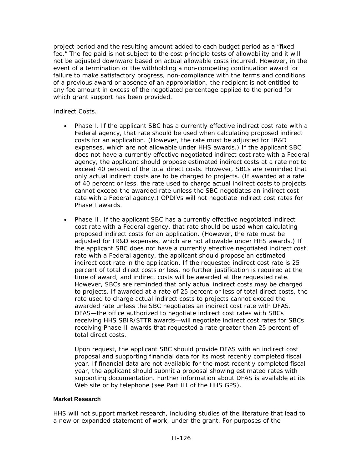project period and the resulting amount added to each budget period as a "fixed fee." The fee paid is not subject to the cost principle tests of allowability and it will not be adjusted downward based on actual allowable costs incurred. However, in the event of a termination or the withholding a non-competing continuation award for failure to make satisfactory progress, non-compliance with the terms and conditions of a previous award or absence of an appropriation, the recipient is not entitled to any fee amount in excess of the negotiated percentage applied to the period for which grant support has been provided.

#### *Indirect Costs.*

- *Phase I.* If the applicant SBC has a currently effective indirect cost rate with a Federal agency, that rate should be used when calculating proposed indirect costs for an application. (However, the rate must be adjusted for IR&D expenses, which are not allowable under HHS awards.) If the applicant SBC does not have a currently effective negotiated indirect cost rate with a Federal agency, the applicant should propose estimated indirect costs at a rate not to exceed 40 percent of the total direct costs. However, SBCs are reminded that only actual indirect costs are to be charged to projects. (If awarded at a rate of 40 percent or less, the rate used to charge actual indirect costs to projects cannot exceed the awarded rate unless the SBC negotiates an indirect cost rate with a Federal agency.) OPDIVs will not negotiate indirect cost rates for Phase I awards.
- *Phase II.* If the applicant SBC has a currently effective negotiated indirect cost rate with a Federal agency, that rate should be used when calculating proposed indirect costs for an application. (However, the rate must be adjusted for IR&D expenses, which are not allowable under HHS awards.) If the applicant SBC does not have a currently effective negotiated indirect cost rate with a Federal agency, the applicant should propose an estimated indirect cost rate in the application. If the requested indirect cost rate is 25 percent of total direct costs or less, no further justification is required at the time of award, and indirect costs will be awarded at the requested rate. However, SBCs are reminded that only actual indirect costs may be charged to projects. If awarded at a rate of 25 percent or less of total direct costs, the rate used to charge actual indirect costs to projects cannot exceed the awarded rate unless the SBC negotiates an indirect cost rate with DFAS. DFAS—the office authorized to negotiate indirect cost rates with SBCs receiving HHS SBIR/STTR awards—will negotiate indirect cost rates for SBCs receiving Phase II awards that requested a rate greater than 25 percent of total direct costs.

Upon request, the applicant SBC should provide DFAS with an indirect cost proposal and supporting financial data for its most recently completed fiscal year. If financial data are not available for the most recently completed fiscal year, the applicant should submit a proposal showing estimated rates with supporting documentation. Further information about DFAS is available at its Web site or by telephone (see Part III of the HHS GPS).

#### **Market Research**

HHS will not support market research, including studies of the literature that lead to a new or expanded statement of work, under the grant. For purposes of the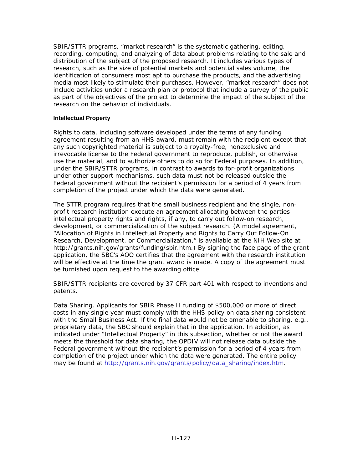SBIR/STTR programs, "market research" is the systematic gathering, editing, recording, computing, and analyzing of data about problems relating to the sale and distribution of the subject of the proposed research. It includes various types of research, such as the size of potential markets and potential sales volume, the identification of consumers most apt to purchase the products, and the advertising media most likely to stimulate their purchases. However, "market research" does not include activities under a research plan or protocol that include a survey of the public as part of the objectives of the project to determine the impact of the subject of the research on the behavior of individuals.

#### **Intellectual Property**

Rights to data, including software developed under the terms of any funding agreement resulting from an HHS award, must remain with the recipient except that any such copyrighted material is subject to a royalty-free, nonexclusive and irrevocable license to the Federal government to reproduce, publish, or otherwise use the material, and to authorize others to do so for Federal purposes. In addition, under the SBIR/STTR programs, in contrast to awards to for-profit organizations under other support mechanisms, such data must not be released outside the Federal government without the recipient's permission for a period of 4 years from completion of the project under which the data were generated.

The STTR program requires that the small business recipient and the single, nonprofit research institution execute an agreement allocating between the parties intellectual property rights and rights, if any, to carry out follow-on research, development, or commercialization of the subject research. (A model agreement, "Allocation of Rights in Intellectual Property and Rights to Carry Out Follow-On Research, Development, or Commercialization," is available at the NIH Web site at [http://grants.nih.gov/grants/funding/sbir.htm](http://grants1.nih.gov/grants/funding/sbir.htm).) By signing the face page of the grant application, the SBC's AOO certifies that the agreement with the research institution will be effective at the time the grant award is made. A copy of the agreement must be furnished upon request to the awarding office.

SBIR/STTR recipients are covered by 37 CFR part 401 with respect to inventions and patents.

*Data Sharing.* Applicants for SBIR Phase II funding of \$500,000 or more of direct costs in any single year must comply with the HHS policy on data sharing consistent with the Small Business Act. If the final data would not be amenable to sharing, e.g., proprietary data, the SBC should explain that in the application. In addition, as indicated under "Intellectual Property" in this subsection, whether or not the award meets the threshold for data sharing, the OPDIV will not release data outside the Federal government without the recipient's permission for a period of 4 years from completion of the project under which the data were generated. The entire policy may be found at [http://grants.nih.gov/grants/policy/data\\_sharing/index.htm.](http://grants.nih.gov/grants/policy/data_sharing/index.htm)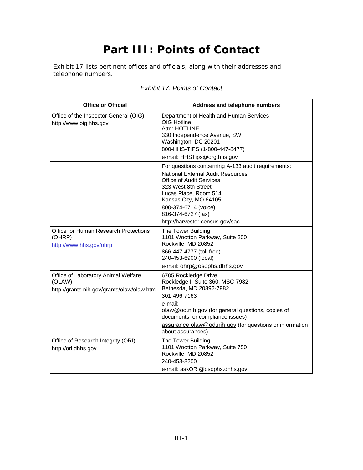# **Part III: Points of Contact**

Exhibit 17 lists pertinent offices and officials, along with their addresses and telephone numbers.

| <b>Office or Official</b>                                                                   | Address and telephone numbers                                                                                                                                                                                                                                                                              |
|---------------------------------------------------------------------------------------------|------------------------------------------------------------------------------------------------------------------------------------------------------------------------------------------------------------------------------------------------------------------------------------------------------------|
| Office of the Inspector General (OIG)<br>http://www.oig.hhs.gov                             | Department of Health and Human Services<br><b>OIG Hotline</b><br>Attn: HOTLINE<br>330 Independence Avenue, SW<br>Washington, DC 20201<br>800-HHS-TIPS (1-800-447-8477)<br>e-mail: HHSTips@org.hhs.gov                                                                                                      |
| Office for Human Research Protections                                                       | For questions concerning A-133 audit requirements:<br><b>National External Audit Resources</b><br>Office of Audit Services<br>323 West 8th Street<br>Lucas Place, Room 514<br>Kansas City, MO 64105<br>800-374-6714 (voice)<br>816-374-6727 (fax)<br>http://harvester.census.gov/sac<br>The Tower Building |
| (OHRP)<br>http://www.hhs.gov/ohrp                                                           | 1101 Wootton Parkway, Suite 200<br>Rockville, MD 20852<br>866-447-4777 (toll free)<br>240-453-6900 (local)<br>e-mail: ohrp@osophs.dhhs.gov                                                                                                                                                                 |
| Office of Laboratory Animal Welfare<br>(OLAW)<br>http://grants.nih.gov/grants/olaw/olaw.htm | 6705 Rockledge Drive<br>Rockledge I, Suite 360, MSC-7982<br>Bethesda, MD 20892-7982<br>301-496-7163<br>e-mail:<br>olaw@od.nih.gov (for general questions, copies of<br>documents, or compliance issues)<br>assurance.olaw@od.nih.gov (for questions or information<br>about assurances)                    |
| Office of Research Integrity (ORI)<br>http://ori.dhhs.gov                                   | The Tower Building<br>1101 Wootton Parkway, Suite 750<br>Rockville, MD 20852<br>240-453-8200<br>e-mail: askORI@osophs.dhhs.gov                                                                                                                                                                             |

### *Exhibit 17. Points of Contact*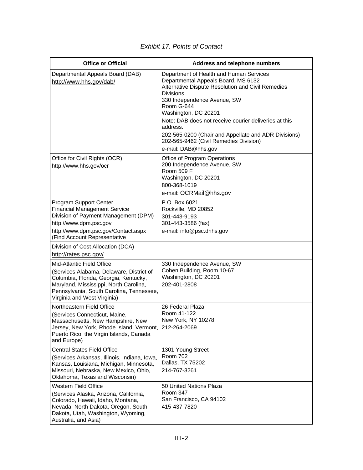| <b>Office or Official</b>                                                                                                                                                                                                           | Address and telephone numbers                                                                                                                                                                                                                                                                                                                                                                                              |
|-------------------------------------------------------------------------------------------------------------------------------------------------------------------------------------------------------------------------------------|----------------------------------------------------------------------------------------------------------------------------------------------------------------------------------------------------------------------------------------------------------------------------------------------------------------------------------------------------------------------------------------------------------------------------|
| Departmental Appeals Board (DAB)<br>http://www.hhs.gov/dab/                                                                                                                                                                         | Department of Health and Human Services<br>Departmental Appeals Board, MS 6132<br>Alternative Dispute Resolution and Civil Remedies<br><b>Divisions</b><br>330 Independence Avenue, SW<br>Room G-644<br>Washington, DC 20201<br>Note: DAB does not receive courier deliveries at this<br>address.<br>202-565-0200 (Chair and Appellate and ADR Divisions)<br>202-565-9462 (Civil Remedies Division)<br>e-mail: DAB@hhs.gov |
| Office for Civil Rights (OCR)<br>http://www.hhs.gov/ocr                                                                                                                                                                             | Office of Program Operations<br>200 Independence Avenue, SW<br>Room 509 F<br>Washington, DC 20201<br>800-368-1019<br>e-mail: OCRMail@hhs.gov                                                                                                                                                                                                                                                                               |
| Program Support Center<br><b>Financial Management Service</b><br>Division of Payment Management (DPM)<br>http://www.dpm.psc.gov<br>http://www.dpm.psc.gov/Contact.aspx<br>(Find Account Representative                              | P.O. Box 6021<br>Rockville, MD 20852<br>301-443-9193<br>301-443-3586 (fax)<br>e-mail: info@psc.dhhs.gov                                                                                                                                                                                                                                                                                                                    |
| Division of Cost Allocation (DCA)                                                                                                                                                                                                   |                                                                                                                                                                                                                                                                                                                                                                                                                            |
| http://rates.psc.gov/                                                                                                                                                                                                               |                                                                                                                                                                                                                                                                                                                                                                                                                            |
| Mid-Atlantic Field Office<br>(Services Alabama, Delaware, District of<br>Columbia, Florida, Georgia, Kentucky,<br>Maryland, Mississippi, North Carolina,<br>Pennsylvania, South Carolina, Tennessee,<br>Virginia and West Virginia) | 330 Independence Avenue, SW<br>Cohen Building, Room 10-67<br>Washington, DC 20201<br>202-401-2808                                                                                                                                                                                                                                                                                                                          |
| Northeastern Field Office<br>(Services Connecticut, Maine,<br>Massachusetts, New Hampshire, New<br>Jersey, New York, Rhode Island, Vermont,<br>Puerto Rico, the Virgin Islands, Canada<br>and Europe)                               | 26 Federal Plaza<br>Room 41-122<br>New York, NY 10278<br>212-264-2069                                                                                                                                                                                                                                                                                                                                                      |
| <b>Central States Field Office</b><br>(Services Arkansas, Illinois, Indiana, Iowa,<br>Kansas, Louisiana, Michigan, Minnesota,<br>Missouri, Nebraska, New Mexico, Ohio,<br>Oklahoma, Texas and Wisconsin)                            | 1301 Young Street<br><b>Room 702</b><br>Dallas, TX 75202<br>214-767-3261                                                                                                                                                                                                                                                                                                                                                   |
| <b>Western Field Office</b><br>(Services Alaska, Arizona, California,<br>Colorado, Hawaii, Idaho, Montana,<br>Nevada, North Dakota, Oregon, South<br>Dakota, Utah, Washington, Wyoming,<br>Australia, and Asia)                     | 50 United Nations Plaza<br><b>Room 347</b><br>San Francisco, CA 94102<br>415-437-7820                                                                                                                                                                                                                                                                                                                                      |

### *Exhibit 17. Points of Contact*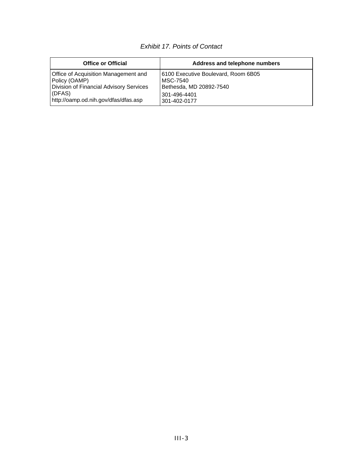### *Exhibit 17. Points of Contact*

| <b>Office or Official</b>               | Address and telephone numbers       |
|-----------------------------------------|-------------------------------------|
| Office of Acquisition Management and    | 6100 Executive Boulevard, Room 6B05 |
| Policy (OAMP)                           | MSC-7540                            |
| Division of Financial Advisory Services | Bethesda, MD 20892-7540             |
| (DFAS)                                  | 301-496-4401                        |
| http://oamp.od.nih.gov/dfas/dfas.asp    | 301-402-0177                        |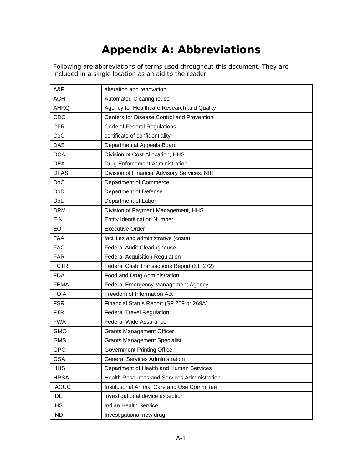# **Appendix A: Abbreviations**

Following are abbreviations of terms used throughout this document. They are included in a single location as an aid to the reader.

| A&R          | alteration and renovation                    |
|--------------|----------------------------------------------|
| <b>ACH</b>   | <b>Automated Clearinghouse</b>               |
| <b>AHRQ</b>  | Agency for Healthcare Research and Quality   |
| CDC          | Centers for Disease Control and Prevention   |
| <b>CFR</b>   | Code of Federal Regulations                  |
| CoC          | certificate of confidentiality               |
| DAB          | Departmental Appeals Board                   |
| <b>DCA</b>   | Division of Cost Allocation, HHS             |
| <b>DEA</b>   | Drug Enforcement Administration              |
| <b>DFAS</b>  | Division of Financial Advisory Services, NIH |
| <b>DoC</b>   | Department of Commerce                       |
| <b>DoD</b>   | Department of Defense                        |
| DoL          | Department of Labor                          |
| <b>DPM</b>   | Division of Payment Management, HHS          |
| EIN          | <b>Entity Identification Number</b>          |
| EO           | <b>Executive Order</b>                       |
| F&A          | facilities and administrative (costs)        |
| <b>FAC</b>   | <b>Federal Audit Clearinghouse</b>           |
| <b>FAR</b>   | <b>Federal Acquisition Regulation</b>        |
| <b>FCTR</b>  | Federal Cash Transactions Report (SF 272)    |
| <b>FDA</b>   | Food and Drug Administration                 |
| <b>FEMA</b>  | Federal Emergency Management Agency          |
| <b>FOIA</b>  | Freedom of Information Act                   |
| <b>FSR</b>   | Financial Status Report (SF 269 or 269A)     |
| <b>FTR</b>   | <b>Federal Travel Regulation</b>             |
| <b>FWA</b>   | Federal-Wide Assurance                       |
| <b>GMO</b>   | <b>Grants Management Officer</b>             |
| <b>GMS</b>   | <b>Grants Management Specialist</b>          |
| GPO          | <b>Government Printing Office</b>            |
| <b>GSA</b>   | <b>General Services Administration</b>       |
| <b>HHS</b>   | Department of Health and Human Services      |
| <b>HRSA</b>  | Health Resources and Services Administration |
| <b>IACUC</b> | Institutional Animal Care and Use Committee  |
| <b>IDE</b>   | investigational device exception             |
| <b>IHS</b>   | <b>Indian Health Service</b>                 |
| <b>IND</b>   | Investigational new drug                     |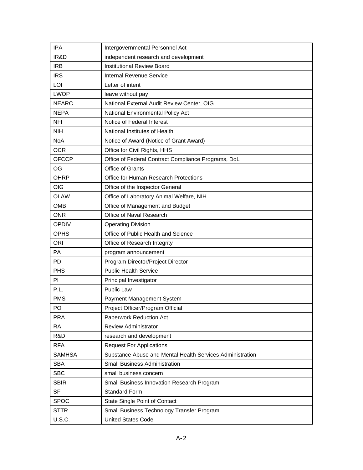| <b>IPA</b>    | Intergovernmental Personnel Act                           |
|---------------|-----------------------------------------------------------|
| IR&D          | independent research and development                      |
| <b>IRB</b>    | <b>Institutional Review Board</b>                         |
| <b>IRS</b>    | Internal Revenue Service                                  |
| LOI           | Letter of intent                                          |
| <b>LWOP</b>   | leave without pay                                         |
| <b>NEARC</b>  | National External Audit Review Center, OIG                |
| <b>NEPA</b>   | National Environmental Policy Act                         |
| <b>NFI</b>    | Notice of Federal Interest                                |
| <b>NIH</b>    | National Institutes of Health                             |
| NoA           | Notice of Award (Notice of Grant Award)                   |
| <b>OCR</b>    | Office for Civil Rights, HHS                              |
| <b>OFCCP</b>  | Office of Federal Contract Compliance Programs, DoL       |
| OG            | <b>Office of Grants</b>                                   |
| <b>OHRP</b>   | Office for Human Research Protections                     |
| <b>OIG</b>    | Office of the Inspector General                           |
| <b>OLAW</b>   | Office of Laboratory Animal Welfare, NIH                  |
| <b>OMB</b>    | Office of Management and Budget                           |
| <b>ONR</b>    | Office of Naval Research                                  |
| <b>OPDIV</b>  | <b>Operating Division</b>                                 |
| <b>OPHS</b>   | Office of Public Health and Science                       |
| <b>ORI</b>    | Office of Research Integrity                              |
| <b>PA</b>     | program announcement                                      |
| PD.           | Program Director/Project Director                         |
| <b>PHS</b>    | <b>Public Health Service</b>                              |
| PI.           | Principal Investigator                                    |
| P.L.          | <b>Public Law</b>                                         |
| <b>PMS</b>    | Payment Management System                                 |
| PO            | Project Officer/Program Official                          |
| <b>PRA</b>    | Paperwork Reduction Act                                   |
| <b>RA</b>     | <b>Review Administrator</b>                               |
| R&D           | research and development                                  |
| <b>RFA</b>    | <b>Request For Applications</b>                           |
| <b>SAMHSA</b> | Substance Abuse and Mental Health Services Administration |
| <b>SBA</b>    | <b>Small Business Administration</b>                      |
| <b>SBC</b>    | small business concern                                    |
| <b>SBIR</b>   | Small Business Innovation Research Program                |
| <b>SF</b>     | <b>Standard Form</b>                                      |
| <b>SPOC</b>   | State Single Point of Contact                             |
| <b>STTR</b>   | Small Business Technology Transfer Program                |
| U.S.C.        | <b>United States Code</b>                                 |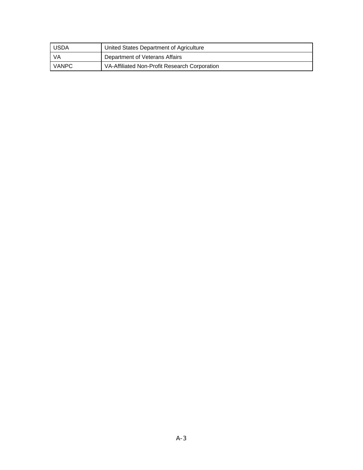| USDA  | United States Department of Agriculture       |
|-------|-----------------------------------------------|
| - VA  | Department of Veterans Affairs                |
| VANPC | VA-Affiliated Non-Profit Research Corporation |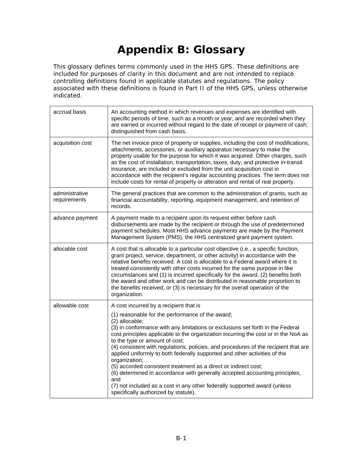# **Appendix B: Glossary**

This glossary defines terms commonly used in the HHS GPS. These definitions are included for purposes of clarity in this document and are not intended to replace controlling definitions found in applicable statutes and regulations. The policy associated with these definitions is found in Part II of the HHS GPS, unless otherwise indicated.

| accrual basis                  | An accounting method in which revenues and expenses are identified with<br>specific periods of time, such as a month or year, and are recorded when they<br>are earned or incurred without regard to the date of receipt or payment of cash;<br>distinguished from cash basis.                                                                                                                                                                                                                                                                                                                                                                                                                                                                  |
|--------------------------------|-------------------------------------------------------------------------------------------------------------------------------------------------------------------------------------------------------------------------------------------------------------------------------------------------------------------------------------------------------------------------------------------------------------------------------------------------------------------------------------------------------------------------------------------------------------------------------------------------------------------------------------------------------------------------------------------------------------------------------------------------|
| acquisition cost               | The net invoice price of property or supplies, including the cost of modifications,<br>attachments, accessories, or auxiliary apparatus necessary to make the<br>property usable for the purpose for which it was acquired. Other charges, such<br>as the cost of installation, transportation, taxes, duty, and protective in-transit<br>insurance, are included or excluded from the unit acquisition cost in<br>accordance with the recipient's regular accounting practices. The term does not<br>include costs for rental of property or alteration and rental of real property.                                                                                                                                                           |
| administrative<br>requirements | The general practices that are common to the administration of grants, such as<br>financial accountability, reporting, equipment management, and retention of<br>records.                                                                                                                                                                                                                                                                                                                                                                                                                                                                                                                                                                       |
| advance payment                | A payment made to a recipient upon its request either before cash<br>disbursements are made by the recipient or through the use of predetermined<br>payment schedules. Most HHS advance payments are made by the Payment<br>Management System (PMS), the HHS centralized grant payment system.                                                                                                                                                                                                                                                                                                                                                                                                                                                  |
| allocable cost                 | A cost that is allocable to a particular cost objective (i.e., a specific function,<br>grant project, service, department, or other activity) in accordance with the<br>relative benefits received. A cost is allocable to a Federal award where it is<br>treated consistently with other costs incurred for the same purpose in like<br>circumstances and (1) is incurred specifically for the award, (2) benefits both<br>the award and other work and can be distributed in reasonable proportion to<br>the benefits received, or (3) is necessary for the overall operation of the<br>organization.                                                                                                                                         |
| allowable cost                 | A cost incurred by a recipient that is                                                                                                                                                                                                                                                                                                                                                                                                                                                                                                                                                                                                                                                                                                          |
|                                | (1) reasonable for the performance of the award;<br>(2) allocable;<br>(3) in conformance with any limitations or exclusions set forth in the Federal<br>cost principles applicable to the organization incurring the cost or in the NoA as<br>to the type or amount of cost;<br>(4) consistent with regulations, policies, and procedures of the recipient that are<br>applied uniformly to both federally supported and other activities of the<br>organization;<br>(5) accorded consistent treatment as a direct or indirect cost;<br>(6) determined in accordance with generally accepted accounting principles;<br>and<br>(7) not included as a cost in any other federally supported award (unless<br>specifically authorized by statute). |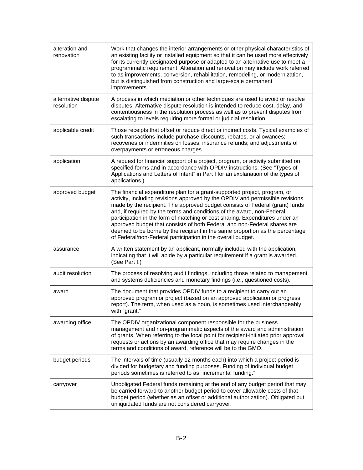| alteration and<br>renovation      | Work that changes the interior arrangements or other physical characteristics of<br>an existing facility or installed equipment so that it can be used more effectively<br>for its currently designated purpose or adapted to an alternative use to meet a<br>programmatic requirement. Alteration and renovation may include work referred<br>to as improvements, conversion, rehabilitation, remodeling, or modernization,<br>but is distinguished from construction and large-scale permanent<br>improvements.                                                                                                               |
|-----------------------------------|---------------------------------------------------------------------------------------------------------------------------------------------------------------------------------------------------------------------------------------------------------------------------------------------------------------------------------------------------------------------------------------------------------------------------------------------------------------------------------------------------------------------------------------------------------------------------------------------------------------------------------|
| alternative dispute<br>resolution | A process in which mediation or other techniques are used to avoid or resolve<br>disputes. Alternative dispute resolution is intended to reduce cost, delay, and<br>contentiousness in the resolution process as well as to prevent disputes from<br>escalating to levels requiring more formal or judicial resolution.                                                                                                                                                                                                                                                                                                         |
| applicable credit                 | Those receipts that offset or reduce direct or indirect costs. Typical examples of<br>such transactions include purchase discounts, rebates, or allowances;<br>recoveries or indemnities on losses; insurance refunds; and adjustments of<br>overpayments or erroneous charges.                                                                                                                                                                                                                                                                                                                                                 |
| application                       | A request for financial support of a project, program, or activity submitted on<br>specified forms and in accordance with OPDIV instructions. (See "Types of<br>Applications and Letters of Intent" in Part I for an explanation of the types of<br>applications.)                                                                                                                                                                                                                                                                                                                                                              |
| approved budget                   | The financial expenditure plan for a grant-supported project, program, or<br>activity, including revisions approved by the OPDIV and permissible revisions<br>made by the recipient. The approved budget consists of Federal (grant) funds<br>and, if required by the terms and conditions of the award, non-Federal<br>participation in the form of matching or cost sharing. Expenditures under an<br>approved budget that consists of both Federal and non-Federal shares are<br>deemed to be borne by the recipient in the same proportion as the percentage<br>of Federal/non-Federal participation in the overall budget. |
| assurance                         | A written statement by an applicant, normally included with the application,<br>indicating that it will abide by a particular requirement if a grant is awarded.<br>(See Part I.)                                                                                                                                                                                                                                                                                                                                                                                                                                               |
| audit resolution                  | The process of resolving audit findings, including those related to management<br>and systems deficiencies and monetary findings (i.e., questioned costs).                                                                                                                                                                                                                                                                                                                                                                                                                                                                      |
| award                             | The document that provides OPDIV funds to a recipient to carry out an<br>approved program or project (based on an approved application or progress<br>report). The term, when used as a noun, is sometimes used interchangeably<br>with "grant."                                                                                                                                                                                                                                                                                                                                                                                |
| awarding office                   | The OPDIV organizational component responsible for the business<br>management and non-programmatic aspects of the award and administration<br>of grants. When referring to the focal point for recipient-initiated prior approval<br>requests or actions by an awarding office that may require changes in the<br>terms and conditions of award, reference will be to the GMO.                                                                                                                                                                                                                                                  |
| budget periods                    | The intervals of time (usually 12 months each) into which a project period is<br>divided for budgetary and funding purposes. Funding of individual budget<br>periods sometimes is referred to as "incremental funding."                                                                                                                                                                                                                                                                                                                                                                                                         |
| carryover                         | Unobligated Federal funds remaining at the end of any budget period that may<br>be carried forward to another budget period to cover allowable costs of that<br>budget period (whether as an offset or additional authorization). Obligated but<br>unliquidated funds are not considered carryover.                                                                                                                                                                                                                                                                                                                             |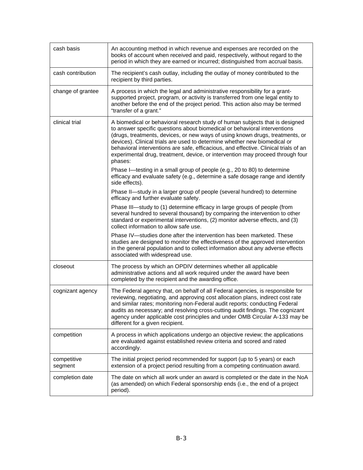| cash basis             | An accounting method in which revenue and expenses are recorded on the<br>books of account when received and paid, respectively, without regard to the<br>period in which they are earned or incurred; distinguished from accrual basis.                                                                                                                                                                                                                                                                     |
|------------------------|--------------------------------------------------------------------------------------------------------------------------------------------------------------------------------------------------------------------------------------------------------------------------------------------------------------------------------------------------------------------------------------------------------------------------------------------------------------------------------------------------------------|
| cash contribution      | The recipient's cash outlay, including the outlay of money contributed to the<br>recipient by third parties.                                                                                                                                                                                                                                                                                                                                                                                                 |
| change of grantee      | A process in which the legal and administrative responsibility for a grant-<br>supported project, program, or activity is transferred from one legal entity to<br>another before the end of the project period. This action also may be termed<br>"transfer of a grant."                                                                                                                                                                                                                                     |
| clinical trial         | A biomedical or behavioral research study of human subjects that is designed<br>to answer specific questions about biomedical or behavioral interventions<br>(drugs, treatments, devices, or new ways of using known drugs, treatments, or<br>devices). Clinical trials are used to determine whether new biomedical or<br>behavioral interventions are safe, efficacious, and effective. Clinical trials of an<br>experimental drug, treatment, device, or intervention may proceed through four<br>phases: |
|                        | Phase I-testing in a small group of people (e.g., 20 to 80) to determine<br>efficacy and evaluate safety (e.g., determine a safe dosage range and identify<br>side effects).                                                                                                                                                                                                                                                                                                                                 |
|                        | Phase II-study in a larger group of people (several hundred) to determine<br>efficacy and further evaluate safety.                                                                                                                                                                                                                                                                                                                                                                                           |
|                        | Phase III—study to (1) determine efficacy in large groups of people (from<br>several hundred to several thousand) by comparing the intervention to other<br>standard or experimental interventions, (2) monitor adverse effects, and (3)<br>collect information to allow safe use.                                                                                                                                                                                                                           |
|                        | Phase IV-studies done after the intervention has been marketed. These<br>studies are designed to monitor the effectiveness of the approved intervention<br>in the general population and to collect information about any adverse effects<br>associated with widespread use.                                                                                                                                                                                                                                 |
| closeout               | The process by which an OPDIV determines whether all applicable<br>administrative actions and all work required under the award have been<br>completed by the recipient and the awarding office.                                                                                                                                                                                                                                                                                                             |
| cognizant agency       | The Federal agency that, on behalf of all Federal agencies, is responsible for<br>reviewing, negotiating, and approving cost allocation plans, indirect cost rate<br>and similar rates; monitoring non-Federal audit reports; conducting Federal<br>audits as necessary; and resolving cross-cutting audit findings. The cognizant<br>agency under applicable cost principles and under OMB Circular A-133 may be<br>different for a given recipient.                                                        |
| competition            | A process in which applications undergo an objective review; the applications<br>are evaluated against established review criteria and scored and rated<br>accordingly.                                                                                                                                                                                                                                                                                                                                      |
| competitive<br>segment | The initial project period recommended for support (up to 5 years) or each<br>extension of a project period resulting from a competing continuation award.                                                                                                                                                                                                                                                                                                                                                   |
| completion date        | The date on which all work under an award is completed or the date in the NoA<br>(as amended) on which Federal sponsorship ends (i.e., the end of a project<br>period).                                                                                                                                                                                                                                                                                                                                      |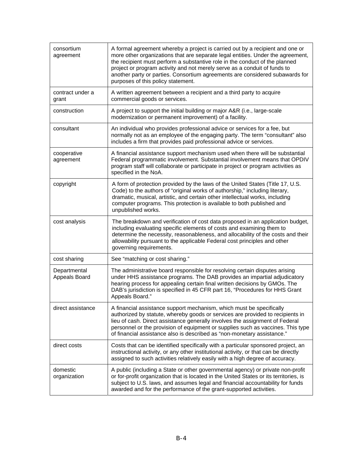| consortium<br>agreement       | A formal agreement whereby a project is carried out by a recipient and one or<br>more other organizations that are separate legal entities. Under the agreement,<br>the recipient must perform a substantive role in the conduct of the planned<br>project or program activity and not merely serve as a conduit of funds to<br>another party or parties. Consortium agreements are considered subawards for<br>purposes of this policy statement. |
|-------------------------------|----------------------------------------------------------------------------------------------------------------------------------------------------------------------------------------------------------------------------------------------------------------------------------------------------------------------------------------------------------------------------------------------------------------------------------------------------|
| contract under a<br>grant     | A written agreement between a recipient and a third party to acquire<br>commercial goods or services.                                                                                                                                                                                                                                                                                                                                              |
| construction                  | A project to support the initial building or major A&R (i.e., large-scale<br>modernization or permanent improvement) of a facility.                                                                                                                                                                                                                                                                                                                |
| consultant                    | An individual who provides professional advice or services for a fee, but<br>normally not as an employee of the engaging party. The term "consultant" also<br>includes a firm that provides paid professional advice or services.                                                                                                                                                                                                                  |
| cooperative<br>agreement      | A financial assistance support mechanism used when there will be substantial<br>Federal programmatic involvement. Substantial involvement means that OPDIV<br>program staff will collaborate or participate in project or program activities as<br>specified in the NoA.                                                                                                                                                                           |
| copyright                     | A form of protection provided by the laws of the United States (Title 17, U.S.<br>Code) to the authors of "original works of authorship," including literary,<br>dramatic, musical, artistic, and certain other intellectual works, including<br>computer programs. This protection is available to both published and<br>unpublished works.                                                                                                       |
| cost analysis                 | The breakdown and verification of cost data proposed in an application budget,<br>including evaluating specific elements of costs and examining them to<br>determine the necessity, reasonableness, and allocability of the costs and their<br>allowability pursuant to the applicable Federal cost principles and other<br>governing requirements.                                                                                                |
| cost sharing                  | See "matching or cost sharing."                                                                                                                                                                                                                                                                                                                                                                                                                    |
| Departmental<br>Appeals Board | The administrative board responsible for resolving certain disputes arising<br>under HHS assistance programs. The DAB provides an impartial adjudicatory<br>hearing process for appealing certain final written decisions by GMOs. The<br>DAB's jurisdiction is specified in 45 CFR part 16, "Procedures for HHS Grant<br>Appeals Board."                                                                                                          |
| direct assistance             | A financial assistance support mechanism, which must be specifically<br>authorized by statute, whereby goods or services are provided to recipients in<br>lieu of cash. Direct assistance generally involves the assignment of Federal<br>personnel or the provision of equipment or supplies such as vaccines. This type<br>of financial assistance also is described as "non-monetary assistance."                                               |
| direct costs                  | Costs that can be identified specifically with a particular sponsored project, an<br>instructional activity, or any other institutional activity, or that can be directly<br>assigned to such activities relatively easily with a high degree of accuracy.                                                                                                                                                                                         |
| domestic<br>organization      | A public (including a State or other governmental agency) or private non-profit<br>or for-profit organization that is located in the United States or its territories, is<br>subject to U.S. laws, and assumes legal and financial accountability for funds<br>awarded and for the performance of the grant-supported activities.                                                                                                                  |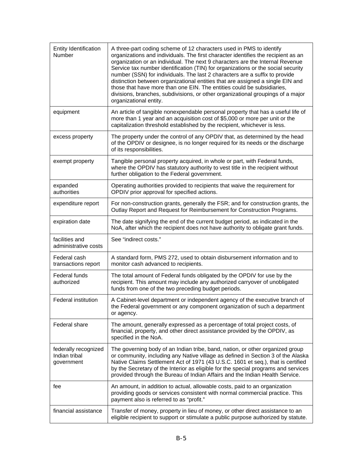| <b>Entity Identification</b><br>Number              | A three-part coding scheme of 12 characters used in PMS to identify<br>organizations and individuals. The first character identifies the recipient as an<br>organization or an individual. The next 9 characters are the Internal Revenue<br>Service tax number identification (TIN) for organizations or the social security<br>number (SSN) for individuals. The last 2 characters are a suffix to provide<br>distinction between organizational entities that are assigned a single EIN and<br>those that have more than one EIN. The entities could be subsidiaries,<br>divisions, branches, subdivisions, or other organizational groupings of a major<br>organizational entity. |
|-----------------------------------------------------|---------------------------------------------------------------------------------------------------------------------------------------------------------------------------------------------------------------------------------------------------------------------------------------------------------------------------------------------------------------------------------------------------------------------------------------------------------------------------------------------------------------------------------------------------------------------------------------------------------------------------------------------------------------------------------------|
| equipment                                           | An article of tangible nonexpendable personal property that has a useful life of<br>more than 1 year and an acquisition cost of \$5,000 or more per unit or the<br>capitalization threshold established by the recipient, whichever is less.                                                                                                                                                                                                                                                                                                                                                                                                                                          |
| excess property                                     | The property under the control of any OPDIV that, as determined by the head<br>of the OPDIV or designee, is no longer required for its needs or the discharge<br>of its responsibilities.                                                                                                                                                                                                                                                                                                                                                                                                                                                                                             |
| exempt property                                     | Tangible personal property acquired, in whole or part, with Federal funds,<br>where the OPDIV has statutory authority to vest title in the recipient without<br>further obligation to the Federal government.                                                                                                                                                                                                                                                                                                                                                                                                                                                                         |
| expanded<br>authorities                             | Operating authorities provided to recipients that waive the requirement for<br>OPDIV prior approval for specified actions.                                                                                                                                                                                                                                                                                                                                                                                                                                                                                                                                                            |
| expenditure report                                  | For non-construction grants, generally the FSR; and for construction grants, the<br>Outlay Report and Request for Reimbursement for Construction Programs.                                                                                                                                                                                                                                                                                                                                                                                                                                                                                                                            |
| expiration date                                     | The date signifying the end of the current budget period, as indicated in the<br>NoA, after which the recipient does not have authority to obligate grant funds.                                                                                                                                                                                                                                                                                                                                                                                                                                                                                                                      |
| facilities and<br>administrative costs              | See "indirect costs."                                                                                                                                                                                                                                                                                                                                                                                                                                                                                                                                                                                                                                                                 |
| Federal cash<br>transactions report                 | A standard form, PMS 272, used to obtain disbursement information and to<br>monitor cash advanced to recipients.                                                                                                                                                                                                                                                                                                                                                                                                                                                                                                                                                                      |
| <b>Federal funds</b><br>authorized                  | The total amount of Federal funds obligated by the OPDIV for use by the<br>recipient. This amount may include any authorized carryover of unobligated<br>funds from one of the two preceding budget periods.                                                                                                                                                                                                                                                                                                                                                                                                                                                                          |
| Federal institution                                 | A Cabinet-level department or independent agency of the executive branch of                                                                                                                                                                                                                                                                                                                                                                                                                                                                                                                                                                                                           |
|                                                     | the Federal government or any component organization of such a department<br>or agency.                                                                                                                                                                                                                                                                                                                                                                                                                                                                                                                                                                                               |
| <b>Federal share</b>                                | The amount, generally expressed as a percentage of total project costs, of<br>financial, property, and other direct assistance provided by the OPDIV, as<br>specified in the NoA.                                                                                                                                                                                                                                                                                                                                                                                                                                                                                                     |
| federally recognized<br>Indian tribal<br>government | The governing body of an Indian tribe, band, nation, or other organized group<br>or community, including any Native village as defined in Section 3 of the Alaska<br>Native Claims Settlement Act of 1971 (43 U.S.C. 1601 et seq.), that is certified<br>by the Secretary of the Interior as eligible for the special programs and services<br>provided through the Bureau of Indian Affairs and the Indian Health Service.                                                                                                                                                                                                                                                           |
| fee                                                 | An amount, in addition to actual, allowable costs, paid to an organization<br>providing goods or services consistent with normal commercial practice. This<br>payment also is referred to as "profit."                                                                                                                                                                                                                                                                                                                                                                                                                                                                                |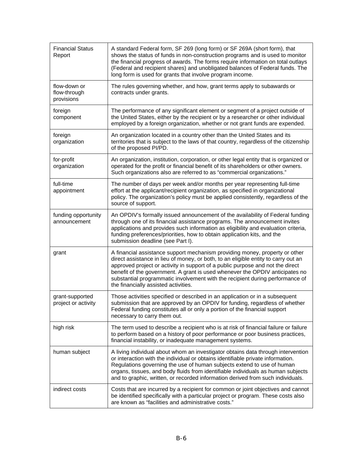| <b>Financial Status</b><br>Report          | A standard Federal form, SF 269 (long form) or SF 269A (short form), that<br>shows the status of funds in non-construction programs and is used to monitor<br>the financial progress of awards. The forms require information on total outlays<br>(Federal and recipient shares) and unobligated balances of Federal funds. The<br>long form is used for grants that involve program income.                                                                 |
|--------------------------------------------|--------------------------------------------------------------------------------------------------------------------------------------------------------------------------------------------------------------------------------------------------------------------------------------------------------------------------------------------------------------------------------------------------------------------------------------------------------------|
| flow-down or<br>flow-through<br>provisions | The rules governing whether, and how, grant terms apply to subawards or<br>contracts under grants.                                                                                                                                                                                                                                                                                                                                                           |
| foreign<br>component                       | The performance of any significant element or segment of a project outside of<br>the United States, either by the recipient or by a researcher or other individual<br>employed by a foreign organization, whether or not grant funds are expended.                                                                                                                                                                                                           |
| foreign<br>organization                    | An organization located in a country other than the United States and its<br>territories that is subject to the laws of that country, regardless of the citizenship<br>of the proposed PI/PD.                                                                                                                                                                                                                                                                |
| for-profit<br>organization                 | An organization, institution, corporation, or other legal entity that is organized or<br>operated for the profit or financial benefit of its shareholders or other owners.<br>Such organizations also are referred to as "commercial organizations."                                                                                                                                                                                                         |
| full-time<br>appointment                   | The number of days per week and/or months per year representing full-time<br>effort at the applicant/recipient organization, as specified in organizational<br>policy. The organization's policy must be applied consistently, regardless of the<br>source of support.                                                                                                                                                                                       |
| funding opportunity<br>announcement        | An OPDIV's formally issued announcement of the availability of Federal funding<br>through one of its financial assistance programs. The announcement invites<br>applications and provides such information as eligibility and evaluation criteria,<br>funding preferences/priorities, how to obtain application kits, and the<br>submission deadline (see Part I).                                                                                           |
| grant                                      | A financial assistance support mechanism providing money, property or other<br>direct assistance in lieu of money, or both, to an eligible entity to carry out an<br>approved project or activity in support of a public purpose and not the direct<br>benefit of the government. A grant is used whenever the OPDIV anticipates no<br>substantial programmatic involvement with the recipient during performance of<br>the financially assisted activities. |
| grant-supported<br>project or activity     | Those activities specified or described in an application or in a subsequent<br>submission that are approved by an OPDIV for funding, regardless of whether<br>Federal funding constitutes all or only a portion of the financial support<br>necessary to carry them out.                                                                                                                                                                                    |
| high risk                                  | The term used to describe a recipient who is at risk of financial failure or failure<br>to perform based on a history of poor performance or poor business practices,<br>financial instability, or inadequate management systems.                                                                                                                                                                                                                            |
| human subject                              | A living individual about whom an investigator obtains data through intervention<br>or interaction with the individual or obtains identifiable private information.<br>Regulations governing the use of human subjects extend to use of human<br>organs, tissues, and body fluids from identifiable individuals as human subjects<br>and to graphic, written, or recorded information derived from such individuals.                                         |
| indirect costs                             | Costs that are incurred by a recipient for common or joint objectives and cannot<br>be identified specifically with a particular project or program. These costs also<br>are known as "facilities and administrative costs."                                                                                                                                                                                                                                 |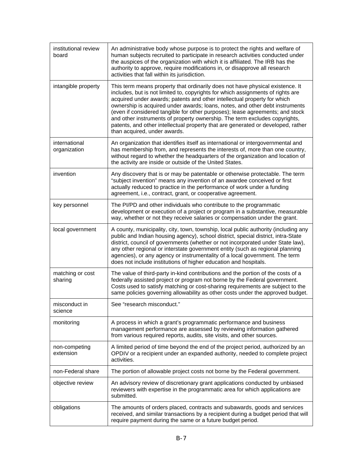| institutional review<br>board | An administrative body whose purpose is to protect the rights and welfare of<br>human subjects recruited to participate in research activities conducted under<br>the auspices of the organization with which it is affiliated. The IRB has the<br>authority to approve, require modifications in, or disapprove all research<br>activities that fall within its jurisdiction.                                                                                                                                                                                                                                  |
|-------------------------------|-----------------------------------------------------------------------------------------------------------------------------------------------------------------------------------------------------------------------------------------------------------------------------------------------------------------------------------------------------------------------------------------------------------------------------------------------------------------------------------------------------------------------------------------------------------------------------------------------------------------|
| intangible property           | This term means property that ordinarily does not have physical existence. It<br>includes, but is not limited to, copyrights for which assignments of rights are<br>acquired under awards; patents and other intellectual property for which<br>ownership is acquired under awards; loans, notes, and other debt instruments<br>(even if considered tangible for other purposes); lease agreements; and stock<br>and other instruments of property ownership. The term excludes copyrights,<br>patents, and other intellectual property that are generated or developed, rather<br>than acquired, under awards. |
| international<br>organization | An organization that identifies itself as international or intergovernmental and<br>has membership from, and represents the interests of, more than one country,<br>without regard to whether the headquarters of the organization and location of<br>the activity are inside or outside of the United States.                                                                                                                                                                                                                                                                                                  |
| invention                     | Any discovery that is or may be patentable or otherwise protectable. The term<br>"subject invention" means any invention of an awardee conceived or first<br>actually reduced to practice in the performance of work under a funding<br>agreement, i.e., contract, grant, or cooperative agreement.                                                                                                                                                                                                                                                                                                             |
| key personnel                 | The PI/PD and other individuals who contribute to the programmatic<br>development or execution of a project or program in a substantive, measurable<br>way, whether or not they receive salaries or compensation under the grant.                                                                                                                                                                                                                                                                                                                                                                               |
| local government              | A county, municipality, city, town, township, local public authority (including any<br>public and Indian housing agency), school district, special district, intra-State<br>district, council of governments (whether or not incorporated under State law),<br>any other regional or interstate government entity (such as regional planning<br>agencies), or any agency or instrumentality of a local government. The term<br>does not include institutions of higher education and hospitals.                                                                                                                 |
| matching or cost<br>sharing   | The value of third-party in-kind contributions and the portion of the costs of a<br>federally assisted project or program not borne by the Federal government.<br>Costs used to satisfy matching or cost-sharing requirements are subject to the<br>same policies governing allowability as other costs under the approved budget.                                                                                                                                                                                                                                                                              |
| misconduct in<br>science      | See "research misconduct."                                                                                                                                                                                                                                                                                                                                                                                                                                                                                                                                                                                      |
| monitoring                    | A process in which a grant's programmatic performance and business<br>management performance are assessed by reviewing information gathered<br>from various required reports, audits, site visits, and other sources.                                                                                                                                                                                                                                                                                                                                                                                           |
| non-competing<br>extension    | A limited period of time beyond the end of the project period, authorized by an<br>OPDIV or a recipient under an expanded authority, needed to complete project<br>activities.                                                                                                                                                                                                                                                                                                                                                                                                                                  |
| non-Federal share             | The portion of allowable project costs not borne by the Federal government.                                                                                                                                                                                                                                                                                                                                                                                                                                                                                                                                     |
| objective review              | An advisory review of discretionary grant applications conducted by unbiased<br>reviewers with expertise in the programmatic area for which applications are<br>submitted.                                                                                                                                                                                                                                                                                                                                                                                                                                      |
| obligations                   | The amounts of orders placed, contracts and subawards, goods and services<br>received, and similar transactions by a recipient during a budget period that will<br>require payment during the same or a future budget period.                                                                                                                                                                                                                                                                                                                                                                                   |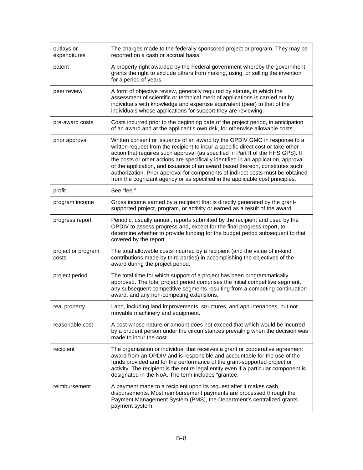| outlays or<br>expenditures  | The charges made to the federally sponsored project or program. They may be<br>reported on a cash or accrual basis.                                                                                                                                                                                                                                                                                                                                                                                                                                                                       |
|-----------------------------|-------------------------------------------------------------------------------------------------------------------------------------------------------------------------------------------------------------------------------------------------------------------------------------------------------------------------------------------------------------------------------------------------------------------------------------------------------------------------------------------------------------------------------------------------------------------------------------------|
| patent                      | A property right awarded by the Federal government whereby the government<br>grants the right to exclude others from making, using, or selling the invention<br>for a period of years.                                                                                                                                                                                                                                                                                                                                                                                                    |
| peer review                 | A form of objective review, generally required by statute, in which the<br>assessment of scientific or technical merit of applications is carried out by<br>individuals with knowledge and expertise equivalent (peer) to that of the<br>individuals whose applications for support they are reviewing.                                                                                                                                                                                                                                                                                   |
| pre-award costs             | Costs incurred prior to the beginning date of the project period, in anticipation<br>of an award and at the applicant's own risk, for otherwise allowable costs.                                                                                                                                                                                                                                                                                                                                                                                                                          |
| prior approval              | Written consent or issuance of an award by the OPDIV GMO in response to a<br>written request from the recipient to incur a specific direct cost or take other<br>action that requires such approval (as specified in Part II of the HHS GPS). If<br>the costs or other actions are specifically identified in an application, approval<br>of the application, and issuance of an award based thereon, constitutes such<br>authorization. Prior approval for components of indirect costs must be obtained<br>from the cognizant agency or as specified in the applicable cost principles. |
| profit                      | See "fee."                                                                                                                                                                                                                                                                                                                                                                                                                                                                                                                                                                                |
| program income              | Gross income earned by a recipient that is directly generated by the grant-<br>supported project, program, or activity or earned as a result of the award.                                                                                                                                                                                                                                                                                                                                                                                                                                |
| progress report             | Periodic, usually annual, reports submitted by the recipient and used by the<br>OPDIV to assess progress and, except for the final progress report, to<br>determine whether to provide funding for the budget period subsequent to that<br>covered by the report.                                                                                                                                                                                                                                                                                                                         |
| project or program<br>costs | The total allowable costs incurred by a recipient (and the value of in-kind<br>contributions made by third parties) in accomplishing the objectives of the<br>award during the project period.                                                                                                                                                                                                                                                                                                                                                                                            |
| project period              | The total time for which support of a project has been programmatically<br>approved. The total project period comprises the initial competitive segment,<br>any subsequent competitive segments resulting from a competing continuation<br>award, and any non-competing extensions.                                                                                                                                                                                                                                                                                                       |
| real property               | Land, including land improvements, structures, and appurtenances, but not<br>movable machinery and equipment.                                                                                                                                                                                                                                                                                                                                                                                                                                                                             |
| reasonable cost             | A cost whose nature or amount does not exceed that which would be incurred<br>by a prudent person under the circumstances prevailing when the decision was<br>made to incur the cost.                                                                                                                                                                                                                                                                                                                                                                                                     |
| recipient                   | The organization or individual that receives a grant or cooperative agreement<br>award from an OPDIV and is responsible and accountable for the use of the<br>funds provided and for the performance of the grant-supported project or<br>activity. The recipient is the entire legal entity even if a particular component is<br>designated in the NoA. The term includes "grantee."                                                                                                                                                                                                     |
| reimbursement               | A payment made to a recipient upon its request after it makes cash<br>disbursements. Most reimbursement payments are processed through the<br>Payment Management System (PMS), the Department's centralized grants<br>payment system.                                                                                                                                                                                                                                                                                                                                                     |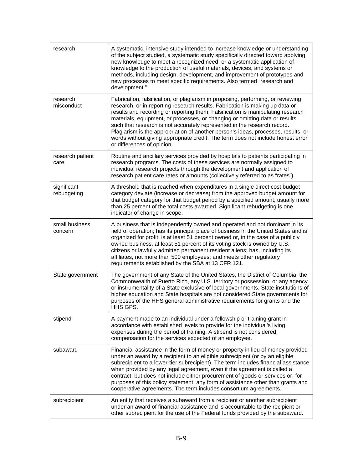| research                   | A systematic, intensive study intended to increase knowledge or understanding<br>of the subject studied, a systematic study specifically directed toward applying<br>new knowledge to meet a recognized need, or a systematic application of<br>knowledge to the production of useful materials, devices, and systems or<br>methods, including design, development, and improvement of prototypes and<br>new processes to meet specific requirements. Also termed "research and<br>development."                                                                                                                     |
|----------------------------|----------------------------------------------------------------------------------------------------------------------------------------------------------------------------------------------------------------------------------------------------------------------------------------------------------------------------------------------------------------------------------------------------------------------------------------------------------------------------------------------------------------------------------------------------------------------------------------------------------------------|
| research<br>misconduct     | Fabrication, falsification, or plagiarism in proposing, performing, or reviewing<br>research, or in reporting research results. Fabrication is making up data or<br>results and recording or reporting them. Falsification is manipulating research<br>materials, equipment, or processes, or changing or omitting data or results<br>such that research is not accurately represented in the research record.<br>Plagiarism is the appropriation of another person's ideas, processes, results, or<br>words without giving appropriate credit. The term does not include honest error<br>or differences of opinion. |
| research patient<br>care   | Routine and ancillary services provided by hospitals to patients participating in<br>research programs. The costs of these services are normally assigned to<br>individual research projects through the development and application of<br>research patient care rates or amounts (collectively referred to as "rates").                                                                                                                                                                                                                                                                                             |
| significant<br>rebudgeting | A threshold that is reached when expenditures in a single direct cost budget<br>category deviate (increase or decrease) from the approved budget amount for<br>that budget category for that budget period by a specified amount, usually more<br>than 25 percent of the total costs awarded. Significant rebudgeting is one<br>indicator of change in scope.                                                                                                                                                                                                                                                        |
| small business<br>concern  | A business that is independently owned and operated and not dominant in its<br>field of operation; has its principal place of business in the United States and is<br>organized for profit; is at least 51 percent owned or, in the case of a publicly<br>owned business, at least 51 percent of its voting stock is owned by U.S.<br>citizens or lawfully admitted permanent resident aliens; has, including its<br>affiliates, not more than 500 employees; and meets other regulatory<br>requirements established by the SBA at 13 CFR 121.                                                                       |
| State government           | The government of any State of the United States, the District of Columbia, the<br>Commonwealth of Puerto Rico, any U.S. territory or possession, or any agency<br>or instrumentality of a State exclusive of local governments. State institutions of<br>higher education and State hospitals are not considered State governments for<br>purposes of the HHS general administrative requirements for grants and the<br>HHS GPS.                                                                                                                                                                                    |
| stipend                    | A payment made to an individual under a fellowship or training grant in<br>accordance with established levels to provide for the individual's living<br>expenses during the period of training. A stipend is not considered<br>compensation for the services expected of an employee.                                                                                                                                                                                                                                                                                                                                |
| subaward                   | Financial assistance in the form of money or property in lieu of money provided<br>under an award by a recipient to an eligible subrecipient (or by an eligible<br>subrecipient to a lower-tier subrecipient). The term includes financial assistance<br>when provided by any legal agreement, even if the agreement is called a<br>contract, but does not include either procurement of goods or services or, for<br>purposes of this policy statement, any form of assistance other than grants and<br>cooperative agreements. The term includes consortium agreements.                                            |
| subrecipient               | An entity that receives a subaward from a recipient or another subrecipient<br>under an award of financial assistance and is accountable to the recipient or<br>other subrecipient for the use of the Federal funds provided by the subaward.                                                                                                                                                                                                                                                                                                                                                                        |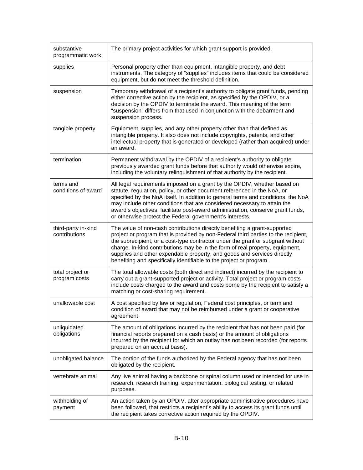| substantive<br>programmatic work     | The primary project activities for which grant support is provided.                                                                                                                                                                                                                                                                                                                                                                                                                   |
|--------------------------------------|---------------------------------------------------------------------------------------------------------------------------------------------------------------------------------------------------------------------------------------------------------------------------------------------------------------------------------------------------------------------------------------------------------------------------------------------------------------------------------------|
| supplies                             | Personal property other than equipment, intangible property, and debt<br>instruments. The category of "supplies" includes items that could be considered<br>equipment, but do not meet the threshold definition.                                                                                                                                                                                                                                                                      |
| suspension                           | Temporary withdrawal of a recipient's authority to obligate grant funds, pending<br>either corrective action by the recipient, as specified by the OPDIV, or a<br>decision by the OPDIV to terminate the award. This meaning of the term<br>"suspension" differs from that used in conjunction with the debarment and<br>suspension process.                                                                                                                                          |
| tangible property                    | Equipment, supplies, and any other property other than that defined as<br>intangible property. It also does not include copyrights, patents, and other<br>intellectual property that is generated or developed (rather than acquired) under<br>an award.                                                                                                                                                                                                                              |
| termination                          | Permanent withdrawal by the OPDIV of a recipient's authority to obligate<br>previously awarded grant funds before that authority would otherwise expire,<br>including the voluntary relinquishment of that authority by the recipient.                                                                                                                                                                                                                                                |
| terms and<br>conditions of award     | All legal requirements imposed on a grant by the OPDIV, whether based on<br>statute, regulation, policy, or other document referenced in the NoA, or<br>specified by the NoA itself. In addition to general terms and conditions, the NoA<br>may include other conditions that are considered necessary to attain the<br>award's objectives, facilitate post-award administration, conserve grant funds,<br>or otherwise protect the Federal government's interests.                  |
| third-party in-kind<br>contributions | The value of non-cash contributions directly benefiting a grant-supported<br>project or program that is provided by non-Federal third parties to the recipient,<br>the subrecipient, or a cost-type contractor under the grant or subgrant without<br>charge. In-kind contributions may be in the form of real property, equipment,<br>supplies and other expendable property, and goods and services directly<br>benefiting and specifically identifiable to the project or program. |
| total project or<br>program costs    | The total allowable costs (both direct and indirect) incurred by the recipient to<br>carry out a grant-supported project or activity. Total project or program costs<br>include costs charged to the award and costs borne by the recipient to satisfy a<br>matching or cost-sharing requirement.                                                                                                                                                                                     |
| unallowable cost                     | A cost specified by law or regulation, Federal cost principles, or term and<br>condition of award that may not be reimbursed under a grant or cooperative<br>agreement                                                                                                                                                                                                                                                                                                                |
| unliquidated<br>obligations          | The amount of obligations incurred by the recipient that has not been paid (for<br>financial reports prepared on a cash basis) or the amount of obligations<br>incurred by the recipient for which an outlay has not been recorded (for reports<br>prepared on an accrual basis).                                                                                                                                                                                                     |
| unobligated balance                  | The portion of the funds authorized by the Federal agency that has not been<br>obligated by the recipient.                                                                                                                                                                                                                                                                                                                                                                            |
| vertebrate animal                    | Any live animal having a backbone or spinal column used or intended for use in<br>research, research training, experimentation, biological testing, or related<br>purposes.                                                                                                                                                                                                                                                                                                           |
| withholding of<br>payment            | An action taken by an OPDIV, after appropriate administrative procedures have<br>been followed, that restricts a recipient's ability to access its grant funds until<br>the recipient takes corrective action required by the OPDIV.                                                                                                                                                                                                                                                  |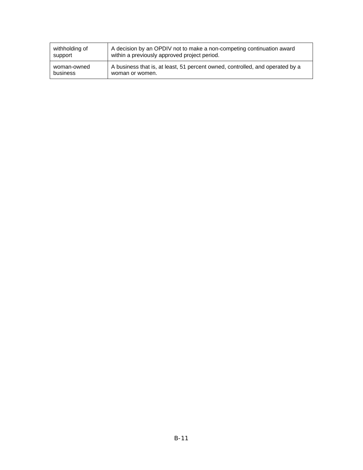| withholding of | A decision by an OPDIV not to make a non-competing continuation award         |
|----------------|-------------------------------------------------------------------------------|
| support        | within a previously approved project period.                                  |
| woman-owned    | A business that is, at least, 51 percent owned, controlled, and operated by a |
| business       | woman or women.                                                               |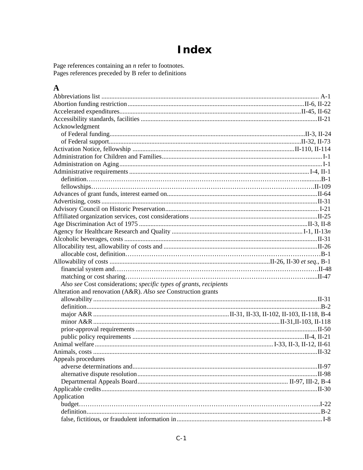# **Index**

Page references containing an  $n$  refer to footnotes.<br>Pages references preceded by  $B$  refer to definitions

### $\mathbf{A}$

| Acknowledgment                                                     |  |
|--------------------------------------------------------------------|--|
|                                                                    |  |
|                                                                    |  |
|                                                                    |  |
|                                                                    |  |
|                                                                    |  |
|                                                                    |  |
|                                                                    |  |
|                                                                    |  |
|                                                                    |  |
|                                                                    |  |
|                                                                    |  |
|                                                                    |  |
|                                                                    |  |
|                                                                    |  |
|                                                                    |  |
|                                                                    |  |
|                                                                    |  |
|                                                                    |  |
|                                                                    |  |
|                                                                    |  |
| Also see Cost considerations; specific types of grants, recipients |  |
| Alteration and renovation (A&R). Also see Construction grants      |  |
|                                                                    |  |
|                                                                    |  |
|                                                                    |  |
|                                                                    |  |
|                                                                    |  |
|                                                                    |  |
|                                                                    |  |
|                                                                    |  |
| Appeals procedures                                                 |  |
|                                                                    |  |
|                                                                    |  |
|                                                                    |  |
|                                                                    |  |
| Application                                                        |  |
|                                                                    |  |
|                                                                    |  |
|                                                                    |  |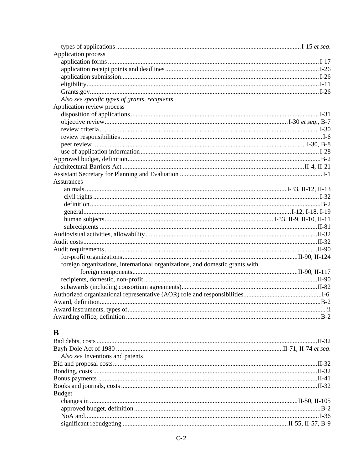| Application process                                                          |  |
|------------------------------------------------------------------------------|--|
|                                                                              |  |
|                                                                              |  |
|                                                                              |  |
|                                                                              |  |
|                                                                              |  |
| Also see specific types of grants, recipients                                |  |
| Application review process                                                   |  |
|                                                                              |  |
|                                                                              |  |
|                                                                              |  |
|                                                                              |  |
|                                                                              |  |
|                                                                              |  |
|                                                                              |  |
|                                                                              |  |
|                                                                              |  |
| Assurances                                                                   |  |
|                                                                              |  |
|                                                                              |  |
|                                                                              |  |
|                                                                              |  |
|                                                                              |  |
|                                                                              |  |
|                                                                              |  |
|                                                                              |  |
|                                                                              |  |
|                                                                              |  |
| foreign organizations, international organizations, and domestic grants with |  |
|                                                                              |  |
|                                                                              |  |
|                                                                              |  |
|                                                                              |  |
|                                                                              |  |
|                                                                              |  |
|                                                                              |  |
|                                                                              |  |

## $\mathbf{B}$

| Also see Inventions and patents |  |
|---------------------------------|--|
|                                 |  |
|                                 |  |
|                                 |  |
|                                 |  |
| <b>Budget</b>                   |  |
|                                 |  |
|                                 |  |
|                                 |  |
|                                 |  |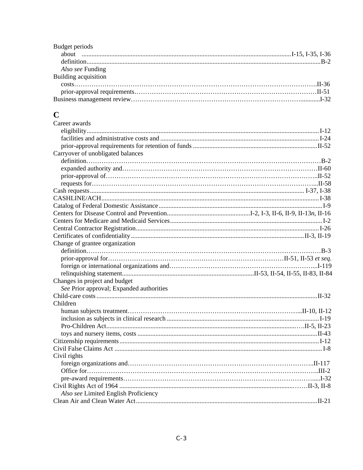| Budget periods       |  |
|----------------------|--|
|                      |  |
|                      |  |
| Also see Funding     |  |
| Building acquisition |  |
|                      |  |
|                      |  |
|                      |  |

### $\mathbf C$

| Career awards                            |  |
|------------------------------------------|--|
|                                          |  |
|                                          |  |
|                                          |  |
| Carryover of unobligated balances        |  |
|                                          |  |
|                                          |  |
|                                          |  |
|                                          |  |
|                                          |  |
|                                          |  |
|                                          |  |
|                                          |  |
|                                          |  |
|                                          |  |
|                                          |  |
| Change of grantee organization           |  |
|                                          |  |
|                                          |  |
|                                          |  |
|                                          |  |
| Changes in project and budget            |  |
| See Prior approval; Expanded authorities |  |
|                                          |  |
| Children                                 |  |
|                                          |  |
|                                          |  |
|                                          |  |
|                                          |  |
|                                          |  |
|                                          |  |
| Civil rights                             |  |
|                                          |  |
|                                          |  |
|                                          |  |
|                                          |  |
| Also see Limited English Proficiency     |  |
|                                          |  |
|                                          |  |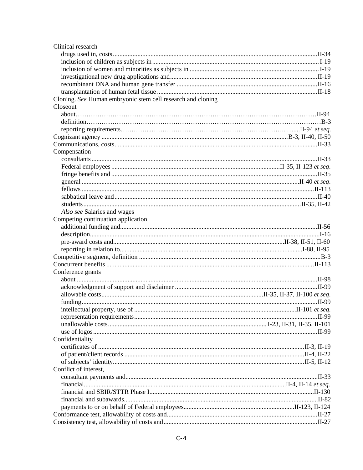| Clinical research                                           |  |
|-------------------------------------------------------------|--|
|                                                             |  |
|                                                             |  |
|                                                             |  |
|                                                             |  |
|                                                             |  |
|                                                             |  |
| Cloning. See Human embryonic stem cell research and cloning |  |
| Closeout                                                    |  |
|                                                             |  |
|                                                             |  |
|                                                             |  |
|                                                             |  |
|                                                             |  |
| Compensation                                                |  |
|                                                             |  |
|                                                             |  |
|                                                             |  |
|                                                             |  |
|                                                             |  |
|                                                             |  |
|                                                             |  |
| Also see Salaries and wages                                 |  |
| Competing continuation application                          |  |
|                                                             |  |
|                                                             |  |
|                                                             |  |
|                                                             |  |
|                                                             |  |
|                                                             |  |
| Conference grants                                           |  |
|                                                             |  |
|                                                             |  |
|                                                             |  |
|                                                             |  |
|                                                             |  |
|                                                             |  |
|                                                             |  |
|                                                             |  |
| Confidentiality                                             |  |
|                                                             |  |
|                                                             |  |
|                                                             |  |
| Conflict of interest,                                       |  |
|                                                             |  |
|                                                             |  |
|                                                             |  |
|                                                             |  |
|                                                             |  |
|                                                             |  |
|                                                             |  |
|                                                             |  |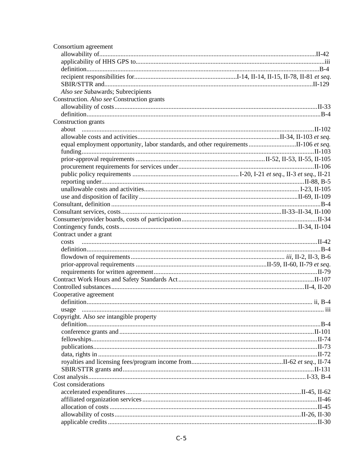| Consortium agreement                                                                 |  |
|--------------------------------------------------------------------------------------|--|
|                                                                                      |  |
|                                                                                      |  |
|                                                                                      |  |
|                                                                                      |  |
|                                                                                      |  |
| Also see Subawards; Subrecipients                                                    |  |
| Construction. Also see Construction grants                                           |  |
|                                                                                      |  |
|                                                                                      |  |
| Construction grants                                                                  |  |
|                                                                                      |  |
|                                                                                      |  |
| equal employment opportunity, labor standards, and other requirements II-106 et seq. |  |
|                                                                                      |  |
|                                                                                      |  |
|                                                                                      |  |
|                                                                                      |  |
|                                                                                      |  |
|                                                                                      |  |
|                                                                                      |  |
|                                                                                      |  |
|                                                                                      |  |
|                                                                                      |  |
|                                                                                      |  |
| Contract under a grant                                                               |  |
|                                                                                      |  |
|                                                                                      |  |
|                                                                                      |  |
|                                                                                      |  |
|                                                                                      |  |
|                                                                                      |  |
| Cooperative agreement                                                                |  |
|                                                                                      |  |
|                                                                                      |  |
| Copyright. Also see intangible property                                              |  |
|                                                                                      |  |
|                                                                                      |  |
|                                                                                      |  |
|                                                                                      |  |
|                                                                                      |  |
|                                                                                      |  |
|                                                                                      |  |
|                                                                                      |  |
| Cost considerations                                                                  |  |
|                                                                                      |  |
|                                                                                      |  |
|                                                                                      |  |
|                                                                                      |  |
|                                                                                      |  |
|                                                                                      |  |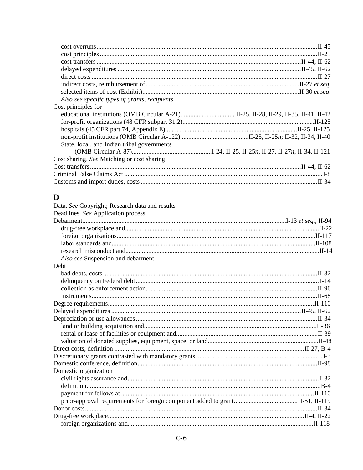| Also see specific types of grants, recipients |  |
|-----------------------------------------------|--|
| Cost principles for                           |  |
|                                               |  |
|                                               |  |
|                                               |  |
|                                               |  |
| State, local, and Indian tribal governments   |  |
|                                               |  |
| Cost sharing. See Matching or cost sharing    |  |
|                                               |  |
|                                               |  |
|                                               |  |

### $\mathbf{D}$

| Data. See Copyright; Research data and results |  |
|------------------------------------------------|--|
| Deadlines. See Application process             |  |
|                                                |  |
|                                                |  |
|                                                |  |
|                                                |  |
|                                                |  |
| Also see Suspension and debarment              |  |
| Debt                                           |  |
|                                                |  |
|                                                |  |
|                                                |  |
|                                                |  |
|                                                |  |
|                                                |  |
|                                                |  |
|                                                |  |
|                                                |  |
|                                                |  |
|                                                |  |
|                                                |  |
|                                                |  |
| Domestic organization                          |  |
|                                                |  |
|                                                |  |
|                                                |  |
|                                                |  |
|                                                |  |
|                                                |  |
|                                                |  |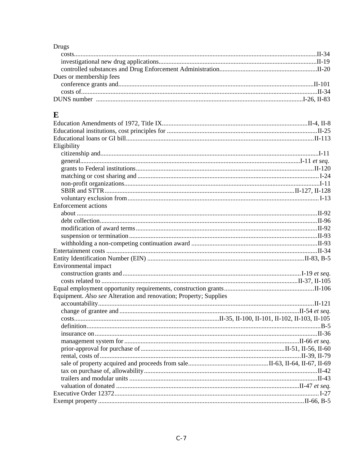### Drugs

| Dues or membership fees |  |
|-------------------------|--|
|                         |  |
|                         |  |
|                         |  |
|                         |  |

### $\mathbf E$

| Eligibility                                                       |  |
|-------------------------------------------------------------------|--|
|                                                                   |  |
|                                                                   |  |
|                                                                   |  |
|                                                                   |  |
|                                                                   |  |
|                                                                   |  |
|                                                                   |  |
| <b>Enforcement</b> actions                                        |  |
|                                                                   |  |
|                                                                   |  |
|                                                                   |  |
|                                                                   |  |
|                                                                   |  |
|                                                                   |  |
|                                                                   |  |
| Environmental impact                                              |  |
|                                                                   |  |
|                                                                   |  |
|                                                                   |  |
| Equipment. Also see Alteration and renovation; Property; Supplies |  |
|                                                                   |  |
|                                                                   |  |
|                                                                   |  |
|                                                                   |  |
|                                                                   |  |
|                                                                   |  |
|                                                                   |  |
|                                                                   |  |
|                                                                   |  |
|                                                                   |  |
|                                                                   |  |
|                                                                   |  |
|                                                                   |  |
|                                                                   |  |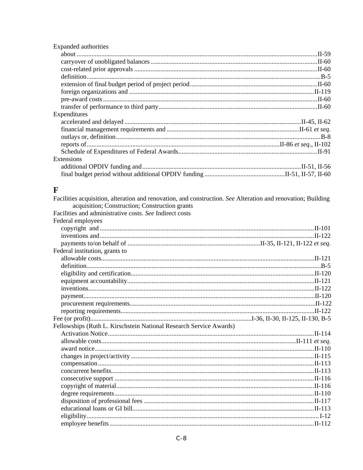| Expanded authorities |  |
|----------------------|--|
|                      |  |
|                      |  |
|                      |  |
|                      |  |
|                      |  |
|                      |  |
|                      |  |
|                      |  |
| Expenditures         |  |
|                      |  |
|                      |  |
|                      |  |
|                      |  |
|                      |  |
| Extensions           |  |
|                      |  |
|                      |  |

### $\mathbf{F}$

| Facilities acquisition, alteration and renovation, and construction. See Alteration and renovation; Building |  |
|--------------------------------------------------------------------------------------------------------------|--|
| acquisition; Construction; Construction grants                                                               |  |
| Facilities and administrative costs. See Indirect costs                                                      |  |
| Federal employees                                                                                            |  |
|                                                                                                              |  |
|                                                                                                              |  |
|                                                                                                              |  |
| Federal institution, grants to                                                                               |  |
|                                                                                                              |  |
|                                                                                                              |  |
|                                                                                                              |  |
|                                                                                                              |  |
|                                                                                                              |  |
|                                                                                                              |  |
|                                                                                                              |  |
|                                                                                                              |  |
|                                                                                                              |  |
|                                                                                                              |  |
| Fellowships (Ruth L. Kirschstein National Research Service Awards)                                           |  |
|                                                                                                              |  |
|                                                                                                              |  |
|                                                                                                              |  |
|                                                                                                              |  |
|                                                                                                              |  |
|                                                                                                              |  |
|                                                                                                              |  |
|                                                                                                              |  |
|                                                                                                              |  |
|                                                                                                              |  |
|                                                                                                              |  |
|                                                                                                              |  |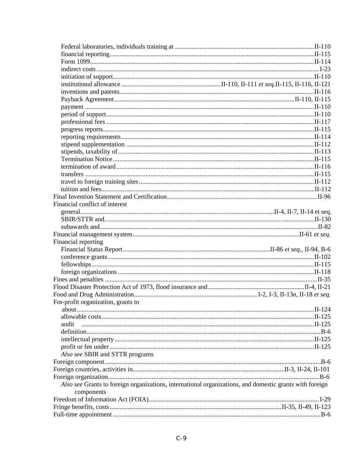| Financial conflict of interest                                                                          |  |
|---------------------------------------------------------------------------------------------------------|--|
|                                                                                                         |  |
|                                                                                                         |  |
|                                                                                                         |  |
|                                                                                                         |  |
| Financial reporting                                                                                     |  |
|                                                                                                         |  |
|                                                                                                         |  |
|                                                                                                         |  |
|                                                                                                         |  |
|                                                                                                         |  |
|                                                                                                         |  |
|                                                                                                         |  |
|                                                                                                         |  |
| For-profit organization, grants to                                                                      |  |
|                                                                                                         |  |
|                                                                                                         |  |
| audit                                                                                                   |  |
|                                                                                                         |  |
|                                                                                                         |  |
|                                                                                                         |  |
| Also see SBIR and STTR programs                                                                         |  |
|                                                                                                         |  |
|                                                                                                         |  |
|                                                                                                         |  |
| Also see Grants to foreign organizations, international organizations, and domestic grants with foreign |  |
| components                                                                                              |  |
|                                                                                                         |  |
|                                                                                                         |  |
|                                                                                                         |  |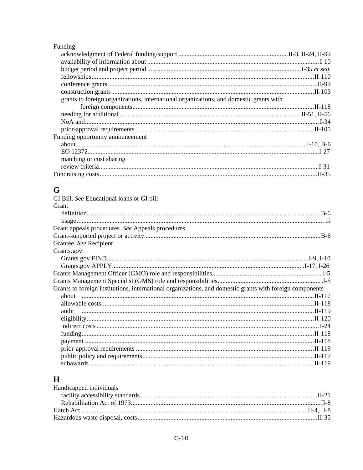### Funding

| grants to foreign organizations, international organizations, and domestic grants with |  |
|----------------------------------------------------------------------------------------|--|
|                                                                                        |  |
|                                                                                        |  |
|                                                                                        |  |
|                                                                                        |  |
| Funding opportunity announcement                                                       |  |
|                                                                                        |  |
|                                                                                        |  |
| matching or cost sharing                                                               |  |
|                                                                                        |  |
|                                                                                        |  |

### $\mathbf G$

| GI Bill. See Educational loans or GI bill                                                                |  |
|----------------------------------------------------------------------------------------------------------|--|
| Grant                                                                                                    |  |
|                                                                                                          |  |
|                                                                                                          |  |
| Grant appeals procedures. See Appeals procedures                                                         |  |
|                                                                                                          |  |
| Grantee. See Recipient                                                                                   |  |
| Grants.gov                                                                                               |  |
|                                                                                                          |  |
|                                                                                                          |  |
|                                                                                                          |  |
|                                                                                                          |  |
| Grants to foreign institutions, international organizations, and domestic grants with foreign components |  |
|                                                                                                          |  |
|                                                                                                          |  |
| audit                                                                                                    |  |
|                                                                                                          |  |
|                                                                                                          |  |
|                                                                                                          |  |
|                                                                                                          |  |
|                                                                                                          |  |
|                                                                                                          |  |
|                                                                                                          |  |

| H                       |  |
|-------------------------|--|
| Handicapped individuals |  |
|                         |  |
|                         |  |
|                         |  |
|                         |  |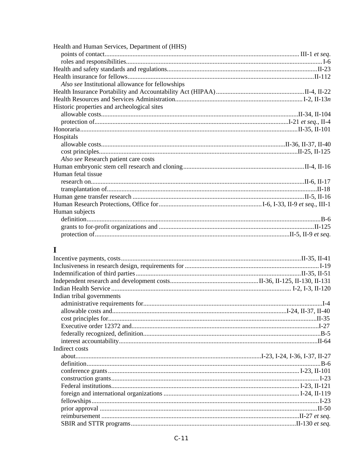| Health and Human Services, Department of (HHS)   |  |
|--------------------------------------------------|--|
|                                                  |  |
|                                                  |  |
|                                                  |  |
|                                                  |  |
| Also see Institutional allowance for fellowships |  |
|                                                  |  |
|                                                  |  |
| Historic properties and archeological sites      |  |
|                                                  |  |
|                                                  |  |
|                                                  |  |
| Hospitals                                        |  |
|                                                  |  |
|                                                  |  |
| Also see Research patient care costs             |  |
|                                                  |  |
| Human fetal tissue                               |  |
|                                                  |  |
|                                                  |  |
|                                                  |  |
|                                                  |  |
| Human subjects                                   |  |
|                                                  |  |
|                                                  |  |
|                                                  |  |

### $\mathbf I$

| Indian tribal governments |  |
|---------------------------|--|
|                           |  |
|                           |  |
|                           |  |
|                           |  |
|                           |  |
|                           |  |
| Indirect costs            |  |
|                           |  |
|                           |  |
|                           |  |
|                           |  |
|                           |  |
|                           |  |
|                           |  |
|                           |  |
|                           |  |
|                           |  |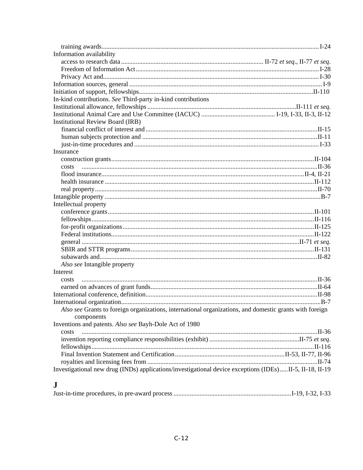| Information availability                                                                                |  |
|---------------------------------------------------------------------------------------------------------|--|
|                                                                                                         |  |
|                                                                                                         |  |
|                                                                                                         |  |
|                                                                                                         |  |
|                                                                                                         |  |
| In-kind contributions. See Third-party in-kind contributions                                            |  |
|                                                                                                         |  |
|                                                                                                         |  |
| <b>Institutional Review Board (IRB)</b>                                                                 |  |
|                                                                                                         |  |
|                                                                                                         |  |
|                                                                                                         |  |
| Insurance                                                                                               |  |
|                                                                                                         |  |
| costs                                                                                                   |  |
|                                                                                                         |  |
|                                                                                                         |  |
| II-70                                                                                                   |  |
|                                                                                                         |  |
| Intellectual property                                                                                   |  |
|                                                                                                         |  |
|                                                                                                         |  |
|                                                                                                         |  |
|                                                                                                         |  |
|                                                                                                         |  |
|                                                                                                         |  |
|                                                                                                         |  |
| Also see Intangible property                                                                            |  |
| Interest                                                                                                |  |
|                                                                                                         |  |
| costs                                                                                                   |  |
|                                                                                                         |  |
|                                                                                                         |  |
|                                                                                                         |  |
| Also see Grants to foreign organizations, international organizations, and domestic grants with foreign |  |
| components                                                                                              |  |
| Inventions and patents. Also see Bayh-Dole Act of 1980                                                  |  |
| costs                                                                                                   |  |
|                                                                                                         |  |
|                                                                                                         |  |
|                                                                                                         |  |
|                                                                                                         |  |
| Investigational new drug (INDs) applications/investigational device exceptions (IDEs)II-5, II-18, II-19 |  |

### ${\bf J}$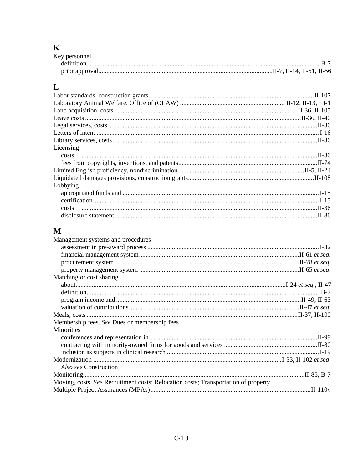# K<br>Key

### $\mathbf{L}$

| Licensing |  |
|-----------|--|
|           |  |
|           |  |
|           |  |
|           |  |
| Lobbying  |  |
|           |  |
|           |  |
|           |  |
|           |  |

### $\mathbf{M}$

| Management systems and procedures                                                  |  |
|------------------------------------------------------------------------------------|--|
|                                                                                    |  |
|                                                                                    |  |
|                                                                                    |  |
|                                                                                    |  |
| Matching or cost sharing                                                           |  |
|                                                                                    |  |
|                                                                                    |  |
|                                                                                    |  |
|                                                                                    |  |
|                                                                                    |  |
| Membership fees. See Dues or membership fees                                       |  |
| <b>Minorities</b>                                                                  |  |
|                                                                                    |  |
|                                                                                    |  |
|                                                                                    |  |
|                                                                                    |  |
| <i>Also see</i> Construction                                                       |  |
|                                                                                    |  |
| Moving, costs. See Recruitment costs; Relocation costs; Transportation of property |  |
|                                                                                    |  |
|                                                                                    |  |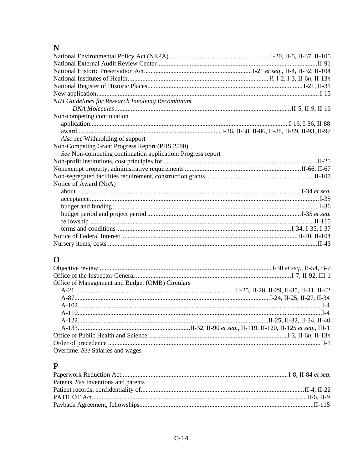### $\mathbf N$

| NIH Guidelines for Research Involving Recombinant           |  |
|-------------------------------------------------------------|--|
|                                                             |  |
| Non-competing continuation                                  |  |
|                                                             |  |
|                                                             |  |
| Also see Withholding of support                             |  |
| Non-Competing Grant Progress Report (PHS 2590)              |  |
| See Non-competing continuation application; Progress report |  |
|                                                             |  |
|                                                             |  |
|                                                             |  |
| Notice of Award (NoA)                                       |  |
|                                                             |  |
|                                                             |  |
|                                                             |  |
|                                                             |  |
|                                                             |  |
|                                                             |  |
|                                                             |  |
|                                                             |  |
|                                                             |  |

### $\overline{\mathbf{O}}$

| Office of Management and Budget (OMB) Circulars |  |
|-------------------------------------------------|--|
|                                                 |  |
|                                                 |  |
|                                                 |  |
|                                                 |  |
|                                                 |  |
|                                                 |  |
|                                                 |  |
|                                                 |  |
| Overtime. See Salaries and wages                |  |
|                                                 |  |

### $\mathbf{P}$

| Patents. See Inventions and patents |  |
|-------------------------------------|--|
|                                     |  |
|                                     |  |
|                                     |  |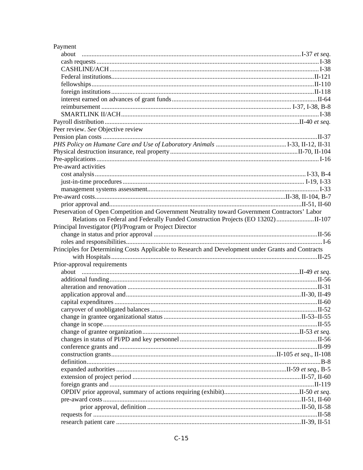| Payment                                                                                            |  |
|----------------------------------------------------------------------------------------------------|--|
| about                                                                                              |  |
|                                                                                                    |  |
|                                                                                                    |  |
|                                                                                                    |  |
|                                                                                                    |  |
|                                                                                                    |  |
|                                                                                                    |  |
|                                                                                                    |  |
|                                                                                                    |  |
|                                                                                                    |  |
| Peer review. See Objective review                                                                  |  |
|                                                                                                    |  |
|                                                                                                    |  |
|                                                                                                    |  |
|                                                                                                    |  |
| Pre-award activities                                                                               |  |
|                                                                                                    |  |
|                                                                                                    |  |
|                                                                                                    |  |
|                                                                                                    |  |
|                                                                                                    |  |
| Preservation of Open Competition and Government Neutrality toward Government Contractors' Labor    |  |
|                                                                                                    |  |
| Principal Investigator (PI)/Program or Project Director                                            |  |
|                                                                                                    |  |
|                                                                                                    |  |
| Principles for Determining Costs Applicable to Research and Development under Grants and Contracts |  |
|                                                                                                    |  |
| Prior-approval requirements                                                                        |  |
|                                                                                                    |  |
|                                                                                                    |  |
|                                                                                                    |  |
|                                                                                                    |  |
|                                                                                                    |  |
|                                                                                                    |  |
|                                                                                                    |  |
|                                                                                                    |  |
|                                                                                                    |  |
|                                                                                                    |  |
|                                                                                                    |  |
|                                                                                                    |  |
|                                                                                                    |  |
|                                                                                                    |  |
|                                                                                                    |  |
|                                                                                                    |  |
|                                                                                                    |  |
|                                                                                                    |  |
|                                                                                                    |  |
|                                                                                                    |  |
|                                                                                                    |  |
|                                                                                                    |  |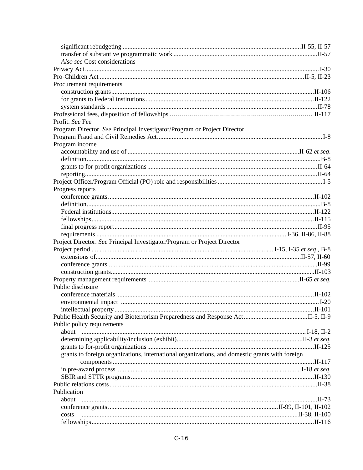| Also see Cost considerations                                                                   |  |
|------------------------------------------------------------------------------------------------|--|
|                                                                                                |  |
|                                                                                                |  |
| Procurement requirements                                                                       |  |
|                                                                                                |  |
|                                                                                                |  |
|                                                                                                |  |
|                                                                                                |  |
| Profit. See Fee                                                                                |  |
| Program Director. See Principal Investigator/Program or Project Director                       |  |
|                                                                                                |  |
| Program income                                                                                 |  |
|                                                                                                |  |
|                                                                                                |  |
|                                                                                                |  |
|                                                                                                |  |
|                                                                                                |  |
| Progress reports                                                                               |  |
|                                                                                                |  |
|                                                                                                |  |
|                                                                                                |  |
|                                                                                                |  |
|                                                                                                |  |
|                                                                                                |  |
| Project Director. See Principal Investigator/Program or Project Director                       |  |
|                                                                                                |  |
|                                                                                                |  |
|                                                                                                |  |
|                                                                                                |  |
|                                                                                                |  |
| Public disclosure                                                                              |  |
|                                                                                                |  |
|                                                                                                |  |
|                                                                                                |  |
|                                                                                                |  |
|                                                                                                |  |
| Public policy requirements                                                                     |  |
|                                                                                                |  |
|                                                                                                |  |
|                                                                                                |  |
| grants to foreign organizations, international organizations, and domestic grants with foreign |  |
|                                                                                                |  |
|                                                                                                |  |
|                                                                                                |  |
|                                                                                                |  |
| Publication                                                                                    |  |
| about                                                                                          |  |
|                                                                                                |  |
| costs                                                                                          |  |
|                                                                                                |  |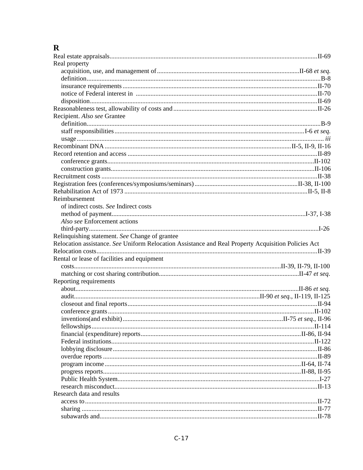### $\mathbf R$

| Real property                                                                                       |  |
|-----------------------------------------------------------------------------------------------------|--|
|                                                                                                     |  |
|                                                                                                     |  |
|                                                                                                     |  |
|                                                                                                     |  |
|                                                                                                     |  |
|                                                                                                     |  |
| Recipient. Also see Grantee                                                                         |  |
|                                                                                                     |  |
|                                                                                                     |  |
|                                                                                                     |  |
|                                                                                                     |  |
|                                                                                                     |  |
|                                                                                                     |  |
|                                                                                                     |  |
|                                                                                                     |  |
|                                                                                                     |  |
|                                                                                                     |  |
| Reimbursement                                                                                       |  |
| of indirect costs. See Indirect costs                                                               |  |
|                                                                                                     |  |
| Also see Enforcement actions                                                                        |  |
|                                                                                                     |  |
| Relinquishing statement. See Change of grantee                                                      |  |
|                                                                                                     |  |
|                                                                                                     |  |
| Relocation assistance. See Uniform Relocation Assistance and Real Property Acquisition Policies Act |  |
|                                                                                                     |  |
| Rental or lease of facilities and equipment                                                         |  |
|                                                                                                     |  |
|                                                                                                     |  |
| Reporting requirements                                                                              |  |
|                                                                                                     |  |
|                                                                                                     |  |
|                                                                                                     |  |
|                                                                                                     |  |
|                                                                                                     |  |
|                                                                                                     |  |
|                                                                                                     |  |
|                                                                                                     |  |
|                                                                                                     |  |
|                                                                                                     |  |
|                                                                                                     |  |
|                                                                                                     |  |
|                                                                                                     |  |
|                                                                                                     |  |
| Research data and results                                                                           |  |
|                                                                                                     |  |
|                                                                                                     |  |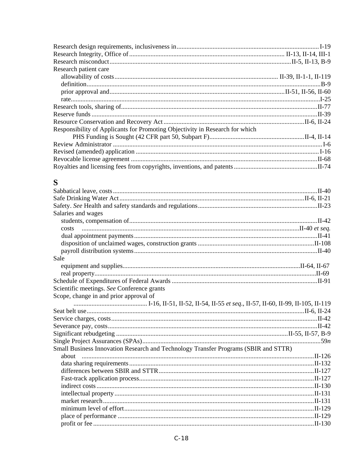| Research patient care                                                               |  |
|-------------------------------------------------------------------------------------|--|
|                                                                                     |  |
|                                                                                     |  |
|                                                                                     |  |
|                                                                                     |  |
|                                                                                     |  |
|                                                                                     |  |
|                                                                                     |  |
| Responsibility of Applicants for Promoting Objectivity in Research for which        |  |
|                                                                                     |  |
|                                                                                     |  |
|                                                                                     |  |
|                                                                                     |  |
|                                                                                     |  |
|                                                                                     |  |
| S                                                                                   |  |
|                                                                                     |  |
|                                                                                     |  |
|                                                                                     |  |
| Salaries and wages                                                                  |  |
|                                                                                     |  |
|                                                                                     |  |
| costs                                                                               |  |
|                                                                                     |  |
|                                                                                     |  |
| Sale                                                                                |  |
|                                                                                     |  |
|                                                                                     |  |
|                                                                                     |  |
|                                                                                     |  |
| Scientific meetings. See Conference grants                                          |  |
| Scope, change in and prior approval of                                              |  |
|                                                                                     |  |
|                                                                                     |  |
|                                                                                     |  |
|                                                                                     |  |
|                                                                                     |  |
|                                                                                     |  |
| Small Business Innovation Research and Technology Transfer Programs (SBIR and STTR) |  |
| about                                                                               |  |
|                                                                                     |  |
|                                                                                     |  |
|                                                                                     |  |
|                                                                                     |  |
|                                                                                     |  |
|                                                                                     |  |
|                                                                                     |  |
|                                                                                     |  |
|                                                                                     |  |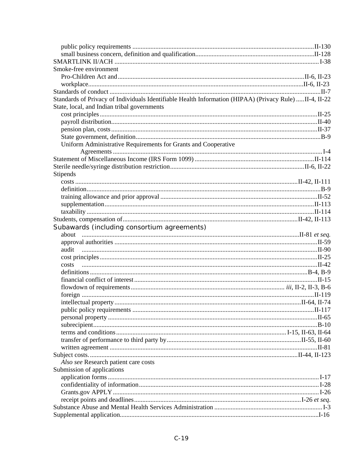| Smoke-free environment                                                                                 |  |
|--------------------------------------------------------------------------------------------------------|--|
|                                                                                                        |  |
|                                                                                                        |  |
|                                                                                                        |  |
| Standards of Privacy of Individuals Identifiable Health Information (HIPAA) (Privacy Rule) II-4, II-22 |  |
| State, local, and Indian tribal governments                                                            |  |
|                                                                                                        |  |
|                                                                                                        |  |
|                                                                                                        |  |
|                                                                                                        |  |
| Uniform Administrative Requirements for Grants and Cooperative                                         |  |
|                                                                                                        |  |
|                                                                                                        |  |
|                                                                                                        |  |
| <b>Stipends</b>                                                                                        |  |
|                                                                                                        |  |
|                                                                                                        |  |
|                                                                                                        |  |
|                                                                                                        |  |
|                                                                                                        |  |
|                                                                                                        |  |
| Subawards (including consortium agreements)                                                            |  |
|                                                                                                        |  |
|                                                                                                        |  |
|                                                                                                        |  |
|                                                                                                        |  |
|                                                                                                        |  |
|                                                                                                        |  |
|                                                                                                        |  |
|                                                                                                        |  |
|                                                                                                        |  |
|                                                                                                        |  |
|                                                                                                        |  |
|                                                                                                        |  |
|                                                                                                        |  |
|                                                                                                        |  |
|                                                                                                        |  |
|                                                                                                        |  |
|                                                                                                        |  |
| Also see Research patient care costs                                                                   |  |
| Submission of applications                                                                             |  |
|                                                                                                        |  |
|                                                                                                        |  |
|                                                                                                        |  |
|                                                                                                        |  |
|                                                                                                        |  |
|                                                                                                        |  |
|                                                                                                        |  |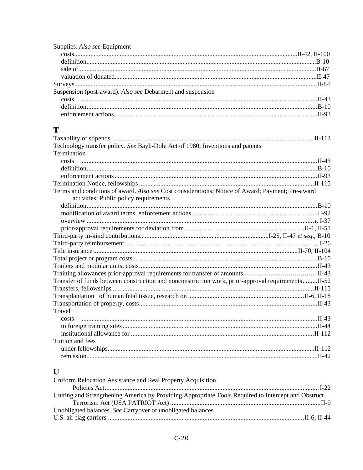| Supplies. Also see Equipment                               |  |
|------------------------------------------------------------|--|
|                                                            |  |
|                                                            |  |
|                                                            |  |
|                                                            |  |
|                                                            |  |
| Suspension (post-award). Also see Debarment and suspension |  |
|                                                            |  |
|                                                            |  |
|                                                            |  |
|                                                            |  |

### $\mathbf T$

| Technology transfer policy. See Bayh-Dole Act of 1980; Inventions and patents                     |  |
|---------------------------------------------------------------------------------------------------|--|
| Termination                                                                                       |  |
| costs                                                                                             |  |
|                                                                                                   |  |
|                                                                                                   |  |
|                                                                                                   |  |
| Terms and conditions of award. Also see Cost considerations; Notice of Award; Payment; Pre-award  |  |
| activities; Public policy requirements                                                            |  |
|                                                                                                   |  |
|                                                                                                   |  |
|                                                                                                   |  |
|                                                                                                   |  |
|                                                                                                   |  |
|                                                                                                   |  |
|                                                                                                   |  |
|                                                                                                   |  |
|                                                                                                   |  |
|                                                                                                   |  |
| Transfer of funds between construction and nonconstruction work, prior-approval requirementsII-52 |  |
|                                                                                                   |  |
|                                                                                                   |  |
|                                                                                                   |  |
| Travel                                                                                            |  |
| costs                                                                                             |  |
|                                                                                                   |  |
|                                                                                                   |  |
| Tuition and fees                                                                                  |  |
|                                                                                                   |  |
|                                                                                                   |  |
|                                                                                                   |  |

# $\mathbf U$

| Uniform Relocation Assistance and Real Property Acquisition                                         |  |
|-----------------------------------------------------------------------------------------------------|--|
|                                                                                                     |  |
| Uniting and Strengthening America by Providing Appropriate Tools Required to Intercept and Obstruct |  |
|                                                                                                     |  |
| Unobligated balances. See Carryover of unobligated balances                                         |  |
|                                                                                                     |  |